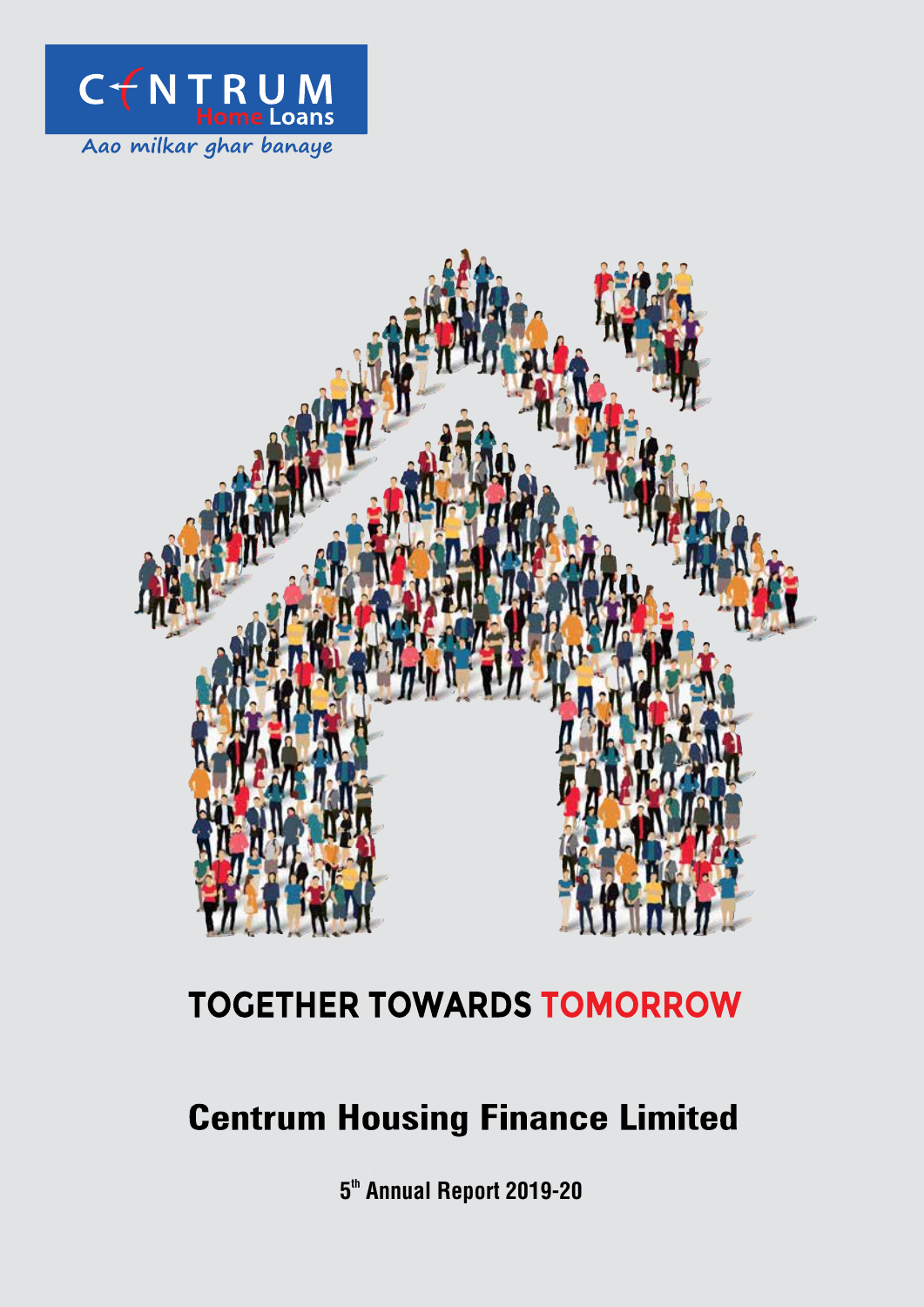



# **TOGETHER TOWARDS TOMORROW**

# **Centrum Housing Finance Limited**

5<sup>th</sup> Annual Report 2019-20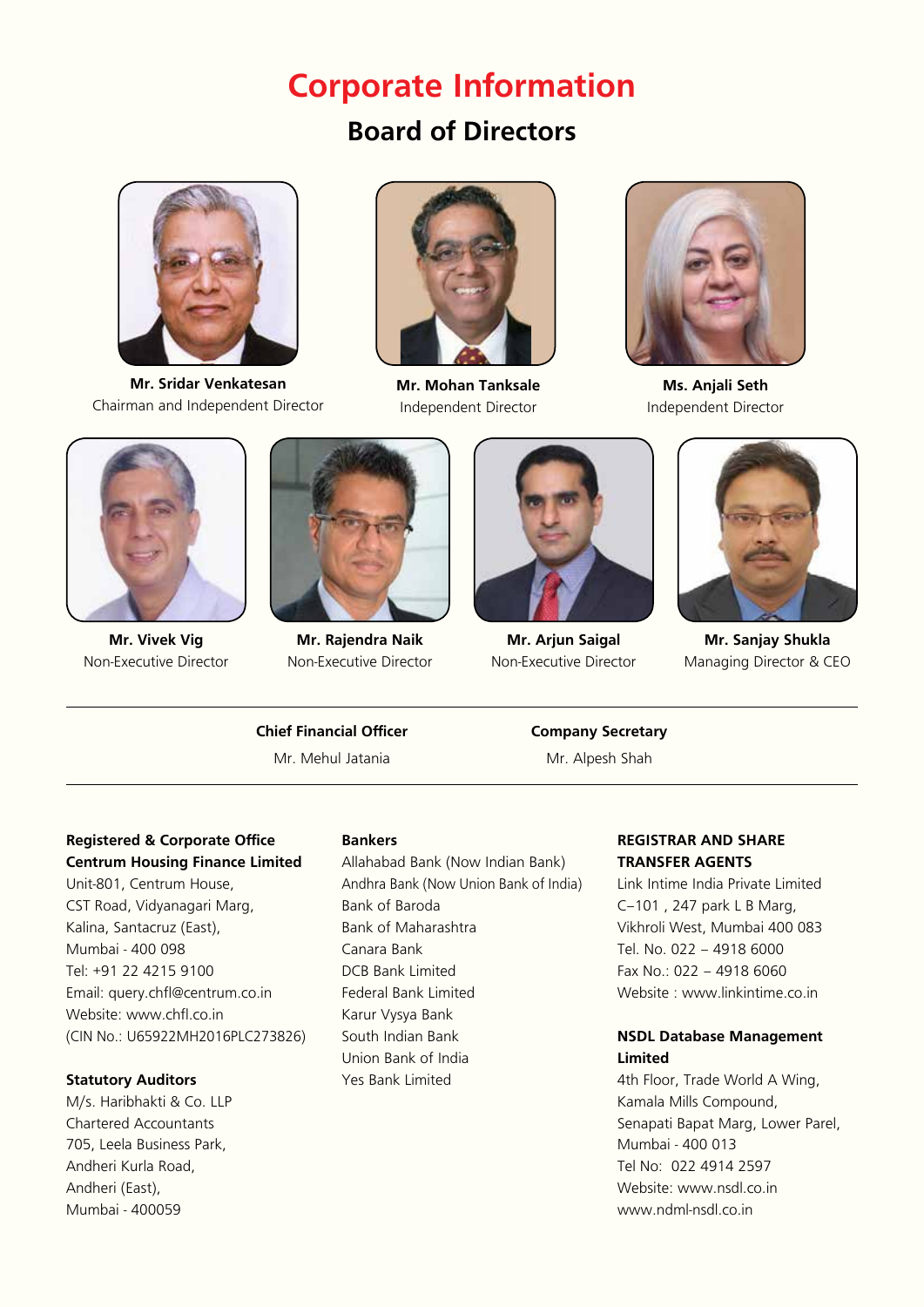## **Corporate Information**

## **Board of Directors**



**Mr. Sridar Venkatesan** Chairman and Independent Director



**Mr. Mohan Tanksale** Independent Director



**Ms. Anjali Seth** Independent Director



**Mr. Vivek Vig** Non-Executive Director



**Mr. Rajendra Naik**  Non-Executive Director



**Mr. Arjun Saigal** Non-Executive Director



**Mr. Sanjay Shukla** Managing Director & CEO

## **Chief Financial Officer Company Secretary** Mr. Mehul Jatania Mr. Alpesh Shah

#### **Registered & Corporate Office Centrum Housing Finance Limited**

Unit-801, Centrum House, CST Road, Vidyanagari Marg, Kalina, Santacruz (East), Mumbai - 400 098 Tel: +91 22 4215 9100 Email: query.chfl@centrum.co.in Website: www.chfl.co.in (CIN No.: U65922MH2016PLC273826)

## **Statutory Auditors**

M/s. Haribhakti & Co. LLP Chartered Accountants 705, Leela Business Park, Andheri Kurla Road, Andheri (East), Mumbai - 400059

#### **Bankers**

Allahabad Bank (Now Indian Bank) Andhra Bank (Now Union Bank of India) Bank of Baroda Bank of Maharashtra Canara Bank DCB Bank Limited Federal Bank Limited Karur Vysya Bank South Indian Bank Union Bank of India Yes Bank Limited

## **REGISTRAR AND SHARE TRANSFER AGENTS**

Link Intime India Private Limited C–101 , 247 park L B Marg, Vikhroli West, Mumbai 400 083 Tel. No. 022 – 4918 6000 Fax No.: 022 – 4918 6060 Website : www.linkintime.co.in

### **NSDL Database Management Limited**

4th Floor, Trade World A Wing, Kamala Mills Compound, Senapati Bapat Marg, Lower Parel, Mumbai - 400 013 Tel No: 022 4914 2597 Website: www.nsdl.co.in www.ndml-nsdl.co.in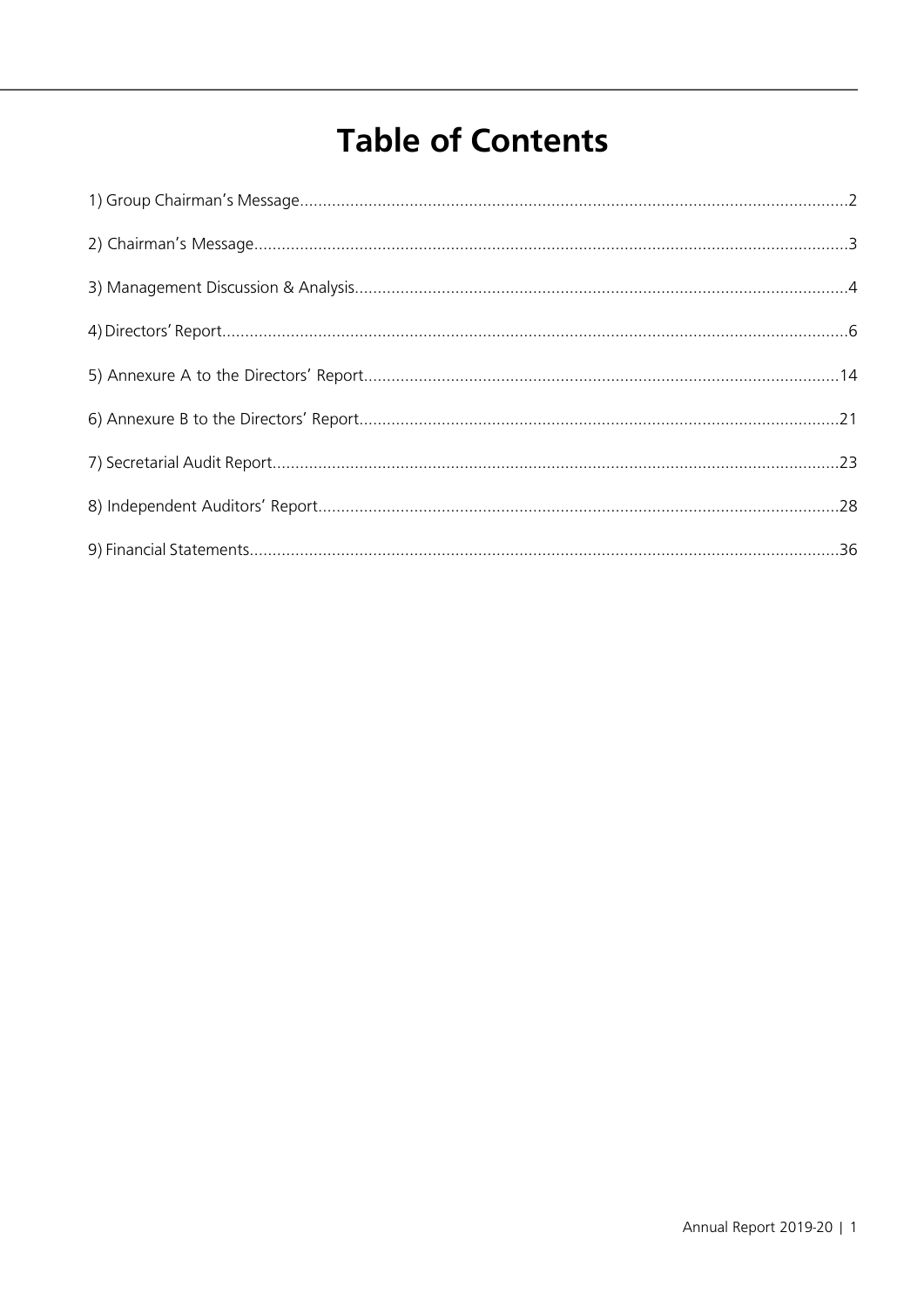# **Table of Contents**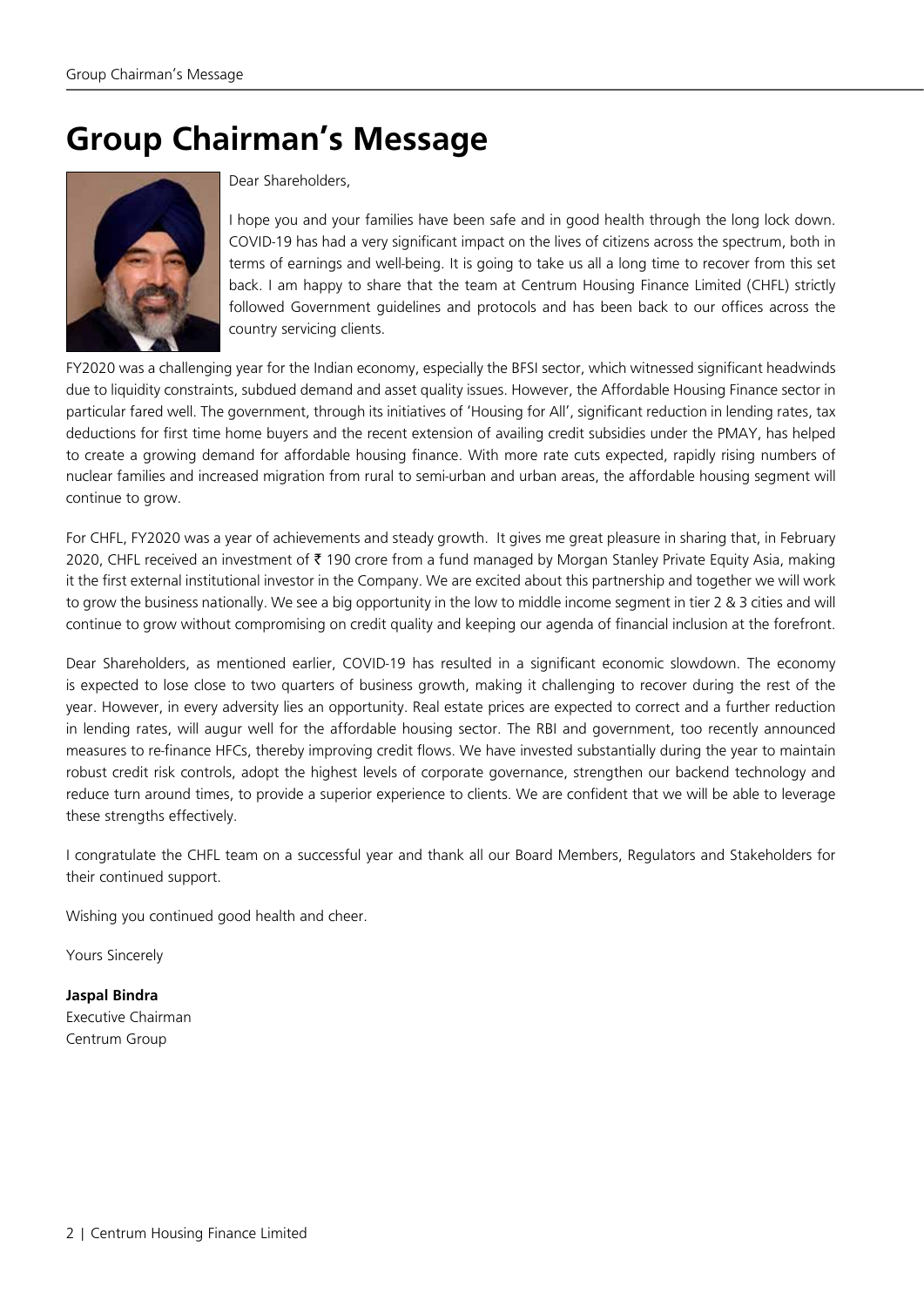# **Group Chairman's Message**



### Dear Shareholders,

I hope you and your families have been safe and in good health through the long lock down. COVID-19 has had a very significant impact on the lives of citizens across the spectrum, both in terms of earnings and well-being. It is going to take us all a long time to recover from this set back. I am happy to share that the team at Centrum Housing Finance Limited (CHFL) strictly followed Government guidelines and protocols and has been back to our offices across the country servicing clients.

FY2020 was a challenging year for the Indian economy, especially the BFSI sector, which witnessed significant headwinds due to liquidity constraints, subdued demand and asset quality issues. However, the Affordable Housing Finance sector in particular fared well. The government, through its initiatives of 'Housing for All', significant reduction in lending rates, tax deductions for first time home buyers and the recent extension of availing credit subsidies under the PMAY, has helped to create a growing demand for affordable housing finance. With more rate cuts expected, rapidly rising numbers of nuclear families and increased migration from rural to semi-urban and urban areas, the affordable housing segment will continue to grow.

For CHFL, FY2020 was a year of achievements and steady growth. It gives me great pleasure in sharing that, in February 2020, CHFL received an investment of ₹ 190 crore from a fund managed by Morgan Stanley Private Equity Asia, making it the first external institutional investor in the Company. We are excited about this partnership and together we will work to grow the business nationally. We see a big opportunity in the low to middle income segment in tier 2 & 3 cities and will continue to grow without compromising on credit quality and keeping our agenda of financial inclusion at the forefront.

Dear Shareholders, as mentioned earlier, COVID-19 has resulted in a significant economic slowdown. The economy is expected to lose close to two quarters of business growth, making it challenging to recover during the rest of the year. However, in every adversity lies an opportunity. Real estate prices are expected to correct and a further reduction in lending rates, will augur well for the affordable housing sector. The RBI and government, too recently announced measures to re-finance HFCs, thereby improving credit flows. We have invested substantially during the year to maintain robust credit risk controls, adopt the highest levels of corporate governance, strengthen our backend technology and reduce turn around times, to provide a superior experience to clients. We are confident that we will be able to leverage these strengths effectively.

I congratulate the CHFL team on a successful year and thank all our Board Members, Regulators and Stakeholders for their continued support.

Wishing you continued good health and cheer.

Yours Sincerely

**Jaspal Bindra** Executive Chairman Centrum Group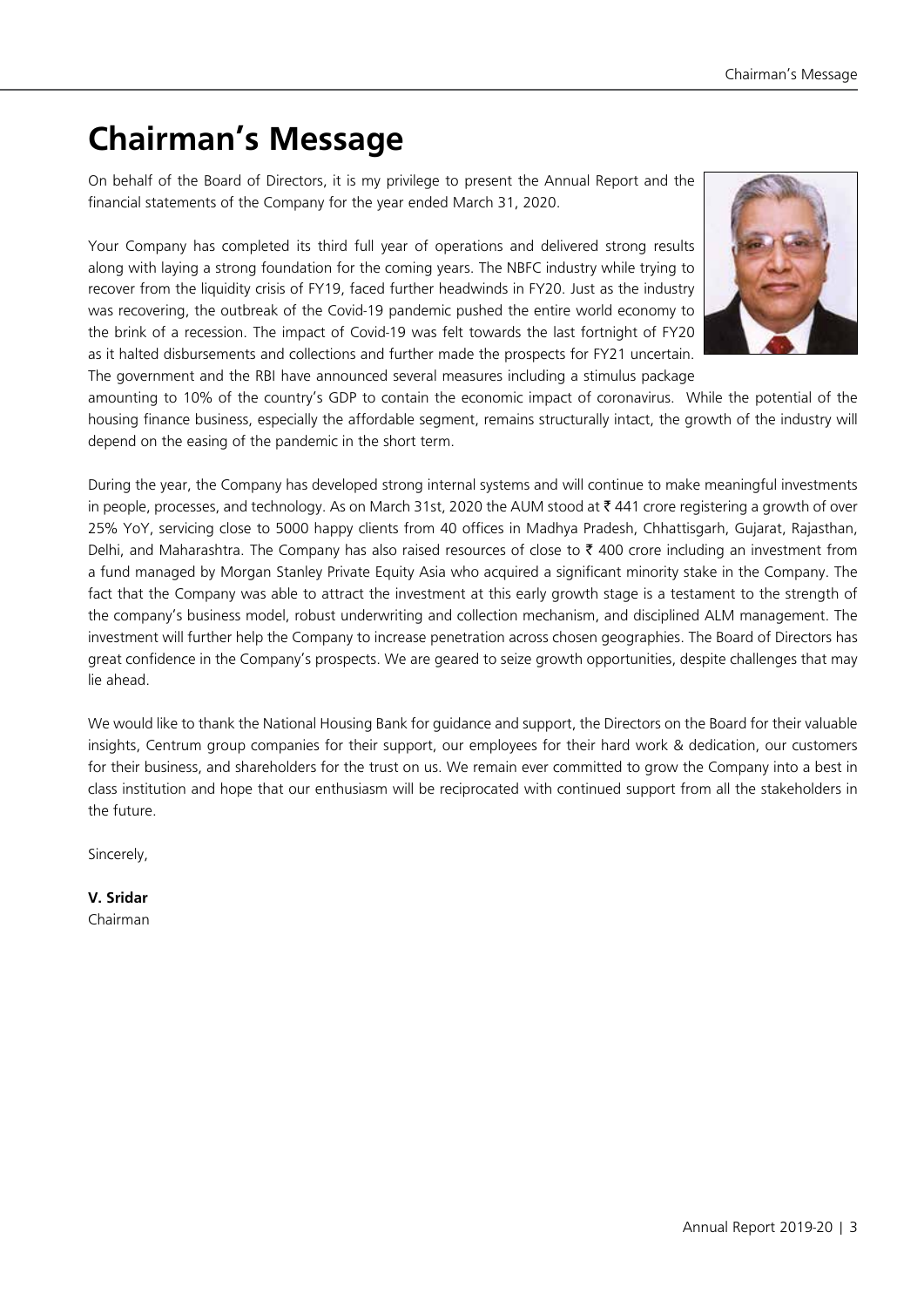## **Chairman's Message**

On behalf of the Board of Directors, it is my privilege to present the Annual Report and the financial statements of the Company for the year ended March 31, 2020.

Your Company has completed its third full year of operations and delivered strong results along with laying a strong foundation for the coming years. The NBFC industry while trying to recover from the liquidity crisis of FY19, faced further headwinds in FY20. Just as the industry was recovering, the outbreak of the Covid-19 pandemic pushed the entire world economy to the brink of a recession. The impact of Covid-19 was felt towards the last fortnight of FY20 as it halted disbursements and collections and further made the prospects for FY21 uncertain. The government and the RBI have announced several measures including a stimulus package



amounting to 10% of the country's GDP to contain the economic impact of coronavirus. While the potential of the housing finance business, especially the affordable segment, remains structurally intact, the growth of the industry will depend on the easing of the pandemic in the short term.

During the year, the Company has developed strong internal systems and will continue to make meaningful investments in people, processes, and technology. As on March 31st, 2020 the AUM stood at  $\bar{z}$  441 crore registering a growth of over 25% YoY, servicing close to 5000 happy clients from 40 offices in Madhya Pradesh, Chhattisgarh, Gujarat, Rajasthan, Delhi, and Maharashtra. The Company has also raised resources of close to  $\bar{\tau}$  400 crore including an investment from a fund managed by Morgan Stanley Private Equity Asia who acquired a significant minority stake in the Company. The fact that the Company was able to attract the investment at this early growth stage is a testament to the strength of the company's business model, robust underwriting and collection mechanism, and disciplined ALM management. The investment will further help the Company to increase penetration across chosen geographies. The Board of Directors has great confidence in the Company's prospects. We are geared to seize growth opportunities, despite challenges that may lie ahead.

We would like to thank the National Housing Bank for guidance and support, the Directors on the Board for their valuable insights, Centrum group companies for their support, our employees for their hard work & dedication, our customers for their business, and shareholders for the trust on us. We remain ever committed to grow the Company into a best in class institution and hope that our enthusiasm will be reciprocated with continued support from all the stakeholders in the future.

Sincerely,

**V. Sridar** Chairman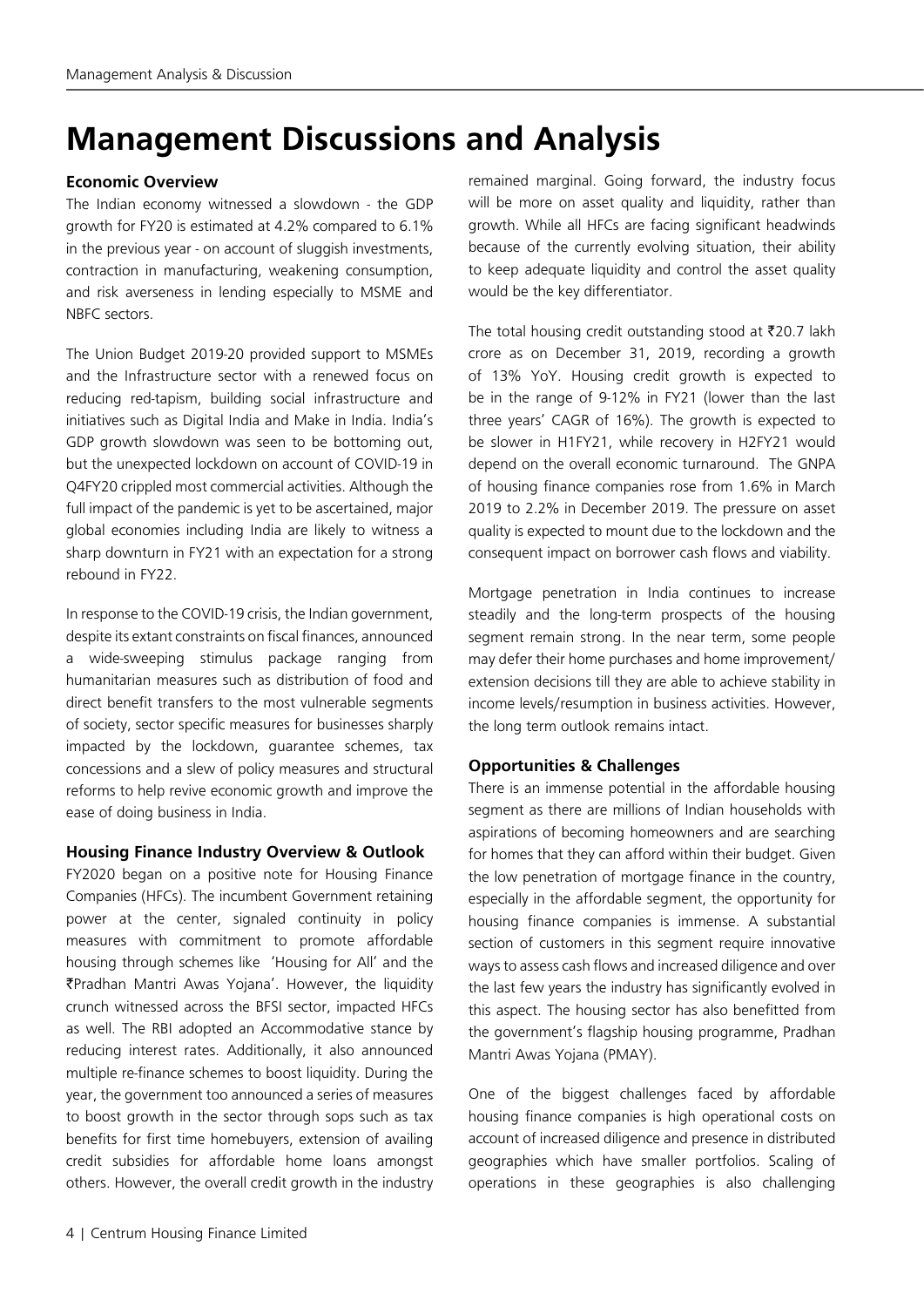## **Management Discussions and Analysis**

#### **Economic Overview**

The Indian economy witnessed a slowdown - the GDP growth for FY20 is estimated at 4.2% compared to 6.1% in the previous year - on account of sluggish investments, contraction in manufacturing, weakening consumption, and risk averseness in lending especially to MSME and NBFC sectors.

The Union Budget 2019-20 provided support to MSMEs and the Infrastructure sector with a renewed focus on reducing red-tapism, building social infrastructure and initiatives such as Digital India and Make in India. India's GDP growth slowdown was seen to be bottoming out, but the unexpected lockdown on account of COVID-19 in Q4FY20 crippled most commercial activities. Although the full impact of the pandemic is yet to be ascertained, major global economies including India are likely to witness a sharp downturn in FY21 with an expectation for a strong rebound in FY22.

In response to the COVID-19 crisis, the Indian government, despite its extant constraints on fiscal finances, announced a wide-sweeping stimulus package ranging from humanitarian measures such as distribution of food and direct benefit transfers to the most vulnerable segments of society, sector specific measures for businesses sharply impacted by the lockdown, guarantee schemes, tax concessions and a slew of policy measures and structural reforms to help revive economic growth and improve the ease of doing business in India.

#### **Housing Finance Industry Overview & Outlook**

FY2020 began on a positive note for Housing Finance Companies (HFCs). The incumbent Government retaining power at the center, signaled continuity in policy measures with commitment to promote affordable housing through schemes like 'Housing for All' and the ₹Pradhan Mantri Awas Yojana'. However, the liquidity crunch witnessed across the BFSI sector, impacted HFCs as well. The RBI adopted an Accommodative stance by reducing interest rates. Additionally, it also announced multiple re-finance schemes to boost liquidity. During the year, the government too announced a series of measures to boost growth in the sector through sops such as tax benefits for first time homebuyers, extension of availing credit subsidies for affordable home loans amongst others. However, the overall credit growth in the industry

remained marginal. Going forward, the industry focus will be more on asset quality and liquidity, rather than growth. While all HFCs are facing significant headwinds because of the currently evolving situation, their ability to keep adequate liquidity and control the asset quality would be the key differentiator.

The total housing credit outstanding stood at  $\bar{\tau}$ 20.7 lakh crore as on December 31, 2019, recording a growth of 13% YoY. Housing credit growth is expected to be in the range of 9-12% in FY21 (lower than the last three years' CAGR of 16%). The growth is expected to be slower in H1FY21, while recovery in H2FY21 would depend on the overall economic turnaround. The GNPA of housing finance companies rose from 1.6% in March 2019 to 2.2% in December 2019. The pressure on asset quality is expected to mount due to the lockdown and the consequent impact on borrower cash flows and viability.

Mortgage penetration in India continues to increase steadily and the long-term prospects of the housing segment remain strong. In the near term, some people may defer their home purchases and home improvement/ extension decisions till they are able to achieve stability in income levels/resumption in business activities. However, the long term outlook remains intact.

## **Opportunities & Challenges**

There is an immense potential in the affordable housing segment as there are millions of Indian households with aspirations of becoming homeowners and are searching for homes that they can afford within their budget. Given the low penetration of mortgage finance in the country, especially in the affordable segment, the opportunity for housing finance companies is immense. A substantial section of customers in this segment require innovative ways to assess cash flows and increased diligence and over the last few years the industry has significantly evolved in this aspect. The housing sector has also benefitted from the government's flagship housing programme, Pradhan Mantri Awas Yojana (PMAY).

One of the biggest challenges faced by affordable housing finance companies is high operational costs on account of increased diligence and presence in distributed geographies which have smaller portfolios. Scaling of operations in these geographies is also challenging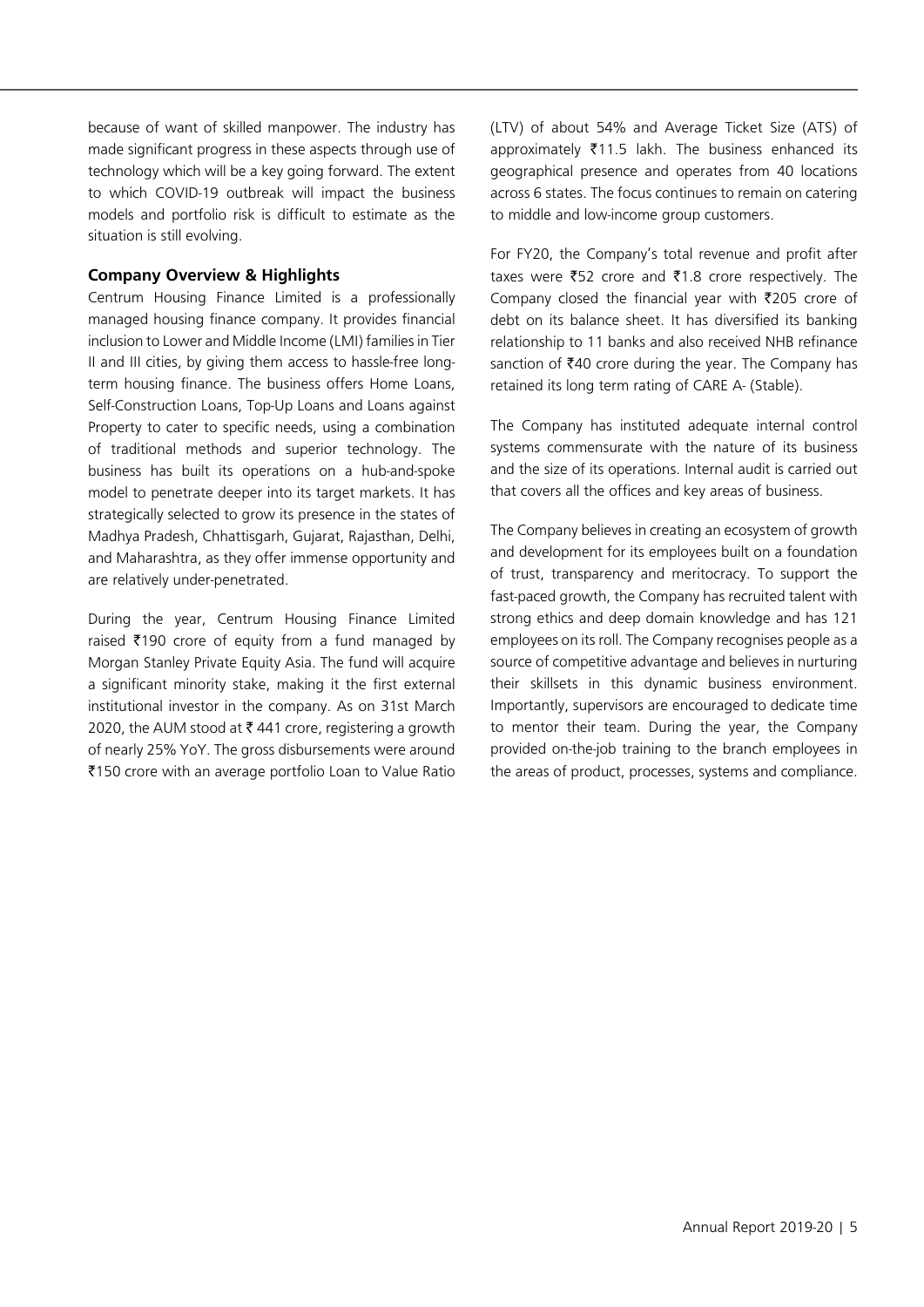because of want of skilled manpower. The industry has made significant progress in these aspects through use of technology which will be a key going forward. The extent to which COVID-19 outbreak will impact the business models and portfolio risk is difficult to estimate as the situation is still evolving.

### **Company Overview & Highlights**

Centrum Housing Finance Limited is a professionally managed housing finance company. It provides financial inclusion to Lower and Middle Income (LMI) families in Tier II and III cities, by giving them access to hassle-free longterm housing finance. The business offers Home Loans, Self-Construction Loans, Top-Up Loans and Loans against Property to cater to specific needs, using a combination of traditional methods and superior technology. The business has built its operations on a hub-and-spoke model to penetrate deeper into its target markets. It has strategically selected to grow its presence in the states of Madhya Pradesh, Chhattisgarh, Gujarat, Rajasthan, Delhi, and Maharashtra, as they offer immense opportunity and are relatively under-penetrated.

During the year, Centrum Housing Finance Limited raised  $\bar{\tau}$ 190 crore of equity from a fund managed by Morgan Stanley Private Equity Asia. The fund will acquire a significant minority stake, making it the first external institutional investor in the company. As on 31st March 2020, the AUM stood at ₹441 crore, registering a growth of nearly 25% YoY. The gross disbursements were around ₹150 crore with an average portfolio Loan to Value Ratio (LTV) of about 54% and Average Ticket Size (ATS) of approximately  $\overline{5}11.5$  lakh. The business enhanced its geographical presence and operates from 40 locations across 6 states. The focus continues to remain on catering to middle and low-income group customers.

For FY20, the Company's total revenue and profit after taxes were ₹52 crore and ₹1.8 crore respectively. The Company closed the financial year with  $\bar{\tau}$ 205 crore of debt on its balance sheet. It has diversified its banking relationship to 11 banks and also received NHB refinance sanction of  $\text{\texttt{F40}}$  crore during the year. The Company has retained its long term rating of CARE A- (Stable).

The Company has instituted adequate internal control systems commensurate with the nature of its business and the size of its operations. Internal audit is carried out that covers all the offices and key areas of business.

The Company believes in creating an ecosystem of growth and development for its employees built on a foundation of trust, transparency and meritocracy. To support the fast-paced growth, the Company has recruited talent with strong ethics and deep domain knowledge and has 121 employees on its roll. The Company recognises people as a source of competitive advantage and believes in nurturing their skillsets in this dynamic business environment. Importantly, supervisors are encouraged to dedicate time to mentor their team. During the year, the Company provided on-the-job training to the branch employees in the areas of product, processes, systems and compliance.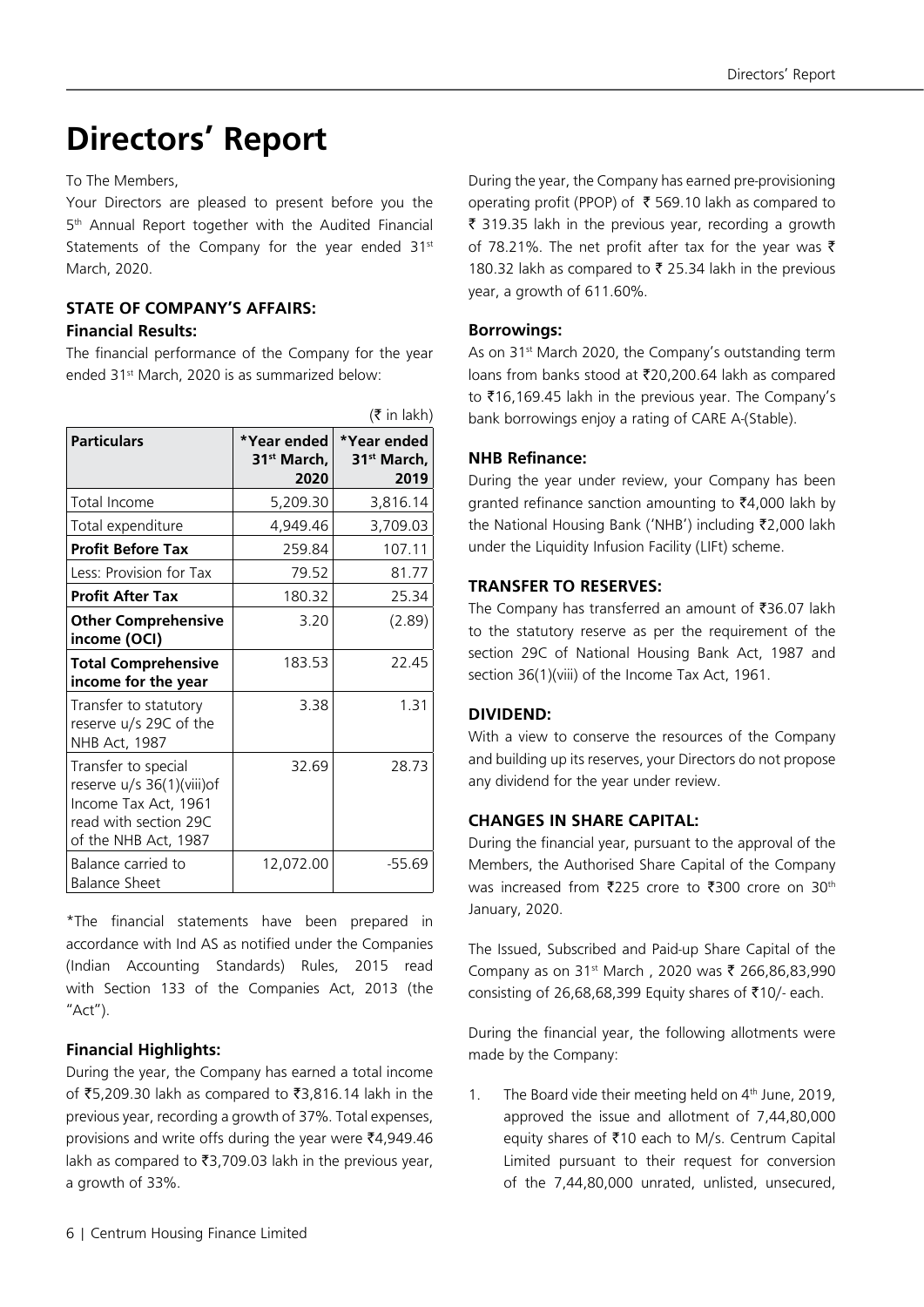# **Directors' Report**

To The Members,

Your Directors are pleased to present before you the 5<sup>th</sup> Annual Report together with the Audited Financial Statements of the Company for the year ended 31<sup>st</sup> March, 2020.

## **STATE OF COMPANY'S AFFAIRS: Financial Results:**

The financial performance of the Company for the year ended 31<sup>st</sup> March, 2020 is as summarized below:

|                                                                                                                           |                                                | $(3\overline{5})$ in lakh)                     |
|---------------------------------------------------------------------------------------------------------------------------|------------------------------------------------|------------------------------------------------|
| <b>Particulars</b>                                                                                                        | *Year ended<br>31 <sup>st</sup> March.<br>2020 | *Year ended<br>31 <sup>st</sup> March.<br>2019 |
| Total Income                                                                                                              | 5,209.30                                       | 3,816.14                                       |
| Total expenditure                                                                                                         | 4,949.46                                       | 3,709.03                                       |
| <b>Profit Before Tax</b>                                                                                                  | 259.84                                         | 107.11                                         |
| Less: Provision for Tax                                                                                                   | 79.52                                          | 81.77                                          |
| <b>Profit After Tax</b>                                                                                                   | 180.32                                         | 25.34                                          |
| <b>Other Comprehensive</b><br>income (OCI)                                                                                | 3.20                                           | (2.89)                                         |
| <b>Total Comprehensive</b><br>income for the year                                                                         | 183.53                                         | 22.45                                          |
| Transfer to statutory<br>reserve u/s 29C of the<br>NHB Act, 1987                                                          | 3.38                                           | 1.31                                           |
| Transfer to special<br>reserve u/s 36(1)(viii)of<br>Income Tax Act, 1961<br>read with section 29C<br>of the NHB Act, 1987 | 32.69                                          | 28.73                                          |
| Balance carried to<br><b>Balance Sheet</b>                                                                                | 12,072.00                                      | $-55.69$                                       |

\*The financial statements have been prepared in accordance with Ind AS as notified under the Companies (Indian Accounting Standards) Rules, 2015 read with Section 133 of the Companies Act, 2013 (the "Act").

## **Financial Highlights:**

During the year, the Company has earned a total income of ₹5,209.30 lakh as compared to ₹3,816.14 lakh in the previous year, recording a growth of 37%. Total expenses, provisions and write offs during the year were  $\bar{z}4,949.46$ lakh as compared to  $\overline{3}3,709.03$  lakh in the previous year, a growth of 33%.

During the year, the Company has earned pre-provisioning operating profit (PPOP) of  $\bar{\tau}$  569.10 lakh as compared to ₹ 319.35 lakh in the previous year, recording a growth of 78.21%. The net profit after tax for the year was  $\bar{\tau}$ 180.32 lakh as compared to ₹ 25.34 lakh in the previous year, a growth of 611.60%.

#### **Borrowings:**

As on 31<sup>st</sup> March 2020, the Company's outstanding term loans from banks stood at `20,200.64 lakh as compared to ₹16,169.45 lakh in the previous year. The Company's bank borrowings enjoy a rating of CARE A-(Stable).

### **NHB Refinance:**

During the year under review, your Company has been granted refinance sanction amounting to  $\bar{z}4,000$  lakh by the National Housing Bank ('NHB') including ₹2,000 lakh under the Liquidity Infusion Facility (LIFt) scheme.

### **TRANSFER TO RESERVES:**

The Company has transferred an amount of  $\bar{z}$ 36.07 lakh to the statutory reserve as per the requirement of the section 29C of National Housing Bank Act, 1987 and section 36(1)(viii) of the Income Tax Act, 1961.

#### **DIVIDEND:**

With a view to conserve the resources of the Company and building up its reserves, your Directors do not propose any dividend for the year under review.

## **CHANGES IN SHARE CAPITAL:**

During the financial year, pursuant to the approval of the Members, the Authorised Share Capital of the Company was increased from ₹225 crore to ₹300 crore on 30<sup>th</sup> January, 2020.

The Issued, Subscribed and Paid-up Share Capital of the Company as on 31<sup>st</sup> March, 2020 was ₹ 266,86,83,990 consisting of 26,68,68,399 Equity shares of  $\overline{510}$ /- each.

During the financial year, the following allotments were made by the Company:

1. The Board vide their meeting held on  $4<sup>th</sup>$  June, 2019, approved the issue and allotment of 7,44,80,000 equity shares of ₹10 each to M/s. Centrum Capital Limited pursuant to their request for conversion of the 7,44,80,000 unrated, unlisted, unsecured,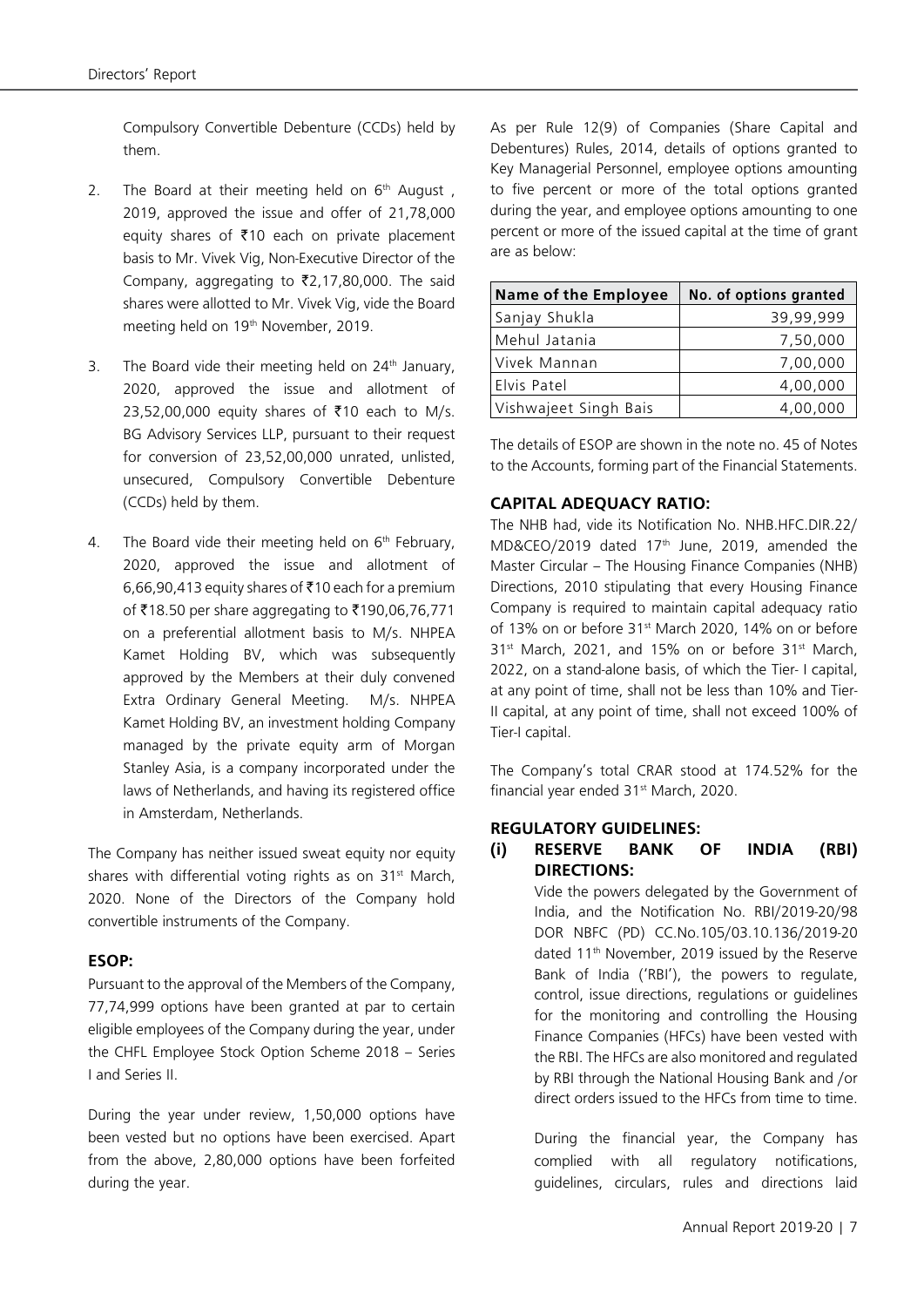Compulsory Convertible Debenture (CCDs) held by them.

- 2. The Board at their meeting held on  $6<sup>th</sup>$  August, 2019, approved the issue and offer of 21,78,000 equity shares of  $\bar{\tau}$ 10 each on private placement basis to Mr. Vivek Vig, Non-Executive Director of the Company, aggregating to  $\bar{\zeta}$ 2,17,80,000. The said shares were allotted to Mr. Vivek Vig, vide the Board meeting held on 19<sup>th</sup> November, 2019.
- 3. The Board vide their meeting held on  $24<sup>th</sup>$  January, 2020, approved the issue and allotment of 23,52,00,000 equity shares of ₹10 each to M/s. BG Advisory Services LLP, pursuant to their request for conversion of 23,52,00,000 unrated, unlisted, unsecured, Compulsory Convertible Debenture (CCDs) held by them.
- 4. The Board vide their meeting held on  $6<sup>th</sup>$  February, 2020, approved the issue and allotment of 6,66,90,413 equity shares of ₹10 each for a premium of ₹18.50 per share aggregating to ₹190,06,76,771 on a preferential allotment basis to M/s. NHPEA Kamet Holding BV, which was subsequently approved by the Members at their duly convened Extra Ordinary General Meeting. M/s. NHPEA Kamet Holding BV, an investment holding Company managed by the private equity arm of Morgan Stanley Asia, is a company incorporated under the laws of Netherlands, and having its registered office in Amsterdam, Netherlands.

The Company has neither issued sweat equity nor equity shares with differential voting rights as on 31<sup>st</sup> March, 2020. None of the Directors of the Company hold convertible instruments of the Company.

#### **ESOP:**

Pursuant to the approval of the Members of the Company, 77,74,999 options have been granted at par to certain eligible employees of the Company during the year, under the CHFL Employee Stock Option Scheme 2018 – Series I and Series II.

During the year under review, 1,50,000 options have been vested but no options have been exercised. Apart from the above, 2,80,000 options have been forfeited during the year.

As per Rule 12(9) of Companies (Share Capital and Debentures) Rules, 2014, details of options granted to Key Managerial Personnel, employee options amounting to five percent or more of the total options granted during the year, and employee options amounting to one percent or more of the issued capital at the time of grant are as below:

| Name of the Employee  | No. of options granted |
|-----------------------|------------------------|
| Sanjay Shukla         | 39,99,999              |
| Mehul Jatania         | 7,50,000               |
| lVivek Mannan         | 7,00,000               |
| Elvis Patel           | 4,00,000               |
| Vishwajeet Singh Bais | 4,00,000               |

The details of ESOP are shown in the note no. 45 of Notes to the Accounts, forming part of the Financial Statements.

### **CAPITAL ADEQUACY RATIO:**

The NHB had, vide its Notification No. NHB.HFC.DIR.22/ MD&CEO/2019 dated 17<sup>th</sup> June, 2019, amended the Master Circular – The Housing Finance Companies (NHB) Directions, 2010 stipulating that every Housing Finance Company is required to maintain capital adequacy ratio of 13% on or before 31<sup>st</sup> March 2020, 14% on or before 31<sup>st</sup> March, 2021, and 15% on or before 31<sup>st</sup> March, 2022, on a stand-alone basis, of which the Tier- I capital, at any point of time, shall not be less than 10% and Tier-II capital, at any point of time, shall not exceed 100% of Tier-I capital.

The Company's total CRAR stood at 174.52% for the financial year ended 31<sup>st</sup> March, 2020.

#### **REGULATORY GUIDELINES:**

### **(i) RESERVE BANK OF INDIA (RBI) DIRECTIONS:**

Vide the powers delegated by the Government of India, and the Notification No. RBI/2019-20/98 DOR NBFC (PD) CC.No.105/03.10.136/2019-20 dated 11th November, 2019 issued by the Reserve Bank of India ('RBI'), the powers to regulate, control, issue directions, regulations or guidelines for the monitoring and controlling the Housing Finance Companies (HFCs) have been vested with the RBI. The HFCs are also monitored and regulated by RBI through the National Housing Bank and /or direct orders issued to the HFCs from time to time.

During the financial year, the Company has complied with all regulatory notifications, guidelines, circulars, rules and directions laid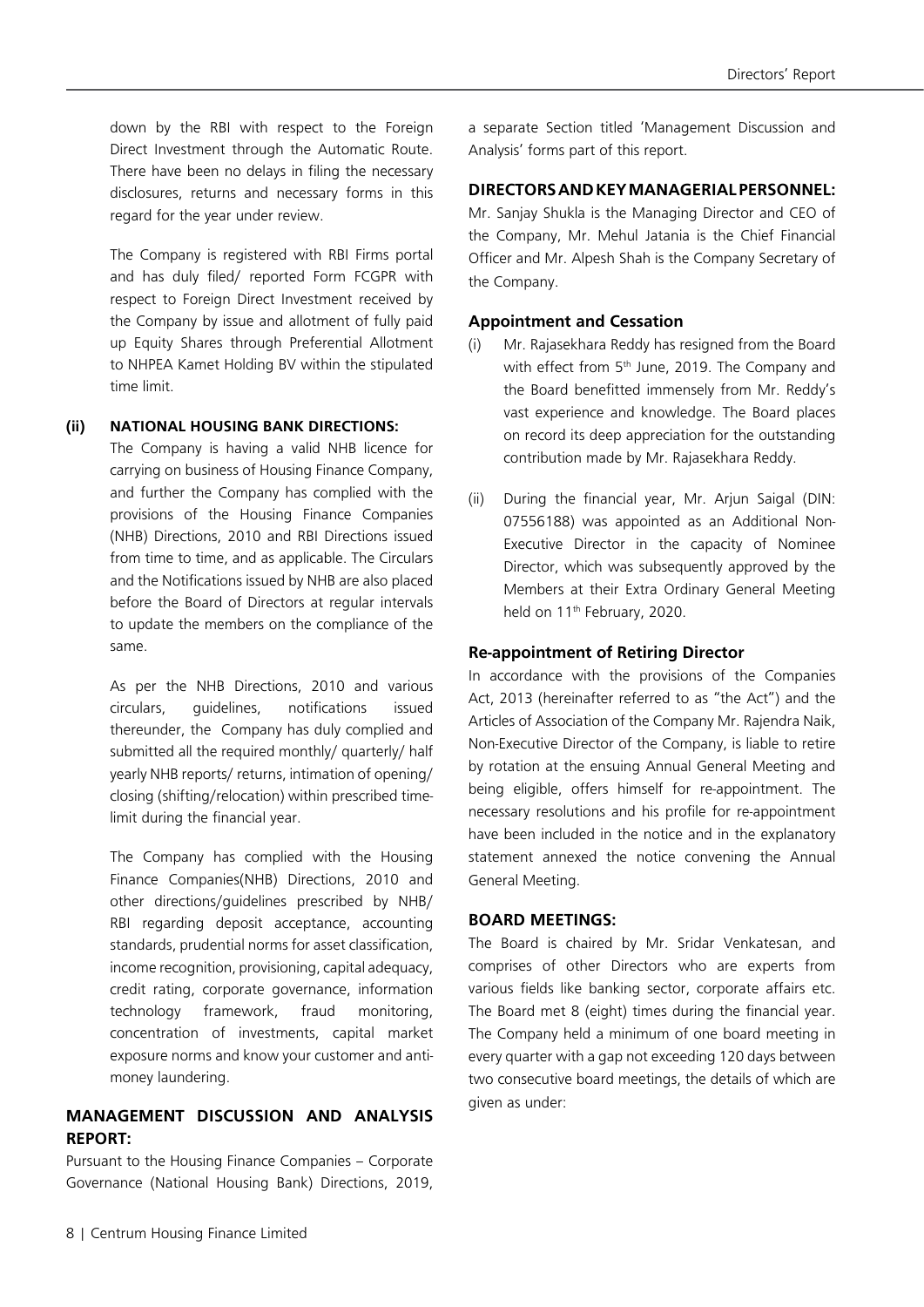down by the RBI with respect to the Foreign Direct Investment through the Automatic Route. There have been no delays in filing the necessary disclosures, returns and necessary forms in this regard for the year under review.

The Company is registered with RBI Firms portal and has duly filed/ reported Form FCGPR with respect to Foreign Direct Investment received by the Company by issue and allotment of fully paid up Equity Shares through Preferential Allotment to NHPEA Kamet Holding BV within the stipulated time limit.

#### **(ii) NATIONAL HOUSING BANK DIRECTIONS:**

The Company is having a valid NHB licence for carrying on business of Housing Finance Company, and further the Company has complied with the provisions of the Housing Finance Companies (NHB) Directions, 2010 and RBI Directions issued from time to time, and as applicable. The Circulars and the Notifications issued by NHB are also placed before the Board of Directors at regular intervals to update the members on the compliance of the same.

As per the NHB Directions, 2010 and various circulars, guidelines, notifications issued thereunder, the Company has duly complied and submitted all the required monthly/ quarterly/ half yearly NHB reports/ returns, intimation of opening/ closing (shifting/relocation) within prescribed timelimit during the financial year.

The Company has complied with the Housing Finance Companies(NHB) Directions, 2010 and other directions/guidelines prescribed by NHB/ RBI regarding deposit acceptance, accounting standards, prudential norms for asset classification, income recognition, provisioning, capital adequacy, credit rating, corporate governance, information technology framework, fraud monitoring, concentration of investments, capital market exposure norms and know your customer and antimoney laundering.

### **MANAGEMENT DISCUSSION AND ANALYSIS REPORT:**

Pursuant to the Housing Finance Companies – Corporate Governance (National Housing Bank) Directions, 2019,

a separate Section titled 'Management Discussion and Analysis' forms part of this report.

#### **DIRECTORS AND KEY MANAGERIAL PERSONNEL:**

Mr. Sanjay Shukla is the Managing Director and CEO of the Company, Mr. Mehul Jatania is the Chief Financial Officer and Mr. Alpesh Shah is the Company Secretary of the Company.

#### **Appointment and Cessation**

- (i) Mr. Rajasekhara Reddy has resigned from the Board with effect from 5<sup>th</sup> June, 2019. The Company and the Board benefitted immensely from Mr. Reddy's vast experience and knowledge. The Board places on record its deep appreciation for the outstanding contribution made by Mr. Rajasekhara Reddy.
- (ii) During the financial year, Mr. Arjun Saigal (DIN: 07556188) was appointed as an Additional Non-Executive Director in the capacity of Nominee Director, which was subsequently approved by the Members at their Extra Ordinary General Meeting held on 11<sup>th</sup> February, 2020.

#### **Re-appointment of Retiring Director**

In accordance with the provisions of the Companies Act, 2013 (hereinafter referred to as "the Act") and the Articles of Association of the Company Mr. Rajendra Naik, Non-Executive Director of the Company, is liable to retire by rotation at the ensuing Annual General Meeting and being eligible, offers himself for re-appointment. The necessary resolutions and his profile for re-appointment have been included in the notice and in the explanatory statement annexed the notice convening the Annual General Meeting.

#### **BOARD MEETINGS:**

The Board is chaired by Mr. Sridar Venkatesan, and comprises of other Directors who are experts from various fields like banking sector, corporate affairs etc. The Board met 8 (eight) times during the financial year. The Company held a minimum of one board meeting in every quarter with a gap not exceeding 120 days between two consecutive board meetings, the details of which are given as under: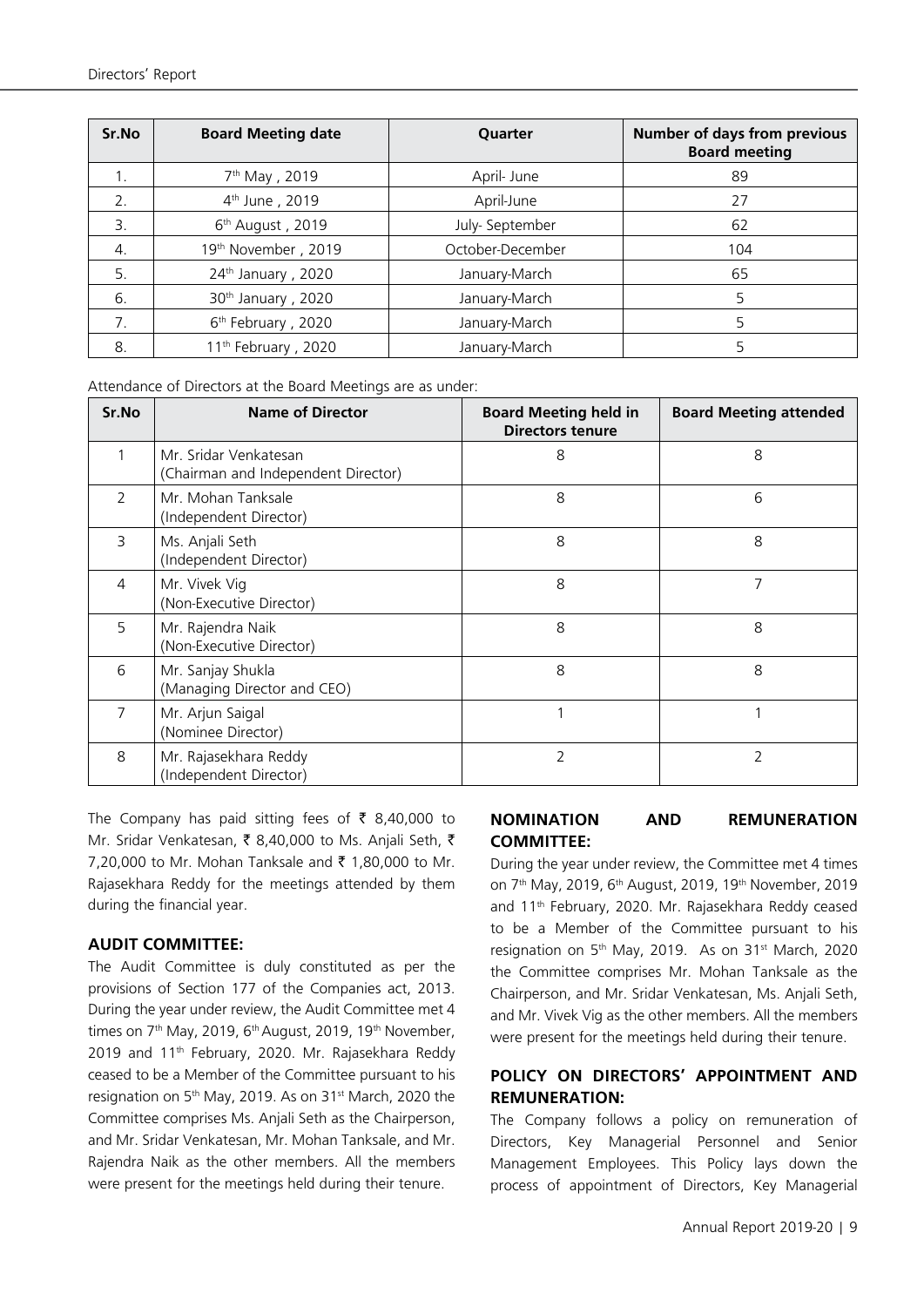| Sr.No          | <b>Board Meeting date</b>       | Quarter          | <b>Number of days from previous</b><br><b>Board meeting</b> |
|----------------|---------------------------------|------------------|-------------------------------------------------------------|
| $1_{.}$        | 7 <sup>th</sup> May, 2019       | April- June      | 89                                                          |
| 2.             | 4 <sup>th</sup> June, 2019      | April-June       | 27                                                          |
| $\mathbf{3}$ . | 6 <sup>th</sup> August, 2019    | July- September  | 62                                                          |
| 4.             | 19 <sup>th</sup> November, 2019 | October-December | 104                                                         |
| 5.             | 24 <sup>th</sup> January, 2020  | January-March    | 65                                                          |
| 6.             | 30 <sup>th</sup> January, 2020  | January-March    | 5                                                           |
| 7.             | 6 <sup>th</sup> February, 2020  | January-March    | 5                                                           |
| 8.             | 11 <sup>th</sup> February, 2020 | January-March    | 5                                                           |

Attendance of Directors at the Board Meetings are as under:

| Sr.No | <b>Name of Director</b>                                      | <b>Board Meeting held in</b><br><b>Directors tenure</b> | <b>Board Meeting attended</b> |
|-------|--------------------------------------------------------------|---------------------------------------------------------|-------------------------------|
| 1     | Mr. Sridar Venkatesan<br>(Chairman and Independent Director) | 8                                                       | 8                             |
| 2     | Mr. Mohan Tanksale<br>(Independent Director)                 | 8                                                       | 6                             |
| 3     | Ms. Anjali Seth<br>(Independent Director)                    | 8                                                       | 8                             |
| 4     | Mr. Vivek Vig<br>(Non-Executive Director)                    | 8                                                       | 7                             |
| 5     | Mr. Rajendra Naik<br>(Non-Executive Director)                | 8                                                       | 8                             |
| 6     | Mr. Sanjay Shukla<br>(Managing Director and CEO)             | 8                                                       | 8                             |
| 7     | Mr. Arjun Saigal<br>(Nominee Director)                       |                                                         |                               |
| 8     | Mr. Rajasekhara Reddy<br>(Independent Director)              | 2                                                       | 2                             |

The Company has paid sitting fees of  $\bar{\tau}$  8,40,000 to Mr. Sridar Venkatesan, ₹ 8,40,000 to Ms. Anjali Seth, ₹ 7,20,000 to Mr. Mohan Tanksale and ₹ 1,80,000 to Mr. Rajasekhara Reddy for the meetings attended by them during the financial year.

#### **AUDIT COMMITTEE:**

The Audit Committee is duly constituted as per the provisions of Section 177 of the Companies act, 2013. During the year under review, the Audit Committee met 4 times on  $7<sup>th</sup>$  May, 2019, 6<sup>th</sup> August, 2019, 19<sup>th</sup> November, 2019 and 11<sup>th</sup> February, 2020. Mr. Rajasekhara Reddy ceased to be a Member of the Committee pursuant to his resignation on 5<sup>th</sup> May, 2019. As on 31<sup>st</sup> March, 2020 the Committee comprises Ms. Anjali Seth as the Chairperson, and Mr. Sridar Venkatesan, Mr. Mohan Tanksale, and Mr. Rajendra Naik as the other members. All the members were present for the meetings held during their tenure.

## **NOMINATION AND REMUNERATION COMMITTEE:**

During the year under review, the Committee met 4 times on 7<sup>th</sup> May, 2019, 6<sup>th</sup> August, 2019, 19<sup>th</sup> November, 2019 and 11th February, 2020. Mr. Rajasekhara Reddy ceased to be a Member of the Committee pursuant to his resignation on 5<sup>th</sup> May, 2019. As on 31<sup>st</sup> March, 2020 the Committee comprises Mr. Mohan Tanksale as the Chairperson, and Mr. Sridar Venkatesan, Ms. Anjali Seth, and Mr. Vivek Vig as the other members. All the members were present for the meetings held during their tenure.

## **POLICY ON DIRECTORS' APPOINTMENT AND REMUNERATION:**

The Company follows a policy on remuneration of Directors, Key Managerial Personnel and Senior Management Employees. This Policy lays down the process of appointment of Directors, Key Managerial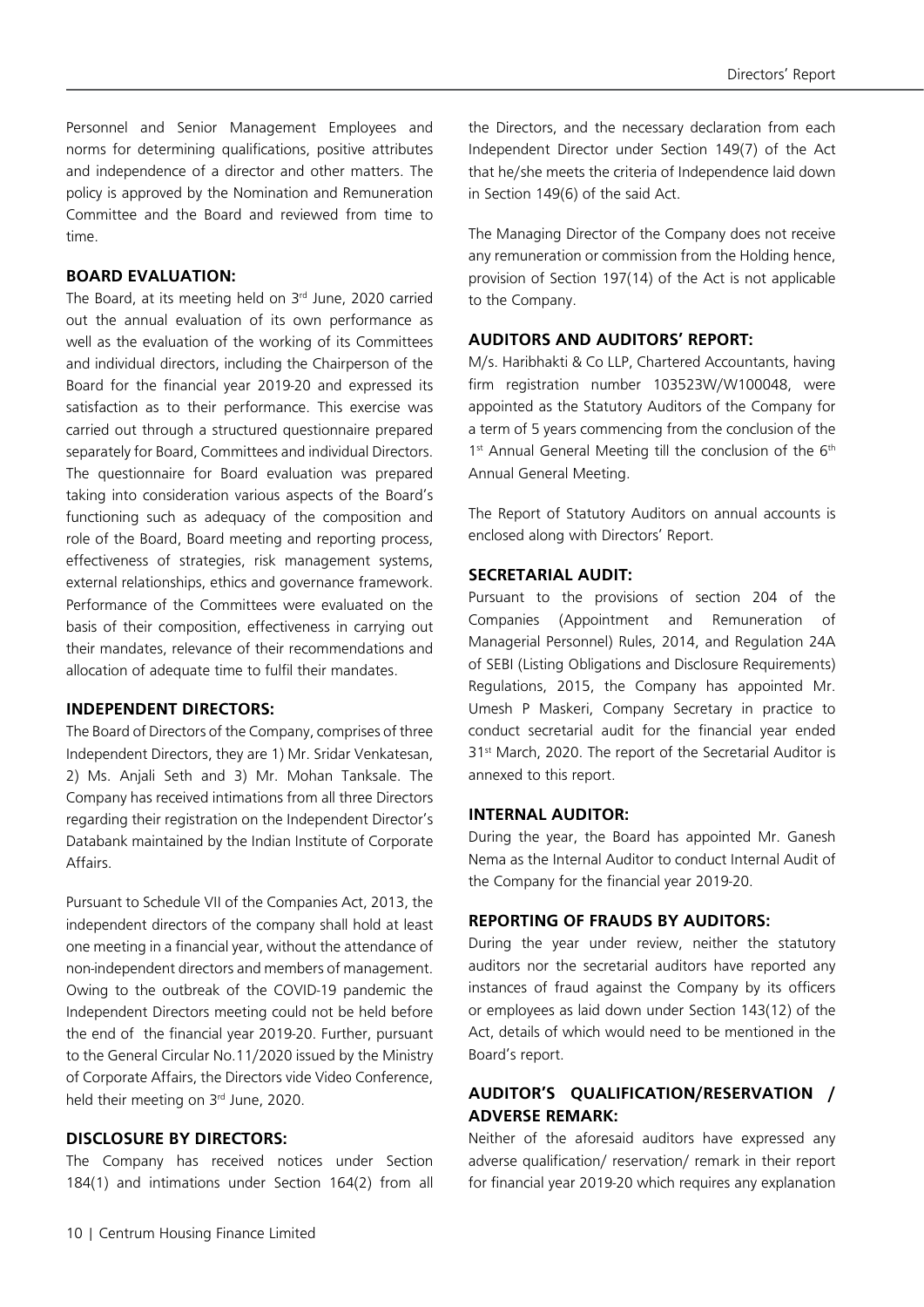Personnel and Senior Management Employees and norms for determining qualifications, positive attributes and independence of a director and other matters. The policy is approved by the Nomination and Remuneration Committee and the Board and reviewed from time to time.

#### **BOARD EVALUATION:**

The Board, at its meeting held on 3rd June, 2020 carried out the annual evaluation of its own performance as well as the evaluation of the working of its Committees and individual directors, including the Chairperson of the Board for the financial year 2019-20 and expressed its satisfaction as to their performance. This exercise was carried out through a structured questionnaire prepared separately for Board, Committees and individual Directors. The questionnaire for Board evaluation was prepared taking into consideration various aspects of the Board's functioning such as adequacy of the composition and role of the Board, Board meeting and reporting process, effectiveness of strategies, risk management systems, external relationships, ethics and governance framework. Performance of the Committees were evaluated on the basis of their composition, effectiveness in carrying out their mandates, relevance of their recommendations and allocation of adequate time to fulfil their mandates.

#### **INDEPENDENT DIRECTORS:**

The Board of Directors of the Company, comprises of three Independent Directors, they are 1) Mr. Sridar Venkatesan, 2) Ms. Anjali Seth and 3) Mr. Mohan Tanksale. The Company has received intimations from all three Directors regarding their registration on the Independent Director's Databank maintained by the Indian Institute of Corporate Affairs.

Pursuant to Schedule VII of the Companies Act, 2013, the independent directors of the company shall hold at least one meeting in a financial year, without the attendance of non-independent directors and members of management. Owing to the outbreak of the COVID-19 pandemic the Independent Directors meeting could not be held before the end of the financial year 2019-20. Further, pursuant to the General Circular No.11/2020 issued by the Ministry of Corporate Affairs, the Directors vide Video Conference, held their meeting on 3rd June, 2020.

#### **DISCLOSURE BY DIRECTORS:**

The Company has received notices under Section 184(1) and intimations under Section 164(2) from all the Directors, and the necessary declaration from each Independent Director under Section 149(7) of the Act that he/she meets the criteria of Independence laid down in Section 149(6) of the said Act.

The Managing Director of the Company does not receive any remuneration or commission from the Holding hence, provision of Section 197(14) of the Act is not applicable to the Company.

#### **AUDITORS AND AUDITORS' REPORT:**

M/s. Haribhakti & Co LLP, Chartered Accountants, having firm registration number 103523W/W100048, were appointed as the Statutory Auditors of the Company for a term of 5 years commencing from the conclusion of the 1<sup>st</sup> Annual General Meeting till the conclusion of the 6<sup>th</sup> Annual General Meeting.

The Report of Statutory Auditors on annual accounts is enclosed along with Directors' Report.

#### **SECRETARIAL AUDIT:**

Pursuant to the provisions of section 204 of the Companies (Appointment and Remuneration of Managerial Personnel) Rules, 2014, and Regulation 24A of SEBI (Listing Obligations and Disclosure Requirements) Regulations, 2015, the Company has appointed Mr. Umesh P Maskeri, Company Secretary in practice to conduct secretarial audit for the financial year ended 31<sup>st</sup> March, 2020. The report of the Secretarial Auditor is annexed to this report.

#### **INTERNAL AUDITOR:**

During the year, the Board has appointed Mr. Ganesh Nema as the Internal Auditor to conduct Internal Audit of the Company for the financial year 2019-20.

#### **REPORTING OF FRAUDS BY AUDITORS:**

During the year under review, neither the statutory auditors nor the secretarial auditors have reported any instances of fraud against the Company by its officers or employees as laid down under Section 143(12) of the Act, details of which would need to be mentioned in the Board's report.

## **AUDITOR'S QUALIFICATION/RESERVATION / ADVERSE REMARK:**

Neither of the aforesaid auditors have expressed any adverse qualification/ reservation/ remark in their report for financial year 2019-20 which requires any explanation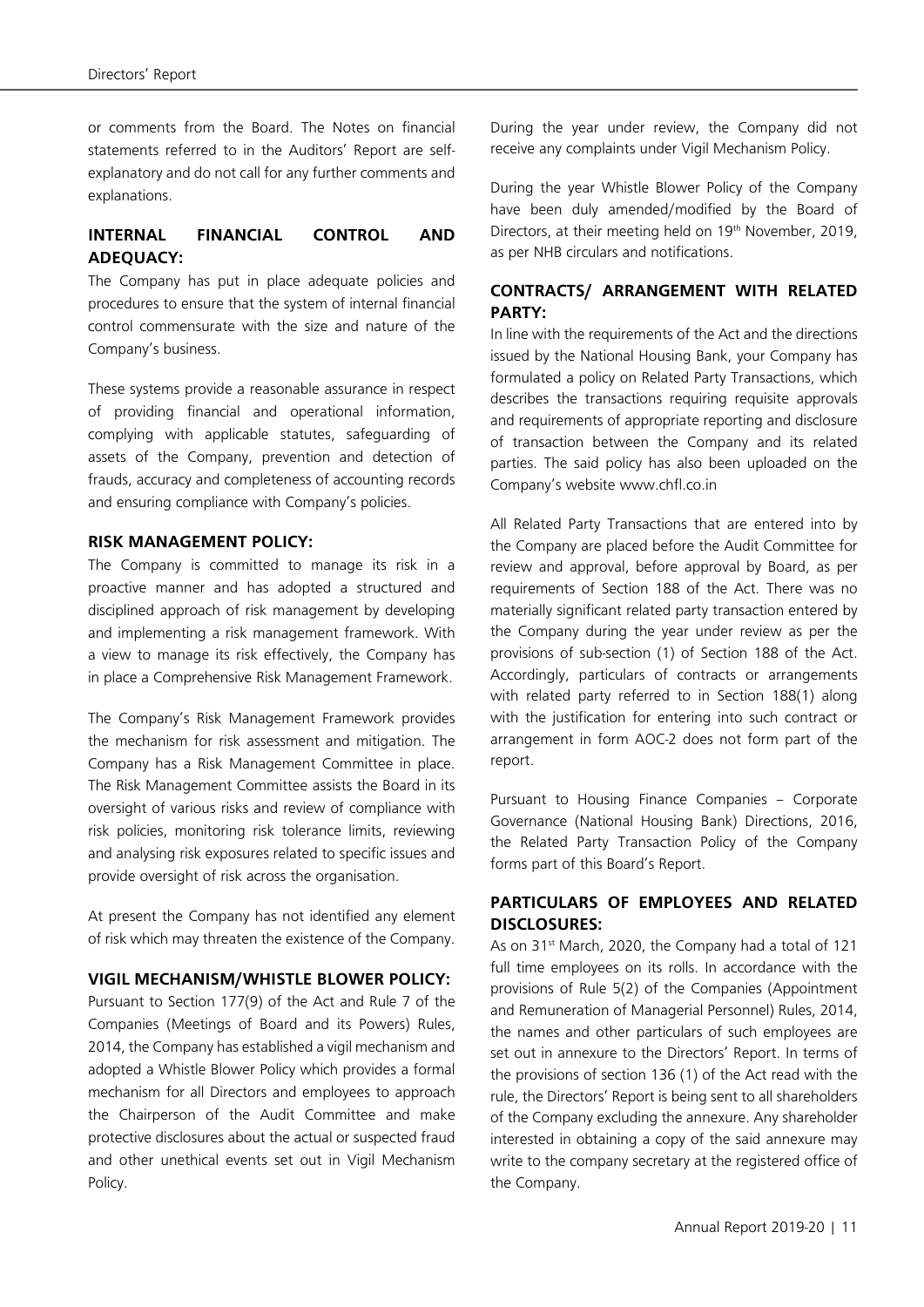or comments from the Board. The Notes on financial statements referred to in the Auditors' Report are selfexplanatory and do not call for any further comments and explanations.

## **INTERNAL FINANCIAL CONTROL AND ADEQUACY:**

The Company has put in place adequate policies and procedures to ensure that the system of internal financial control commensurate with the size and nature of the Company's business.

These systems provide a reasonable assurance in respect of providing financial and operational information, complying with applicable statutes, safeguarding of assets of the Company, prevention and detection of frauds, accuracy and completeness of accounting records and ensuring compliance with Company's policies.

#### **RISK MANAGEMENT POLICY:**

The Company is committed to manage its risk in a proactive manner and has adopted a structured and disciplined approach of risk management by developing and implementing a risk management framework. With a view to manage its risk effectively, the Company has in place a Comprehensive Risk Management Framework.

The Company's Risk Management Framework provides the mechanism for risk assessment and mitigation. The Company has a Risk Management Committee in place. The Risk Management Committee assists the Board in its oversight of various risks and review of compliance with risk policies, monitoring risk tolerance limits, reviewing and analysing risk exposures related to specific issues and provide oversight of risk across the organisation.

At present the Company has not identified any element of risk which may threaten the existence of the Company.

#### **VIGIL MECHANISM/WHISTLE BLOWER POLICY:**

Pursuant to Section 177(9) of the Act and Rule 7 of the Companies (Meetings of Board and its Powers) Rules, 2014, the Company has established a vigil mechanism and adopted a Whistle Blower Policy which provides a formal mechanism for all Directors and employees to approach the Chairperson of the Audit Committee and make protective disclosures about the actual or suspected fraud and other unethical events set out in Vigil Mechanism Policy.

During the year under review, the Company did not receive any complaints under Vigil Mechanism Policy.

During the year Whistle Blower Policy of the Company have been duly amended/modified by the Board of Directors, at their meeting held on 19<sup>th</sup> November, 2019, as per NHB circulars and notifications.

#### **CONTRACTS/ ARRANGEMENT WITH RELATED PARTY:**

In line with the requirements of the Act and the directions issued by the National Housing Bank, your Company has formulated a policy on Related Party Transactions, which describes the transactions requiring requisite approvals and requirements of appropriate reporting and disclosure of transaction between the Company and its related parties. The said policy has also been uploaded on the Company's website www.chfl.co.in

All Related Party Transactions that are entered into by the Company are placed before the Audit Committee for review and approval, before approval by Board, as per requirements of Section 188 of the Act. There was no materially significant related party transaction entered by the Company during the year under review as per the provisions of sub-section (1) of Section 188 of the Act. Accordingly, particulars of contracts or arrangements with related party referred to in Section 188(1) along with the justification for entering into such contract or arrangement in form AOC-2 does not form part of the report.

Pursuant to Housing Finance Companies – Corporate Governance (National Housing Bank) Directions, 2016, the Related Party Transaction Policy of the Company forms part of this Board's Report.

#### **PARTICULARS OF EMPLOYEES AND RELATED DISCLOSURES:**

As on 31<sup>st</sup> March, 2020, the Company had a total of 121 full time employees on its rolls. In accordance with the provisions of Rule 5(2) of the Companies (Appointment and Remuneration of Managerial Personnel) Rules, 2014, the names and other particulars of such employees are set out in annexure to the Directors' Report. In terms of the provisions of section 136 (1) of the Act read with the rule, the Directors' Report is being sent to all shareholders of the Company excluding the annexure. Any shareholder interested in obtaining a copy of the said annexure may write to the company secretary at the registered office of the Company.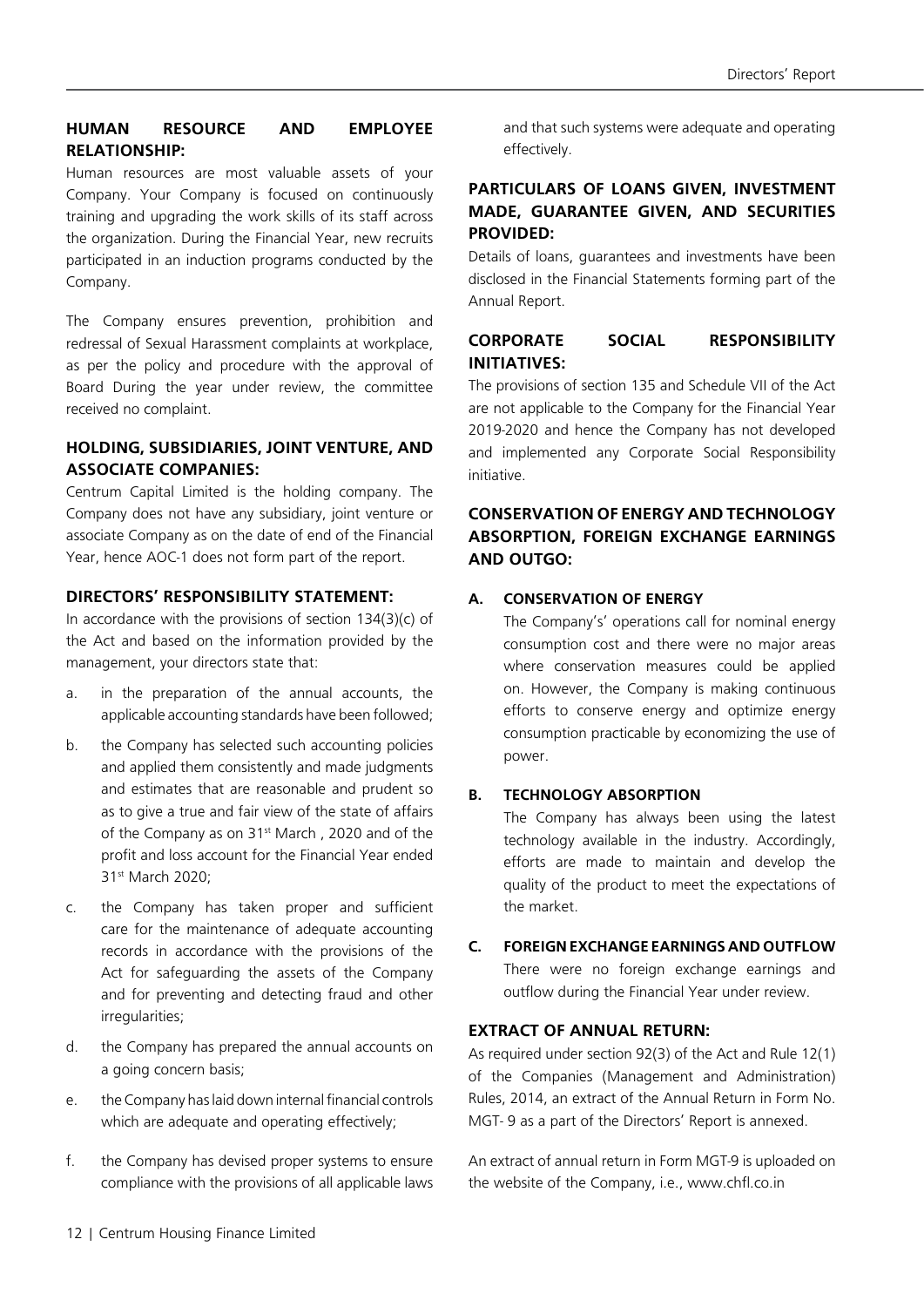## **HUMAN RESOURCE AND EMPLOYEE RELATIONSHIP:**

Human resources are most valuable assets of your Company. Your Company is focused on continuously training and upgrading the work skills of its staff across the organization. During the Financial Year, new recruits participated in an induction programs conducted by the Company.

The Company ensures prevention, prohibition and redressal of Sexual Harassment complaints at workplace, as per the policy and procedure with the approval of Board During the year under review, the committee received no complaint.

### **HOLDING, SUBSIDIARIES, JOINT VENTURE, AND ASSOCIATE COMPANIES:**

Centrum Capital Limited is the holding company. The Company does not have any subsidiary, joint venture or associate Company as on the date of end of the Financial Year, hence AOC-1 does not form part of the report.

### **DIRECTORS' RESPONSIBILITY STATEMENT:**

In accordance with the provisions of section  $134(3)(c)$  of the Act and based on the information provided by the management, your directors state that:

- a. in the preparation of the annual accounts, the applicable accounting standards have been followed;
- b. the Company has selected such accounting policies and applied them consistently and made judgments and estimates that are reasonable and prudent so as to give a true and fair view of the state of affairs of the Company as on 31<sup>st</sup> March, 2020 and of the profit and loss account for the Financial Year ended 31st March 2020;
- c. the Company has taken proper and sufficient care for the maintenance of adequate accounting records in accordance with the provisions of the Act for safeguarding the assets of the Company and for preventing and detecting fraud and other irregularities;
- d. the Company has prepared the annual accounts on a going concern basis;
- e. the Company has laid down internal financial controls which are adequate and operating effectively;
- f. the Company has devised proper systems to ensure compliance with the provisions of all applicable laws

and that such systems were adequate and operating effectively.

## **PARTICULARS OF LOANS GIVEN, INVESTMENT MADE, GUARANTEE GIVEN, AND SECURITIES PROVIDED:**

Details of loans, guarantees and investments have been disclosed in the Financial Statements forming part of the Annual Report.

## **CORPORATE SOCIAL RESPONSIBILITY INITIATIVES:**

The provisions of section 135 and Schedule VII of the Act are not applicable to the Company for the Financial Year 2019-2020 and hence the Company has not developed and implemented any Corporate Social Responsibility initiative.

## **CONSERVATION OF ENERGY AND TECHNOLOGY ABSORPTION, FOREIGN EXCHANGE EARNINGS AND OUTGO:**

## **A. CONSERVATION OF ENERGY**

The Company's' operations call for nominal energy consumption cost and there were no major areas where conservation measures could be applied on. However, the Company is making continuous efforts to conserve energy and optimize energy consumption practicable by economizing the use of power.

#### **B. TECHNOLOGY ABSORPTION**

The Company has always been using the latest technology available in the industry. Accordingly, efforts are made to maintain and develop the quality of the product to meet the expectations of the market.

## **C. FOREIGN EXCHANGE EARNINGS AND OUTFLOW** There were no foreign exchange earnings and outflow during the Financial Year under review.

#### **EXTRACT OF ANNUAL RETURN:**

As required under section 92(3) of the Act and Rule 12(1) of the Companies (Management and Administration) Rules, 2014, an extract of the Annual Return in Form No. MGT- 9 as a part of the Directors' Report is annexed.

An extract of annual return in Form MGT-9 is uploaded on the website of the Company, i.e., www.chfl.co.in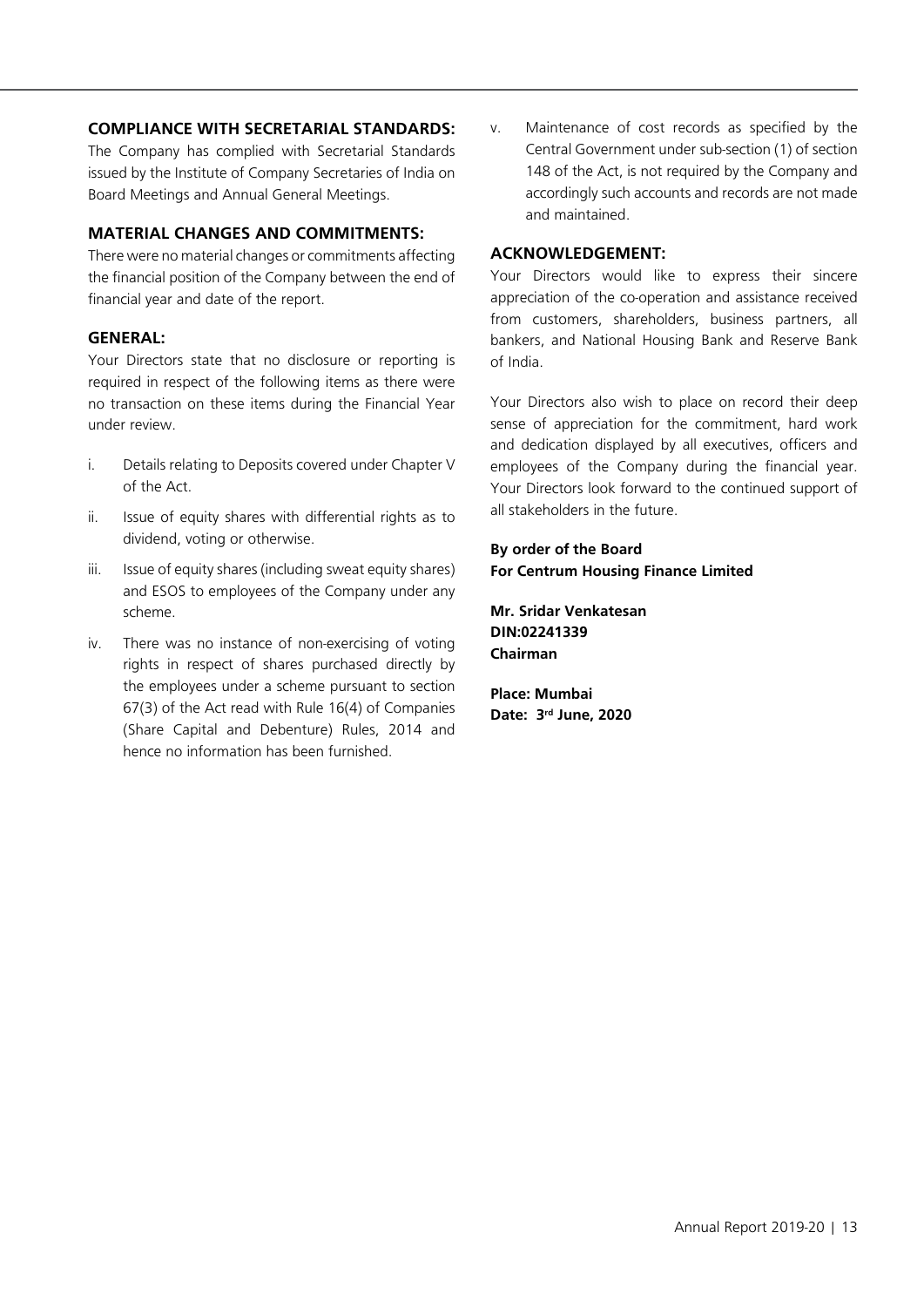#### **COMPLIANCE WITH SECRETARIAL STANDARDS:**

The Company has complied with Secretarial Standards issued by the Institute of Company Secretaries of India on Board Meetings and Annual General Meetings.

#### **MATERIAL CHANGES AND COMMITMENTS:**

There were no material changes or commitments affecting the financial position of the Company between the end of financial year and date of the report.

#### **GENERAL:**

Your Directors state that no disclosure or reporting is required in respect of the following items as there were no transaction on these items during the Financial Year under review.

- i. Details relating to Deposits covered under Chapter V of the Act.
- ii. Issue of equity shares with differential rights as to dividend, voting or otherwise.
- iii. Issue of equity shares (including sweat equity shares) and ESOS to employees of the Company under any scheme.
- iv. There was no instance of non-exercising of voting rights in respect of shares purchased directly by the employees under a scheme pursuant to section 67(3) of the Act read with Rule 16(4) of Companies (Share Capital and Debenture) Rules, 2014 and hence no information has been furnished.

v. Maintenance of cost records as specified by the Central Government under sub-section (1) of section 148 of the Act, is not required by the Company and accordingly such accounts and records are not made and maintained.

#### **ACKNOWLEDGEMENT:**

Your Directors would like to express their sincere appreciation of the co-operation and assistance received from customers, shareholders, business partners, all bankers, and National Housing Bank and Reserve Bank of India.

Your Directors also wish to place on record their deep sense of appreciation for the commitment, hard work and dedication displayed by all executives, officers and employees of the Company during the financial year. Your Directors look forward to the continued support of all stakeholders in the future.

#### **By order of the Board For Centrum Housing Finance Limited**

**Mr. Sridar Venkatesan DIN:02241339 Chairman**

**Place: Mumbai Date: 3rd June, 2020**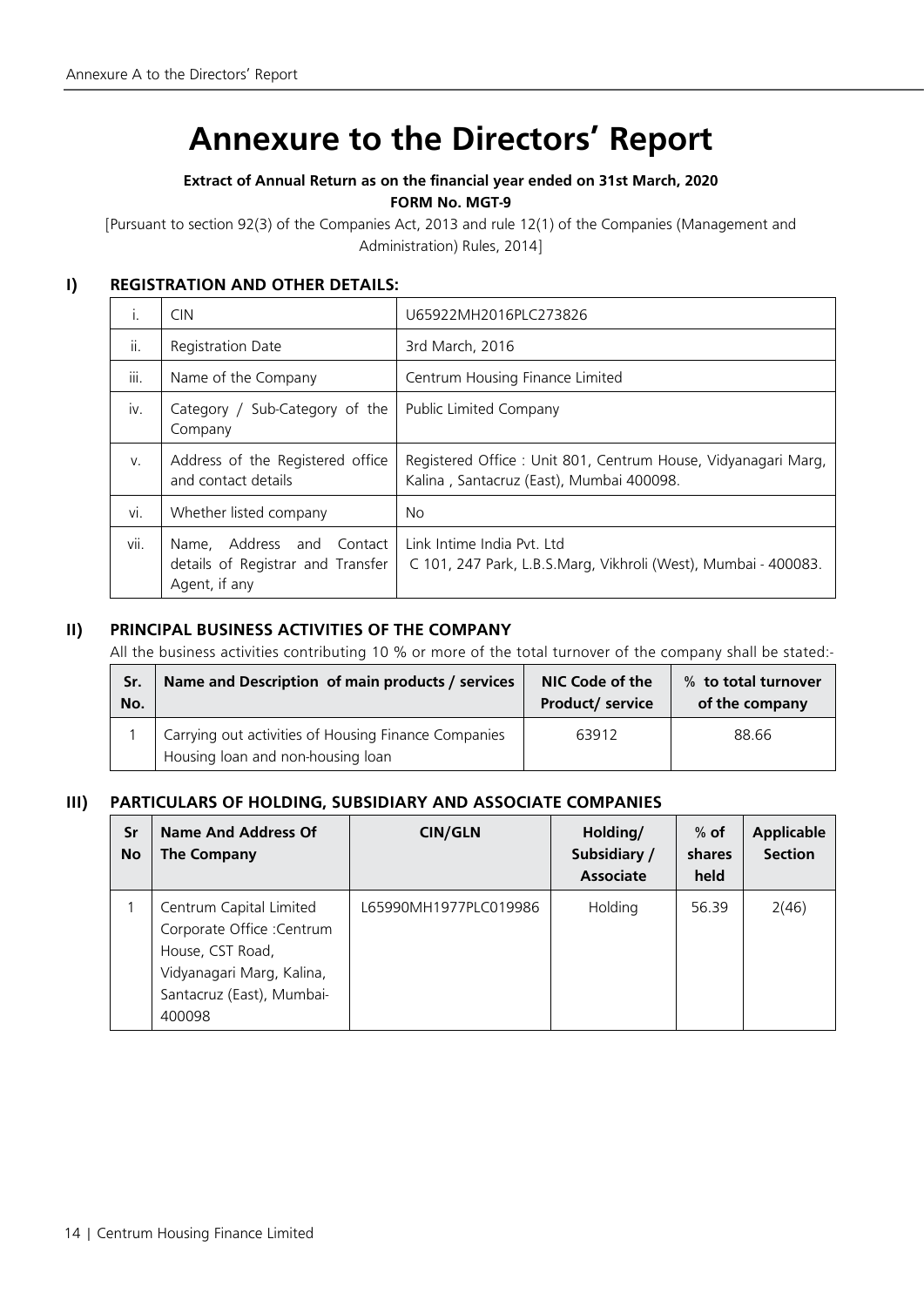## **Annexure to the Directors' Report**

## **Extract of Annual Return as on the financial year ended on 31st March, 2020 FORM No. MGT-9**

[Pursuant to section 92(3) of the Companies Act, 2013 and rule 12(1) of the Companies (Management and Administration) Rules, 2014]

## **I) REGISTRATION AND OTHER DETAILS:**

| $\mathbf{L}$ | <b>CIN</b>                                                                         | U65922MH2016PLC273826                                                                                     |  |  |
|--------------|------------------------------------------------------------------------------------|-----------------------------------------------------------------------------------------------------------|--|--|
| ii.          | Registration Date                                                                  | 3rd March, 2016                                                                                           |  |  |
| <br>iii.     | Name of the Company                                                                | Centrum Housing Finance Limited                                                                           |  |  |
| iv.          | Sub-Category of the<br>Category /<br>Company                                       | Public Limited Company                                                                                    |  |  |
| $V_{-}$      | Address of the Registered office<br>and contact details                            | Registered Office: Unit 801, Centrum House, Vidyanagari Marg,<br>Kalina, Santacruz (East), Mumbai 400098. |  |  |
| vi.          | Whether listed company                                                             | No.                                                                                                       |  |  |
| vii.         | Name, Address and<br>Contact<br>details of Registrar and Transfer<br>Agent, if any | Link Intime India Pyt. Ltd<br>C 101, 247 Park, L.B.S.Marg, Vikhroli (West), Mumbai - 400083.              |  |  |

## **II) PRINCIPAL BUSINESS ACTIVITIES OF THE COMPANY**

All the business activities contributing 10 % or more of the total turnover of the company shall be stated:-

| Sr. | Name and Description of main products / services                                          | NIC Code of the         | % to total turnover |
|-----|-------------------------------------------------------------------------------------------|-------------------------|---------------------|
| No. |                                                                                           | <b>Product/ service</b> | of the company      |
|     | Carrying out activities of Housing Finance Companies<br>Housing loan and non-housing loan | 63912                   | 88.66               |

## **III) PARTICULARS OF HOLDING, SUBSIDIARY AND ASSOCIATE COMPANIES**

| Sr<br><b>No</b> | Name And Address Of<br>The Company                                                                                                            | <b>CIN/GLN</b>          | Holding/<br>Subsidiary /<br><b>Associate</b> | $%$ of<br>shares<br>held | <b>Applicable</b><br><b>Section</b> |
|-----------------|-----------------------------------------------------------------------------------------------------------------------------------------------|-------------------------|----------------------------------------------|--------------------------|-------------------------------------|
|                 | Centrum Capital Limited<br>Corporate Office : Centrum<br>House, CST Road,<br>Vidyanagari Marg, Kalina,<br>Santacruz (East), Mumbai-<br>400098 | I 65990MH1977PI C019986 | Holding                                      | 56.39                    | 2(46)                               |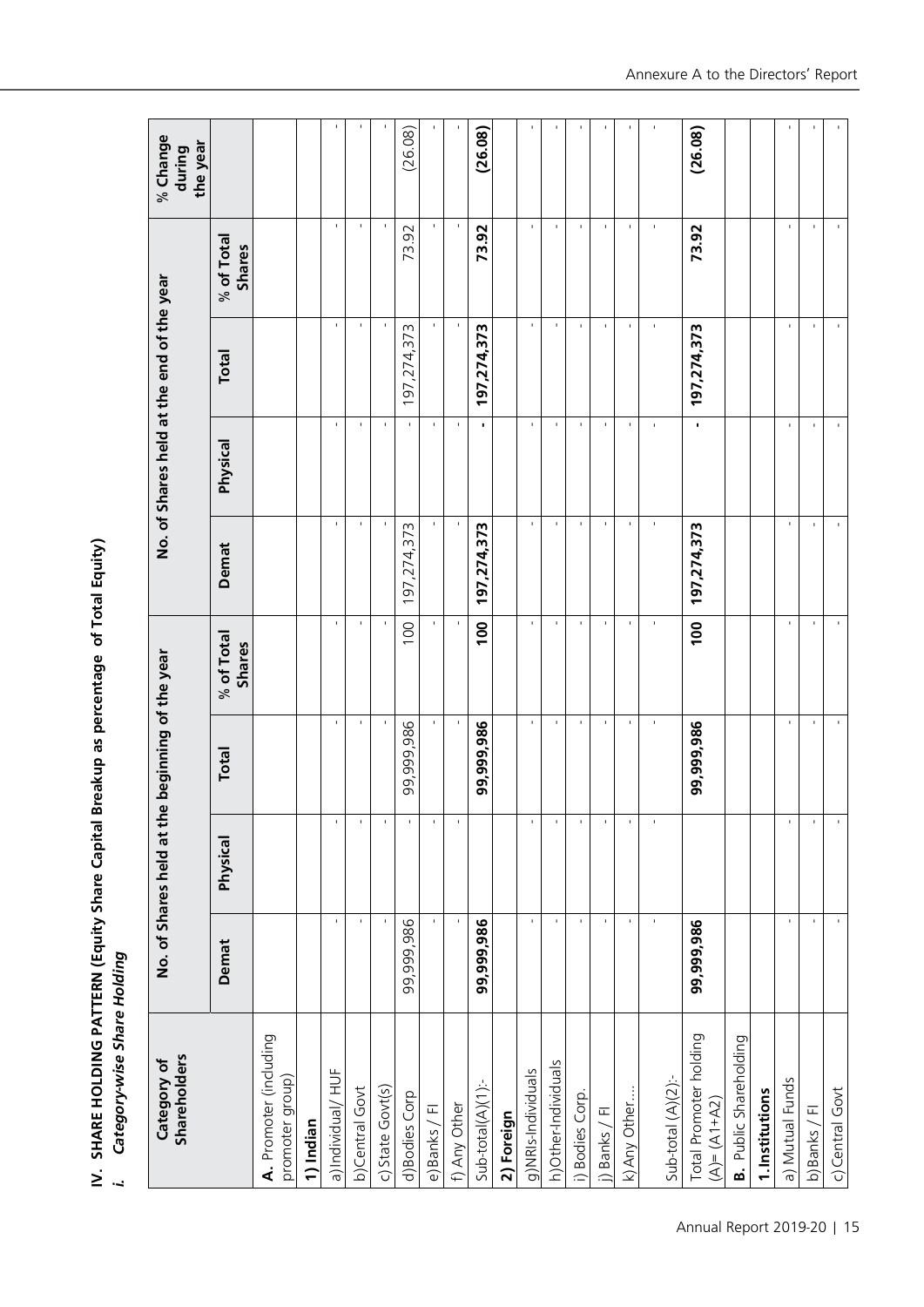IV. SHARE HOLDING PATTERN (Equity Share Capital Breakup as percentage of Total Equity)<br>*i. Category-wise Share Holding* **IV. SHARE HOLDING PATTERN (Equity Share Capital Breakup as percentage of Total Equity)**

Category-wise Share Holding **i. Category-wise Share Holding**

| <b>Shareholders</b><br>Category of        |                |                | No. of Shares held at the beginning of the year |                      |                |                        | No. of Shares held at the end of the year |                      | % Change<br>the year<br>during |
|-------------------------------------------|----------------|----------------|-------------------------------------------------|----------------------|----------------|------------------------|-------------------------------------------|----------------------|--------------------------------|
|                                           | Demat          | Physical       | Total                                           | % of Total<br>Shares | Demat          | Physical               | Total                                     | % of Total<br>Shares |                                |
| A. Promoter (including<br>promoter group) |                |                |                                                 |                      |                |                        |                                           |                      |                                |
| 1) Indian                                 |                |                |                                                 |                      |                |                        |                                           |                      |                                |
| a)Individual/ HUF                         | $\mathbf{I}$   | $\blacksquare$ | $\blacksquare$                                  | $\mathbf{I}$         | $\blacksquare$ | $\blacksquare$         | $\mathbf{I}$                              | $\blacksquare$       |                                |
| b)Central Govt                            | $\blacksquare$ | $\blacksquare$ | J.                                              | $\mathbf{I}$         | J.             | $\blacksquare$         | J.                                        | J.                   |                                |
| c) State Govt(s)                          | $\blacksquare$ | $\blacksquare$ | $\blacksquare$                                  |                      | $\blacksquare$ | $\blacksquare$         | $\blacksquare$                            | $\blacksquare$       |                                |
| d)Bodies Corp                             | 99,999,986     | $\blacksquare$ | 99,999,986                                      | 100                  | 197,274,373    | $\blacksquare$         | 97,274,373                                | 73.92                | (26.08)                        |
| e) Banks / Fl                             | $\mathbf{I}$   | $\blacksquare$ | $\mathbf{I}$                                    |                      | $\mathbf{I}$   | $\mathbf{I}$           | $\mathbf{I}$                              | $\mathbf{I}$         |                                |
| f) Any Other                              |                |                | ٠                                               |                      | ٠              |                        | ٠                                         | ٠                    |                                |
| $Sub-total(A)(1)$ :                       | 99,999,986     |                | 99,999,986                                      | 100                  | 197,274,373    | $\blacksquare$         | 197,274,373                               | 73.92                | (26.08)                        |
| 2) Foreign                                |                |                |                                                 |                      |                |                        |                                           |                      |                                |
| g)NRIs-Individuals                        | $\mathbf{I}$   | $\blacksquare$ | $\mathbf{I}$                                    | $\blacksquare$       | $\mathbf{I}$   | J.                     | $\blacksquare$                            | $\mathbf{I}$         | t                              |
| h) Other-Individuals                      | $\mathbf{r}$   | $\mathbf{I}$   | $\mathbf{I}$                                    | $\mathbf{I}$         | $\mathbf{I}$   | $\mathbf{I}$           | $\mathbf{I}$                              | $\mathbf{I}$         |                                |
| i) Bodies Corp.                           | $\blacksquare$ | $\mathbf{I}$   | $\mathbf{I}$                                    | $\mathbf{I}$         | $\mathbf{I}$   | $\mathbf{I}$           | $\mathbf{I}$                              | $\blacksquare$       |                                |
| i) Banks / Fl                             | $\mathbf{I}$   | $\mathbf{I}$   | $\mathbf{I}$                                    | $\mathbf{I}$         | $\mathbf{I}$   | $\mathbf{I}$           | $\mathbf{I}$                              | $\blacksquare$       | f.                             |
| k) Any Other                              | $\mathbf{I}$   | $\mathbf{I}$   | $\mathbf{I}$                                    | $\mathbf{L}$         | $\mathbf{I}$   | $\mathbf{L}$           | 1                                         | $\mathbf{I}$         |                                |
| Sub-total (A)(2):-                        | $\mathbf{I}$   | $\mathbf{I}$   | $\mathbf I$                                     | $\mathbf{I}$         | $\mathbf{I}$   | $\mathbf{I}$           | $\mathbf I$                               | $\mathbf{I}$         | $\blacksquare$                 |
| Total Promoter holding<br>$(A)=(A1+A2)$   | 99,999,986     |                | 99,999,986                                      | 100                  | 197,274,373    | $\blacksquare$         | 197,274,373                               | 73.92                | (26.08)                        |
| <b>B.</b> Public Shareholding             |                |                |                                                 |                      |                |                        |                                           |                      |                                |
| 1. Institutions                           |                |                |                                                 |                      |                |                        |                                           |                      |                                |
| a) Mutual Funds                           | $\mathbf{I}$   | $\blacksquare$ | $\blacksquare$                                  | $\mathbf{I}$         | $\blacksquare$ | $\blacksquare$         | $\mathbf{I}$                              | $\blacksquare$       |                                |
| b) Banks / Fl                             | $\mathbf{L}$   | $\mathbf{I}$   | $\mathbf{I}$                                    | $\mathbf{I}$         | $\blacksquare$ | $\mathbf{I}$           | $\mathbf{I}$                              | $\blacksquare$       | ×,                             |
| c) Central Govt                           | $\mathbf{r}$   | $\mathbf I$    | $\mathbf{r}_\perp$                              | $\mathbf{L}$         | $\mathbf{I}$   | $\mathbf{r}_\parallel$ | $\mathbf{L}_{\mathbf{r}}$                 | $\mathbf{I}$         | ٠.                             |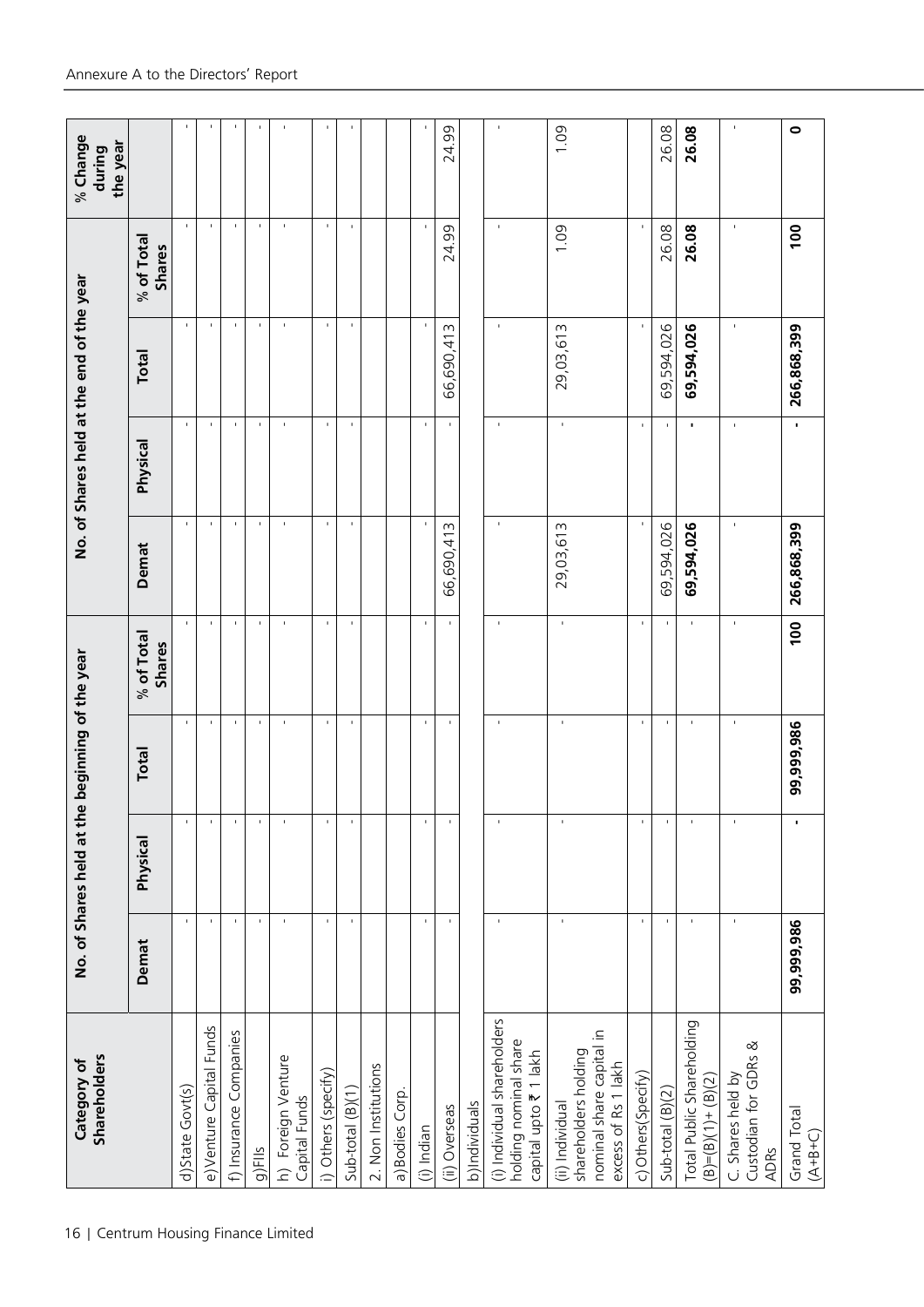| <b>Shareholders</b><br>Category of                                                         |                | No. of Shares held at th | e beginning of the year  |                        |                   |                          | No. of Shares held at the end of the year |                             | % Change<br>the year<br>during |
|--------------------------------------------------------------------------------------------|----------------|--------------------------|--------------------------|------------------------|-------------------|--------------------------|-------------------------------------------|-----------------------------|--------------------------------|
|                                                                                            | Demat          | Physical                 | <b>Total</b>             | $%$ of Total<br>Shares | Demat             | Physical                 | Total                                     | % of Total<br><b>Shares</b> |                                |
| d)State Govt(s)                                                                            | $\blacksquare$ |                          | $\blacksquare$           | $\mathbf{I}$           | $\mathbf{I}$      | $\blacksquare$           | $\mathbf{I}$                              | $\mathbf{I}$                | $\mathbf{I}$                   |
| e)Venture Capital Funds                                                                    | $\mathbf{I}$   | $\mathbf{I}$             | $\mathbf{I}$             | $\mathbf{I}$           | $\mathbf{I}$      | $\mathbf{I}$             | $\mathbf{I}$                              | $\mathbf{I}$                | $\mathbf{I}$                   |
| f) Insurance Companies                                                                     | $\mathbf{I}$   |                          | $\blacksquare$           | $\blacksquare$         | $\mathbf{I}$      | $\overline{\phantom{a}}$ | J.                                        | $\mathbf{I}$                | $\blacksquare$                 |
| g)Fils                                                                                     | $\mathbf{I}$   |                          | $\mathbf{I}$             | $\mathbf{I}$           | $\mathbf{I}$      | $\mathbf{I}$             |                                           | $\mathbf{I}$                | $\mathbf{I}$                   |
| h) Foreign Venture<br>Capital Funds                                                        | $\mathbf{I}$   |                          | J.                       | ٠                      | ×                 | $\mathbf{I}$             | J.                                        | $\mathbf{I}$                | $\blacksquare$                 |
| i) Others (specify)                                                                        | $\blacksquare$ |                          | $\mathbf{r}$             | $\blacksquare$         | $\blacksquare$    | $\mathbf{r}$             |                                           | $\mathbf{I}$                | $\blacksquare$                 |
| $Sub-total(B)(1)$                                                                          | $\mathbf{I}$   |                          | $\mathbf{I}$             |                        | $\mathbf{I}$      | $\mathbf{I}$             | $\mathbf{I}$                              | $\mathbf{I}$                | $\mathbf{I}$                   |
| 2. Non Institutions                                                                        |                |                          |                          |                        |                   |                          |                                           |                             |                                |
| a) Bodies Corp.                                                                            |                |                          |                          |                        |                   |                          |                                           |                             |                                |
| (i) Indian                                                                                 | $\mathbf{I}$   |                          | $\mathbf{I}$             | $\mathbf{I}$           | $\mathbf{I}$      | $\mathbf{I}$             | $\mathbf{I}$                              | $\mathbf{I}$                | $\mathbf{I}$                   |
| (ii) Overseas                                                                              | $\mathbf{I}$   |                          | $\blacksquare$           | $\mathbf{I}$           | m<br>न्<br>66,690 |                          | m<br>66,690,41                            | 99<br>24.                   | 24.99                          |
| b)Individuals                                                                              |                |                          |                          |                        |                   |                          |                                           |                             |                                |
| (i) Individual shareholders<br>holding nominal share<br>capital upto ₹ 1 lakh              | $\blacksquare$ | ı                        | $\mathbf{I}$             | $\mathbf{I}$           | $\blacksquare$    | $\mathbf{I}$             | J,                                        | $\mathbf{I}$                | $\mathbf{I}$                   |
| nominal share capital in<br>shareholders holding<br>excess of Rs 1 lakh<br>(ii) Individual | $\blacksquare$ | $\blacksquare$           | $\overline{\phantom{a}}$ | $\blacksquare$         | 29,03,613         | $\blacksquare$           | 29,03,613                                 | 0.1                         | 1.09                           |
| c) Others (Specify)                                                                        | $\blacksquare$ |                          | $\mathbf{r}$             |                        | $\blacksquare$    | $\blacksquare$           | $\mathbf{I}$                              | $\mathbf{I}$                |                                |
| Sub-total (B)(2)                                                                           | $\blacksquare$ |                          | ٠                        |                        | 69,594,026        | ٠                        | 69,594,026                                | 26.08                       | 26.08                          |
| Total Public Shareholding<br>$(B)=(B)(1)+(B)(2)$                                           | $\blacksquare$ | $\overline{\phantom{a}}$ | $\blacksquare$           | $\blacksquare$         | 69,594,026        | $\blacksquare$           | 69,594,026                                | 26.08                       | 26.08                          |
| Custodian for GDRs &<br>C. Shares held by<br><b>ADRs</b>                                   | $\blacksquare$ | $\mathbf{I}$             | $\blacksquare$           | $\mathbf{I}$           | $\mathbf{I}$      | $\blacksquare$           | J.                                        | $\blacksquare$              | $\blacksquare$                 |
| Grand Total<br>$(A+B+C)$                                                                   | 99,999,986     | J.                       | 99,999,986               | 100                    | 266,868,399       | $\blacksquare$           | 266,868,399                               | 100                         | $\bullet$                      |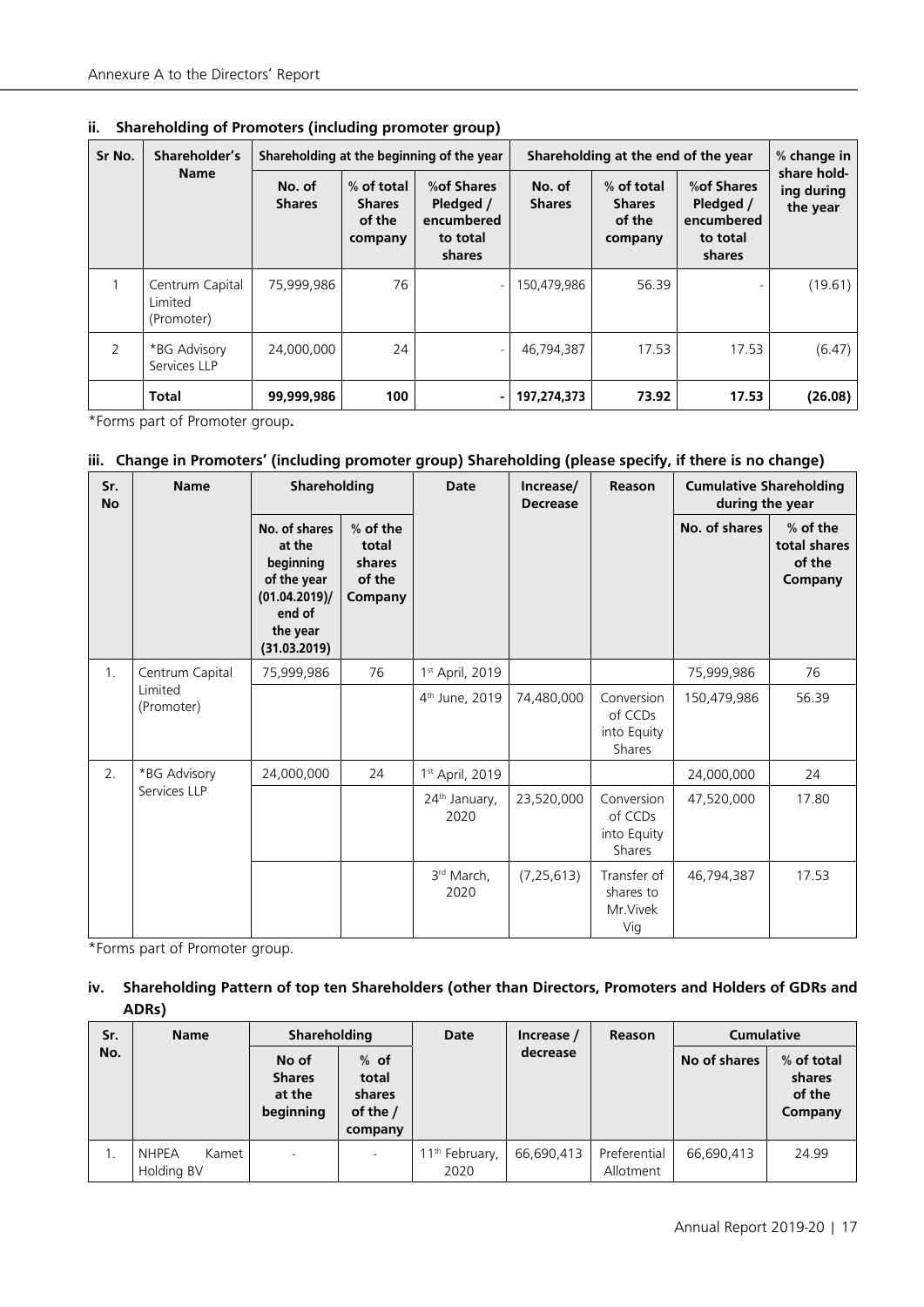| Sr No. | Shareholder's<br><b>Name</b>             |                         |                                                  | Shareholding at the beginning of the year                    |                         | Shareholding at the end of the year              |                                                              | % change in                           |
|--------|------------------------------------------|-------------------------|--------------------------------------------------|--------------------------------------------------------------|-------------------------|--------------------------------------------------|--------------------------------------------------------------|---------------------------------------|
|        |                                          | No. of<br><b>Shares</b> | % of total<br><b>Shares</b><br>of the<br>company | % of Shares<br>Pledged /<br>encumbered<br>to total<br>shares | No. of<br><b>Shares</b> | % of total<br><b>Shares</b><br>of the<br>company | % of Shares<br>Pledged /<br>encumbered<br>to total<br>shares | share hold-<br>ing during<br>the year |
|        | Centrum Capital<br>Limited<br>(Promoter) | 75,999,986              | 76                                               |                                                              | 150,479,986             | 56.39                                            |                                                              | (19.61)                               |
| 2      | *BG Advisory<br>Services LLP             | 24,000,000              | 24                                               |                                                              | 46,794,387              | 17.53                                            | 17.53                                                        | (6.47)                                |
|        | <b>Total</b>                             | 99,999,986              | 100                                              | ۰.                                                           | 197,274,373             | 73.92                                            | 17.53                                                        | (26.08)                               |

**ii. Shareholding of Promoters (including promoter group)**

\*Forms part of Promoter group**.**

#### **iii. Change in Promoters' (including promoter group) Shareholding (please specify, if there is no change)**

| Sr.<br><b>No</b> | <b>Name</b>           | Shareholding                                                                                               |                                                    | Date                              | Increase/<br><b>Decrease</b> | Reason                                         | <b>Cumulative Shareholding</b><br>during the year |                                               |
|------------------|-----------------------|------------------------------------------------------------------------------------------------------------|----------------------------------------------------|-----------------------------------|------------------------------|------------------------------------------------|---------------------------------------------------|-----------------------------------------------|
|                  |                       | No. of shares<br>at the<br>beginning<br>of the year<br>(01.04.2019)/<br>end of<br>the year<br>(31.03.2019) | $%$ of the<br>total<br>shares<br>of the<br>Company |                                   |                              |                                                | No. of shares                                     | % of the<br>total shares<br>of the<br>Company |
| 1.               | Centrum Capital       | 75,999,986                                                                                                 | 76                                                 | 1 <sup>st</sup> April, 2019       |                              |                                                | 75,999,986                                        | 76                                            |
|                  | Limited<br>(Promoter) |                                                                                                            |                                                    | 4 <sup>th</sup> June, 2019        | 74,480,000                   | Conversion<br>of CCDs<br>into Equity<br>Shares | 150,479,986                                       | 56.39                                         |
| 2.               | *BG Advisory          | 24,000,000                                                                                                 | 24                                                 | 1 <sup>st</sup> April, 2019       |                              |                                                | 24.000.000                                        | 24                                            |
|                  | Services LLP          |                                                                                                            |                                                    | 24 <sup>th</sup> January,<br>2020 | 23,520,000                   | Conversion<br>of CCDs<br>into Equity<br>Shares | 47,520,000                                        | 17.80                                         |
|                  |                       |                                                                                                            |                                                    | 3rd March.<br>2020                | (7, 25, 613)                 | Transfer of<br>shares to<br>Mr. Vivek<br>Vig   | 46,794,387                                        | 17.53                                         |

\*Forms part of Promoter group.

## **iv. Shareholding Pattern of top ten Shareholders (other than Directors, Promoters and Holders of GDRs and ADRs)**

| Sr. | <b>Name</b>                         | <b>Shareholding</b>                           |                                                    | <b>Date</b>                        | Increase / | <b>Reason</b>             | <b>Cumulative</b> |                                           |
|-----|-------------------------------------|-----------------------------------------------|----------------------------------------------------|------------------------------------|------------|---------------------------|-------------------|-------------------------------------------|
| No. |                                     | No of<br><b>Shares</b><br>at the<br>beginning | $%$ of<br>total<br>shares<br>of the $/$<br>company |                                    | decrease   |                           | No of shares      | % of total<br>shares<br>of the<br>Company |
|     | <b>NHPEA</b><br>Kamet<br>Holding BV |                                               |                                                    | 11 <sup>th</sup> February,<br>2020 | 66,690,413 | Preferential<br>Allotment | 66.690.413        | 24.99                                     |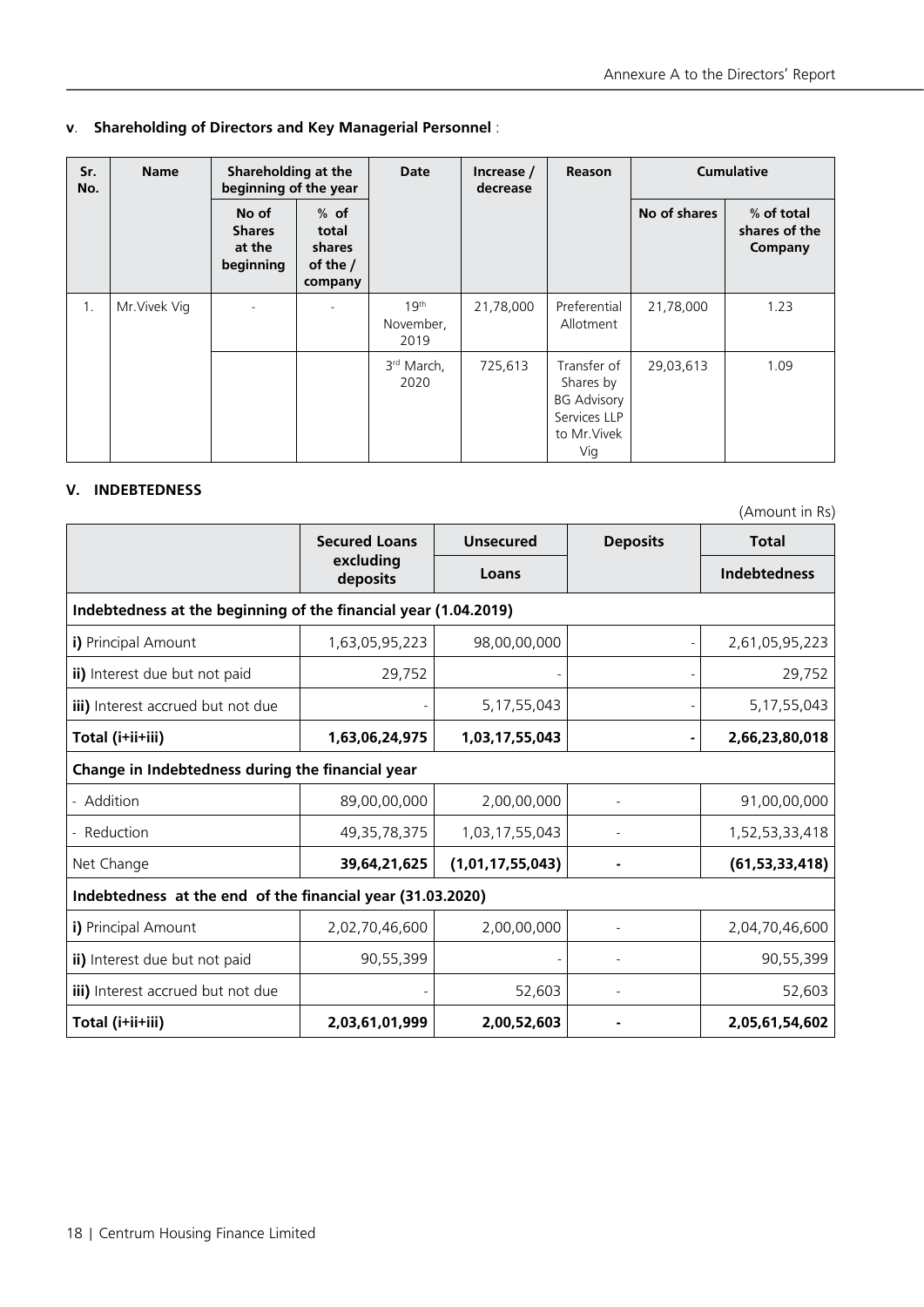#### **v**. **Shareholding of Directors and Key Managerial Personnel** :

| Sr.<br>No. | <b>Name</b>   | Shareholding at the<br>beginning of the year  |                                                           | Date                                  | Increase /<br>decrease | <b>Reason</b>                                                                         | <b>Cumulative</b> |                                        |
|------------|---------------|-----------------------------------------------|-----------------------------------------------------------|---------------------------------------|------------------------|---------------------------------------------------------------------------------------|-------------------|----------------------------------------|
|            |               | No of<br><b>Shares</b><br>at the<br>beginning | $%$ of<br>total<br><b>shares</b><br>of the $/$<br>company |                                       |                        |                                                                                       | No of shares      | % of total<br>shares of the<br>Company |
| 1.         | Mr. Vivek Vig |                                               |                                                           | 19 <sup>th</sup><br>November,<br>2019 | 21,78,000              | Preferential<br>Allotment                                                             | 21,78,000         | 1.23                                   |
|            |               |                                               |                                                           | 3 <sup>rd</sup> March,<br>2020        | 725,613                | Transfer of<br>Shares by<br><b>BG Advisory</b><br>Services LLP<br>to Mr. Vivek<br>Vig | 29,03,613         | 1.09                                   |

### **V. INDEBTEDNESS**

(Amount in Rs)

|                                                            | <b>Secured Loans</b>                                            | <b>Unsecured</b> | <b>Deposits</b> | <b>Total</b>        |  |
|------------------------------------------------------------|-----------------------------------------------------------------|------------------|-----------------|---------------------|--|
|                                                            | excluding<br>deposits                                           | Loans            |                 | <b>Indebtedness</b> |  |
|                                                            | Indebtedness at the beginning of the financial year (1.04.2019) |                  |                 |                     |  |
| i) Principal Amount                                        | 1,63,05,95,223                                                  | 98,00,00,000     |                 | 2,61,05,95,223      |  |
| ii) Interest due but not paid                              | 29,752                                                          |                  |                 | 29,752              |  |
| iii) Interest accrued but not due                          |                                                                 | 5, 17, 55, 043   |                 | 5, 17, 55, 043      |  |
| Total (i+ii+iii)                                           | 1,63,06,24,975                                                  | 1,03,17,55,043   |                 | 2,66,23,80,018      |  |
| Change in Indebtedness during the financial year           |                                                                 |                  |                 |                     |  |
| - Addition                                                 | 89,00,00,000                                                    | 2,00,00,000      |                 | 91,00,00,000        |  |
| - Reduction                                                | 49,35,78,375                                                    | 1,03,17,55,043   |                 | 1,52,53,33,418      |  |
| Net Change                                                 | 39,64,21,625                                                    | (1,01,17,55,043) |                 | (61, 53, 33, 418)   |  |
| Indebtedness at the end of the financial year (31.03.2020) |                                                                 |                  |                 |                     |  |
| i) Principal Amount                                        | 2,02,70,46,600                                                  | 2,00,00,000      |                 | 2,04,70,46,600      |  |
| ii) Interest due but not paid                              | 90,55,399                                                       |                  |                 | 90,55,399           |  |
| iii) Interest accrued but not due                          |                                                                 | 52,603           |                 | 52,603              |  |
| Total (i+ii+iii)                                           | 2,03,61,01,999                                                  | 2,00,52,603      |                 | 2,05,61,54,602      |  |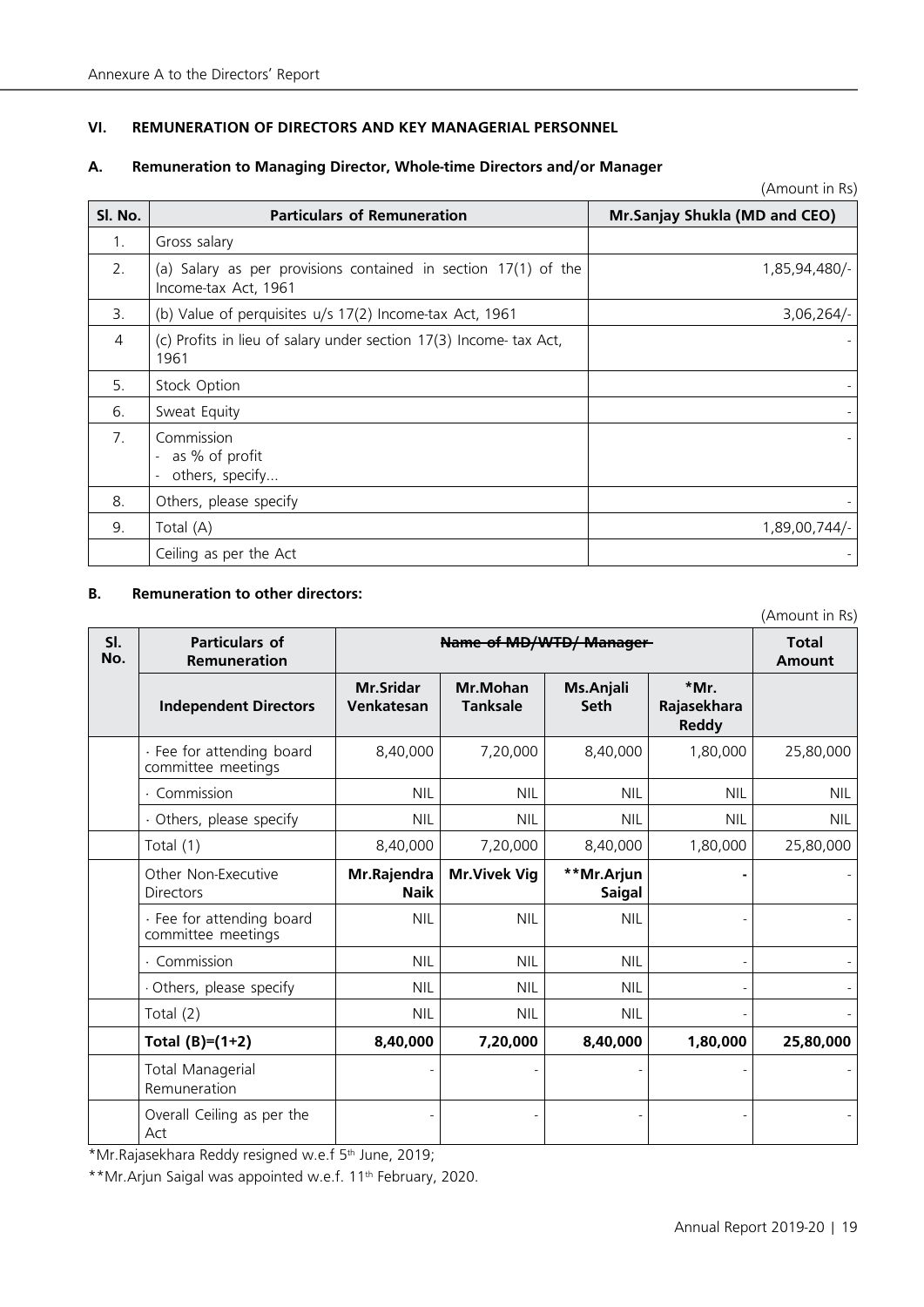#### **VI. REMUNERATION OF DIRECTORS AND KEY MANAGERIAL PERSONNEL**

#### **A. Remuneration to Managing Director, Whole-time Directors and/or Manager**

| Sl. No.                         | <b>Particulars of Remuneration</b>                                                     | Mr.Sanjay Shukla (MD and CEO) |
|---------------------------------|----------------------------------------------------------------------------------------|-------------------------------|
| 1.                              | Gross salary                                                                           |                               |
| 2.                              | (a) Salary as per provisions contained in section 17(1) of the<br>Income-tax Act, 1961 | 1,85,94,480/-                 |
| 3.                              | (b) Value of perquisites u/s 17(2) Income-tax Act, 1961                                | 3,06,264/                     |
| 4                               | (c) Profits in lieu of salary under section 17(3) Income- tax Act,<br>1961             |                               |
| 5.                              | Stock Option                                                                           |                               |
| 6.                              | Sweat Equity                                                                           |                               |
| $7_{\scriptscriptstyle{\circ}}$ | Commission<br>- as % of profit<br>others, specify                                      |                               |
| 8.                              | Others, please specify                                                                 |                               |
| 9.                              | Total (A)                                                                              | 1,89,00,744/-                 |
|                                 | Ceiling as per the Act                                                                 |                               |

#### **B. Remuneration to other directors:**

(Amount in Rs)

(Amount in Rs)

| SI.<br>No. | Particulars of<br>Remuneration                  | <b>Name of MD/WTD/ Manager</b> | <b>Total</b><br><b>Amount</b> |                             |                                     |            |
|------------|-------------------------------------------------|--------------------------------|-------------------------------|-----------------------------|-------------------------------------|------------|
|            | <b>Independent Directors</b>                    | <b>Mr.Sridar</b><br>Venkatesan | Mr.Mohan<br><b>Tanksale</b>   | Ms.Anjali<br><b>Seth</b>    | *Mr.<br>Rajasekhara<br><b>Reddy</b> |            |
|            | · Fee for attending board<br>committee meetings | 8,40,000                       | 7,20,000                      | 8,40,000                    | 1,80,000                            | 25,80,000  |
|            | · Commission                                    | <b>NIL</b>                     | <b>NIL</b>                    | <b>NIL</b>                  | <b>NIL</b>                          | <b>NIL</b> |
|            | · Others, please specify                        | <b>NIL</b>                     | <b>NIL</b>                    | <b>NIL</b>                  | <b>NIL</b>                          | <b>NIL</b> |
|            | Total (1)                                       | 8,40,000                       | 7,20,000                      | 8,40,000                    | 1,80,000                            | 25,80,000  |
|            | Other Non-Executive<br><b>Directors</b>         | Mr.Rajendra<br><b>Naik</b>     | <b>Mr.Vivek Vig</b>           | **Mr.Arjun<br><b>Saigal</b> |                                     |            |
|            | · Fee for attending board<br>committee meetings | <b>NIL</b>                     | <b>NIL</b>                    | <b>NIL</b>                  |                                     |            |
|            | · Commission                                    | <b>NIL</b>                     | <b>NIL</b>                    | <b>NIL</b>                  |                                     |            |
|            | Others, please specify                          | <b>NIL</b>                     | <b>NIL</b>                    | <b>NIL</b>                  |                                     |            |
|            | Total (2)                                       | <b>NIL</b>                     | <b>NIL</b>                    | <b>NIL</b>                  |                                     |            |
|            | Total $(B)=(1+2)$                               | 8,40,000                       | 7,20,000                      | 8,40,000                    | 1,80,000                            | 25,80,000  |
|            | <b>Total Managerial</b><br>Remuneration         |                                |                               |                             |                                     |            |
|            | Overall Ceiling as per the<br>Act               |                                |                               |                             |                                     |            |

\*Mr.Rajasekhara Reddy resigned w.e.f 5th June, 2019;

\*\*Mr.Arjun Saigal was appointed w.e.f. 11<sup>th</sup> February, 2020.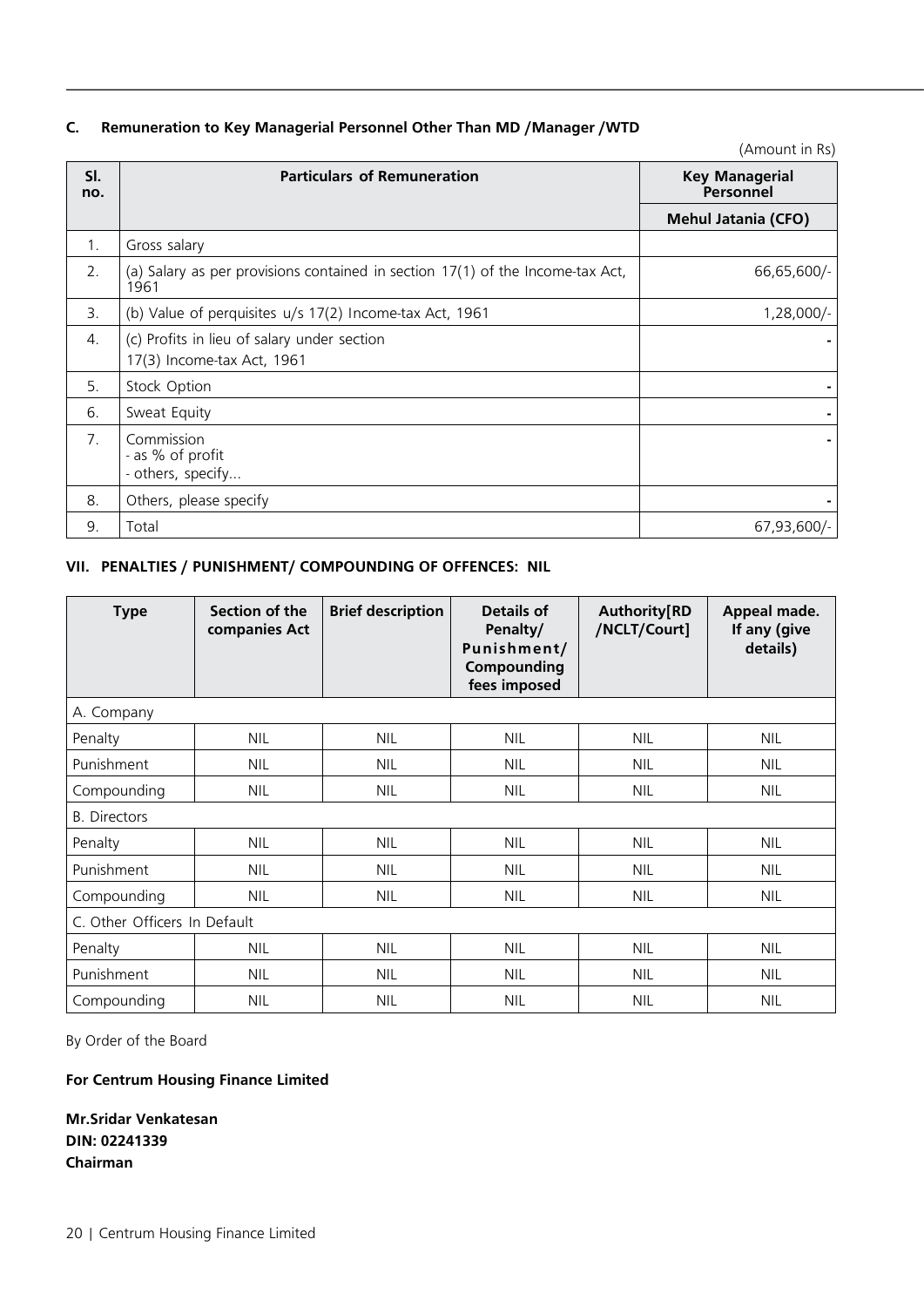#### **C. Remuneration to Key Managerial Personnel Other Than MD /Manager /WTD**

|                |                                                                                        | (Amount in Rs)                     |
|----------------|----------------------------------------------------------------------------------------|------------------------------------|
| SI.<br>no.     | <b>Particulars of Remuneration</b>                                                     | <b>Key Managerial</b><br>Personnel |
|                |                                                                                        | <b>Mehul Jatania (CFO)</b>         |
| $\mathbf{1}$ . | Gross salary                                                                           |                                    |
| 2.             | (a) Salary as per provisions contained in section 17(1) of the Income-tax Act,<br>1961 | 66,65,600/-                        |
| 3.             | (b) Value of perquisites u/s 17(2) Income-tax Act, 1961                                | 1,28,000/-                         |
| 4.             | (c) Profits in lieu of salary under section<br>17(3) Income-tax Act, 1961              |                                    |
| 5.             | Stock Option                                                                           |                                    |
| 6.             | Sweat Equity                                                                           |                                    |
| 7 <sub>1</sub> | Commission<br>- as % of profit<br>- others, specify                                    |                                    |
| 8.             | Others, please specify                                                                 |                                    |
| 9.             | Total                                                                                  | 67,93,600/-                        |

### **VII. PENALTIES / PUNISHMENT/ COMPOUNDING OF OFFENCES: NIL**

| <b>Type</b>                  | Section of the<br>companies Act | <b>Brief description</b> | Details of<br>Penalty/<br>Punishment/<br>Compounding<br>fees imposed | <b>Authority[RD</b><br>/NCLT/Court] | Appeal made.<br>If any (give<br>details) |
|------------------------------|---------------------------------|--------------------------|----------------------------------------------------------------------|-------------------------------------|------------------------------------------|
| A. Company                   |                                 |                          |                                                                      |                                     |                                          |
| Penalty                      | <b>NIL</b>                      | <b>NIL</b>               | <b>NIL</b>                                                           | <b>NIL</b>                          | <b>NIL</b>                               |
| Punishment                   | <b>NIL</b>                      | <b>NIL</b>               | <b>NIL</b>                                                           | <b>NIL</b>                          | <b>NIL</b>                               |
| Compounding                  | <b>NIL</b>                      | <b>NIL</b>               | <b>NIL</b>                                                           | <b>NIL</b>                          | <b>NIL</b>                               |
| <b>B.</b> Directors          |                                 |                          |                                                                      |                                     |                                          |
| Penalty                      | <b>NIL</b>                      | <b>NIL</b>               | <b>NIL</b>                                                           | <b>NIL</b>                          | <b>NIL</b>                               |
| Punishment                   | <b>NIL</b>                      | <b>NIL</b>               | <b>NIL</b>                                                           | <b>NIL</b>                          | <b>NIL</b>                               |
| Compounding                  | <b>NIL</b>                      | <b>NIL</b>               | <b>NIL</b>                                                           | <b>NIL</b>                          | <b>NIL</b>                               |
| C. Other Officers In Default |                                 |                          |                                                                      |                                     |                                          |
| Penalty                      | <b>NIL</b>                      | <b>NIL</b>               | <b>NIL</b>                                                           | <b>NIL</b>                          | <b>NIL</b>                               |
| Punishment                   | <b>NIL</b>                      | <b>NIL</b>               | <b>NIL</b>                                                           | <b>NIL</b>                          | <b>NIL</b>                               |
| Compounding                  | <b>NIL</b>                      | <b>NIL</b>               | <b>NIL</b>                                                           | <b>NIL</b>                          | <b>NIL</b>                               |

By Order of the Board

## **For Centrum Housing Finance Limited**

**Mr.Sridar Venkatesan DIN: 02241339 Chairman**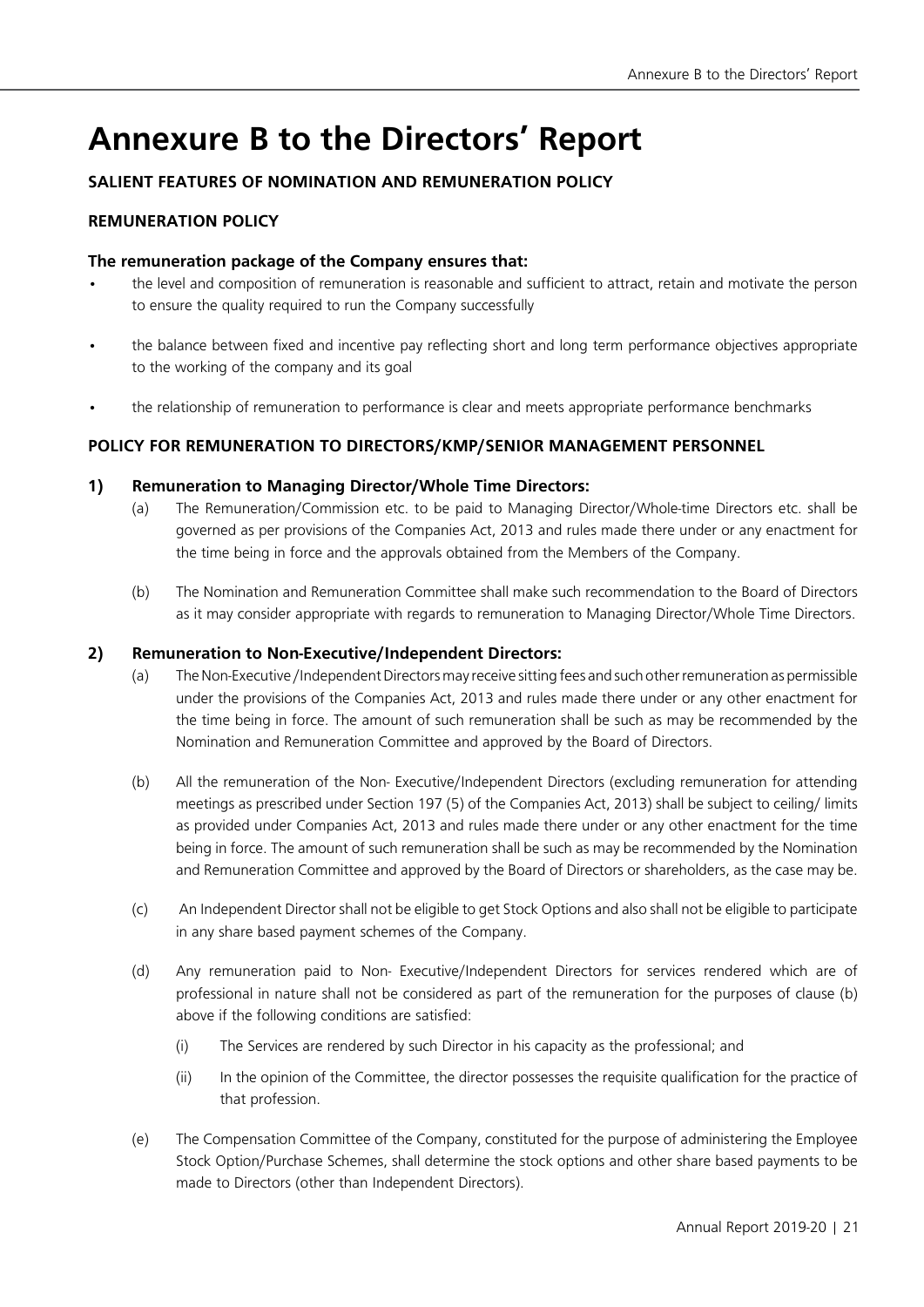## **Annexure B to the Directors' Report**

## **SALIENT FEATURES OF NOMINATION AND REMUNERATION POLICY**

## **REMUNERATION POLICY**

### **The remuneration package of the Company ensures that:**

- the level and composition of remuneration is reasonable and sufficient to attract, retain and motivate the person to ensure the quality required to run the Company successfully
- the balance between fixed and incentive pay reflecting short and long term performance objectives appropriate to the working of the company and its goal
- the relationship of remuneration to performance is clear and meets appropriate performance benchmarks

### **POLICY FOR REMUNERATION TO DIRECTORS/KMP/SENIOR MANAGEMENT PERSONNEL**

#### **1) Remuneration to Managing Director/Whole Time Directors:**

- (a) The Remuneration/Commission etc. to be paid to Managing Director/Whole-time Directors etc. shall be governed as per provisions of the Companies Act, 2013 and rules made there under or any enactment for the time being in force and the approvals obtained from the Members of the Company.
- (b) The Nomination and Remuneration Committee shall make such recommendation to the Board of Directors as it may consider appropriate with regards to remuneration to Managing Director/Whole Time Directors.

#### **2) Remuneration to Non-Executive/Independent Directors:**

- (a) The Non-Executive /Independent Directors may receive sitting fees and such other remuneration as permissible under the provisions of the Companies Act, 2013 and rules made there under or any other enactment for the time being in force. The amount of such remuneration shall be such as may be recommended by the Nomination and Remuneration Committee and approved by the Board of Directors.
- (b) All the remuneration of the Non- Executive/Independent Directors (excluding remuneration for attending meetings as prescribed under Section 197 (5) of the Companies Act, 2013) shall be subject to ceiling/ limits as provided under Companies Act, 2013 and rules made there under or any other enactment for the time being in force. The amount of such remuneration shall be such as may be recommended by the Nomination and Remuneration Committee and approved by the Board of Directors or shareholders, as the case may be.
- (c) An Independent Director shall not be eligible to get Stock Options and also shall not be eligible to participate in any share based payment schemes of the Company.
- (d) Any remuneration paid to Non- Executive/Independent Directors for services rendered which are of professional in nature shall not be considered as part of the remuneration for the purposes of clause (b) above if the following conditions are satisfied:
	- (i) The Services are rendered by such Director in his capacity as the professional; and
	- (ii) In the opinion of the Committee, the director possesses the requisite qualification for the practice of that profession.
- (e) The Compensation Committee of the Company, constituted for the purpose of administering the Employee Stock Option/Purchase Schemes, shall determine the stock options and other share based payments to be made to Directors (other than Independent Directors).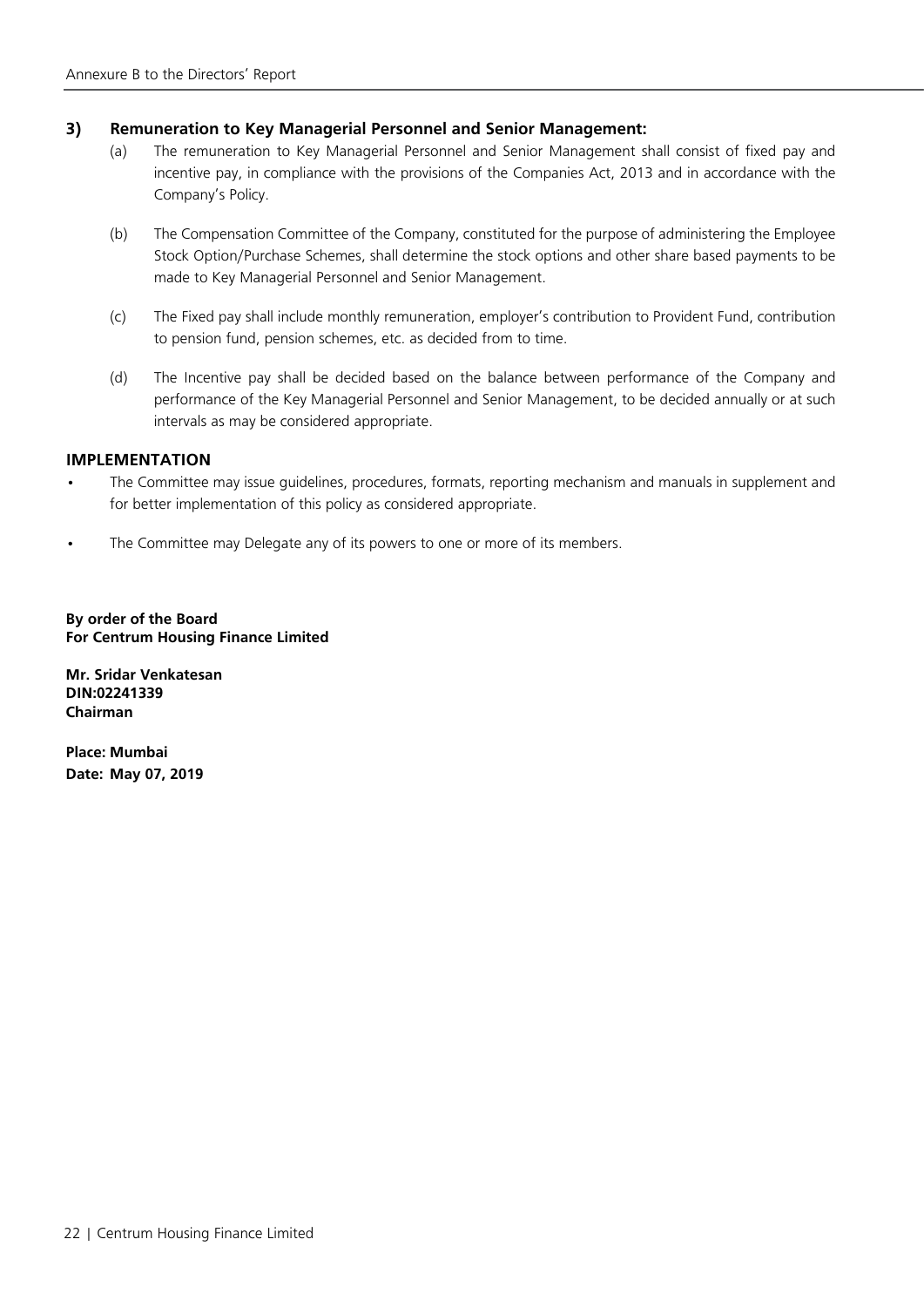#### **3) Remuneration to Key Managerial Personnel and Senior Management:**

- (a) The remuneration to Key Managerial Personnel and Senior Management shall consist of fixed pay and incentive pay, in compliance with the provisions of the Companies Act, 2013 and in accordance with the Company's Policy.
- (b) The Compensation Committee of the Company, constituted for the purpose of administering the Employee Stock Option/Purchase Schemes, shall determine the stock options and other share based payments to be made to Key Managerial Personnel and Senior Management.
- (c) The Fixed pay shall include monthly remuneration, employer's contribution to Provident Fund, contribution to pension fund, pension schemes, etc. as decided from to time.
- (d) The Incentive pay shall be decided based on the balance between performance of the Company and performance of the Key Managerial Personnel and Senior Management, to be decided annually or at such intervals as may be considered appropriate.

#### **IMPLEMENTATION**

- The Committee may issue guidelines, procedures, formats, reporting mechanism and manuals in supplement and for better implementation of this policy as considered appropriate.
- The Committee may Delegate any of its powers to one or more of its members.

**By order of the Board For Centrum Housing Finance Limited** 

**Mr. Sridar Venkatesan DIN:02241339 Chairman**

**Place: Mumbai Date: May 07, 2019**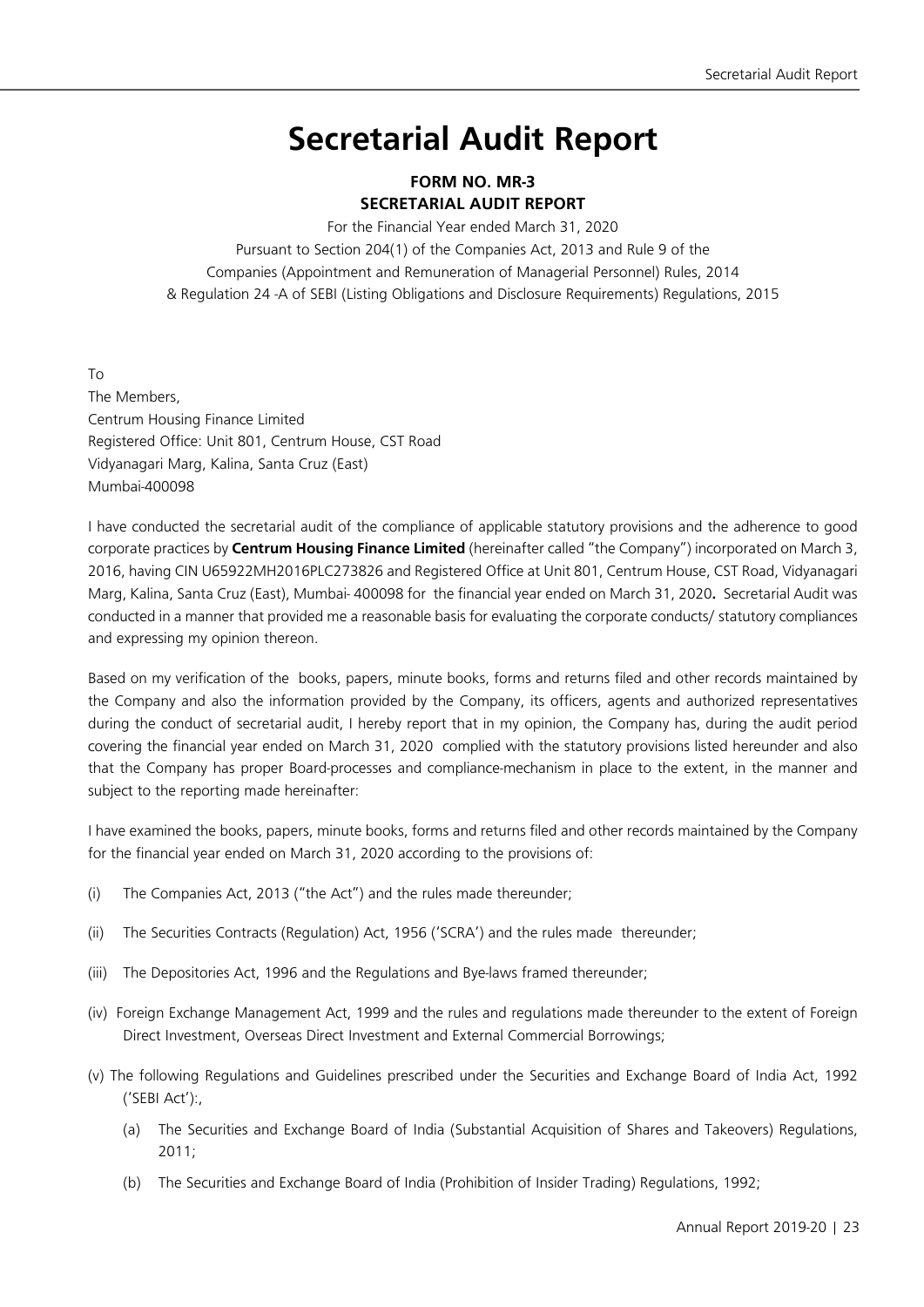## **Secretarial Audit Report**

## **FORM NO. MR-3 SECRETARIAL AUDIT REPORT**

For the Financial Year ended March 31, 2020

Pursuant to Section 204(1) of the Companies Act, 2013 and Rule 9 of the Companies (Appointment and Remuneration of Managerial Personnel) Rules, 2014 & Regulation 24 -A of SEBI (Listing Obligations and Disclosure Requirements) Regulations, 2015

To The Members, Centrum Housing Finance Limited Registered Office: Unit 801, Centrum House, CST Road Vidyanagari Marg, Kalina, Santa Cruz (East) Mumbai-400098

I have conducted the secretarial audit of the compliance of applicable statutory provisions and the adherence to good corporate practices by **Centrum Housing Finance Limited** (hereinafter called "the Company") incorporated on March 3, 2016, having CIN U65922MH2016PLC273826 and Registered Office at Unit 801, Centrum House, CST Road, Vidyanagari Marg, Kalina, Santa Cruz (East), Mumbai- 400098 for the financial year ended on March 31, 2020**.** Secretarial Audit was conducted in a manner that provided me a reasonable basis for evaluating the corporate conducts/ statutory compliances and expressing my opinion thereon.

Based on my verification of the books, papers, minute books, forms and returns filed and other records maintained by the Company and also the information provided by the Company, its officers, agents and authorized representatives during the conduct of secretarial audit, I hereby report that in my opinion, the Company has, during the audit period covering the financial year ended on March 31, 2020 complied with the statutory provisions listed hereunder and also that the Company has proper Board-processes and compliance-mechanism in place to the extent, in the manner and subject to the reporting made hereinafter:

I have examined the books, papers, minute books, forms and returns filed and other records maintained by the Company for the financial year ended on March 31, 2020 according to the provisions of:

- (i) The Companies Act, 2013 ("the Act") and the rules made thereunder;
- (ii) The Securities Contracts (Regulation) Act, 1956 ('SCRA') and the rules made thereunder;
- (iii) The Depositories Act, 1996 and the Regulations and Bye-laws framed thereunder;
- (iv) Foreign Exchange Management Act, 1999 and the rules and regulations made thereunder to the extent of Foreign Direct Investment, Overseas Direct Investment and External Commercial Borrowings;
- (v) The following Regulations and Guidelines prescribed under the Securities and Exchange Board of India Act, 1992 ('SEBI Act'):,
	- (a) The Securities and Exchange Board of India (Substantial Acquisition of Shares and Takeovers) Regulations, 2011;
	- (b) The Securities and Exchange Board of India (Prohibition of Insider Trading) Regulations, 1992;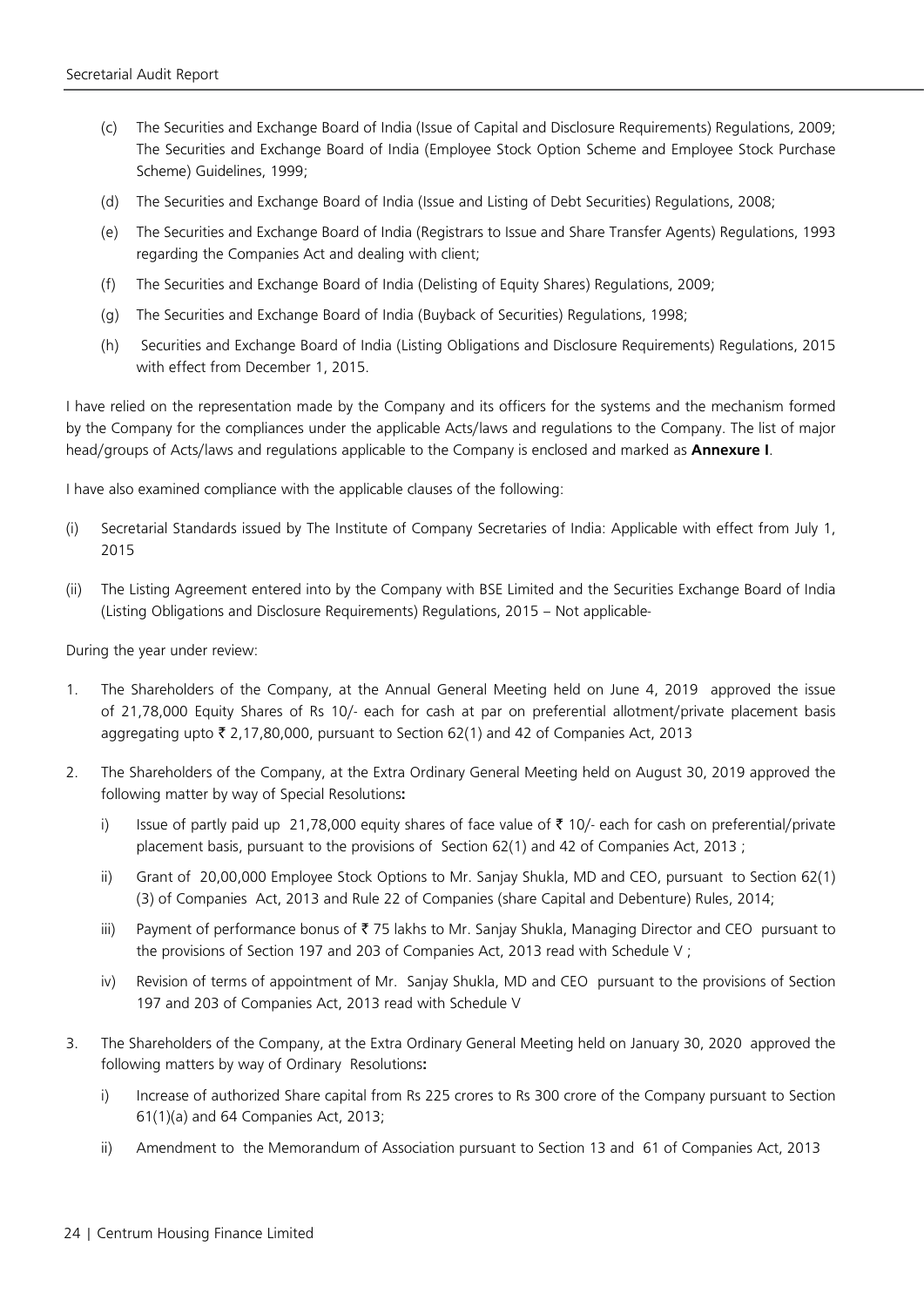- (c) The Securities and Exchange Board of India (Issue of Capital and Disclosure Requirements) Regulations, 2009; The Securities and Exchange Board of India (Employee Stock Option Scheme and Employee Stock Purchase Scheme) Guidelines, 1999;
- (d) The Securities and Exchange Board of India (Issue and Listing of Debt Securities) Regulations, 2008;
- (e) The Securities and Exchange Board of India (Registrars to Issue and Share Transfer Agents) Regulations, 1993 regarding the Companies Act and dealing with client;
- (f) The Securities and Exchange Board of India (Delisting of Equity Shares) Regulations, 2009;
- (g) The Securities and Exchange Board of India (Buyback of Securities) Regulations, 1998;
- (h) Securities and Exchange Board of India (Listing Obligations and Disclosure Requirements) Regulations, 2015 with effect from December 1, 2015.

I have relied on the representation made by the Company and its officers for the systems and the mechanism formed by the Company for the compliances under the applicable Acts/laws and regulations to the Company. The list of major head/groups of Acts/laws and regulations applicable to the Company is enclosed and marked as **Annexure I**.

I have also examined compliance with the applicable clauses of the following:

- (i) Secretarial Standards issued by The Institute of Company Secretaries of India: Applicable with effect from July 1, 2015
- (ii) The Listing Agreement entered into by the Company with BSE Limited and the Securities Exchange Board of India (Listing Obligations and Disclosure Requirements) Regulations, 2015 – Not applicable-

During the year under review:

- 1. The Shareholders of the Company, at the Annual General Meeting held on June 4, 2019 approved the issue of 21,78,000 Equity Shares of Rs 10/- each for cash at par on preferential allotment/private placement basis aggregating upto  $\bar{\tau}$  2,17,80,000, pursuant to Section 62(1) and 42 of Companies Act, 2013
- 2. The Shareholders of the Company, at the Extra Ordinary General Meeting held on August 30, 2019 approved the following matter by way of Special Resolutions**:**
	- i) Issue of partly paid up 21,78,000 equity shares of face value of  $\bar{\tau}$  10/- each for cash on preferential/private placement basis, pursuant to the provisions of Section 62(1) and 42 of Companies Act, 2013 ;
	- ii) Grant of 20,00,000 Employee Stock Options to Mr. Sanjay Shukla, MD and CEO, pursuant to Section 62(1) (3) of Companies Act, 2013 and Rule 22 of Companies (share Capital and Debenture) Rules, 2014;
	- iii) Payment of performance bonus of  $\bar{z}$  75 lakhs to Mr. Sanjay Shukla, Managing Director and CEO pursuant to the provisions of Section 197 and 203 of Companies Act, 2013 read with Schedule V ;
	- iv) Revision of terms of appointment of Mr. Sanjay Shukla, MD and CEO pursuant to the provisions of Section 197 and 203 of Companies Act, 2013 read with Schedule V
- 3. The Shareholders of the Company, at the Extra Ordinary General Meeting held on January 30, 2020 approved the following matters by way of Ordinary Resolutions**:**
	- i) Increase of authorized Share capital from Rs 225 crores to Rs 300 crore of the Company pursuant to Section 61(1)(a) and 64 Companies Act, 2013;
	- ii) Amendment to the Memorandum of Association pursuant to Section 13 and 61 of Companies Act, 2013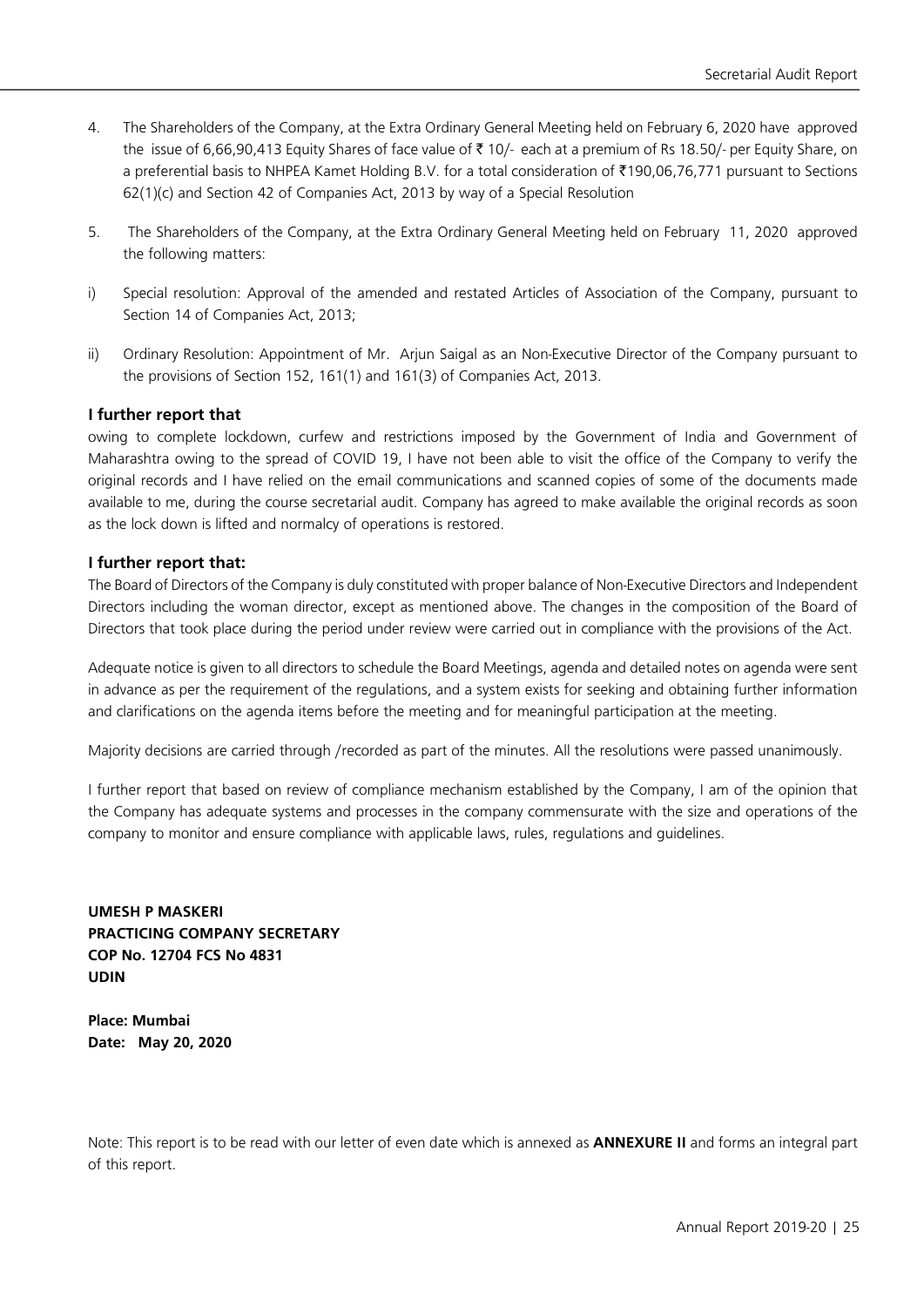- 4. The Shareholders of the Company, at the Extra Ordinary General Meeting held on February 6, 2020 have approved the issue of 6,66,90,413 Equity Shares of face value of ₹ 10/- each at a premium of Rs 18.50/- per Equity Share, on a preferential basis to NHPEA Kamet Holding B.V. for a total consideration of `190,06,76,771 pursuant to Sections 62(1)(c) and Section 42 of Companies Act, 2013 by way of a Special Resolution
- 5. The Shareholders of the Company, at the Extra Ordinary General Meeting held on February 11, 2020 approved the following matters:
- i) Special resolution: Approval of the amended and restated Articles of Association of the Company, pursuant to Section 14 of Companies Act, 2013;
- ii) Ordinary Resolution: Appointment of Mr. Arjun Saigal as an Non-Executive Director of the Company pursuant to the provisions of Section 152, 161(1) and 161(3) of Companies Act, 2013.

#### **I further report that**

owing to complete lockdown, curfew and restrictions imposed by the Government of India and Government of Maharashtra owing to the spread of COVID 19, I have not been able to visit the office of the Company to verify the original records and I have relied on the email communications and scanned copies of some of the documents made available to me, during the course secretarial audit. Company has agreed to make available the original records as soon as the lock down is lifted and normalcy of operations is restored.

#### **I further report that:**

The Board of Directors of the Company is duly constituted with proper balance of Non-Executive Directors and Independent Directors including the woman director, except as mentioned above. The changes in the composition of the Board of Directors that took place during the period under review were carried out in compliance with the provisions of the Act.

Adequate notice is given to all directors to schedule the Board Meetings, agenda and detailed notes on agenda were sent in advance as per the requirement of the regulations, and a system exists for seeking and obtaining further information and clarifications on the agenda items before the meeting and for meaningful participation at the meeting.

Majority decisions are carried through /recorded as part of the minutes. All the resolutions were passed unanimously.

I further report that based on review of compliance mechanism established by the Company, I am of the opinion that the Company has adequate systems and processes in the company commensurate with the size and operations of the company to monitor and ensure compliance with applicable laws, rules, regulations and guidelines.

**UMESH P MASKERI PRACTICING COMPANY SECRETARY COP No. 12704 FCS No 4831 UDIN** 

**Place: Mumbai Date: May 20, 2020** 

Note: This report is to be read with our letter of even date which is annexed as **ANNEXURE II** and forms an integral part of this report.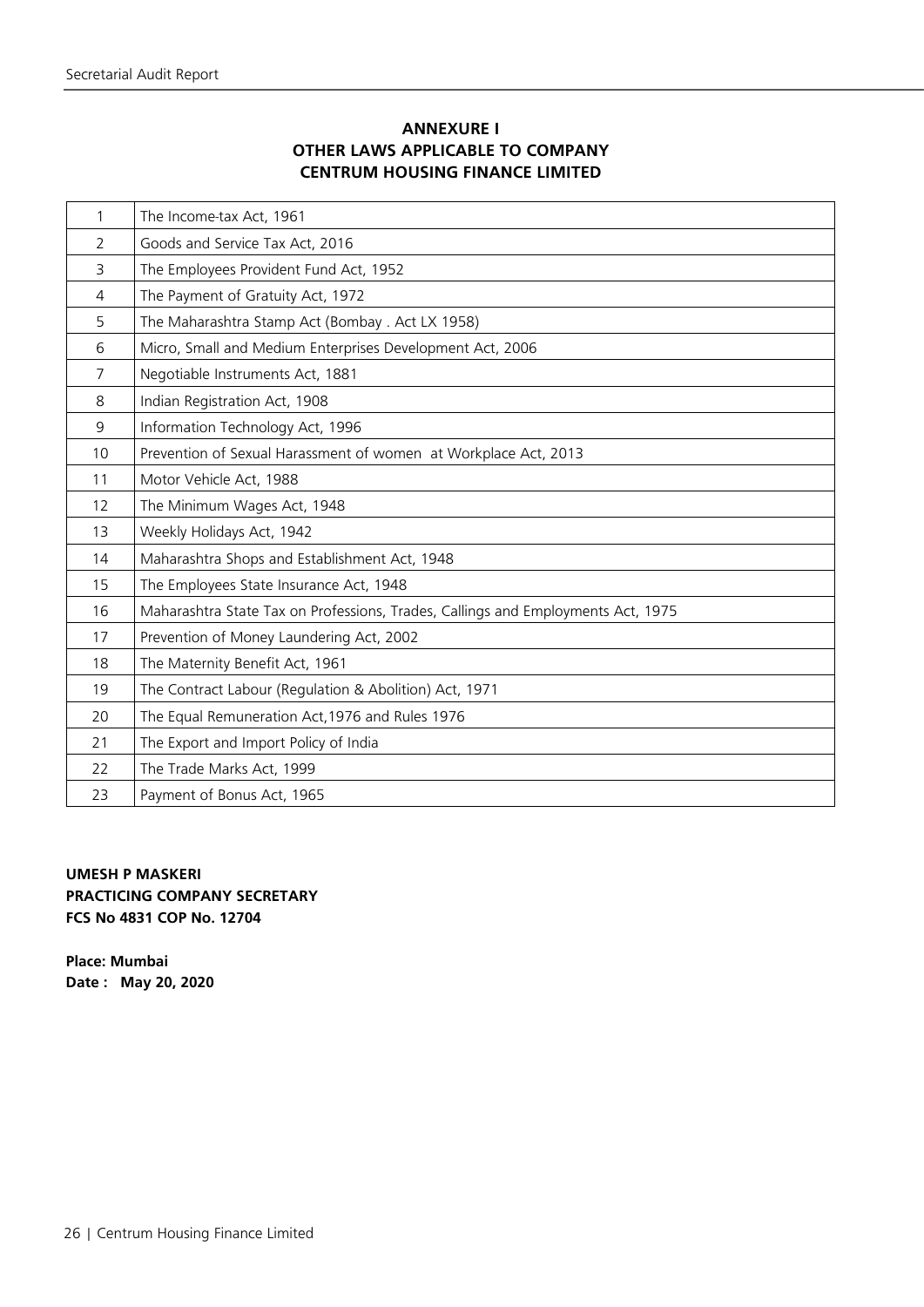## **ANNEXURE I OTHER LAWS APPLICABLE TO COMPANY CENTRUM HOUSING FINANCE LIMITED**

| 1              | The Income-tax Act, 1961                                                         |
|----------------|----------------------------------------------------------------------------------|
| 2              | Goods and Service Tax Act, 2016                                                  |
| 3              | The Employees Provident Fund Act, 1952                                           |
| $\overline{4}$ | The Payment of Gratuity Act, 1972                                                |
| 5              | The Maharashtra Stamp Act (Bombay . Act LX 1958)                                 |
| 6              | Micro, Small and Medium Enterprises Development Act, 2006                        |
| 7              | Negotiable Instruments Act, 1881                                                 |
| 8              | Indian Registration Act, 1908                                                    |
| 9              | Information Technology Act, 1996                                                 |
| 10             | Prevention of Sexual Harassment of women at Workplace Act, 2013                  |
| 11             | Motor Vehicle Act, 1988                                                          |
| 12             | The Minimum Wages Act, 1948                                                      |
| 13             | Weekly Holidays Act, 1942                                                        |
| 14             | Maharashtra Shops and Establishment Act, 1948                                    |
| 15             | The Employees State Insurance Act, 1948                                          |
| 16             | Maharashtra State Tax on Professions, Trades, Callings and Employments Act, 1975 |
| 17             | Prevention of Money Laundering Act, 2002                                         |
| 18             | The Maternity Benefit Act, 1961                                                  |
| 19             | The Contract Labour (Regulation & Abolition) Act, 1971                           |
| 20             | The Equal Remuneration Act, 1976 and Rules 1976                                  |
| 21             | The Export and Import Policy of India                                            |
| 22             | The Trade Marks Act, 1999                                                        |
| 23             | Payment of Bonus Act, 1965                                                       |

## **UMESH P MASKERI PRACTICING COMPANY SECRETARY FCS No 4831 COP No. 12704**

**Place: Mumbai Date : May 20, 2020**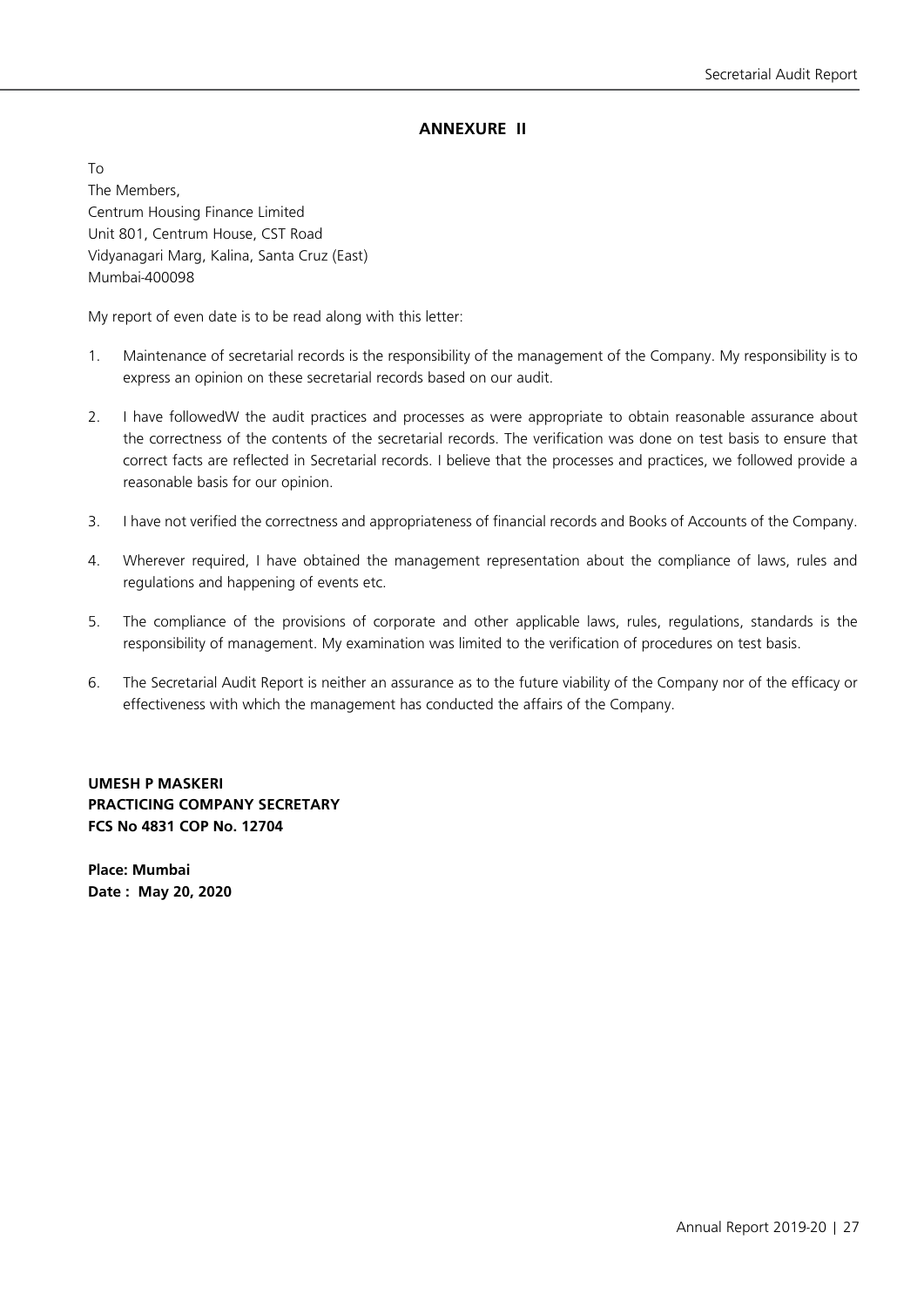## **ANNEXURE II**

To The Members, Centrum Housing Finance Limited Unit 801, Centrum House, CST Road Vidyanagari Marg, Kalina, Santa Cruz (East) Mumbai-400098

My report of even date is to be read along with this letter:

- 1. Maintenance of secretarial records is the responsibility of the management of the Company. My responsibility is to express an opinion on these secretarial records based on our audit.
- 2. I have followedW the audit practices and processes as were appropriate to obtain reasonable assurance about the correctness of the contents of the secretarial records. The verification was done on test basis to ensure that correct facts are reflected in Secretarial records. I believe that the processes and practices, we followed provide a reasonable basis for our opinion.
- 3. I have not verified the correctness and appropriateness of financial records and Books of Accounts of the Company.
- 4. Wherever required, I have obtained the management representation about the compliance of laws, rules and regulations and happening of events etc.
- 5. The compliance of the provisions of corporate and other applicable laws, rules, regulations, standards is the responsibility of management. My examination was limited to the verification of procedures on test basis.
- 6. The Secretarial Audit Report is neither an assurance as to the future viability of the Company nor of the efficacy or effectiveness with which the management has conducted the affairs of the Company.

**UMESH P MASKERI PRACTICING COMPANY SECRETARY FCS No 4831 COP No. 12704**

**Place: Mumbai Date : May 20, 2020**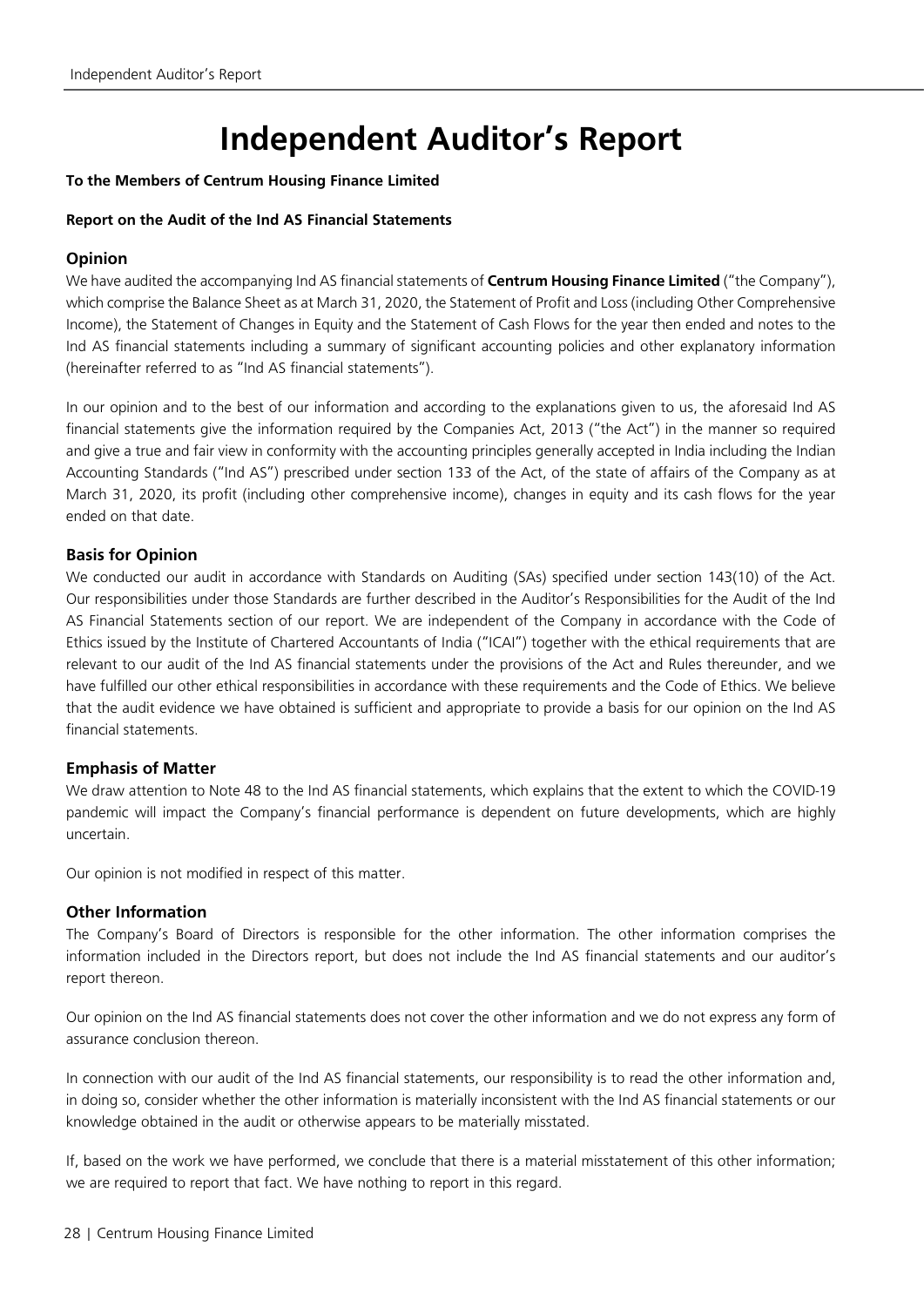# **Independent Auditor's Report**

#### **To the Members of Centrum Housing Finance Limited**

#### **Report on the Audit of the Ind AS Financial Statements**

### **Opinion**

We have audited the accompanying Ind AS financial statements of **Centrum Housing Finance Limited** ("the Company"), which comprise the Balance Sheet as at March 31, 2020, the Statement of Profit and Loss (including Other Comprehensive Income), the Statement of Changes in Equity and the Statement of Cash Flows for the year then ended and notes to the Ind AS financial statements including a summary of significant accounting policies and other explanatory information (hereinafter referred to as "Ind AS financial statements").

In our opinion and to the best of our information and according to the explanations given to us, the aforesaid Ind AS financial statements give the information required by the Companies Act, 2013 ("the Act") in the manner so required and give a true and fair view in conformity with the accounting principles generally accepted in India including the Indian Accounting Standards ("Ind AS") prescribed under section 133 of the Act, of the state of affairs of the Company as at March 31, 2020, its profit (including other comprehensive income), changes in equity and its cash flows for the year ended on that date.

## **Basis for Opinion**

We conducted our audit in accordance with Standards on Auditing (SAs) specified under section 143(10) of the Act. Our responsibilities under those Standards are further described in the Auditor's Responsibilities for the Audit of the Ind AS Financial Statements section of our report. We are independent of the Company in accordance with the Code of Ethics issued by the Institute of Chartered Accountants of India ("ICAI") together with the ethical requirements that are relevant to our audit of the Ind AS financial statements under the provisions of the Act and Rules thereunder, and we have fulfilled our other ethical responsibilities in accordance with these requirements and the Code of Ethics. We believe that the audit evidence we have obtained is sufficient and appropriate to provide a basis for our opinion on the Ind AS financial statements.

#### **Emphasis of Matter**

We draw attention to Note 48 to the Ind AS financial statements, which explains that the extent to which the COVID-19 pandemic will impact the Company's financial performance is dependent on future developments, which are highly uncertain.

Our opinion is not modified in respect of this matter.

#### **Other Information**

The Company's Board of Directors is responsible for the other information. The other information comprises the information included in the Directors report, but does not include the Ind AS financial statements and our auditor's report thereon.

Our opinion on the Ind AS financial statements does not cover the other information and we do not express any form of assurance conclusion thereon.

In connection with our audit of the Ind AS financial statements, our responsibility is to read the other information and, in doing so, consider whether the other information is materially inconsistent with the Ind AS financial statements or our knowledge obtained in the audit or otherwise appears to be materially misstated.

If, based on the work we have performed, we conclude that there is a material misstatement of this other information; we are required to report that fact. We have nothing to report in this regard.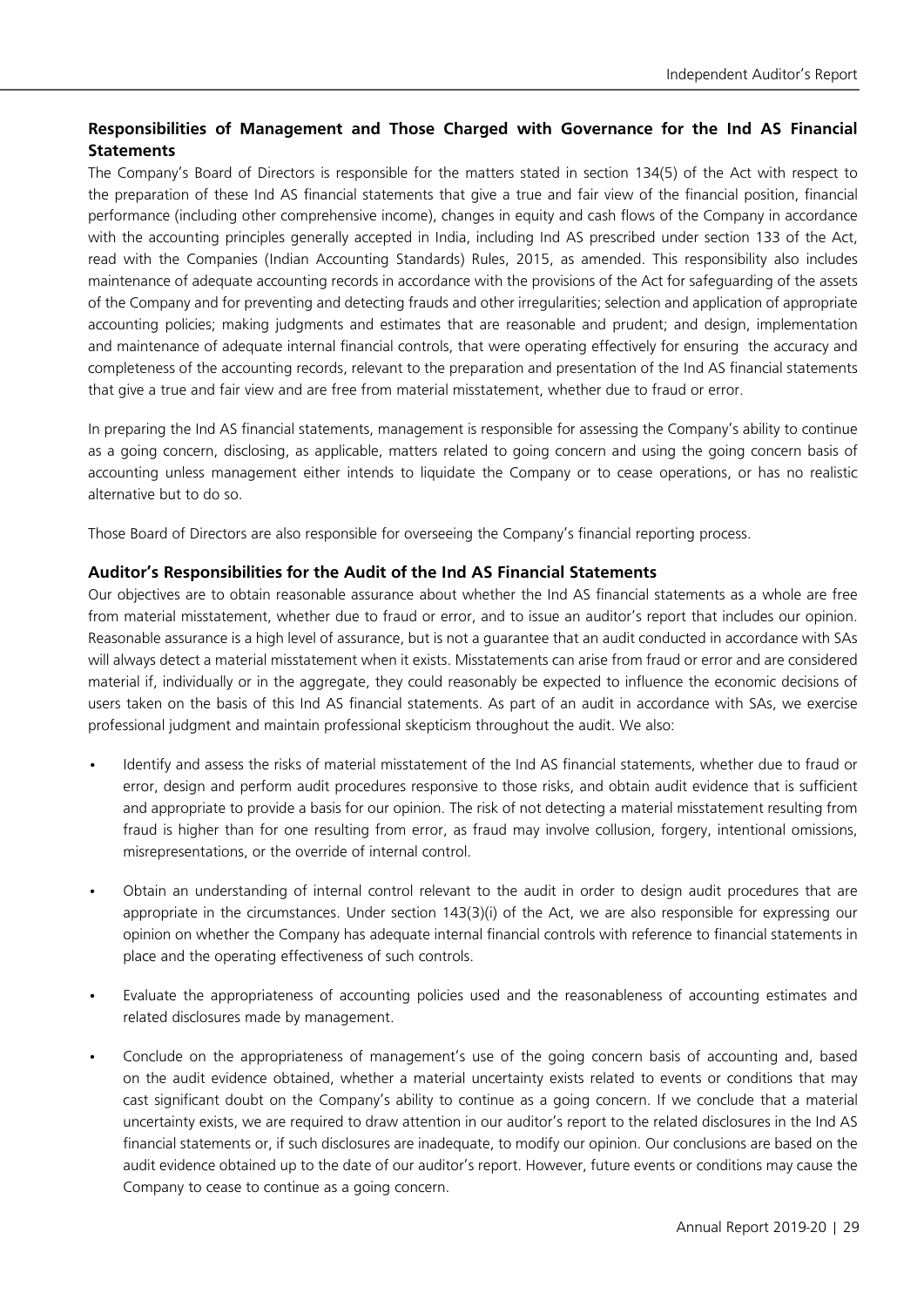## **Responsibilities of Management and Those Charged with Governance for the Ind AS Financial Statements**

The Company's Board of Directors is responsible for the matters stated in section 134(5) of the Act with respect to the preparation of these Ind AS financial statements that give a true and fair view of the financial position, financial performance (including other comprehensive income), changes in equity and cash flows of the Company in accordance with the accounting principles generally accepted in India, including Ind AS prescribed under section 133 of the Act, read with the Companies (Indian Accounting Standards) Rules, 2015, as amended. This responsibility also includes maintenance of adequate accounting records in accordance with the provisions of the Act for safeguarding of the assets of the Company and for preventing and detecting frauds and other irregularities; selection and application of appropriate accounting policies; making judgments and estimates that are reasonable and prudent; and design, implementation and maintenance of adequate internal financial controls, that were operating effectively for ensuring the accuracy and completeness of the accounting records, relevant to the preparation and presentation of theInd AS financial statements that give a true and fair view and are free from material misstatement, whether due to fraud or error.

In preparing the Ind AS financial statements, management is responsible for assessing the Company's ability to continue as a going concern, disclosing, as applicable, matters related to going concern and using the going concern basis of accounting unless management either intends to liquidate the Company or to cease operations, or has no realistic alternative but to do so.

Those Board of Directors are also responsible for overseeing the Company's financial reporting process.

#### **Auditor's Responsibilities for the Audit of the Ind AS Financial Statements**

Our objectives are to obtain reasonable assurance about whether the Ind AS financial statements as a whole are free from material misstatement, whether due to fraud or error, and to issue an auditor's report that includes our opinion. Reasonable assurance is a high level of assurance, but is not a guarantee that an audit conducted in accordance with SAs will always detect a material misstatement when it exists. Misstatements can arise from fraud or error and are considered material if, individually or in the aggregate, they could reasonably be expected to influence the economic decisions of users taken on the basis of this Ind AS financial statements. As part of an audit in accordance with SAs, we exercise professional judgment and maintain professional skepticism throughout the audit. We also:

- Identify and assess the risks of material misstatement of the Ind AS financial statements, whether due to fraud or error, design and perform audit procedures responsive to those risks, and obtain audit evidence that is sufficient and appropriate to provide a basis for our opinion. The risk of not detecting a material misstatement resulting from fraud is higher than for one resulting from error, as fraud may involve collusion, forgery, intentional omissions, misrepresentations, or the override of internal control.
- Obtain an understanding of internal control relevant to the audit in order to design audit procedures that are appropriate in the circumstances. Under section 143(3)(i) of the Act, we are also responsible for expressing our opinion on whether the Company has adequate internal financial controls with reference to financial statements in place and the operating effectiveness of such controls.
- Evaluate the appropriateness of accounting policies used and the reasonableness of accounting estimates and related disclosures made by management.
- Conclude on the appropriateness of management's use of the going concern basis of accounting and, based on the audit evidence obtained, whether a material uncertainty exists related to events or conditions that may cast significant doubt on the Company's ability to continue as a going concern. If we conclude that a material uncertainty exists, we are required to draw attention in our auditor's report to the related disclosures in the Ind AS financial statements or, if such disclosures are inadequate, to modify our opinion. Our conclusions are based on the audit evidence obtained up to the date of our auditor's report. However, future events or conditions may cause the Company to cease to continue as a going concern.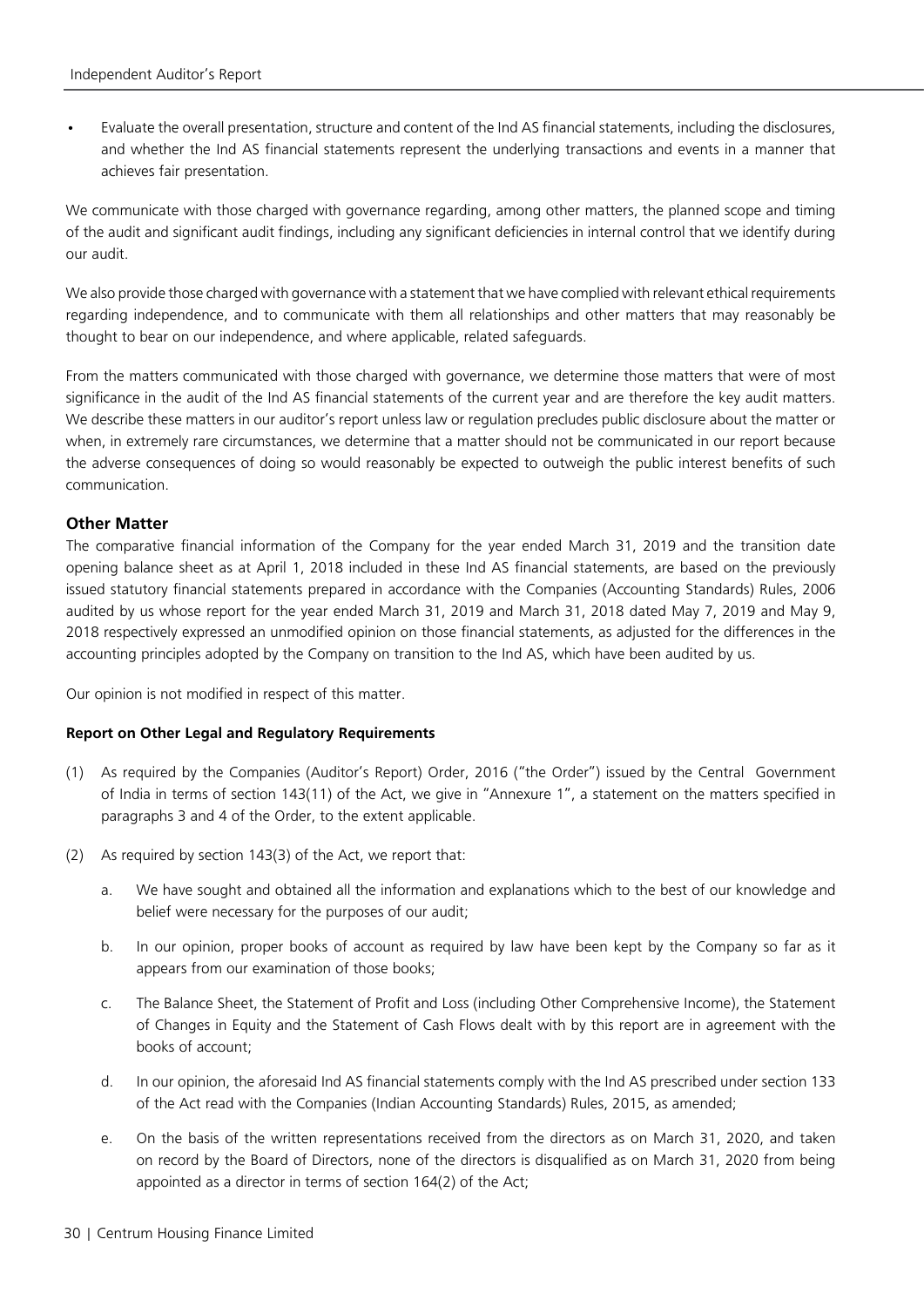Evaluate the overall presentation, structure and content of the Ind AS financial statements, including the disclosures, and whether the Ind AS financial statements represent the underlying transactions and events in a manner that achieves fair presentation.

We communicate with those charged with governance regarding, among other matters, the planned scope and timing of the audit and significant audit findings, including any significant deficiencies in internal control that we identify during our audit.

We also provide those charged with governance with a statement that we have complied with relevant ethical requirements regarding independence, and to communicate with them all relationships and other matters that may reasonably be thought to bear on our independence, and where applicable, related safeguards.

From the matters communicated with those charged with governance, we determine those matters that were of most significance in the audit of the Ind AS financial statements of the current year and are therefore the key audit matters. We describe these matters in our auditor's report unless law or regulation precludes public disclosure about the matter or when, in extremely rare circumstances, we determine that a matter should not be communicated in our report because the adverse consequences of doing so would reasonably be expected to outweigh the public interest benefits of such communication.

#### **Other Matter**

The comparative financial information of the Company for the year ended March 31, 2019 and the transition date opening balance sheet as at April 1, 2018 included in these Ind AS financial statements, are based on the previously issued statutory financial statements prepared in accordance with the Companies (Accounting Standards) Rules, 2006 audited by us whose report for the year ended March 31, 2019 and March 31, 2018 dated May 7, 2019 and May 9, 2018 respectively expressed an unmodified opinion on those financial statements, as adjusted for the differences in the accounting principles adopted by the Company on transition to the Ind AS, which have been audited by us.

Our opinion is not modified in respect of this matter.

#### **Report on Other Legal and Regulatory Requirements**

- (1) As required by the Companies (Auditor's Report) Order, 2016 ("the Order") issued by the Central Government of India in terms of section 143(11) of the Act, we give in "Annexure 1", a statement on the matters specified in paragraphs 3 and 4 of the Order, to the extent applicable.
- (2) As required by section 143(3) of the Act, we report that:
	- a. We have sought and obtained all the information and explanations which to the best of our knowledge and belief were necessary for the purposes of our audit;
	- b. In our opinion, proper books of account as required by law have been kept by the Company so far as it appears from our examination of those books;
	- c. The Balance Sheet, the Statement of Profit and Loss (including Other Comprehensive Income), the Statement of Changes in Equity and the Statement of Cash Flows dealt with by this report are in agreement with the books of account;
	- d. In our opinion, the aforesaid Ind AS financial statements comply with the Ind AS prescribed under section 133 of the Act read with the Companies (Indian Accounting Standards) Rules, 2015, as amended;
	- e. On the basis of the written representations received from the directors as on March 31, 2020, and taken on record by the Board of Directors, none of the directors is disqualified as on March 31, 2020 from being appointed as a director in terms of section 164(2) of the Act;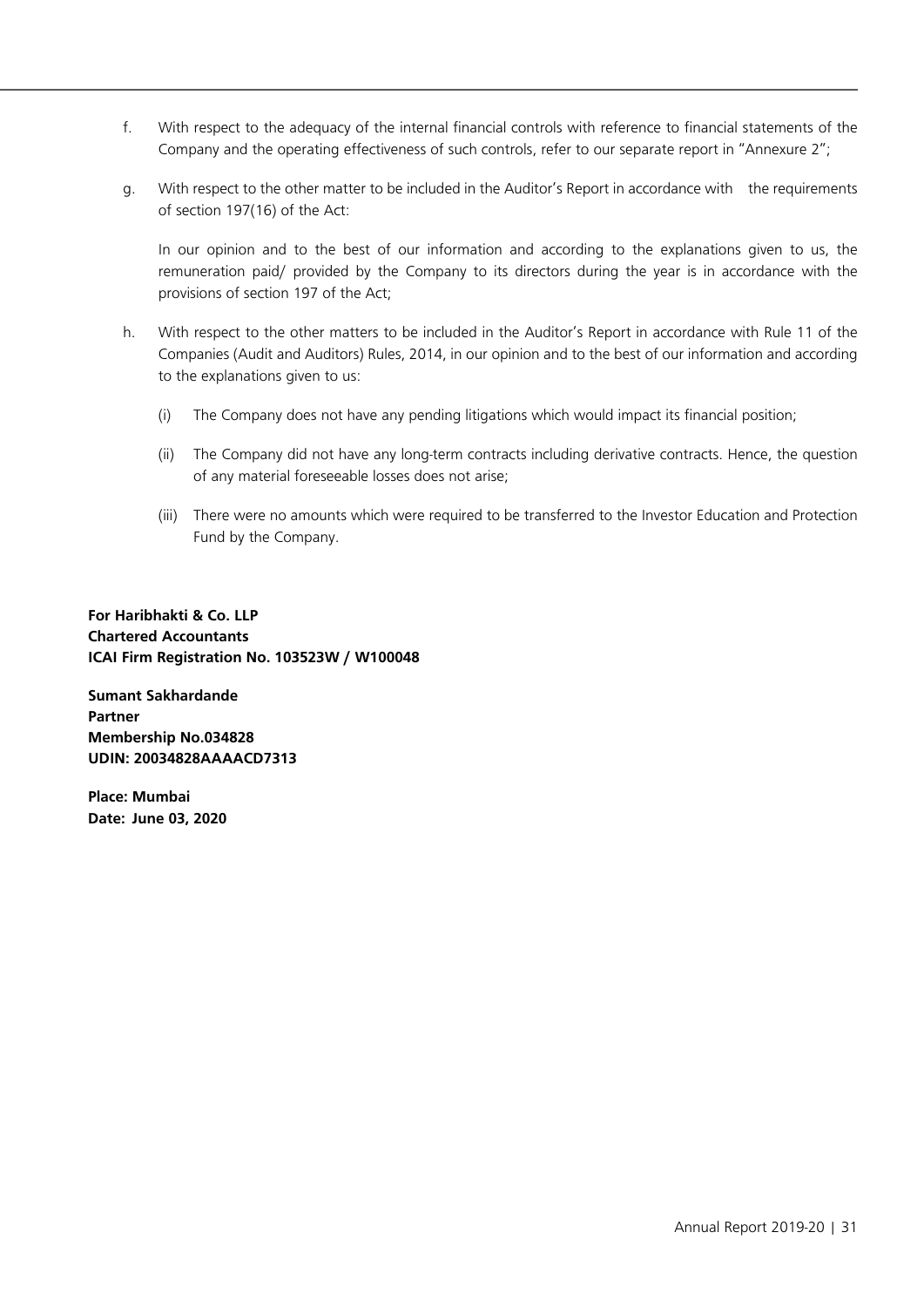- f. With respect to the adequacy of the internal financial controls with reference to financial statements of the Company and the operating effectiveness of such controls, refer to our separate report in "Annexure 2";
- g. With respect to the other matter to be included in the Auditor's Report in accordance with the requirements of section 197(16) of the Act:

 In our opinion and to the best of our information and according to the explanations given to us, the remuneration paid/ provided by the Company to its directors during the year is in accordance with the provisions of section 197 of the Act;

- h. With respect to the other matters to be included in the Auditor's Report in accordance with Rule 11 of the Companies (Audit and Auditors) Rules, 2014, in our opinion and to the best of our information and according to the explanations given to us:
	- (i) The Company does not have any pending litigations which would impact its financial position;
	- (ii) The Company did not have any long-term contracts including derivative contracts. Hence, the question of any material foreseeable losses does not arise;
	- (iii) There were no amounts which were required to be transferred to the Investor Education and Protection Fund by the Company.

**For Haribhakti & Co. LLP Chartered Accountants ICAI Firm Registration No. 103523W / W100048**

**Sumant Sakhardande Partner Membership No.034828 UDIN: 20034828AAAACD7313**

**Place: Mumbai Date: June 03, 2020**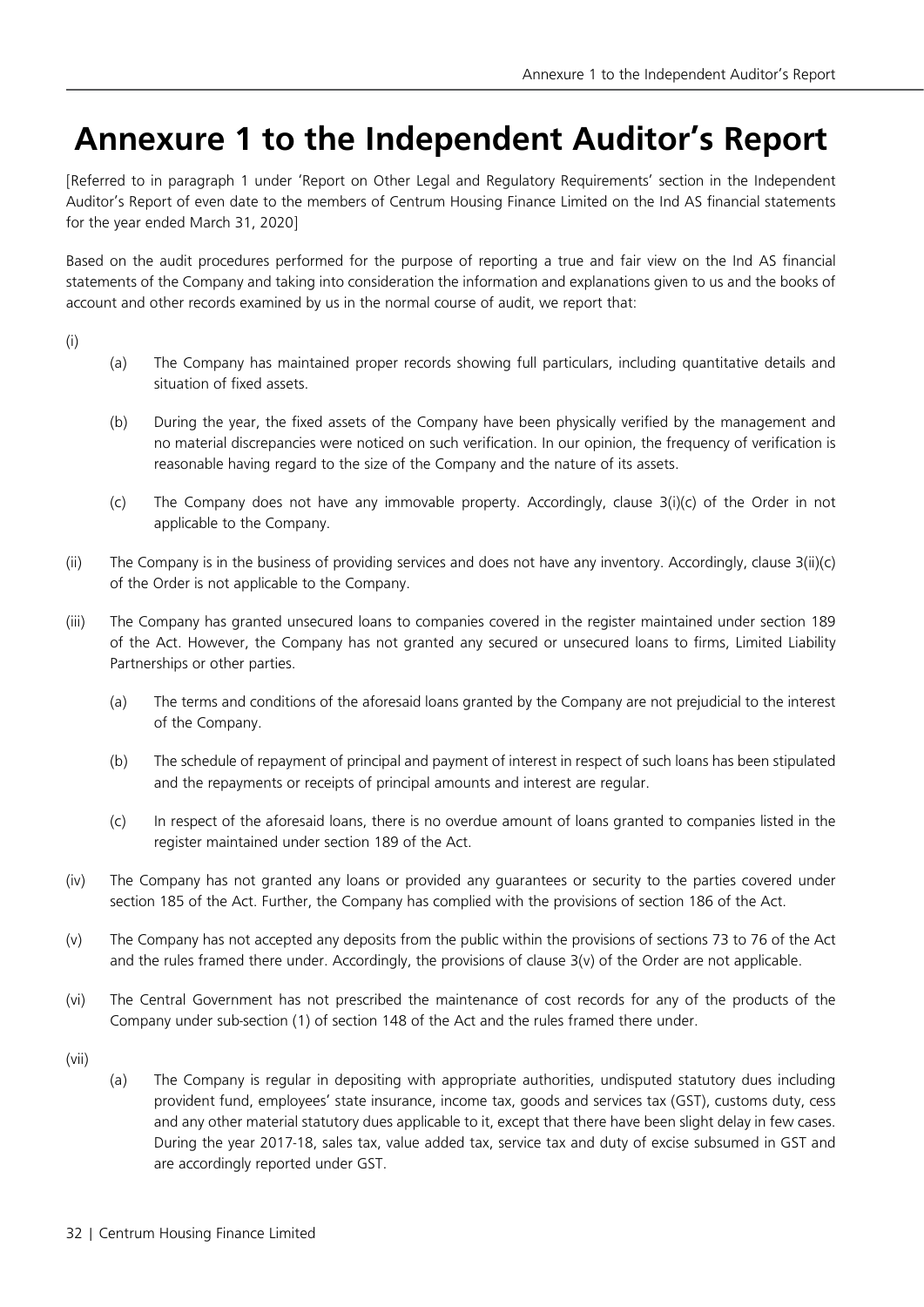## **Annexure 1 to the Independent Auditor's Report**

[Referred to in paragraph 1 under 'Report on Other Legal and Regulatory Requirements' section in the Independent Auditor's Report of even date to the members of Centrum Housing Finance Limited on the Ind AS financial statements for the year ended March 31, 2020]

Based on the audit procedures performed for the purpose of reporting a true and fair view on the Ind AS financial statements of the Company and taking into consideration the information and explanations given to us and the books of account and other records examined by us in the normal course of audit, we report that:

(i)

- (a) The Company has maintained proper records showing full particulars, including quantitative details and situation of fixed assets.
- (b) During the year, the fixed assets of the Company have been physically verified by the management and no material discrepancies were noticed on such verification. In our opinion, the frequency of verification is reasonable having regard to the size of the Company and the nature of its assets.
- (c) The Company does not have any immovable property. Accordingly, clause 3(i)(c) of the Order in not applicable to the Company.
- (ii) The Company is in the business of providing services and does not have any inventory. Accordingly, clause 3(ii)(c) of the Order is not applicable to the Company.
- (iii) The Company has granted unsecured loans to companies covered in the register maintained under section 189 of the Act. However, the Company has not granted any secured or unsecured loans to firms, Limited Liability Partnerships or other parties.
	- (a) The terms and conditions of the aforesaid loans granted by the Company are not prejudicial to the interest of the Company.
	- (b) The schedule of repayment of principal and payment of interest in respect of such loans has been stipulated and the repayments or receipts of principal amounts and interest are regular.
	- (c) In respect of the aforesaid loans, there is no overdue amount of loans granted to companies listed in the register maintained under section 189 of the Act.
- (iv) The Company has not granted any loans or provided any guarantees or security to the parties covered under section 185 of the Act. Further, the Company has complied with the provisions of section 186 of the Act.
- (v) The Company has not accepted any deposits from the public within the provisions of sections 73 to 76 of the Act and the rules framed there under. Accordingly, the provisions of clause 3(v) of the Order are not applicable.
- (vi) The Central Government has not prescribed the maintenance of cost records for any of the products of the Company under sub-section (1) of section 148 of the Act and the rules framed there under.
- (vii)
- (a) The Company is regular in depositing with appropriate authorities, undisputed statutory dues including provident fund, employees' state insurance, income tax, goods and services tax (GST), customs duty, cess and any other material statutory dues applicable to it, except that there have been slight delay in few cases. During the year 2017-18, sales tax, value added tax, service tax and duty of excise subsumed in GST and are accordingly reported under GST.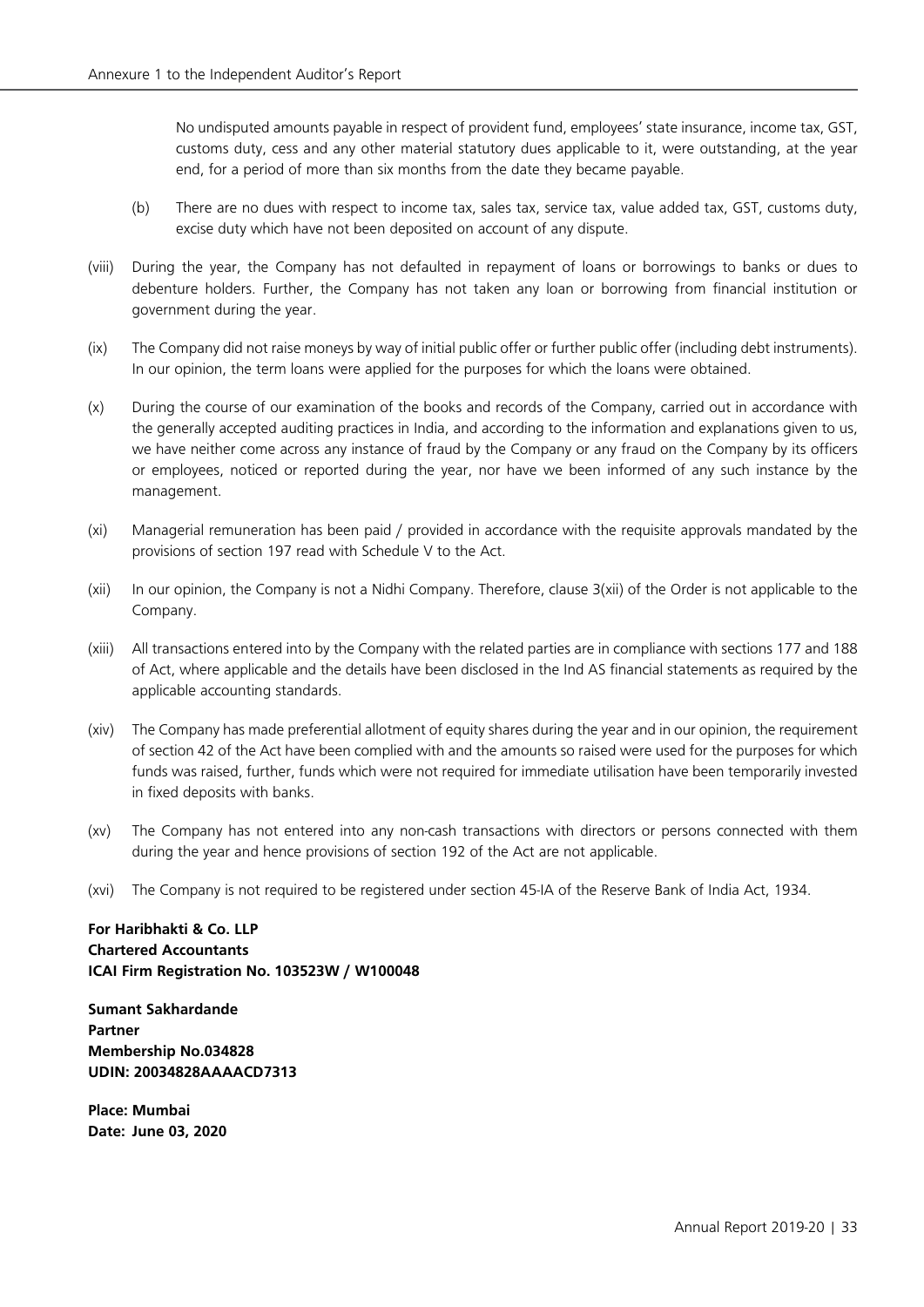No undisputed amounts payable in respect of provident fund, employees' state insurance, income tax, GST, customs duty, cess and any other material statutory dues applicable to it, were outstanding, at the year end, for a period of more than six months from the date they became payable.

- (b) There are no dues with respect to income tax, sales tax, service tax, value added tax, GST, customs duty, excise duty which have not been deposited on account of any dispute.
- (viii) During the year, the Company has not defaulted in repayment of loans or borrowings to banks or dues to debenture holders. Further, the Company has not taken any loan or borrowing from financial institution or government during the year.
- (ix) The Company did not raise moneys by way of initial public offer or further public offer (including debt instruments). In our opinion, the term loans were applied for the purposes for which the loans were obtained.
- (x) During the course of our examination of the books and records of the Company, carried out in accordance with the generally accepted auditing practices in India, and according to the information and explanations given to us, we have neither come across any instance of fraud by the Company or any fraud on the Company by its officers or employees, noticed or reported during the year, nor have we been informed of any such instance by the management.
- (xi) Managerial remuneration has been paid / provided in accordance with the requisite approvals mandated by the provisions of section 197 read with Schedule V to the Act.
- (xii) In our opinion, the Company is not a Nidhi Company. Therefore, clause 3(xii) of the Order is not applicable to the Company.
- (xiii) All transactions entered into by the Company with the related parties are in compliance with sections 177 and 188 of Act, where applicable and the details have been disclosed in the Ind AS financial statements as required by the applicable accounting standards.
- (xiv) The Company has made preferential allotment of equity shares during the year and in our opinion, the requirement of section 42 of the Act have been complied with and the amounts so raised were used for the purposes for which funds was raised, further, funds which were not required for immediate utilisation have been temporarily invested in fixed deposits with banks.
- (xv) The Company has not entered into any non-cash transactions with directors or persons connected with them during the year and hence provisions of section 192 of the Act are not applicable.
- (xvi) The Company is not required to be registered under section 45-IA of the Reserve Bank of India Act, 1934.

**For Haribhakti & Co. LLP Chartered Accountants ICAI Firm Registration No. 103523W / W100048**

**Sumant Sakhardande Partner Membership No.034828 UDIN: 20034828AAAACD7313**

**Place: Mumbai Date: June 03, 2020**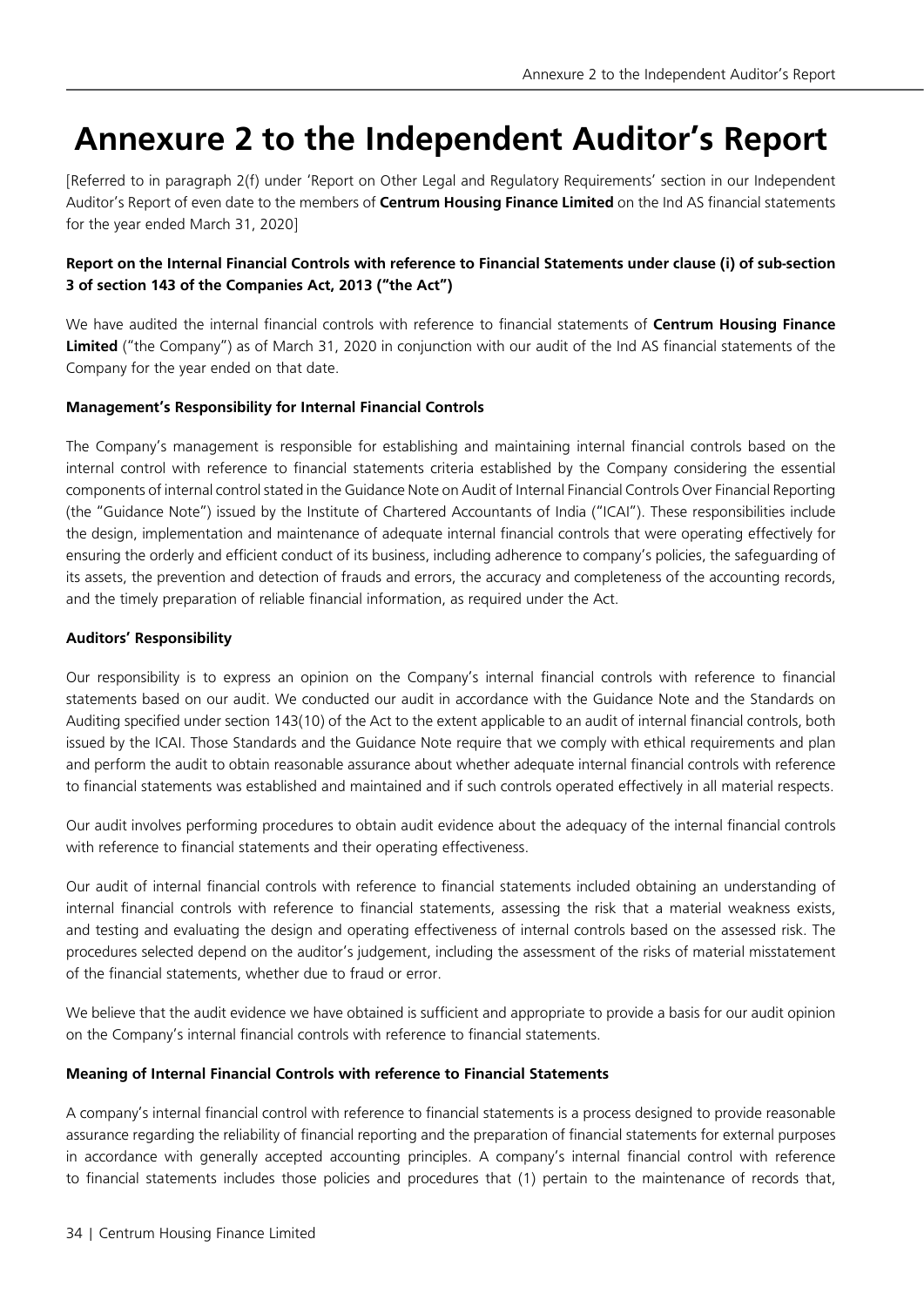## **Annexure 2 to the Independent Auditor's Report**

[Referred to in paragraph 2(f) under 'Report on Other Legal and Regulatory Requirements' section in our Independent Auditor's Report of even date to the members of **Centrum Housing Finance Limited** on the Ind AS financial statements for the year ended March 31, 2020]

### **Report on the Internal Financial Controls with reference to Financial Statements under clause (i) of sub-section 3 of section 143 of the Companies Act, 2013 ("the Act")**

We have audited the internal financial controls with reference to financial statements of **Centrum Housing Finance Limited** ("the Company") as of March 31, 2020 in conjunction with our audit of the Ind AS financial statements of the Company for the year ended on that date.

### **Management's Responsibility for Internal Financial Controls**

The Company's management is responsible for establishing and maintaining internal financial controls based on the internal control with reference to financial statements criteria established by the Company considering the essential components of internal control stated in the Guidance Note on Audit of Internal Financial Controls Over Financial Reporting (the "Guidance Note") issued by the Institute of Chartered Accountants of India ("ICAI"). These responsibilities include the design, implementation and maintenance of adequate internal financial controls that were operating effectively for ensuring the orderly and efficient conduct of its business, including adherence to company's policies, the safeguarding of its assets, the prevention and detection of frauds and errors, the accuracy and completeness of the accounting records, and the timely preparation of reliable financial information, as required under the Act.

### **Auditors' Responsibility**

Our responsibility is to express an opinion on the Company's internal financial controls with reference to financial statements based on our audit. We conducted our audit in accordance with the Guidance Note and the Standards on Auditing specified under section 143(10) of the Act to the extent applicable to an audit of internal financial controls, both issued by the ICAI. Those Standards and the Guidance Note require that we comply with ethical requirements and plan and perform the audit to obtain reasonable assurance about whether adequate internal financial controls with reference to financial statements was established and maintained and if such controls operated effectively in all material respects.

Our audit involves performing procedures to obtain audit evidence about the adequacy of the internal financial controls with reference to financial statements and their operating effectiveness.

Our audit of internal financial controls with reference to financial statements included obtaining an understanding of internal financial controls with reference to financial statements, assessing the risk that a material weakness exists, and testing and evaluating the design and operating effectiveness of internal controls based on the assessed risk. The procedures selected depend on the auditor's judgement, including the assessment of the risks of material misstatement of the financial statements, whether due to fraud or error.

We believe that the audit evidence we have obtained is sufficient and appropriate to provide a basis for our audit opinion on the Company's internal financial controls with reference to financial statements.

#### **Meaning of Internal Financial Controls with reference to Financial Statements**

A company's internal financial control with reference to financial statements is a process designed to provide reasonable assurance regarding the reliability of financial reporting and the preparation of financial statements for external purposes in accordance with generally accepted accounting principles. A company's internal financial control with reference to financial statements includes those policies and procedures that (1) pertain to the maintenance of records that,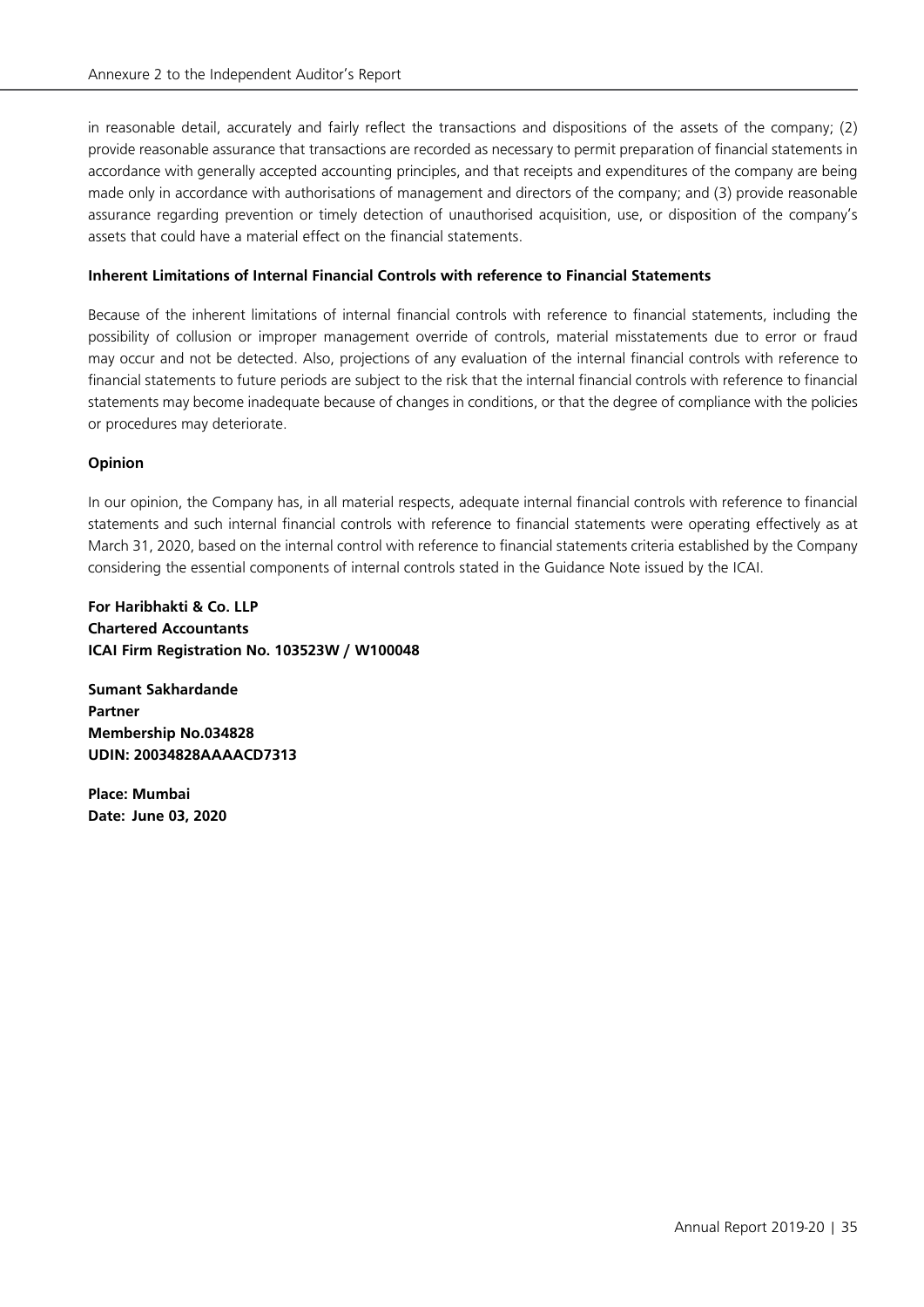in reasonable detail, accurately and fairly reflect the transactions and dispositions of the assets of the company; (2) provide reasonable assurance that transactions are recorded as necessary to permit preparation of financial statements in accordance with generally accepted accounting principles, and that receipts and expenditures of the company are being made only in accordance with authorisations of management and directors of the company; and (3) provide reasonable assurance regarding prevention or timely detection of unauthorised acquisition, use, or disposition of the company's assets that could have a material effect on the financial statements.

### **Inherent Limitations of Internal Financial Controls with reference to Financial Statements**

Because of the inherent limitations of internal financial controls with reference to financial statements, including the possibility of collusion or improper management override of controls, material misstatements due to error or fraud may occur and not be detected. Also, projections of any evaluation of the internal financial controls with reference to financial statements to future periods are subject to the risk that the internal financial controls with reference to financial statements may become inadequate because of changes in conditions, or that the degree of compliance with the policies or procedures may deteriorate.

### **Opinion**

In our opinion, the Company has, in all material respects, adequate internal financial controls with reference to financial statements and such internal financial controls with reference to financial statements were operating effectively as at March 31, 2020, based on the internal control with reference to financial statements criteria established by the Company considering the essential components of internal controls stated in the Guidance Note issued by the ICAI.

**For Haribhakti & Co. LLP Chartered Accountants ICAI Firm Registration No. 103523W / W100048**

**Sumant Sakhardande Partner Membership No.034828 UDIN: 20034828AAAACD7313**

**Place: Mumbai Date: June 03, 2020**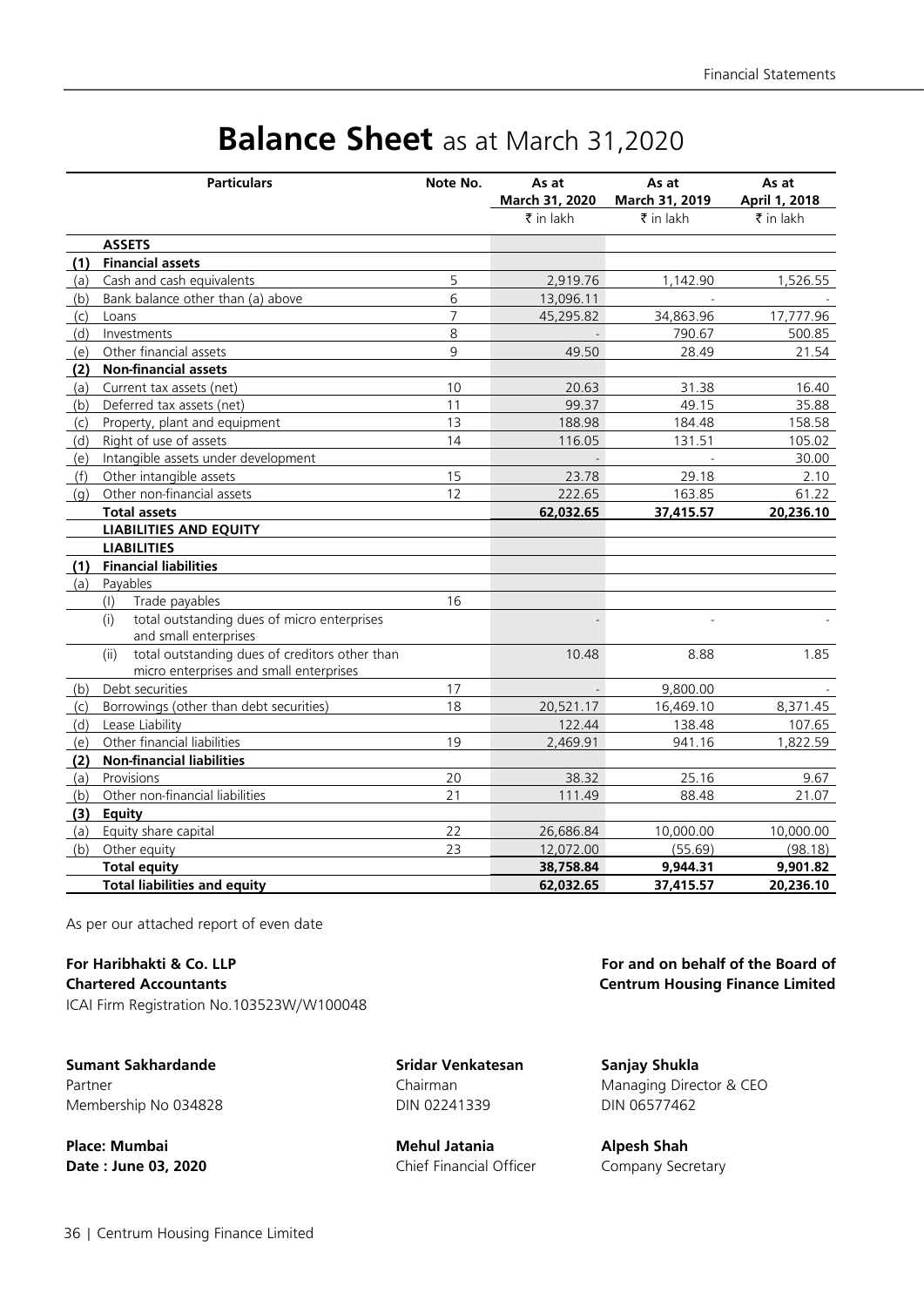# **Balance Sheet** as at March 31,2020

|     | <b>Particulars</b>                                     | Note No.       | As at          | As at          | As at         |
|-----|--------------------------------------------------------|----------------|----------------|----------------|---------------|
|     |                                                        |                | March 31, 2020 | March 31, 2019 | April 1, 2018 |
|     |                                                        |                | ₹ in lakh      | ₹ in lakh      | ₹ in lakh     |
|     | <b>ASSETS</b>                                          |                |                |                |               |
| (1) | <b>Financial assets</b>                                |                |                |                |               |
| (a) | Cash and cash equivalents                              | 5              | 2,919.76       | 1,142.90       | 1,526.55      |
| (b) | Bank balance other than (a) above                      | 6              | 13,096.11      |                |               |
| (c) | Loans                                                  | $\overline{7}$ | 45,295.82      | 34,863.96      | 17,777.96     |
| (d) | Investments                                            | 8              |                | 790.67         | 500.85        |
| (e) | Other financial assets                                 | 9              | 49.50          | 28.49          | 21.54         |
| (2) | <b>Non-financial assets</b>                            |                |                |                |               |
| (a) | Current tax assets (net)                               | 10             | 20.63          | 31.38          | 16.40         |
| (b) | Deferred tax assets (net)                              | 11             | 99.37          | 49.15          | 35.88         |
| (c) | Property, plant and equipment                          | 13             | 188.98         | 184.48         | 158.58        |
| (d) | Right of use of assets                                 | 14             | 116.05         | 131.51         | 105.02        |
| (e) | Intangible assets under development                    |                |                |                | 30.00         |
| (f) | Other intangible assets                                | 15             | 23.78          | 29.18          | 2.10          |
| (q) | Other non-financial assets                             | 12             | 222.65         | 163.85         | 61.22         |
|     | <b>Total assets</b>                                    |                | 62,032.65      | 37,415.57      | 20,236.10     |
|     | <b>LIABILITIES AND EQUITY</b>                          |                |                |                |               |
|     | <b>LIABILITIES</b>                                     |                |                |                |               |
| (1) | <b>Financial liabilities</b>                           |                |                |                |               |
| (a) | Payables                                               |                |                |                |               |
|     | Trade payables<br>(1)                                  | 16             |                |                |               |
|     | total outstanding dues of micro enterprises<br>(i)     |                |                |                |               |
|     | and small enterprises                                  |                |                |                |               |
|     | total outstanding dues of creditors other than<br>(ii) |                | 10.48          | 8.88           | 1.85          |
|     | micro enterprises and small enterprises                |                |                |                |               |
| (b) | Debt securities                                        | 17             |                | 9,800.00       |               |
| (c) | Borrowings (other than debt securities)                | 18             | 20,521.17      | 16,469.10      | 8,371.45      |
| (d) | Lease Liability                                        |                | 122.44         | 138.48         | 107.65        |
| (e) | Other financial liabilities                            | 19             | 2,469.91       | 941.16         | 1,822.59      |
| (2) | <b>Non-financial liabilities</b>                       |                |                |                |               |
| (a) | Provisions                                             | 20             | 38.32          | 25.16          | 9.67          |
| (b) | Other non-financial liabilities                        | 21             | 111.49         | 88.48          | 21.07         |
| (3) | Equity                                                 |                |                |                |               |
| (a) | Equity share capital                                   | 22             | 26,686.84      | 10,000.00      | 10,000.00     |
| (b) | Other equity                                           | 23             | 12,072.00      | (55.69)        | (98.18)       |
|     | <b>Total equity</b>                                    |                | 38,758.84      | 9,944.31       | 9,901.82      |
|     | <b>Total liabilities and equity</b>                    |                | 62,032.65      | 37,415.57      | 20,236.10     |

As per our attached report of even date

ICAI Firm Registration No.103523W/W100048

**Sumant Sakhardande Sridar Venkatesan Sanjay Shukla** Membership No 034828 DIN 02241339 DIN 06577462

**Place: Mumbai Mehul Jatania Alpesh Shah Date : June 03, 2020** Chief Financial Officer Company Secretary

**For Haribhakti & Co. LLP For and on behalf of the Board of Chartered Accountants Centrum Housing Finance Limited**

Partner **Managing Director & CEO** Chairman Chairman Managing Director & CEO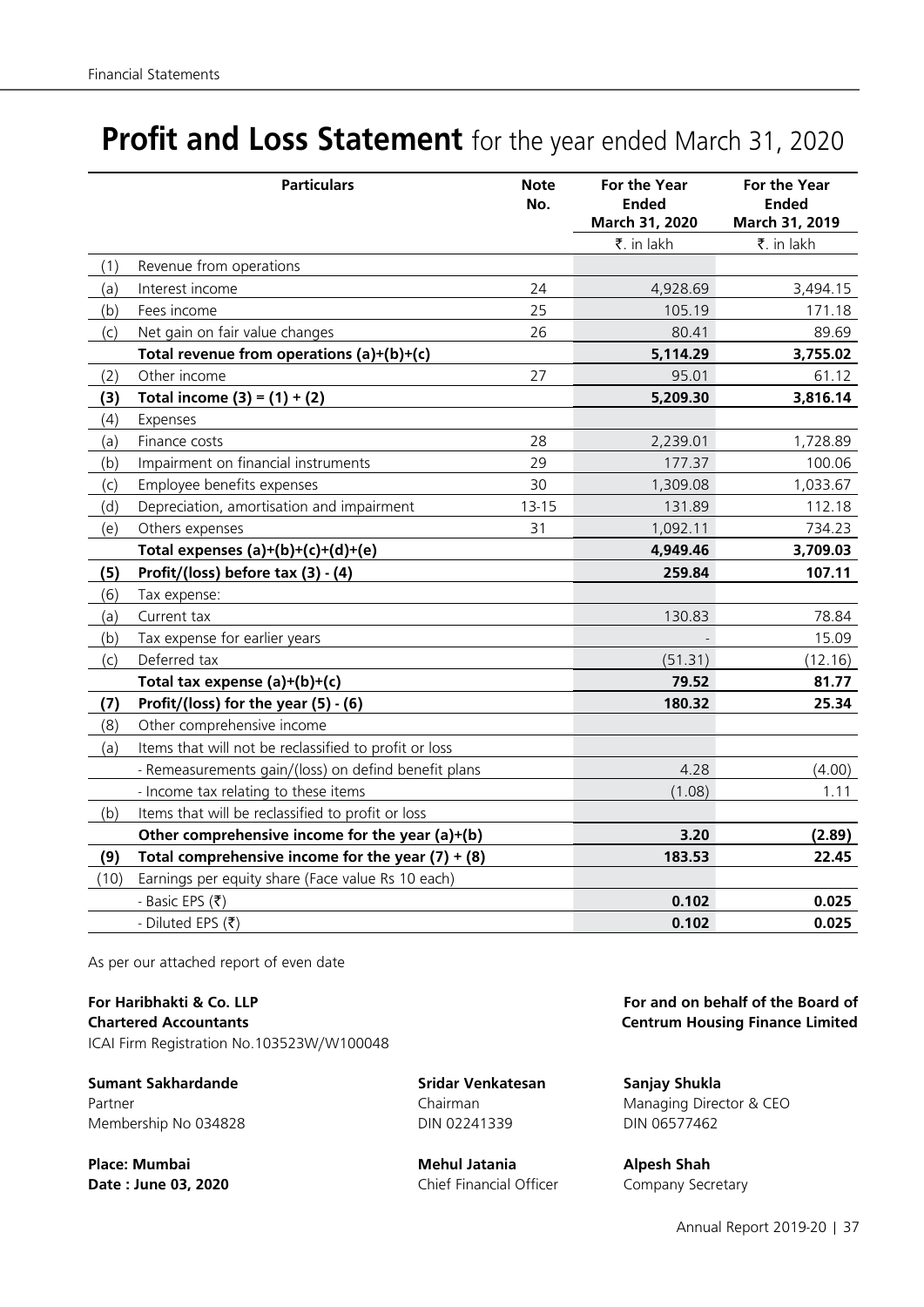# **Profit and Loss Statement** for the year ended March 31, 2020

|      | <b>Particulars</b>                                    | <b>Note</b><br>No. | For the Year<br><b>Ended</b><br>March 31, 2020 | For the Year<br><b>Ended</b><br>March 31, 2019 |
|------|-------------------------------------------------------|--------------------|------------------------------------------------|------------------------------------------------|
|      |                                                       |                    | ₹. in lakh                                     | ₹. in lakh                                     |
| (1)  | Revenue from operations                               |                    |                                                |                                                |
| (a)  | Interest income                                       | 24                 | 4,928.69                                       | 3,494.15                                       |
| (b)  | Fees income                                           | 25                 | 105.19                                         | 171.18                                         |
| (c)  | Net gain on fair value changes                        | 26                 | 80.41                                          | 89.69                                          |
|      | Total revenue from operations (a)+(b)+(c)             |                    | 5,114.29                                       | 3,755.02                                       |
| (2)  | Other income                                          | 27                 | 95.01                                          | 61.12                                          |
| (3)  | Total income $(3) = (1) + (2)$                        |                    | 5,209.30                                       | 3,816.14                                       |
| (4)  | Expenses                                              |                    |                                                |                                                |
| (a)  | Finance costs                                         | 28                 | 2,239.01                                       | 1,728.89                                       |
| (b)  | Impairment on financial instruments                   | 29                 | 177.37                                         | 100.06                                         |
| (c)  | Employee benefits expenses                            | 30                 | 1,309.08                                       | 1,033.67                                       |
| (d)  | Depreciation, amortisation and impairment             | $13 - 15$          | 131.89                                         | 112.18                                         |
| (e)  | Others expenses                                       | 31                 | 1,092.11                                       | 734.23                                         |
|      | Total expenses $(a)+(b)+(c)+(d)+(e)$                  |                    | 4,949.46                                       | 3,709.03                                       |
| (5)  | Profit/(loss) before tax (3) - (4)                    |                    | 259.84                                         | 107.11                                         |
| (6)  | Tax expense:                                          |                    |                                                |                                                |
| (a)  | Current tax                                           |                    | 130.83                                         | 78.84                                          |
| (b)  | Tax expense for earlier years                         |                    |                                                | 15.09                                          |
| (c)  | Deferred tax                                          |                    | (51.31)                                        | (12.16)                                        |
|      | Total tax expense $(a)+(b)+(c)$                       |                    | 79.52                                          | 81.77                                          |
| (7)  | Profit/(loss) for the year $(5) - (6)$                |                    | 180.32                                         | 25.34                                          |
| (8)  | Other comprehensive income                            |                    |                                                |                                                |
| (a)  | Items that will not be reclassified to profit or loss |                    |                                                |                                                |
|      | - Remeasurements gain/(loss) on defind benefit plans  |                    | 4.28                                           | (4.00)                                         |
|      | - Income tax relating to these items                  |                    | (1.08)                                         | 1.11                                           |
| (b)  | Items that will be reclassified to profit or loss     |                    |                                                |                                                |
|      | Other comprehensive income for the year (a)+(b)       |                    | 3.20                                           | (2.89)                                         |
| (9)  | Total comprehensive income for the year $(7) + (8)$   |                    | 183.53                                         | 22.45                                          |
| (10) | Earnings per equity share (Face value Rs 10 each)     |                    |                                                |                                                |
|      | - Basic EPS (₹)                                       |                    | 0.102                                          | 0.025                                          |
|      | - Diluted EPS (₹)                                     |                    | 0.102                                          | 0.025                                          |

As per our attached report of even date

**For Haribhakti & Co. LLP For and on behalf of the Board of Chartered Accountants Centrum Housing Finance Limited** ICAI Firm Registration No.103523W/W100048

**Sumant Sakhardande Sridar Venkatesan Sanjay Shukla** Membership No 034828 DIN 02241339 DIN 06577462

**Place: Mumbai Mehul Jatania Alpesh Shah** 

**Date : June 03, 2020** Chief Financial Officer Company Secretary

Partner **Managing Director & CEO** Chairman Chairman Managing Director & CEO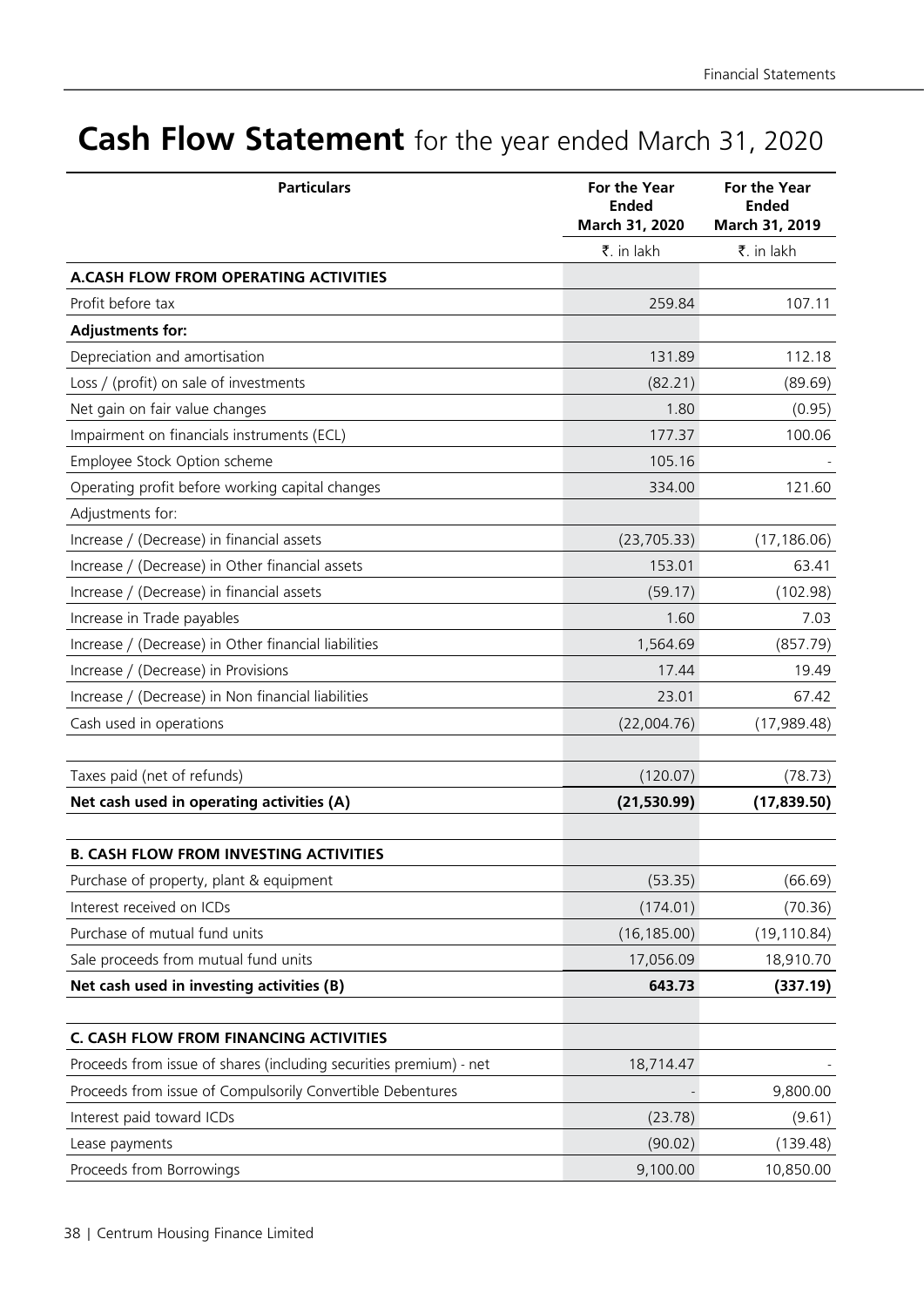# **Cash Flow Statement** for the year ended March 31, 2020

| <b>Particulars</b>                                                 | For the Year<br><b>Ended</b><br>March 31, 2020 | For the Year<br><b>Ended</b><br>March 31, 2019 |
|--------------------------------------------------------------------|------------------------------------------------|------------------------------------------------|
|                                                                    | ₹. in lakh                                     | ₹. in lakh                                     |
| A.CASH FLOW FROM OPERATING ACTIVITIES                              |                                                |                                                |
| Profit before tax                                                  | 259.84                                         | 107.11                                         |
| <b>Adjustments for:</b>                                            |                                                |                                                |
| Depreciation and amortisation                                      | 131.89                                         | 112.18                                         |
| Loss / (profit) on sale of investments                             | (82.21)                                        | (89.69)                                        |
| Net gain on fair value changes                                     | 1.80                                           | (0.95)                                         |
| Impairment on financials instruments (ECL)                         | 177.37                                         | 100.06                                         |
| Employee Stock Option scheme                                       | 105.16                                         |                                                |
| Operating profit before working capital changes                    | 334.00                                         | 121.60                                         |
| Adjustments for:                                                   |                                                |                                                |
| Increase / (Decrease) in financial assets                          | (23, 705.33)                                   | (17, 186.06)                                   |
| Increase / (Decrease) in Other financial assets                    | 153.01                                         | 63.41                                          |
| Increase / (Decrease) in financial assets                          | (59.17)                                        | (102.98)                                       |
| Increase in Trade payables                                         | 1.60                                           | 7.03                                           |
| Increase / (Decrease) in Other financial liabilities               | 1,564.69                                       | (857.79)                                       |
| Increase / (Decrease) in Provisions                                | 17.44                                          | 19.49                                          |
| Increase / (Decrease) in Non financial liabilities                 | 23.01                                          | 67.42                                          |
| Cash used in operations                                            | (22,004.76)                                    | (17,989.48)                                    |
| Taxes paid (net of refunds)                                        | (120.07)                                       | (78.73)                                        |
| Net cash used in operating activities (A)                          | (21,530.99)                                    | (17, 839.50)                                   |
| <b>B. CASH FLOW FROM INVESTING ACTIVITIES</b>                      |                                                |                                                |
| Purchase of property, plant & equipment                            | (53.35)                                        | (66.69)                                        |
| Interest received on ICDs                                          | (174.01)                                       | (70.36)                                        |
| Purchase of mutual fund units                                      | (16, 185.00)                                   | (19, 110.84)                                   |
| Sale proceeds from mutual fund units                               | 17,056.09                                      | 18,910.70                                      |
| Net cash used in investing activities (B)                          | 643.73                                         | (337.19)                                       |
| C. CASH FLOW FROM FINANCING ACTIVITIES                             |                                                |                                                |
| Proceeds from issue of shares (including securities premium) - net | 18,714.47                                      |                                                |
| Proceeds from issue of Compulsorily Convertible Debentures         |                                                | 9,800.00                                       |
| Interest paid toward ICDs                                          | (23.78)                                        | (9.61)                                         |
| Lease payments                                                     | (90.02)                                        | (139.48)                                       |
| Proceeds from Borrowings                                           | 9,100.00                                       | 10,850.00                                      |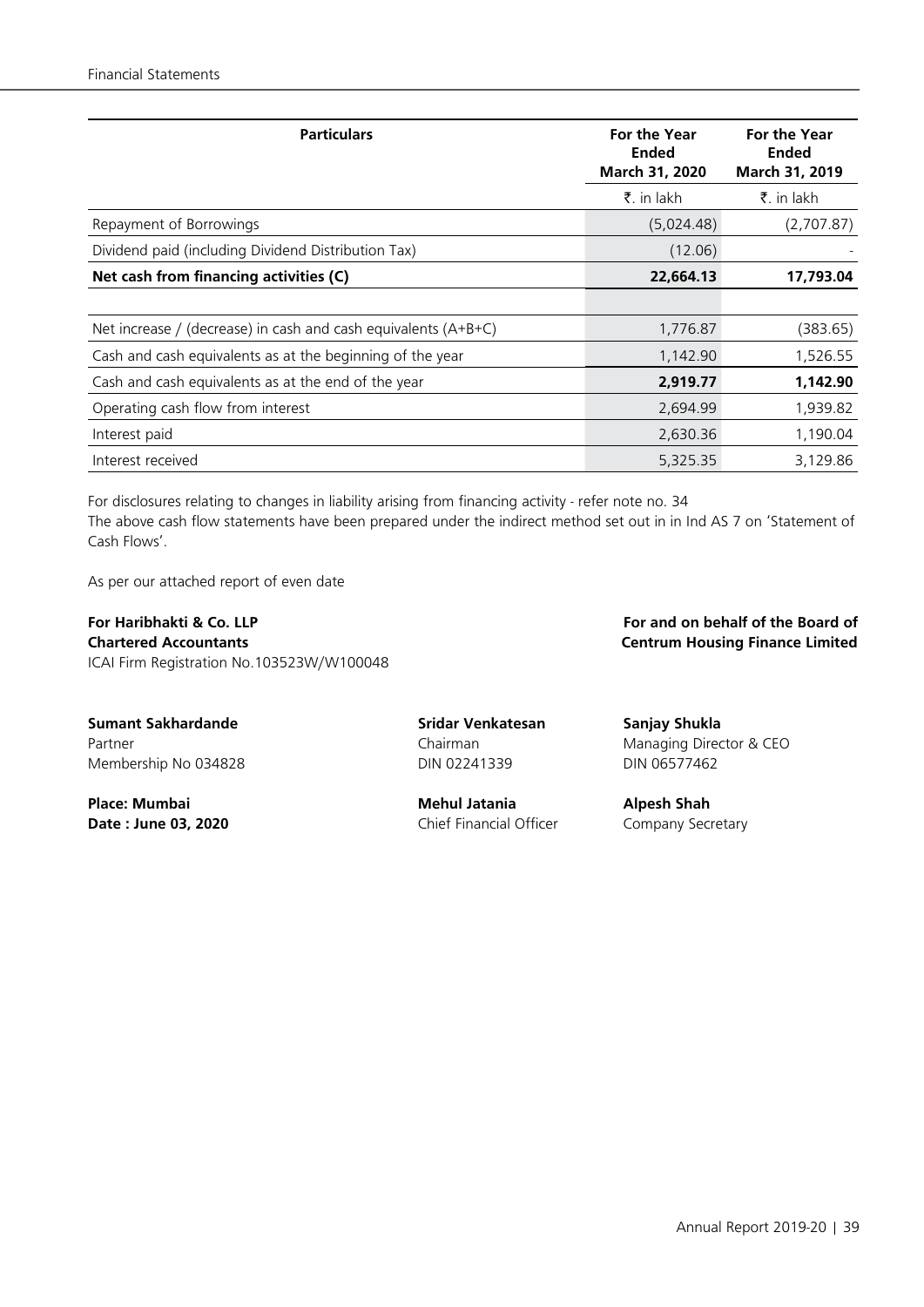| <b>Particulars</b>                                             | <b>For the Year</b><br><b>Ended</b><br>March 31, 2020 | <b>For the Year</b><br><b>Ended</b><br>March 31, 2019 |
|----------------------------------------------------------------|-------------------------------------------------------|-------------------------------------------------------|
|                                                                | ₹. in lakh                                            | ₹. in lakh                                            |
| Repayment of Borrowings                                        | (5,024.48)                                            | (2,707.87)                                            |
| Dividend paid (including Dividend Distribution Tax)            | (12.06)                                               |                                                       |
| Net cash from financing activities (C)                         | 22,664.13                                             | 17,793.04                                             |
|                                                                |                                                       |                                                       |
| Net increase / (decrease) in cash and cash equivalents (A+B+C) | 1,776.87                                              | (383.65)                                              |
| Cash and cash equivalents as at the beginning of the year      | 1,142.90                                              | 1,526.55                                              |
| Cash and cash equivalents as at the end of the year            | 2,919.77                                              | 1,142.90                                              |
| Operating cash flow from interest                              | 2,694.99                                              | 1,939.82                                              |
| Interest paid                                                  | 2,630.36                                              | 1,190.04                                              |
| Interest received                                              | 5,325.35                                              | 3,129.86                                              |

For disclosures relating to changes in liability arising from financing activity - refer note no. 34 The above cash flow statements have been prepared under the indirect method set out in in Ind AS 7 on 'Statement of Cash Flows'.

As per our attached report of even date

**For Haribhakti & Co. LLP For and on behalf of the Board of Chartered Accountants Centrum Housing Finance Limited** ICAI Firm Registration No.103523W/W100048

**Sumant Sakhardande Sridar Venkatesan Sanjay Shukla** Membership No 034828 **DIN 02241339** DIN 06577462

**Place: Mumbai Mehul Jatania Alpesh Shah Date : June 03, 2020** Chief Financial Officer Company Secretary

Partner **Managing Director & CEO** Chairman Chairman Managing Director & CEO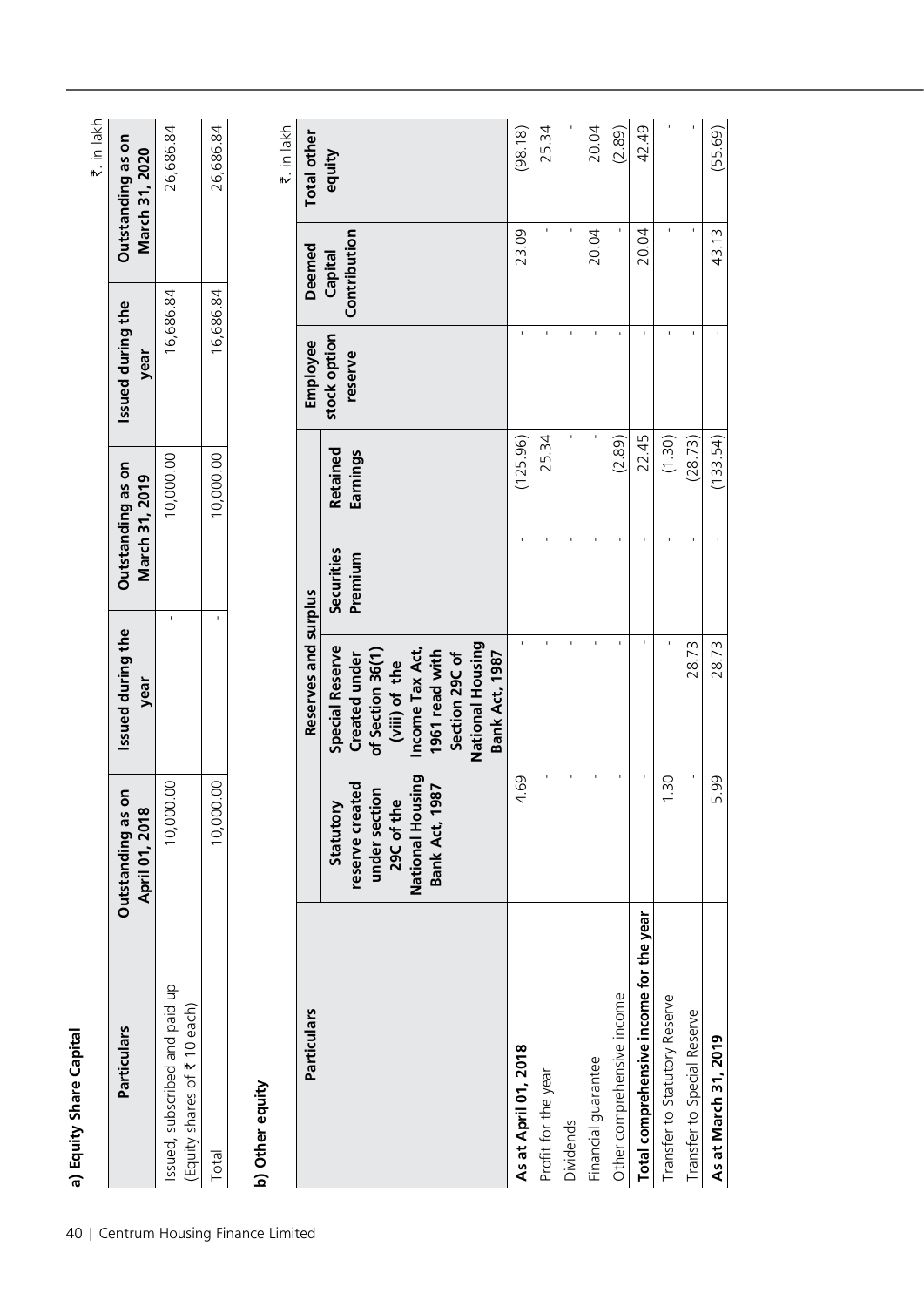|                                                               |                                                                                                      |                                                                                                                                                                                  |                       |                                     |                           |                         | ₹. in lakh                          |
|---------------------------------------------------------------|------------------------------------------------------------------------------------------------------|----------------------------------------------------------------------------------------------------------------------------------------------------------------------------------|-----------------------|-------------------------------------|---------------------------|-------------------------|-------------------------------------|
| <b>Particulars</b>                                            | Outstanding as on<br>April 01, 2018                                                                  | Issued during the<br>year                                                                                                                                                        |                       | Outstanding as on<br>March 31, 2019 | Issued during the<br>year |                         | Outstanding as on<br>March 31, 2020 |
| Issued, subscribed and paid up<br>Equity shares of ₹ 10 each) | 10,000.00                                                                                            |                                                                                                                                                                                  | $\blacksquare$        | 10,000.00                           | 16,686.84                 |                         | 26,686.84                           |
| Total                                                         | 00.00<br>10,00                                                                                       |                                                                                                                                                                                  |                       | 10,000.00                           | 16,686.84                 |                         | 26,686.84                           |
| b) Other equity                                               |                                                                                                      |                                                                                                                                                                                  |                       |                                     |                           |                         | ₹. in lakh                          |
| Particulars                                                   |                                                                                                      | Reserves and surplus                                                                                                                                                             |                       |                                     | Employee                  | <b>Deemed</b>           | <b>Total other</b>                  |
|                                                               | National Housing<br>reserve created<br>1987<br>under section<br>29C of the<br>Statutory<br>Bank Act, | National Housing<br><b>Special Reserve</b><br>Income Tax Act,<br>1961 read with<br>of Section 36(1)<br>Created under<br><b>Bank Act, 1987</b><br>Section 29C of<br>(viii) of the | Securities<br>Premium | Retained<br>Earnings                | stock option<br>reserve   | Contribution<br>Capital | equity                              |
| As at April 01, 2018                                          | 4.69                                                                                                 | $\mathbf{r}$                                                                                                                                                                     | $\mathbf{I}$          | (125.96)                            |                           | 23.09                   | (98.18)                             |
| Profit for the year                                           |                                                                                                      | $\mathbf{r}$                                                                                                                                                                     |                       | 25.34                               |                           |                         | 25.34                               |
| Dividends                                                     | J.                                                                                                   | $\mathbf{r}$                                                                                                                                                                     |                       |                                     |                           |                         |                                     |
| Financial guarantee                                           |                                                                                                      | $\mathbf{r}$                                                                                                                                                                     |                       |                                     |                           | 20.04                   | 20.04                               |
| Other comprehensive income                                    |                                                                                                      | $\mathbf{I}$                                                                                                                                                                     | $\mathbf{I}$          | (2.89)                              | $\mathbf{I}$              |                         | (2.89)                              |
| Total comprehensive income for the year                       |                                                                                                      | $\mathbf{I}$                                                                                                                                                                     | $\mathbf{I}$          | 22.45                               | $\mathbf{I}$              | 20.04                   | 42.49                               |
| Transfer to Statutory Reserve                                 | 1.30                                                                                                 | $\mathbf{I}$                                                                                                                                                                     | $\mathbf{I}$          | (1.30)                              | f,                        | $\blacksquare$          |                                     |
| Transfer to Special Reserve                                   |                                                                                                      | 28.73                                                                                                                                                                            |                       | (28.73)                             |                           | ï                       |                                     |
|                                                               |                                                                                                      |                                                                                                                                                                                  |                       |                                     |                           |                         |                                     |

Transfer to Statutory Reserve 1.30  $\overline{\phantom{0}}$  1.30  $\overline{\phantom{0}}$  1.30  $\overline{\phantom{0}}$  1.30  $\overline{\phantom{0}}$  1.30  $\overline{\phantom{0}}$  1.30  $\overline{\phantom{0}}$  1.30  $\overline{\phantom{0}}$  1.30  $\overline{\phantom{0}}$  1.30  $\overline{\phantom{0}}$  1.30  $\overline{\phantom{0}}$  1.30  $\overline{\phantom{0}}$  1.30 Transfer to Special Reserve - 28.73 - (28.73) - - - **As at March 31, 2019** 5.99 28.73 - (133.54) - 43.13 (55.69)

28.73 28.73

5.99

Transfer to Special Reserve As at March 31, 2019

 $(55.69)$ 

43.13

 $(133.54)$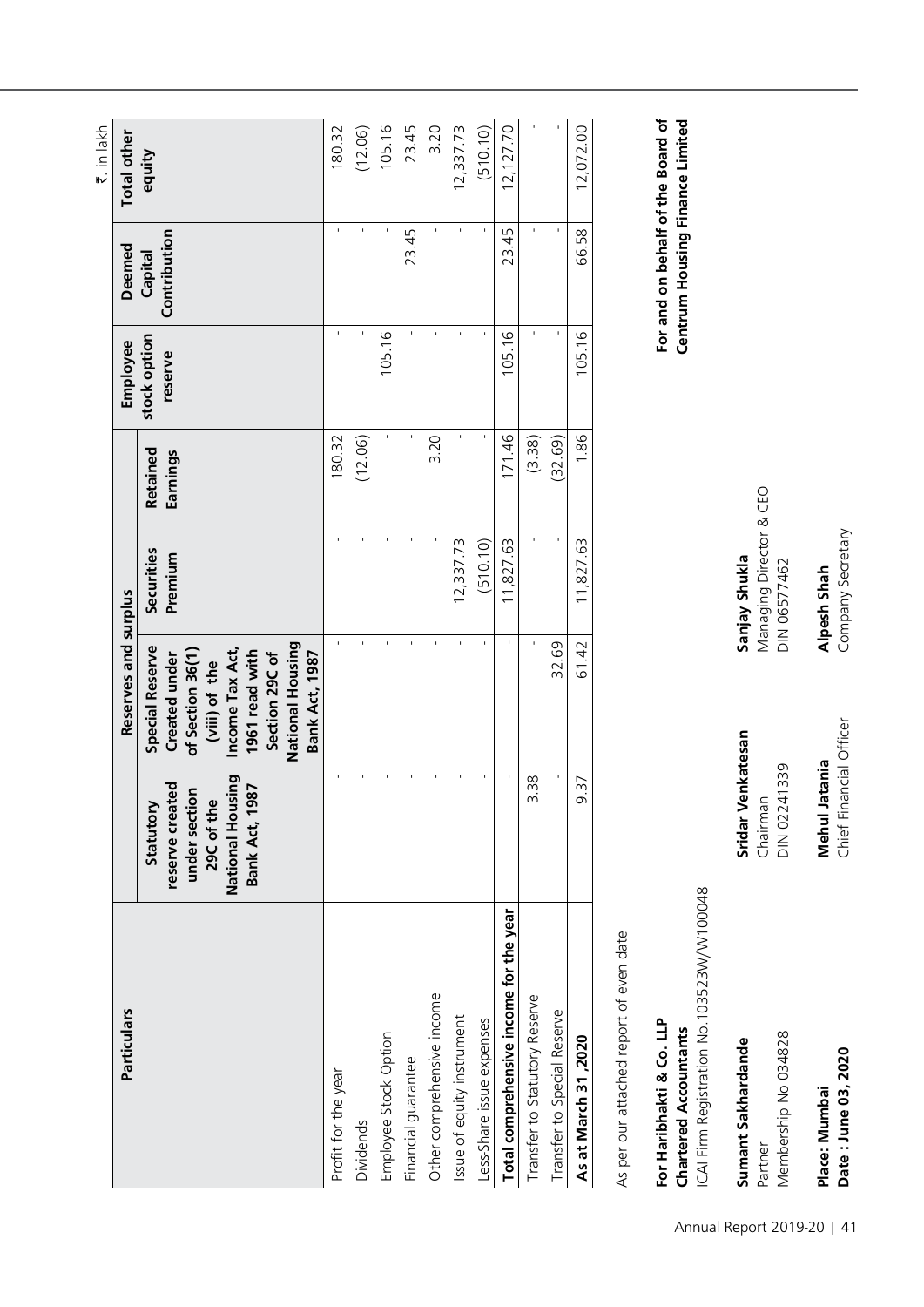|                                         |                                                                                                          |                                                                                                                                                                                  |                       |                      |                         |                         | ₹. in lakh         |
|-----------------------------------------|----------------------------------------------------------------------------------------------------------|----------------------------------------------------------------------------------------------------------------------------------------------------------------------------------|-----------------------|----------------------|-------------------------|-------------------------|--------------------|
| Particulars                             |                                                                                                          | Reserves and surplus                                                                                                                                                             |                       |                      | Employee                | <b>Deemed</b>           | <b>Total other</b> |
|                                         | National Housing<br>reserve created<br><b>Bank Act, 1987</b><br>under section<br>29C of the<br>Statutory | National Housing<br><b>Special Reserve</b><br>Income Tax Act,<br>1961 read with<br>Created under<br>of Section 36(1)<br>Section 29C of<br><b>Bank Act, 1987</b><br>(viii) of the | Securities<br>Premium | Retained<br>Earnings | stock option<br>reserve | Contribution<br>Capital | equity             |
| Profit for the year                     |                                                                                                          |                                                                                                                                                                                  |                       | 180.32               |                         |                         | 180.32             |
| Dividends                               | f,                                                                                                       |                                                                                                                                                                                  | ï                     | (12.06)              |                         |                         | (12.06)            |
| Employee Stock Option                   | ı                                                                                                        |                                                                                                                                                                                  |                       |                      | 105.16                  |                         | 105.16             |
| Financial guarantee                     | ı                                                                                                        |                                                                                                                                                                                  |                       |                      |                         | 23.45                   | 23.45              |
| Other comprehensive income              | ı                                                                                                        |                                                                                                                                                                                  | f,                    | 3.20                 |                         |                         | 3.20               |
| Issue of equity instrument              | ٠                                                                                                        |                                                                                                                                                                                  | 12,337.73             |                      |                         | Ĭ.                      | 12,337.73          |
| Less-Share issue expenses               |                                                                                                          |                                                                                                                                                                                  | (510.10)              |                      |                         |                         | (510.10)           |
| Total comprehensive income for the year | ı                                                                                                        | f,                                                                                                                                                                               | 11,827.63             | 171.46               | 105.16                  | 23.45                   | 12,127.70          |
| Transfer to Statutory Reserve           | 3.38                                                                                                     |                                                                                                                                                                                  |                       | (3.38)               |                         |                         |                    |
| Transfer to Special Reserve             | ı                                                                                                        | 32.69                                                                                                                                                                            | ı                     | (32.69)              |                         | f,                      |                    |
| As at March 31, 2020                    | 9.37                                                                                                     | 61.42                                                                                                                                                                            | 11,827.63             | 1.86                 | 105.16                  | 66.58                   | 12,072.00          |
|                                         |                                                                                                          |                                                                                                                                                                                  |                       |                      |                         |                         |                    |

As per our attached report of even date As per our attached report of even date

# **For Haribhakti & Co. LLP For and on behalf of the Board of Chartered Accountants Centrum Housing Finance Limited** CAI Firm Registration No.103523W/W100048 ICAI Firm Registration No.103523W/W100048 For Haribhakti & Co. LLP **Chartered Accountants**

Partner Chairman Managing Director & CEO **Sumant Sakhardande Sridar Venkatesan Sanjay Shukla** Sumant Sakhardande

Membership No 034828 DIN 02241339 DIN 06577462 Membership No 034828 Partner

Date: June 03, 2020 Place: Mumbai

Chairman<br>DIN 02241339

Sridar Venkatesan

**Place: Mumbai Mehul Jatania Alpesh Shah**  Chief Financial Officer **Mehul Jatania** 

Managing Director & CEO<br>DIN 06577462 Sanjay Shukla

Alpesh Shah<br>Company Secretary

**Date : June 03, 2020** Chief Financial Officer Company Secretary

For and on behalf of the Board of Centrum Housing Finance Limited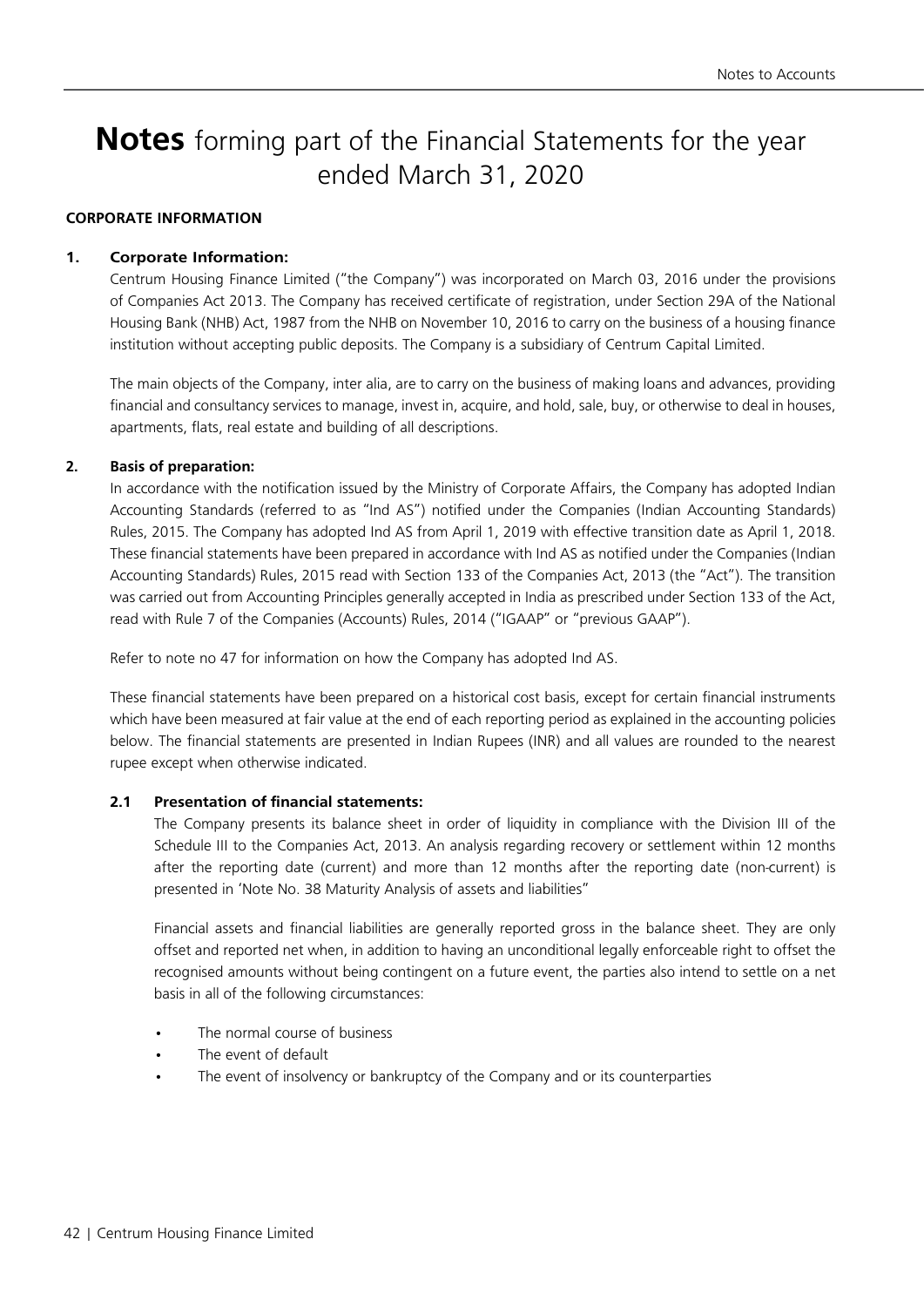# **Notes** forming part of the Financial Statements for the year ended March 31, 2020

### **CORPORATE INFORMATION**

### **1. Corporate Information:**

Centrum Housing Finance Limited ("the Company") was incorporated on March 03, 2016 under the provisions of Companies Act 2013. The Company has received certificate of registration, under Section 29A of the National Housing Bank (NHB) Act, 1987 from the NHB on November 10, 2016 to carry on the business of a housing finance institution without accepting public deposits. The Company is a subsidiary of Centrum Capital Limited.

The main objects of the Company, inter alia, are to carry on the business of making loans and advances, providing financial and consultancy services to manage, invest in, acquire, and hold, sale, buy, or otherwise to deal in houses, apartments, flats, real estate and building of all descriptions.

### **2. Basis of preparation:**

In accordance with the notification issued by the Ministry of Corporate Affairs, the Company has adopted Indian Accounting Standards (referred to as "Ind AS") notified under the Companies (Indian Accounting Standards) Rules, 2015. The Company has adopted Ind AS from April 1, 2019 with effective transition date as April 1, 2018. These financial statements have been prepared in accordance with Ind AS as notified under the Companies (Indian Accounting Standards) Rules, 2015 read with Section 133 of the Companies Act, 2013 (the "Act"). The transition was carried out from Accounting Principles generally accepted in India as prescribed under Section 133 of the Act, read with Rule 7 of the Companies (Accounts) Rules, 2014 ("IGAAP" or "previous GAAP").

Refer to note no 47 for information on how the Company has adopted Ind AS.

These financial statements have been prepared on a historical cost basis, except for certain financial instruments which have been measured at fair value at the end of each reporting period as explained in the accounting policies below. The financial statements are presented in Indian Rupees (INR) and all values are rounded to the nearest rupee except when otherwise indicated.

### **2.1 Presentation of financial statements:**

The Company presents its balance sheet in order of liquidity in compliance with the Division III of the Schedule III to the Companies Act, 2013. An analysis regarding recovery or settlement within 12 months after the reporting date (current) and more than 12 months after the reporting date (non-current) is presented in 'Note No. 38 Maturity Analysis of assets and liabilities"

Financial assets and financial liabilities are generally reported gross in the balance sheet. They are only offset and reported net when, in addition to having an unconditional legally enforceable right to offset the recognised amounts without being contingent on a future event, the parties also intend to settle on a net basis in all of the following circumstances:

- The normal course of business
- The event of default
- The event of insolvency or bankruptcy of the Company and or its counterparties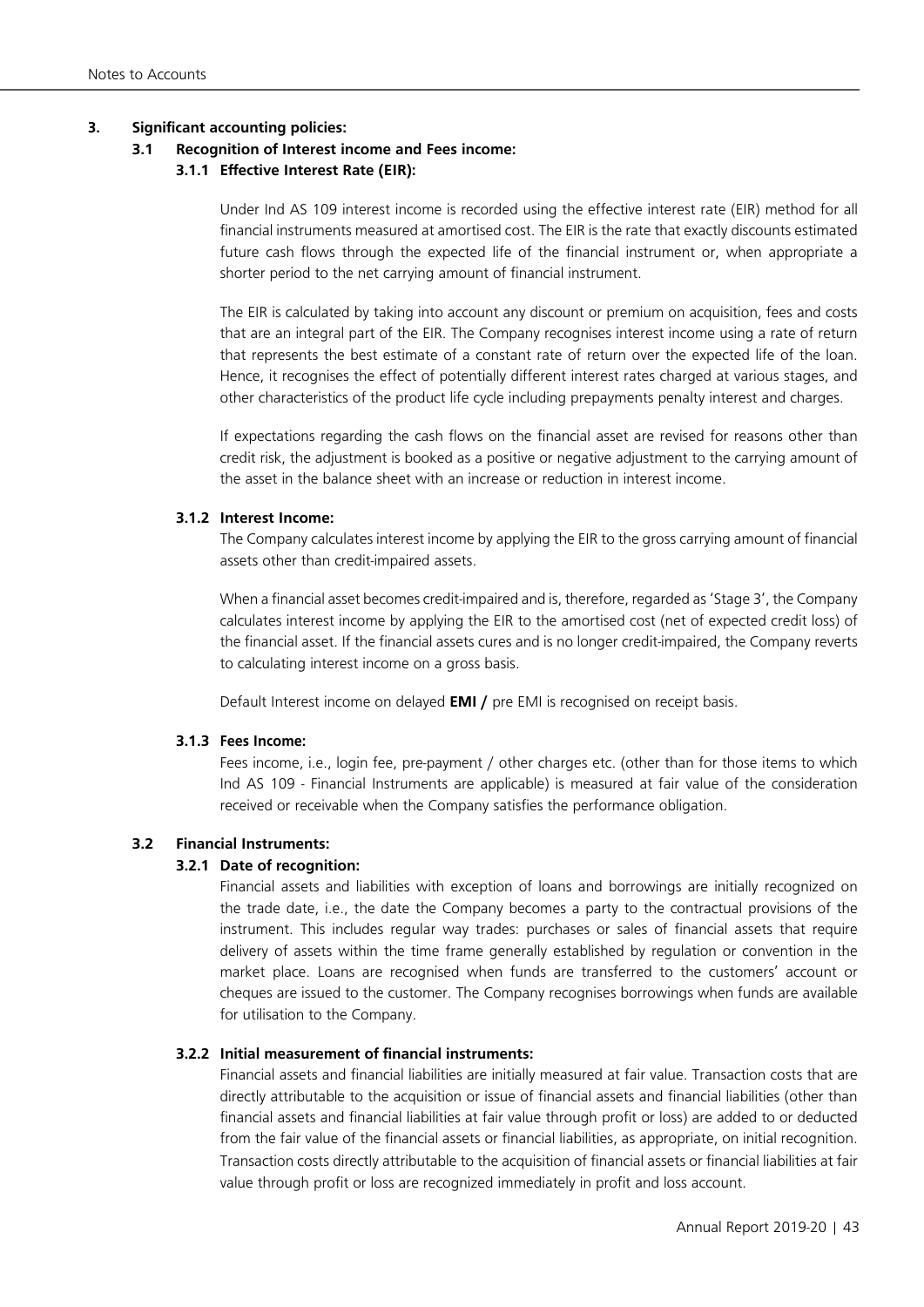### **3. Significant accounting policies:**

### **3.1 Recognition of Interest income and Fees income:**

### **3.1.1 Effective Interest Rate (EIR):**

Under Ind AS 109 interest income is recorded using the effective interest rate (EIR) method for all financial instruments measured at amortised cost. The EIR is the rate that exactly discounts estimated future cash flows through the expected life of the financial instrument or, when appropriate a shorter period to the net carrying amount of financial instrument.

The EIR is calculated by taking into account any discount or premium on acquisition, fees and costs that are an integral part of the EIR. The Company recognises interest income using a rate of return that represents the best estimate of a constant rate of return over the expected life of the loan. Hence, it recognises the effect of potentially different interest rates charged at various stages, and other characteristics of the product life cycle including prepayments penalty interest and charges.

If expectations regarding the cash flows on the financial asset are revised for reasons other than credit risk, the adjustment is booked as a positive or negative adjustment to the carrying amount of the asset in the balance sheet with an increase or reduction in interest income.

### **3.1.2 Interest Income:**

The Company calculates interest income by applying the EIR to the gross carrying amount of financial assets other than credit-impaired assets.

When a financial asset becomes credit-impaired and is, therefore, regarded as 'Stage 3', the Company calculates interest income by applying the EIR to the amortised cost (net of expected credit loss) of the financial asset. If the financial assets cures and is no longer credit-impaired, the Company reverts to calculating interest income on a gross basis.

Default Interest income on delayed **EMI /** pre EMI is recognised on receipt basis.

### **3.1.3 Fees Income:**

Fees income, i.e., login fee, pre-payment / other charges etc. (other than for those items to which Ind AS 109 - Financial Instruments are applicable) is measured at fair value of the consideration received or receivable when the Company satisfies the performance obligation.

### **3.2 Financial Instruments:**

### **3.2.1 Date of recognition:**

Financial assets and liabilities with exception of loans and borrowings are initially recognized on the trade date, i.e., the date the Company becomes a party to the contractual provisions of the instrument. This includes regular way trades: purchases or sales of financial assets that require delivery of assets within the time frame generally established by regulation or convention in the market place. Loans are recognised when funds are transferred to the customers' account or cheques are issued to the customer. The Company recognises borrowings when funds are available for utilisation to the Company.

### **3.2.2 Initial measurement of financial instruments:**

Financial assets and financial liabilities are initially measured at fair value. Transaction costs that are directly attributable to the acquisition or issue of financial assets and financial liabilities (other than financial assets and financial liabilities at fair value through profit or loss) are added to or deducted from the fair value of the financial assets or financial liabilities, as appropriate, on initial recognition. Transaction costs directly attributable to the acquisition of financial assets or financial liabilities at fair value through profit or loss are recognized immediately in profit and loss account.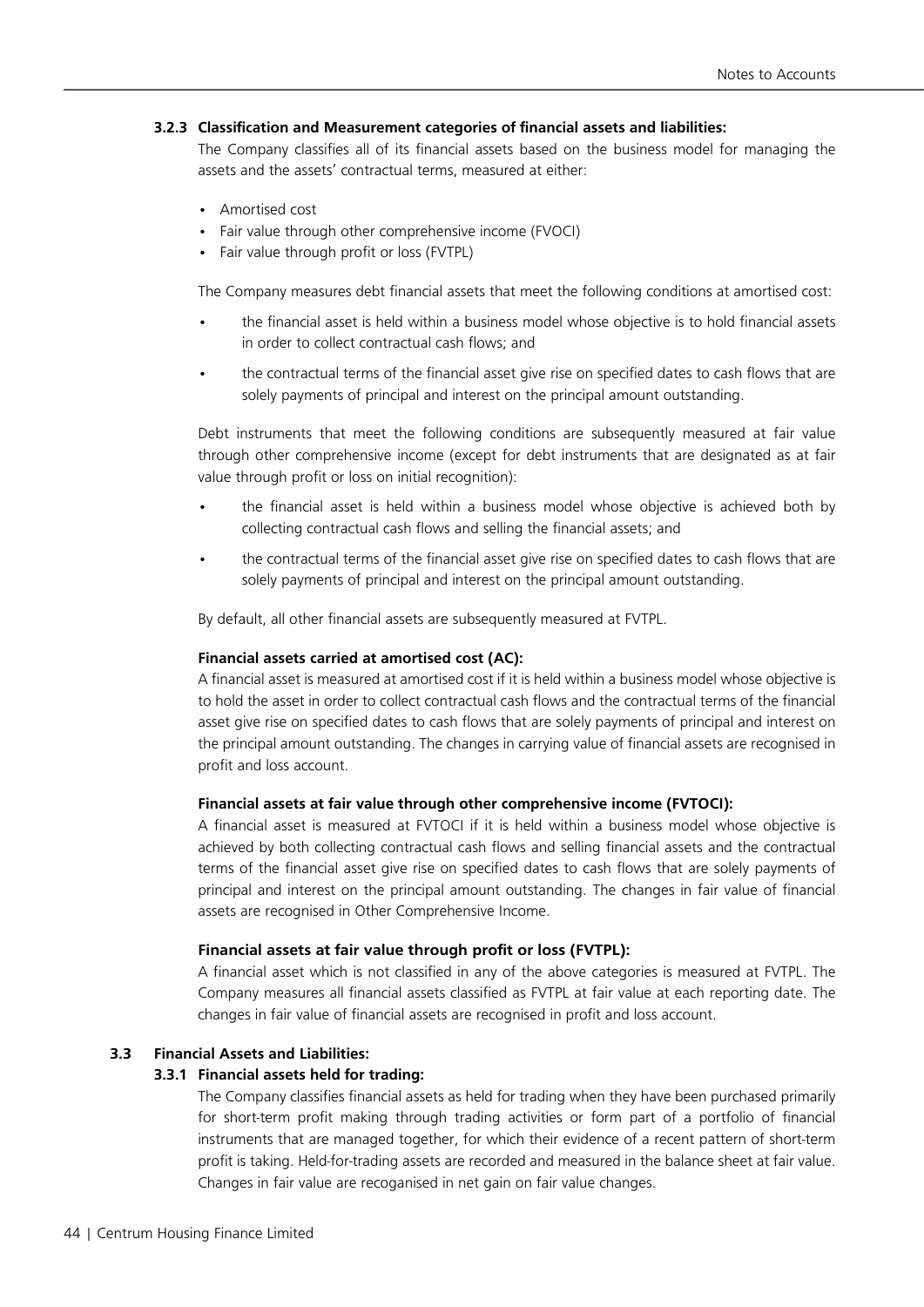### **3.2.3 Classification and Measurement categories of financial assets and liabilities:**

The Company classifies all of its financial assets based on the business model for managing the assets and the assets' contractual terms, measured at either:

- • Amortised cost
- Fair value through other comprehensive income (FVOCI)
- Fair value through profit or loss (FVTPL)

The Company measures debt financial assets that meet the following conditions at amortised cost:

- the financial asset is held within a business model whose objective is to hold financial assets in order to collect contractual cash flows; and
- the contractual terms of the financial asset give rise on specified dates to cash flows that are solely payments of principal and interest on the principal amount outstanding.

Debt instruments that meet the following conditions are subsequently measured at fair value through other comprehensive income (except for debt instruments that are designated as at fair value through profit or loss on initial recognition):

- the financial asset is held within a business model whose objective is achieved both by collecting contractual cash flows and selling the financial assets; and
- the contractual terms of the financial asset give rise on specified dates to cash flows that are solely payments of principal and interest on the principal amount outstanding.

By default, all other financial assets are subsequently measured at FVTPL.

### **Financial assets carried at amortised cost (AC):**

A financial asset is measured at amortised cost if it is held within a business model whose objective is to hold the asset in order to collect contractual cash flows and the contractual terms of the financial asset give rise on specified dates to cash flows that are solely payments of principal and interest on the principal amount outstanding. The changes in carrying value of financial assets are recognised in profit and loss account.

### **Financial assets at fair value through other comprehensive income (FVTOCI):**

A financial asset is measured at FVTOCI if it is held within a business model whose objective is achieved by both collecting contractual cash flows and selling financial assets and the contractual terms of the financial asset give rise on specified dates to cash flows that are solely payments of principal and interest on the principal amount outstanding. The changes in fair value of financial assets are recognised in Other Comprehensive Income.

### **Financial assets at fair value through profit or loss (FVTPL):**

A financial asset which is not classified in any of the above categories is measured at FVTPL. The Company measures all financial assets classified as FVTPL at fair value at each reporting date. The changes in fair value of financial assets are recognised in profit and loss account.

### **3.3 Financial Assets and Liabilities:**

### **3.3.1 Financial assets held for trading:**

The Company classifies financial assets as held for trading when they have been purchased primarily for short-term profit making through trading activities or form part of a portfolio of financial instruments that are managed together, for which their evidence of a recent pattern of short-term profit is taking. Held-for-trading assets are recorded and measured in the balance sheet at fair value. Changes in fair value are recoganised in net gain on fair value changes.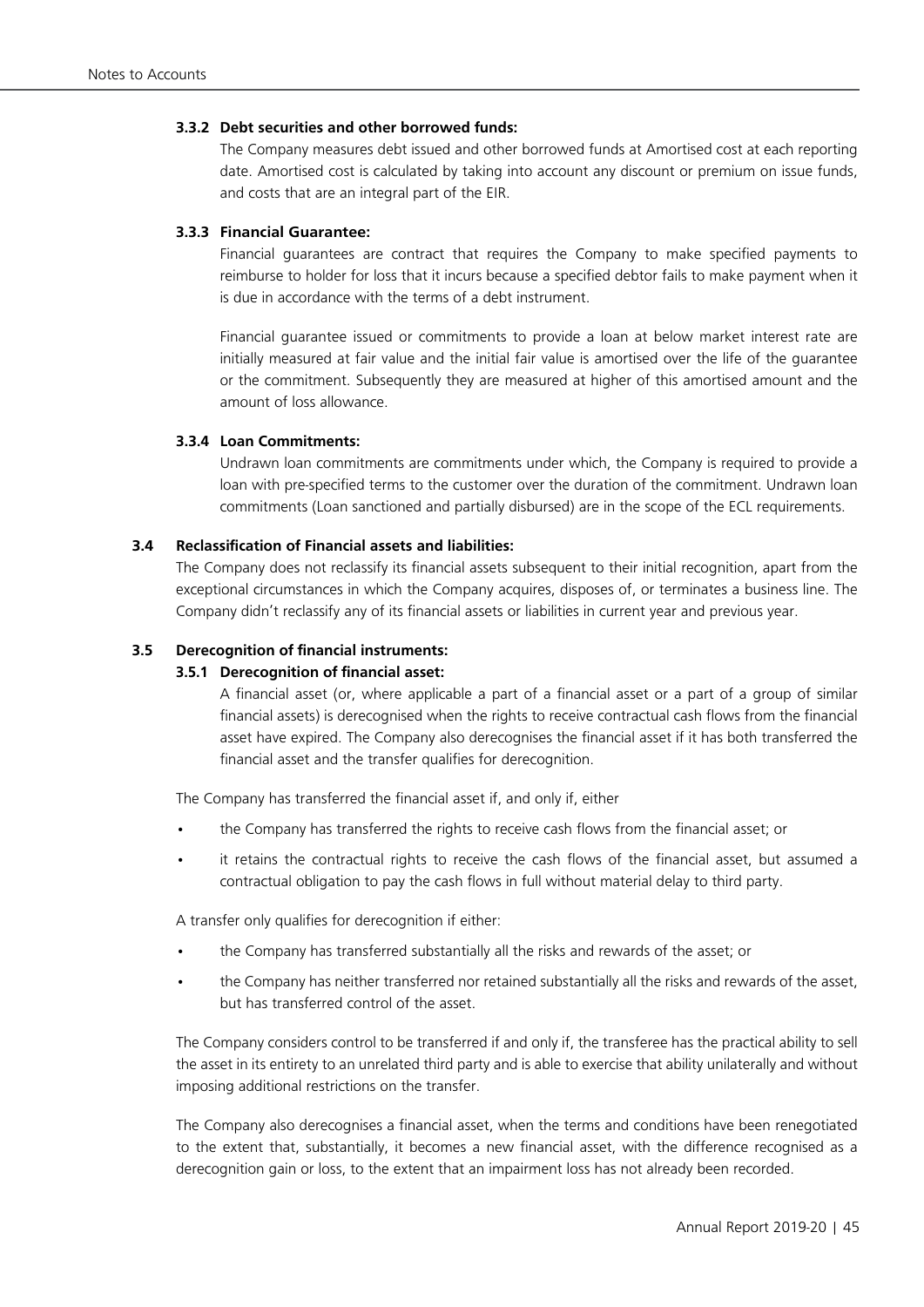### **3.3.2 Debt securities and other borrowed funds:**

The Company measures debt issued and other borrowed funds at Amortised cost at each reporting date. Amortised cost is calculated by taking into account any discount or premium on issue funds, and costs that are an integral part of the EIR.

### **3.3.3 Financial Guarantee:**

Financial guarantees are contract that requires the Company to make specified payments to reimburse to holder for loss that it incurs because a specified debtor fails to make payment when it is due in accordance with the terms of a debt instrument.

Financial guarantee issued or commitments to provide a loan at below market interest rate are initially measured at fair value and the initial fair value is amortised over the life of the guarantee or the commitment. Subsequently they are measured at higher of this amortised amount and the amount of loss allowance.

### **3.3.4 Loan Commitments:**

Undrawn loan commitments are commitments under which, the Company is required to provide a loan with pre-specified terms to the customer over the duration of the commitment. Undrawn loan commitments (Loan sanctioned and partially disbursed) are in the scope of the ECL requirements.

### **3.4 Reclassification of Financial assets and liabilities:**

The Company does not reclassify its financial assets subsequent to their initial recognition, apart from the exceptional circumstances in which the Company acquires, disposes of, or terminates a business line. The Company didn't reclassify any of its financial assets or liabilities in current year and previous year.

### **3.5 Derecognition of financial instruments:**

### **3.5.1 Derecognition of financial asset:**

A financial asset (or, where applicable a part of a financial asset or a part of a group of similar financial assets) is derecognised when the rights to receive contractual cash flows from the financial asset have expired. The Company also derecognises the financial asset if it has both transferred the financial asset and the transfer qualifies for derecognition.

The Company has transferred the financial asset if, and only if, either

- the Company has transferred the rights to receive cash flows from the financial asset; or
- it retains the contractual rights to receive the cash flows of the financial asset, but assumed a contractual obligation to pay the cash flows in full without material delay to third party.

A transfer only qualifies for derecognition if either:

- the Company has transferred substantially all the risks and rewards of the asset; or
- the Company has neither transferred nor retained substantially all the risks and rewards of the asset, but has transferred control of the asset.

 The Company considers control to be transferred if and only if, the transferee has the practical ability to sell the asset in its entirety to an unrelated third party and is able to exercise that ability unilaterally and without imposing additional restrictions on the transfer.

The Company also derecognises a financial asset, when the terms and conditions have been renegotiated to the extent that, substantially, it becomes a new financial asset, with the difference recognised as a derecognition gain or loss, to the extent that an impairment loss has not already been recorded.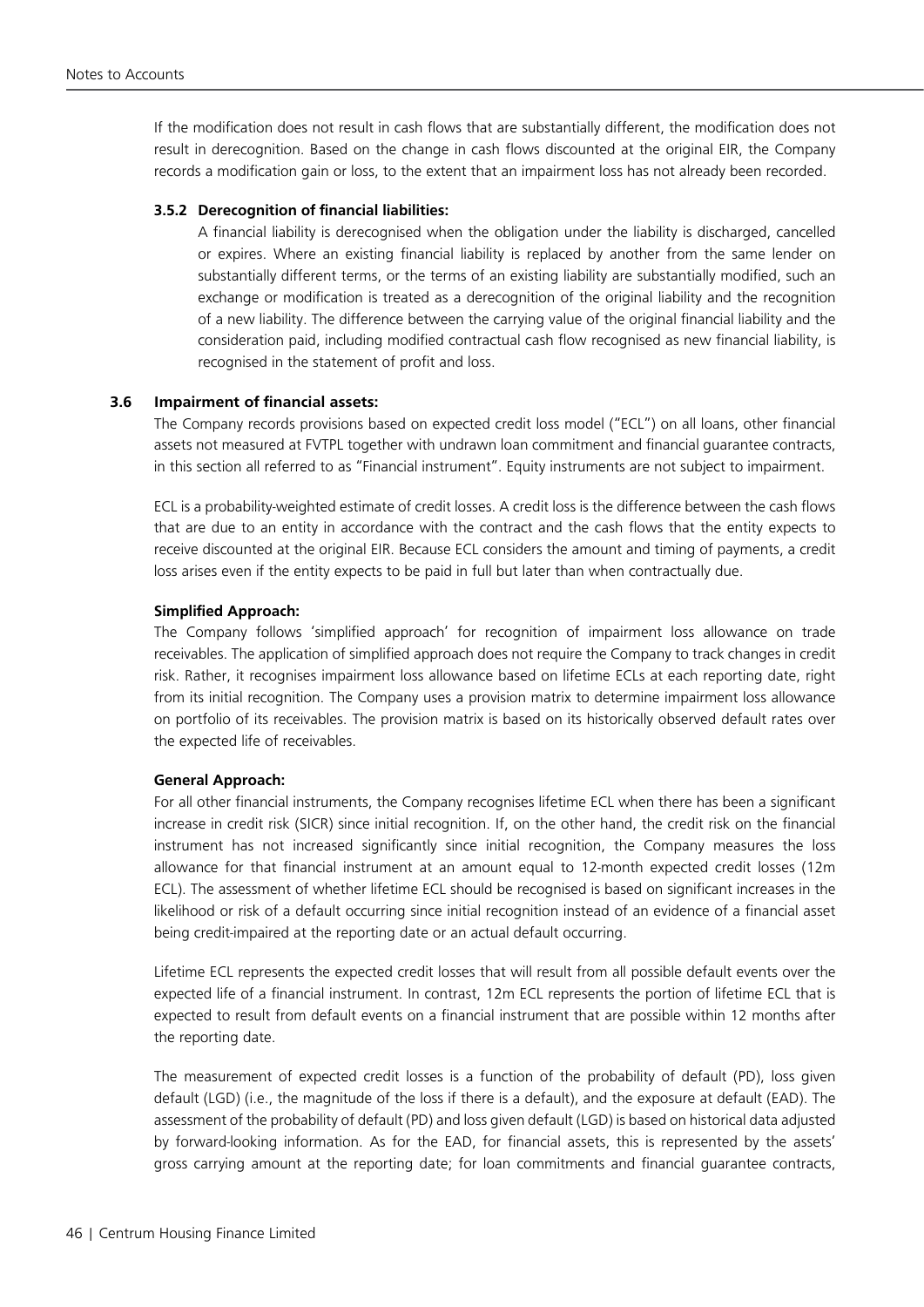If the modification does not result in cash flows that are substantially different, the modification does not result in derecognition. Based on the change in cash flows discounted at the original EIR, the Company records a modification gain or loss, to the extent that an impairment loss has not already been recorded.

### **3.5.2 Derecognition of financial liabilities:**

A financial liability is derecognised when the obligation under the liability is discharged, cancelled or expires. Where an existing financial liability is replaced by another from the same lender on substantially different terms, or the terms of an existing liability are substantially modified, such an exchange or modification is treated as a derecognition of the original liability and the recognition of a new liability. The difference between the carrying value of the original financial liability and the consideration paid, including modified contractual cash flow recognised as new financial liability, is recognised in the statement of profit and loss.

### **3.6 Impairment of financial assets:**

The Company records provisions based on expected credit loss model ("ECL") on all loans, other financial assets not measured at FVTPL together with undrawn loan commitment and financial guarantee contracts, in this section all referred to as "Financial instrument". Equity instruments are not subject to impairment.

ECL is a probability-weighted estimate of credit losses. A credit loss is the difference between the cash flows that are due to an entity in accordance with the contract and the cash flows that the entity expects to receive discounted at the original EIR. Because ECL considers the amount and timing of payments, a credit loss arises even if the entity expects to be paid in full but later than when contractually due.

### **Simplified Approach:**

The Company follows 'simplified approach' for recognition of impairment loss allowance on trade receivables. The application of simplified approach does not require the Company to track changes in credit risk. Rather, it recognises impairment loss allowance based on lifetime ECLs at each reporting date, right from its initial recognition. The Company uses a provision matrix to determine impairment loss allowance on portfolio of its receivables. The provision matrix is based on its historically observed default rates over the expected life of receivables.

### **General Approach:**

For all other financial instruments, the Company recognises lifetime ECL when there has been a significant increase in credit risk (SICR) since initial recognition. If, on the other hand, the credit risk on the financial instrument has not increased significantly since initial recognition, the Company measures the loss allowance for that financial instrument at an amount equal to 12-month expected credit losses (12m ECL). The assessment of whether lifetime ECL should be recognised is based on significant increases in the likelihood or risk of a default occurring since initial recognition instead of an evidence of a financial asset being credit-impaired at the reporting date or an actual default occurring.

Lifetime ECL represents the expected credit losses that will result from all possible default events over the expected life of a financial instrument. In contrast, 12m ECL represents the portion of lifetime ECL that is expected to result from default events on a financial instrument that are possible within 12 months after the reporting date.

The measurement of expected credit losses is a function of the probability of default (PD), loss given default (LGD) (i.e., the magnitude of the loss if there is a default), and the exposure at default (EAD). The assessment of the probability of default (PD) and loss given default (LGD) is based on historical data adjusted by forward-looking information. As for the EAD, for financial assets, this is represented by the assets' gross carrying amount at the reporting date; for loan commitments and financial guarantee contracts,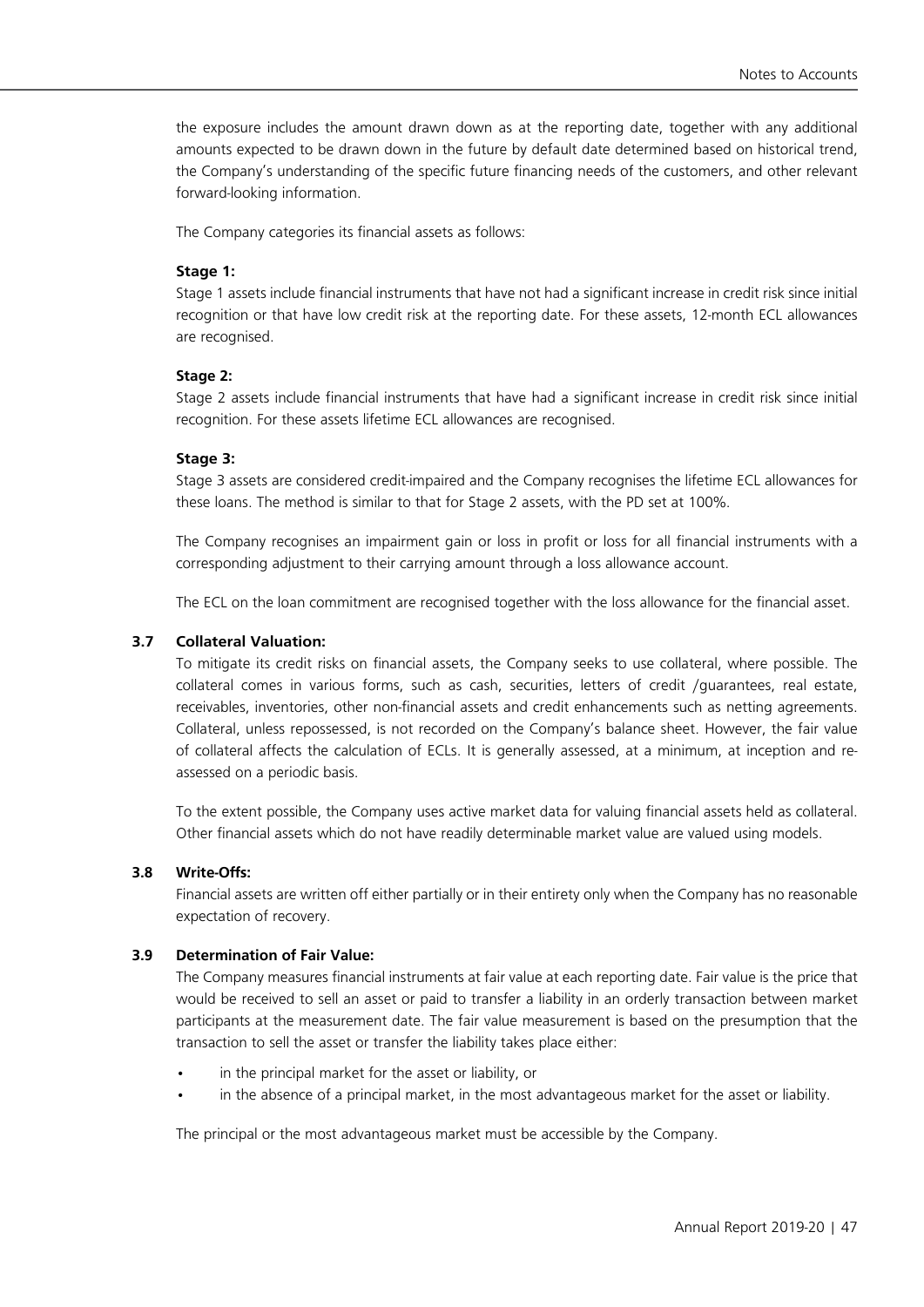the exposure includes the amount drawn down as at the reporting date, together with any additional amounts expected to be drawn down in the future by default date determined based on historical trend, the Company's understanding of the specific future financing needs of the customers, and other relevant forward-looking information.

The Company categories its financial assets as follows:

### **Stage 1:**

Stage 1 assets include financial instruments that have not had a significant increase in credit risk since initial recognition or that have low credit risk at the reporting date. For these assets, 12-month ECL allowances are recognised.

### **Stage 2:**

Stage 2 assets include financial instruments that have had a significant increase in credit risk since initial recognition. For these assets lifetime ECL allowances are recognised.

### **Stage 3:**

Stage 3 assets are considered credit-impaired and the Company recognises the lifetime ECL allowances for these loans. The method is similar to that for Stage 2 assets, with the PD set at 100%.

The Company recognises an impairment gain or loss in profit or loss for all financial instruments with a corresponding adjustment to their carrying amount through a loss allowance account.

The ECL on the loan commitment are recognised together with the loss allowance for the financial asset.

### **3.7 Collateral Valuation:**

To mitigate its credit risks on financial assets, the Company seeks to use collateral, where possible. The collateral comes in various forms, such as cash, securities, letters of credit /guarantees, real estate, receivables, inventories, other non-financial assets and credit enhancements such as netting agreements. Collateral, unless repossessed, is not recorded on the Company's balance sheet. However, the fair value of collateral affects the calculation of ECLs. It is generally assessed, at a minimum, at inception and reassessed on a periodic basis.

To the extent possible, the Company uses active market data for valuing financial assets held as collateral. Other financial assets which do not have readily determinable market value are valued using models.

### **3.8 Write-Offs:**

Financial assets are written off either partially or in their entirety only when the Company has no reasonable expectation of recovery.

### **3.9 Determination of Fair Value:**

The Company measures financial instruments at fair value at each reporting date. Fair value is the price that would be received to sell an asset or paid to transfer a liability in an orderly transaction between market participants at the measurement date. The fair value measurement is based on the presumption that the transaction to sell the asset or transfer the liability takes place either:

- in the principal market for the asset or liability, or
- in the absence of a principal market, in the most advantageous market for the asset or liability.

The principal or the most advantageous market must be accessible by the Company.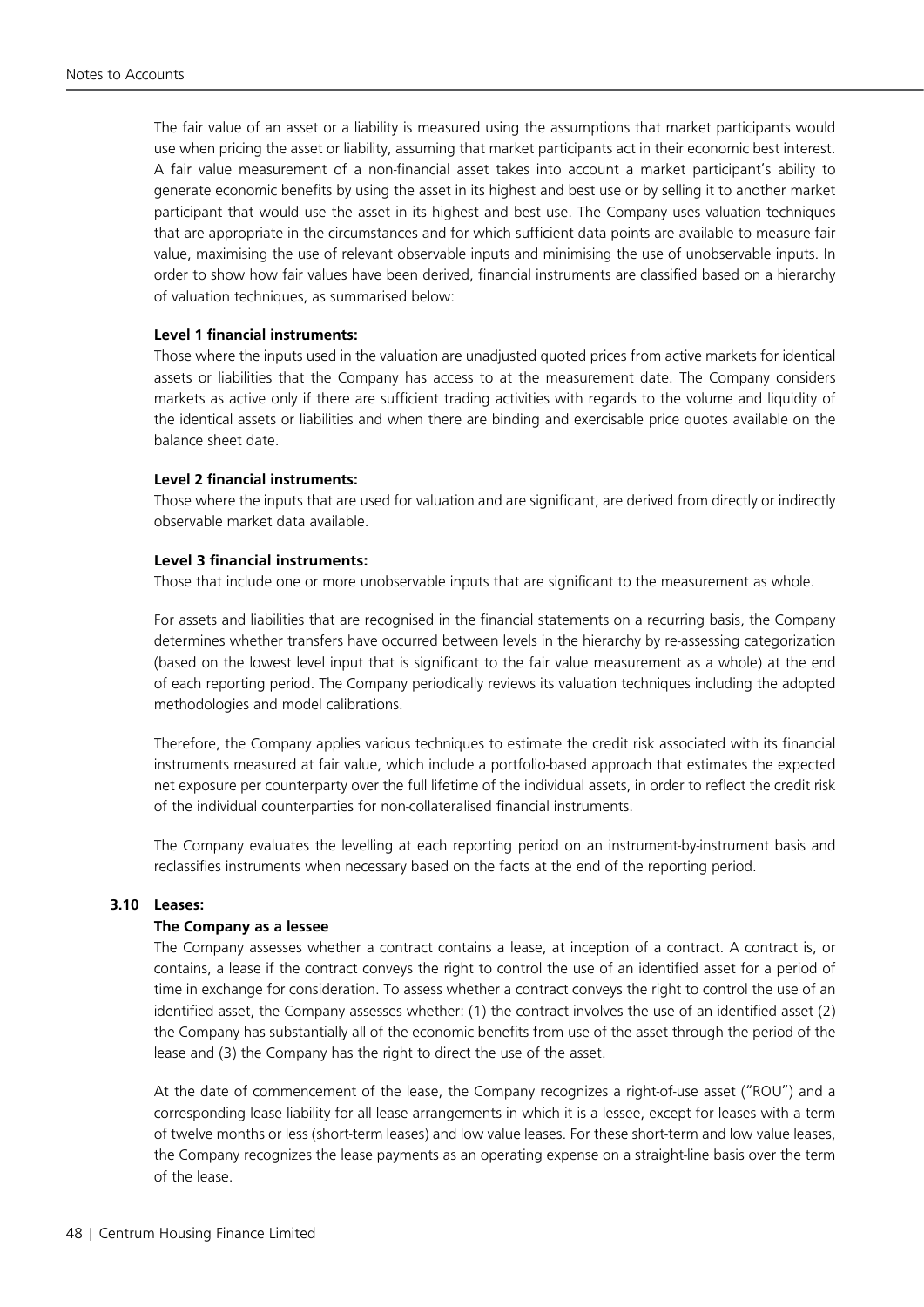The fair value of an asset or a liability is measured using the assumptions that market participants would use when pricing the asset or liability, assuming that market participants act in their economic best interest. A fair value measurement of a non-financial asset takes into account a market participant's ability to generate economic benefits by using the asset in its highest and best use or by selling it to another market participant that would use the asset in its highest and best use. The Company uses valuation techniques that are appropriate in the circumstances and for which sufficient data points are available to measure fair value, maximising the use of relevant observable inputs and minimising the use of unobservable inputs. In order to show how fair values have been derived, financial instruments are classified based on a hierarchy of valuation techniques, as summarised below:

### **Level 1 financial instruments:**

Those where the inputs used in the valuation are unadjusted quoted prices from active markets for identical assets or liabilities that the Company has access to at the measurement date. The Company considers markets as active only if there are sufficient trading activities with regards to the volume and liquidity of the identical assets or liabilities and when there are binding and exercisable price quotes available on the balance sheet date.

### **Level 2 financial instruments:**

Those where the inputs that are used for valuation and are significant, are derived from directly or indirectly observable market data available.

### **Level 3 financial instruments:**

Those that include one or more unobservable inputs that are significant to the measurement as whole.

For assets and liabilities that are recognised in the financial statements on a recurring basis, the Company determines whether transfers have occurred between levels in the hierarchy by re-assessing categorization (based on the lowest level input that is significant to the fair value measurement as a whole) at the end of each reporting period. The Company periodically reviews its valuation techniques including the adopted methodologies and model calibrations.

Therefore, the Company applies various techniques to estimate the credit risk associated with its financial instruments measured at fair value, which include a portfolio-based approach that estimates the expected net exposure per counterparty over the full lifetime of the individual assets, in order to reflect the credit risk of the individual counterparties for non-collateralised financial instruments.

The Company evaluates the levelling at each reporting period on an instrument-by-instrument basis and reclassifies instruments when necessary based on the facts at the end of the reporting period.

### **3.10 Leases:**

### **The Company as a lessee**

The Company assesses whether a contract contains a lease, at inception of a contract. A contract is, or contains, a lease if the contract conveys the right to control the use of an identified asset for a period of time in exchange for consideration. To assess whether a contract conveys the right to control the use of an identified asset, the Company assesses whether: (1) the contract involves the use of an identified asset (2) the Company has substantially all of the economic benefits from use of the asset through the period of the lease and (3) the Company has the right to direct the use of the asset.

At the date of commencement of the lease, the Company recognizes a right-of-use asset ("ROU") and a corresponding lease liability for all lease arrangements in which it is a lessee, except for leases with a term of twelve months or less (short-term leases) and low value leases. For these short-term and low value leases, the Company recognizes the lease payments as an operating expense on a straight-line basis over the term of the lease.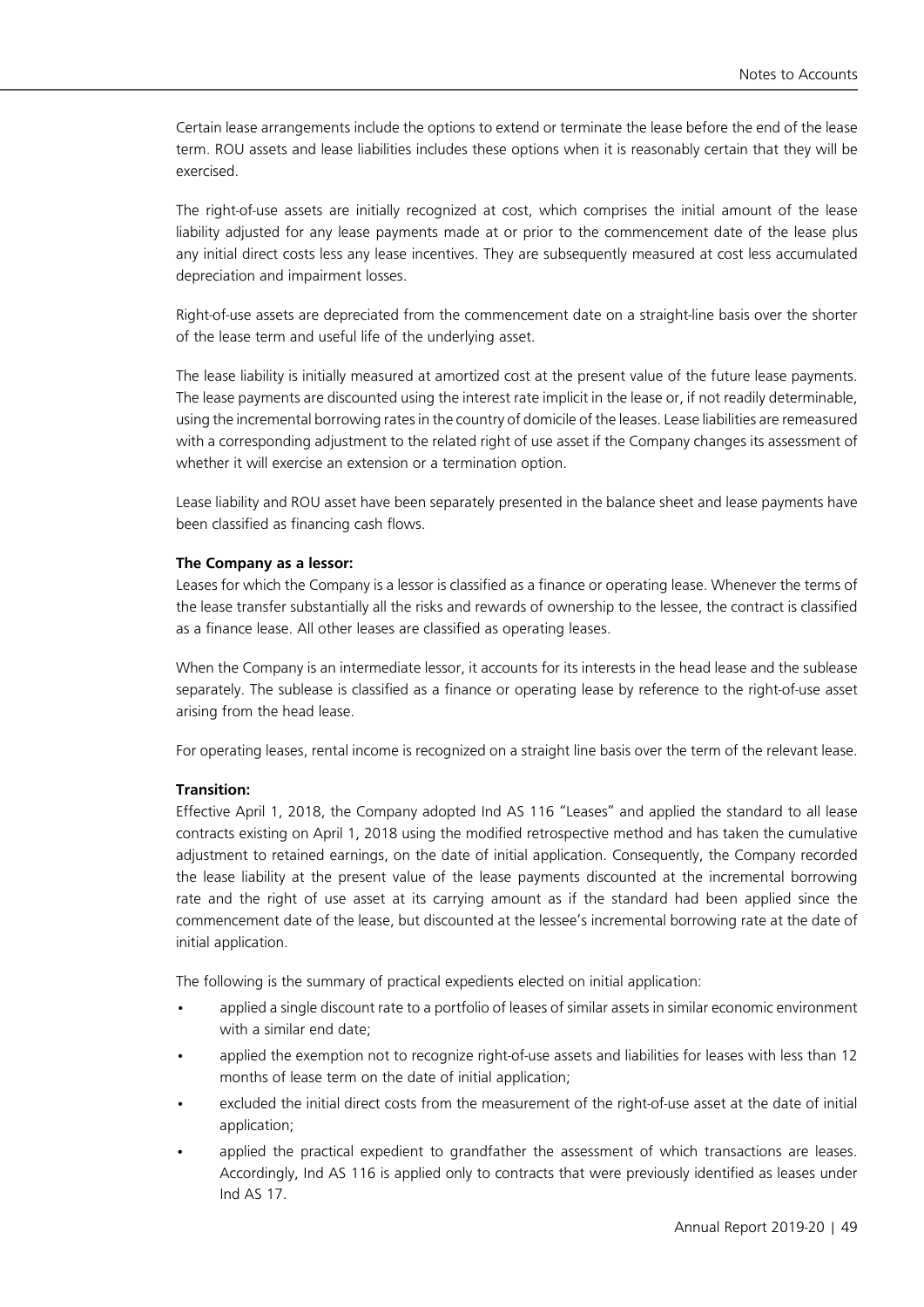Certain lease arrangements include the options to extend or terminate the lease before the end of the lease term. ROU assets and lease liabilities includes these options when it is reasonably certain that they will be exercised.

The right-of-use assets are initially recognized at cost, which comprises the initial amount of the lease liability adjusted for any lease payments made at or prior to the commencement date of the lease plus any initial direct costs less any lease incentives. They are subsequently measured at cost less accumulated depreciation and impairment losses.

Right-of-use assets are depreciated from the commencement date on a straight-line basis over the shorter of the lease term and useful life of the underlying asset.

The lease liability is initially measured at amortized cost at the present value of the future lease payments. The lease payments are discounted using the interest rate implicit in the lease or, if not readily determinable, using the incremental borrowing rates in the country of domicile of the leases. Lease liabilities are remeasured with a corresponding adjustment to the related right of use asset if the Company changes its assessment of whether it will exercise an extension or a termination option.

Lease liability and ROU asset have been separately presented in the balance sheet and lease payments have been classified as financing cash flows.

### **The Company as a lessor:**

Leases for which the Company is a lessor is classified as a finance or operating lease. Whenever the terms of the lease transfer substantially all the risks and rewards of ownership to the lessee, the contract is classified as a finance lease. All other leases are classified as operating leases.

When the Company is an intermediate lessor, it accounts for its interests in the head lease and the sublease separately. The sublease is classified as a finance or operating lease by reference to the right-of-use asset arising from the head lease.

For operating leases, rental income is recognized on a straight line basis over the term of the relevant lease.

### **Transition:**

Effective April 1, 2018, the Company adopted Ind AS 116 "Leases" and applied the standard to all lease contracts existing on April 1, 2018 using the modified retrospective method and has taken the cumulative adjustment to retained earnings, on the date of initial application. Consequently, the Company recorded the lease liability at the present value of the lease payments discounted at the incremental borrowing rate and the right of use asset at its carrying amount as if the standard had been applied since the commencement date of the lease, but discounted at the lessee's incremental borrowing rate at the date of initial application.

The following is the summary of practical expedients elected on initial application:

- applied a single discount rate to a portfolio of leases of similar assets in similar economic environment with a similar end date;
- applied the exemption not to recognize right-of-use assets and liabilities for leases with less than 12 months of lease term on the date of initial application;
- excluded the initial direct costs from the measurement of the right-of-use asset at the date of initial application;
- applied the practical expedient to grandfather the assessment of which transactions are leases. Accordingly, Ind AS 116 is applied only to contracts that were previously identified as leases under Ind AS 17.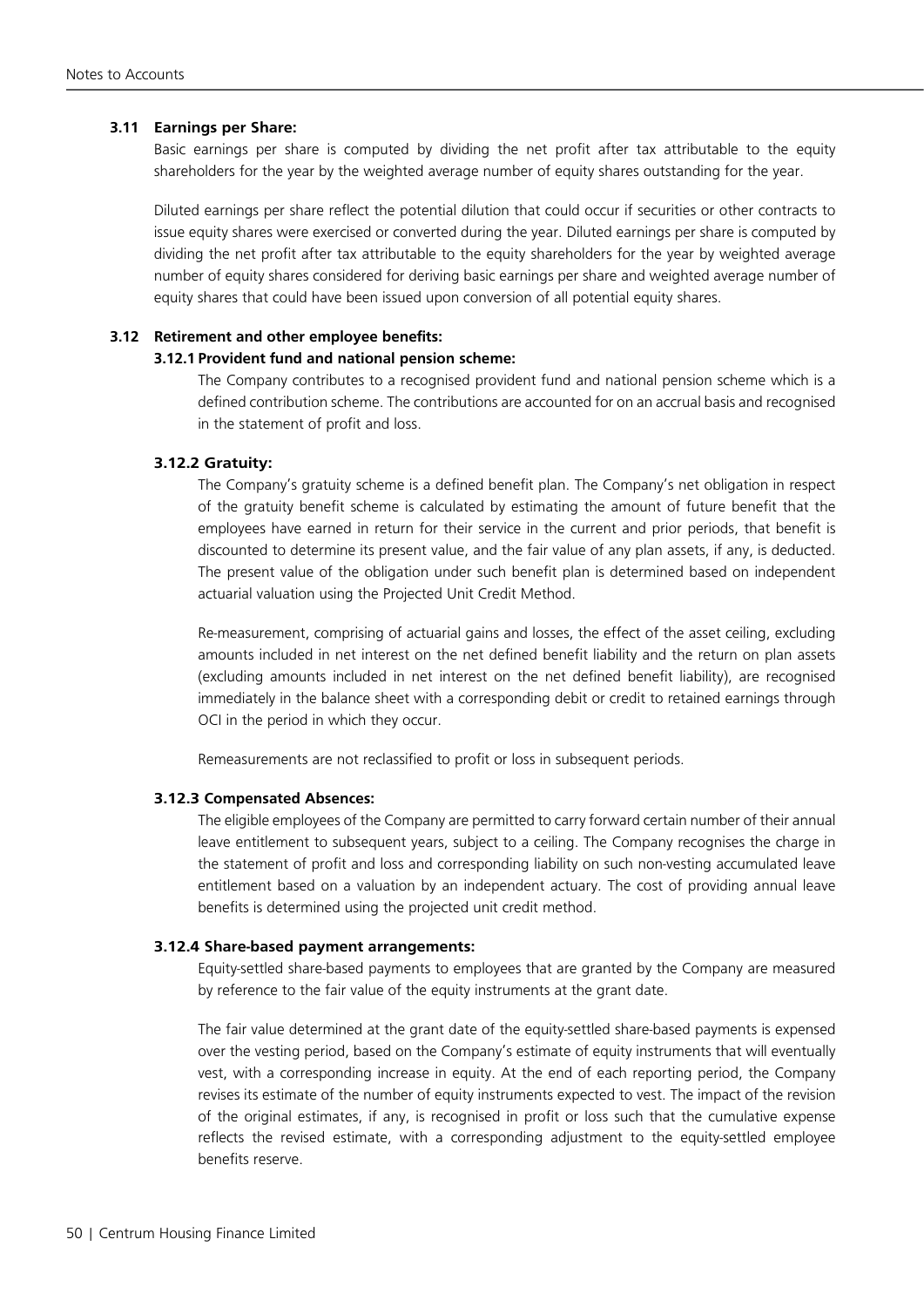### **3.11 Earnings per Share:**

Basic earnings per share is computed by dividing the net profit after tax attributable to the equity shareholders for the year by the weighted average number of equity shares outstanding for the year.

Diluted earnings per share reflect the potential dilution that could occur if securities or other contracts to issue equity shares were exercised or converted during the year. Diluted earnings per share is computed by dividing the net profit after tax attributable to the equity shareholders for the year by weighted average number of equity shares considered for deriving basic earnings per share and weighted average number of equity shares that could have been issued upon conversion of all potential equity shares.

### **3.12 Retirement and other employee benefits:**

### **3.12.1 Provident fund and national pension scheme:**

The Company contributes to a recognised provident fund and national pension scheme which is a defined contribution scheme. The contributions are accounted for on an accrual basis and recognised in the statement of profit and loss.

### **3.12.2 Gratuity:**

The Company's gratuity scheme is a defined benefit plan. The Company's net obligation in respect of the gratuity benefit scheme is calculated by estimating the amount of future benefit that the employees have earned in return for their service in the current and prior periods, that benefit is discounted to determine its present value, and the fair value of any plan assets, if any, is deducted. The present value of the obligation under such benefit plan is determined based on independent actuarial valuation using the Projected Unit Credit Method.

Re-measurement, comprising of actuarial gains and losses, the effect of the asset ceiling, excluding amounts included in net interest on the net defined benefit liability and the return on plan assets (excluding amounts included in net interest on the net defined benefit liability), are recognised immediately in the balance sheet with a corresponding debit or credit to retained earnings through OCI in the period in which they occur.

Remeasurements are not reclassified to profit or loss in subsequent periods.

### **3.12.3 Compensated Absences:**

The eligible employees of the Company are permitted to carry forward certain number of their annual leave entitlement to subsequent years, subject to a ceiling. The Company recognises the charge in the statement of profit and loss and corresponding liability on such non-vesting accumulated leave entitlement based on a valuation by an independent actuary. The cost of providing annual leave benefits is determined using the projected unit credit method.

### **3.12.4 Share-based payment arrangements:**

Equity-settled share-based payments to employees that are granted by the Company are measured by reference to the fair value of the equity instruments at the grant date.

The fair value determined at the grant date of the equity-settled share-based payments is expensed over the vesting period, based on the Company's estimate of equity instruments that will eventually vest, with a corresponding increase in equity. At the end of each reporting period, the Company revises its estimate of the number of equity instruments expected to vest. The impact of the revision of the original estimates, if any, is recognised in profit or loss such that the cumulative expense reflects the revised estimate, with a corresponding adjustment to the equity-settled employee benefits reserve.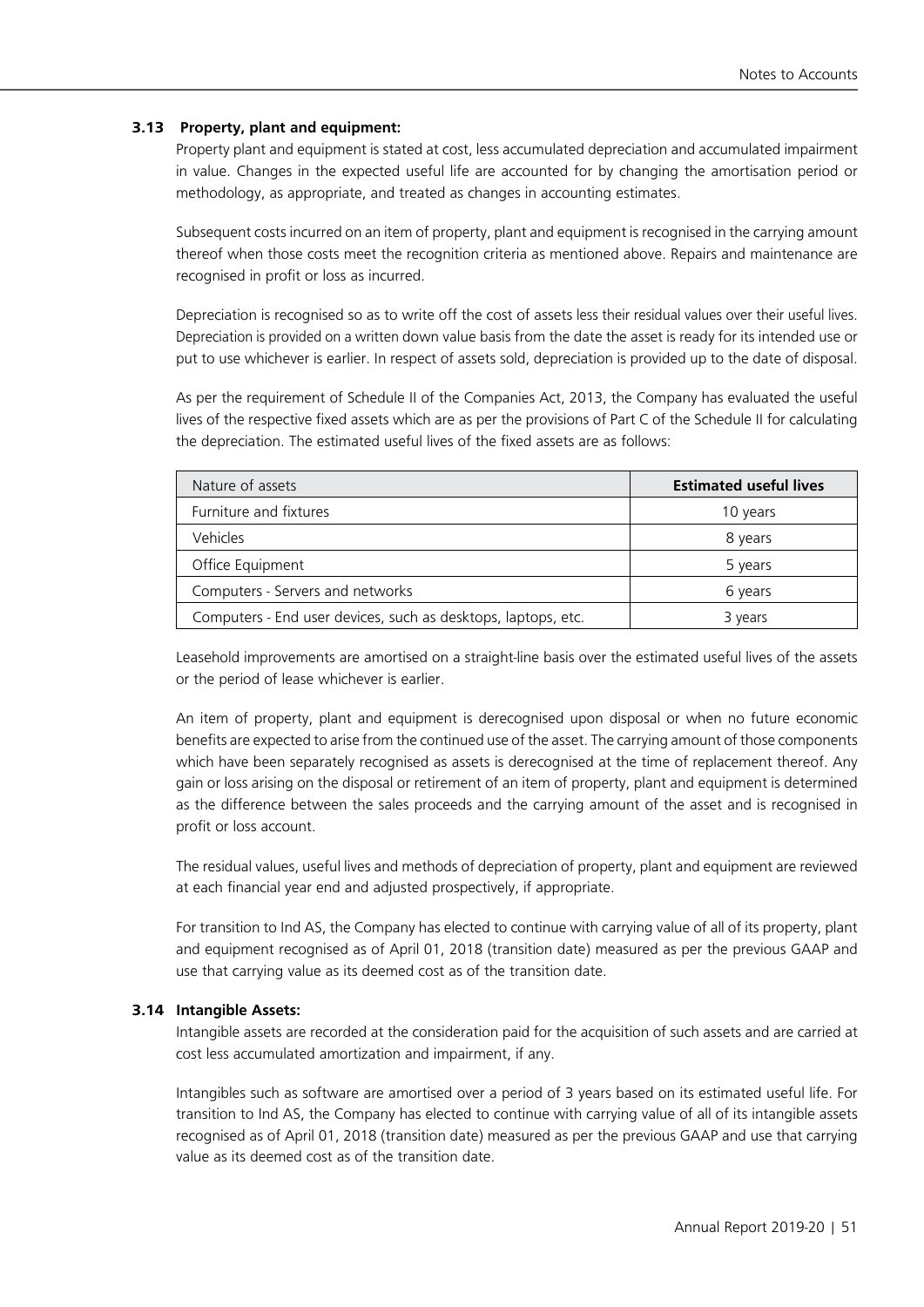### **3.13 Property, plant and equipment:**

Property plant and equipment is stated at cost, less accumulated depreciation and accumulated impairment in value. Changes in the expected useful life are accounted for by changing the amortisation period or methodology, as appropriate, and treated as changes in accounting estimates.

Subsequent costs incurred on an item of property, plant and equipment is recognised in the carrying amount thereof when those costs meet the recognition criteria as mentioned above. Repairs and maintenance are recognised in profit or loss as incurred.

Depreciation is recognised so as to write off the cost of assets less their residual values over their useful lives. Depreciation is provided on a written down value basis from the date the asset is ready for its intended use or put to use whichever is earlier. In respect of assets sold, depreciation is provided up to the date of disposal.

As per the requirement of Schedule II of the Companies Act, 2013, the Company has evaluated the useful lives of the respective fixed assets which are as per the provisions of Part C of the Schedule II for calculating the depreciation. The estimated useful lives of the fixed assets are as follows:

| Nature of assets                                              | <b>Estimated useful lives</b> |
|---------------------------------------------------------------|-------------------------------|
| Furniture and fixtures                                        | 10 years                      |
| Vehicles                                                      | 8 years                       |
| Office Equipment                                              | 5 years                       |
| Computers - Servers and networks                              | 6 years                       |
| Computers - End user devices, such as desktops, laptops, etc. | 3 years                       |

Leasehold improvements are amortised on a straight-line basis over the estimated useful lives of the assets or the period of lease whichever is earlier.

An item of property, plant and equipment is derecognised upon disposal or when no future economic benefits are expected to arise from the continued use of the asset. The carrying amount of those components which have been separately recognised as assets is derecognised at the time of replacement thereof. Any gain or loss arising on the disposal or retirement of an item of property, plant and equipment is determined as the difference between the sales proceeds and the carrying amount of the asset and is recognised in profit or loss account.

The residual values, useful lives and methods of depreciation of property, plant and equipment are reviewed at each financial year end and adjusted prospectively, if appropriate.

For transition to Ind AS, the Company has elected to continue with carrying value of all of its property, plant and equipment recognised as of April 01, 2018 (transition date) measured as per the previous GAAP and use that carrying value as its deemed cost as of the transition date.

### **3.14 Intangible Assets:**

Intangible assets are recorded at the consideration paid for the acquisition of such assets and are carried at cost less accumulated amortization and impairment, if any.

Intangibles such as software are amortised over a period of 3 years based on its estimated useful life. For transition to Ind AS, the Company has elected to continue with carrying value of all of its intangible assets recognised as of April 01, 2018 (transition date) measured as per the previous GAAP and use that carrying value as its deemed cost as of the transition date.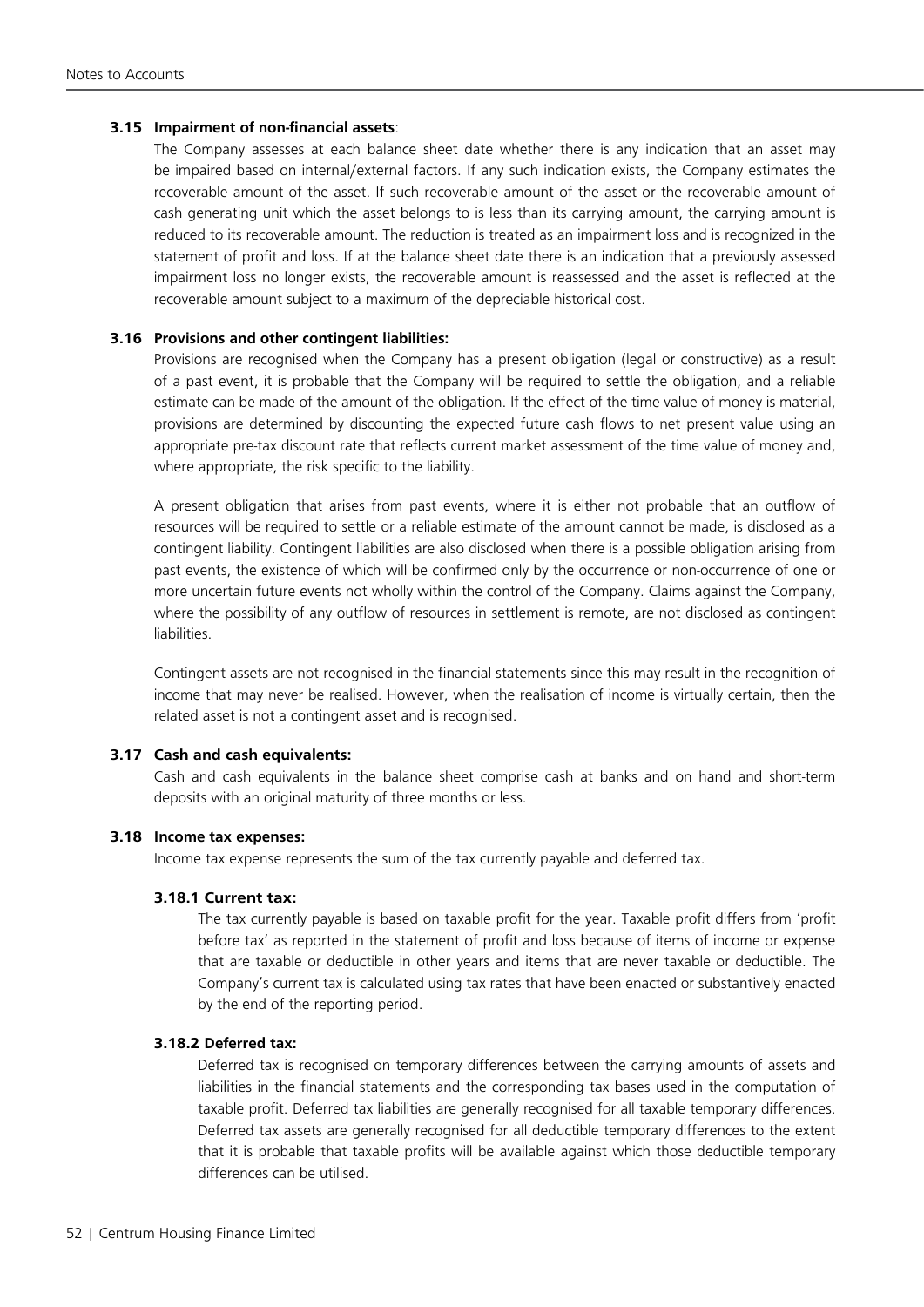### **3.15 Impairment of non-financial assets**:

The Company assesses at each balance sheet date whether there is any indication that an asset may be impaired based on internal/external factors. If any such indication exists, the Company estimates the recoverable amount of the asset. If such recoverable amount of the asset or the recoverable amount of cash generating unit which the asset belongs to is less than its carrying amount, the carrying amount is reduced to its recoverable amount. The reduction is treated as an impairment loss and is recognized in the statement of profit and loss. If at the balance sheet date there is an indication that a previously assessed impairment loss no longer exists, the recoverable amount is reassessed and the asset is reflected at the recoverable amount subject to a maximum of the depreciable historical cost.

### **3.16 Provisions and other contingent liabilities:**

Provisions are recognised when the Company has a present obligation (legal or constructive) as a result of a past event, it is probable that the Company will be required to settle the obligation, and a reliable estimate can be made of the amount of the obligation. If the effect of the time value of money is material, provisions are determined by discounting the expected future cash flows to net present value using an appropriate pre-tax discount rate that reflects current market assessment of the time value of money and, where appropriate, the risk specific to the liability.

A present obligation that arises from past events, where it is either not probable that an outflow of resources will be required to settle or a reliable estimate of the amount cannot be made, is disclosed as a contingent liability. Contingent liabilities are also disclosed when there is a possible obligation arising from past events, the existence of which will be confirmed only by the occurrence or non-occurrence of one or more uncertain future events not wholly within the control of the Company. Claims against the Company, where the possibility of any outflow of resources in settlement is remote, are not disclosed as contingent liabilities.

Contingent assets are not recognised in the financial statements since this may result in the recognition of income that may never be realised. However, when the realisation of income is virtually certain, then the related asset is not a contingent asset and is recognised.

### **3.17 Cash and cash equivalents:**

Cash and cash equivalents in the balance sheet comprise cash at banks and on hand and short-term deposits with an original maturity of three months or less.

### **3.18 Income tax expenses:**

Income tax expense represents the sum of the tax currently payable and deferred tax.

### **3.18.1 Current tax:**

The tax currently payable is based on taxable profit for the year. Taxable profit differs from 'profit before tax' as reported in the statement of profit and loss because of items of income or expense that are taxable or deductible in other years and items that are never taxable or deductible. The Company's current tax is calculated using tax rates that have been enacted or substantively enacted by the end of the reporting period.

### **3.18.2 Deferred tax:**

Deferred tax is recognised on temporary differences between the carrying amounts of assets and liabilities in the financial statements and the corresponding tax bases used in the computation of taxable profit. Deferred tax liabilities are generally recognised for all taxable temporary differences. Deferred tax assets are generally recognised for all deductible temporary differences to the extent that it is probable that taxable profits will be available against which those deductible temporary differences can be utilised.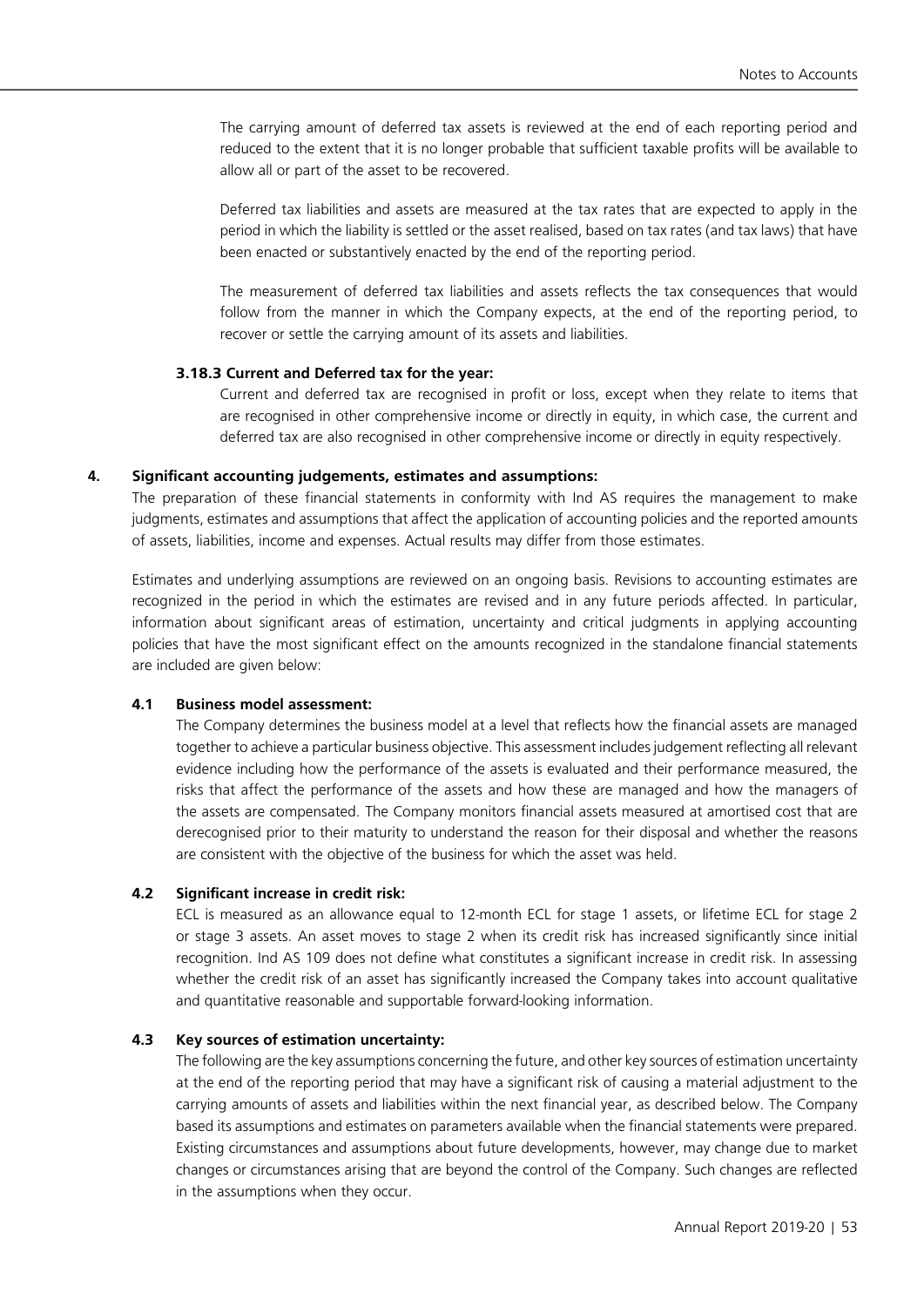The carrying amount of deferred tax assets is reviewed at the end of each reporting period and reduced to the extent that it is no longer probable that sufficient taxable profits will be available to allow all or part of the asset to be recovered.

Deferred tax liabilities and assets are measured at the tax rates that are expected to apply in the period in which the liability is settled or the asset realised, based on tax rates (and tax laws) that have been enacted or substantively enacted by the end of the reporting period.

The measurement of deferred tax liabilities and assets reflects the tax consequences that would follow from the manner in which the Company expects, at the end of the reporting period, to recover or settle the carrying amount of its assets and liabilities.

### **3.18.3 Current and Deferred tax for the year:**

Current and deferred tax are recognised in profit or loss, except when they relate to items that are recognised in other comprehensive income or directly in equity, in which case, the current and deferred tax are also recognised in other comprehensive income or directly in equity respectively.

### **4. Significant accounting judgements, estimates and assumptions:**

The preparation of these financial statements in conformity with Ind AS requires the management to make judgments, estimates and assumptions that affect the application of accounting policies and the reported amounts of assets, liabilities, income and expenses. Actual results may differ from those estimates.

Estimates and underlying assumptions are reviewed on an ongoing basis. Revisions to accounting estimates are recognized in the period in which the estimates are revised and in any future periods affected. In particular, information about significant areas of estimation, uncertainty and critical judgments in applying accounting policies that have the most significant effect on the amounts recognized in the standalone financial statements are included are given below:

### **4.1 Business model assessment:**

The Company determines the business model at a level that reflects how the financial assets are managed together to achieve a particular business objective. This assessment includes judgement reflecting all relevant evidence including how the performance of the assets is evaluated and their performance measured, the risks that affect the performance of the assets and how these are managed and how the managers of the assets are compensated. The Company monitors financial assets measured at amortised cost that are derecognised prior to their maturity to understand the reason for their disposal and whether the reasons are consistent with the objective of the business for which the asset was held.

### **4.2 Significant increase in credit risk:**

ECL is measured as an allowance equal to 12-month ECL for stage 1 assets, or lifetime ECL for stage 2 or stage 3 assets. An asset moves to stage 2 when its credit risk has increased significantly since initial recognition. Ind AS 109 does not define what constitutes a significant increase in credit risk. In assessing whether the credit risk of an asset has significantly increased the Company takes into account qualitative and quantitative reasonable and supportable forward-looking information.

### **4.3 Key sources of estimation uncertainty:**

 The following are the key assumptions concerning the future, and other key sources of estimation uncertainty at the end of the reporting period that may have a significant risk of causing a material adjustment to the carrying amounts of assets and liabilities within the next financial year, as described below. The Company based its assumptions and estimates on parameters available when the financial statements were prepared. Existing circumstances and assumptions about future developments, however, may change due to market changes or circumstances arising that are beyond the control of the Company. Such changes are reflected in the assumptions when they occur.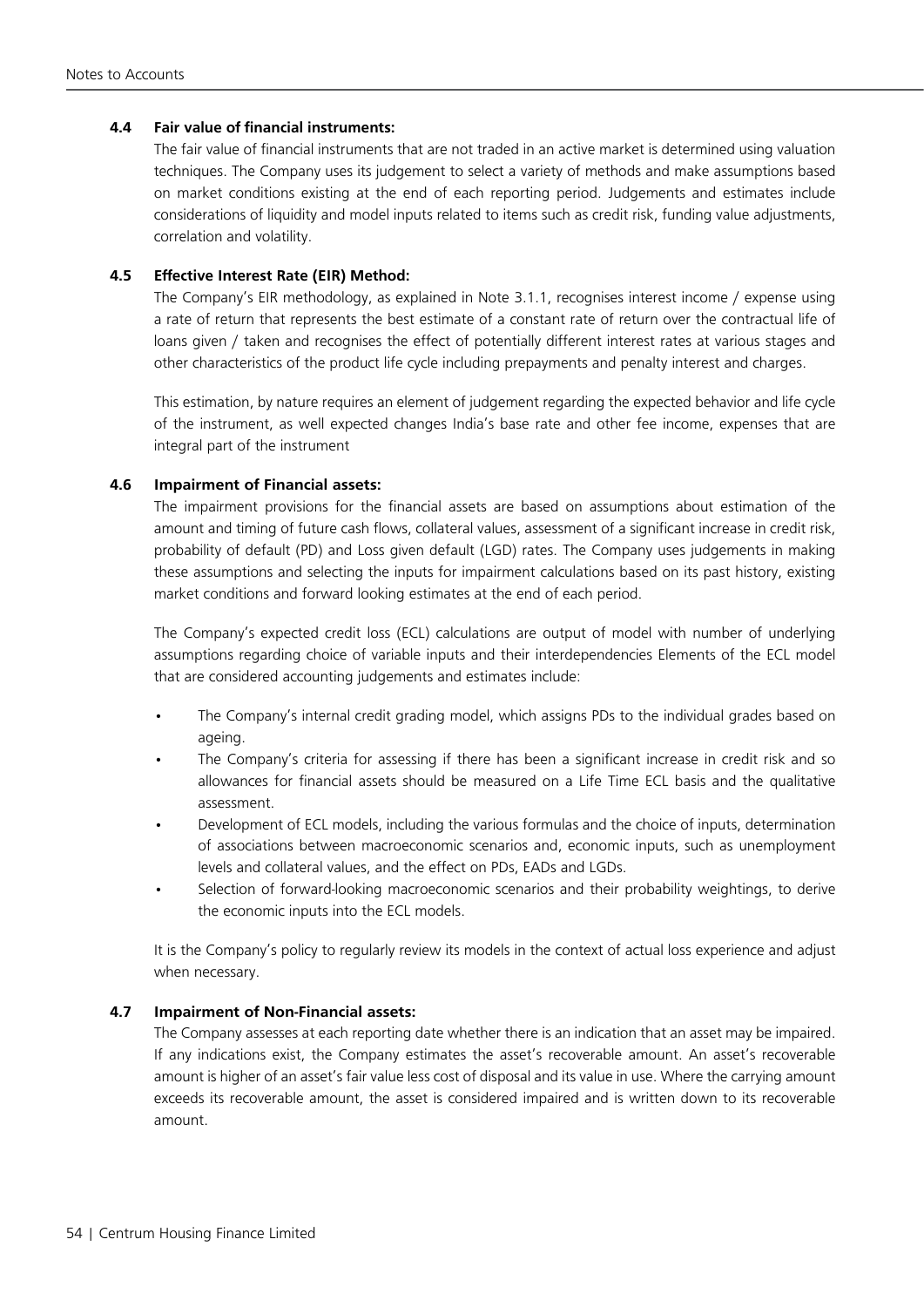### **4.4 Fair value of financial instruments:**

The fair value of financial instruments that are not traded in an active market is determined using valuation techniques. The Company uses its judgement to select a variety of methods and make assumptions based on market conditions existing at the end of each reporting period. Judgements and estimates include considerations of liquidity and model inputs related to items such as credit risk, funding value adjustments, correlation and volatility.

### **4.5 Effective Interest Rate (EIR) Method:**

The Company's EIR methodology, as explained in Note 3.1.1, recognises interest income / expense using a rate of return that represents the best estimate of a constant rate of return over the contractual life of loans given / taken and recognises the effect of potentially different interest rates at various stages and other characteristics of the product life cycle including prepayments and penalty interest and charges.

This estimation, by nature requires an element of judgement regarding the expected behavior and life cycle of the instrument, as well expected changes India's base rate and other fee income, expenses that are integral part of the instrument

### **4.6 Impairment of Financial assets:**

The impairment provisions for the financial assets are based on assumptions about estimation of the amount and timing of future cash flows, collateral values, assessment of a significant increase in credit risk, probability of default (PD) and Loss given default (LGD) rates. The Company uses judgements in making these assumptions and selecting the inputs for impairment calculations based on its past history, existing market conditions and forward looking estimates at the end of each period.

The Company's expected credit loss (ECL) calculations are output of model with number of underlying assumptions regarding choice of variable inputs and their interdependencies Elements of the ECL model that are considered accounting judgements and estimates include:

- The Company's internal credit grading model, which assigns PDs to the individual grades based on ageing.
- The Company's criteria for assessing if there has been a significant increase in credit risk and so allowances for financial assets should be measured on a Life Time ECL basis and the qualitative assessment.
- Development of ECL models, including the various formulas and the choice of inputs, determination of associations between macroeconomic scenarios and, economic inputs, such as unemployment levels and collateral values, and the effect on PDs, EADs and LGDs.
- Selection of forward-looking macroeconomic scenarios and their probability weightings, to derive the economic inputs into the ECL models.

It is the Company's policy to regularly review its models in the context of actual loss experience and adjust when necessary.

### **4.7 Impairment of Non-Financial assets:**

The Company assesses at each reporting date whether there is an indication that an asset may be impaired. If any indications exist, the Company estimates the asset's recoverable amount. An asset's recoverable amount is higher of an asset's fair value less cost of disposal and its value in use. Where the carrying amount exceeds its recoverable amount, the asset is considered impaired and is written down to its recoverable amount.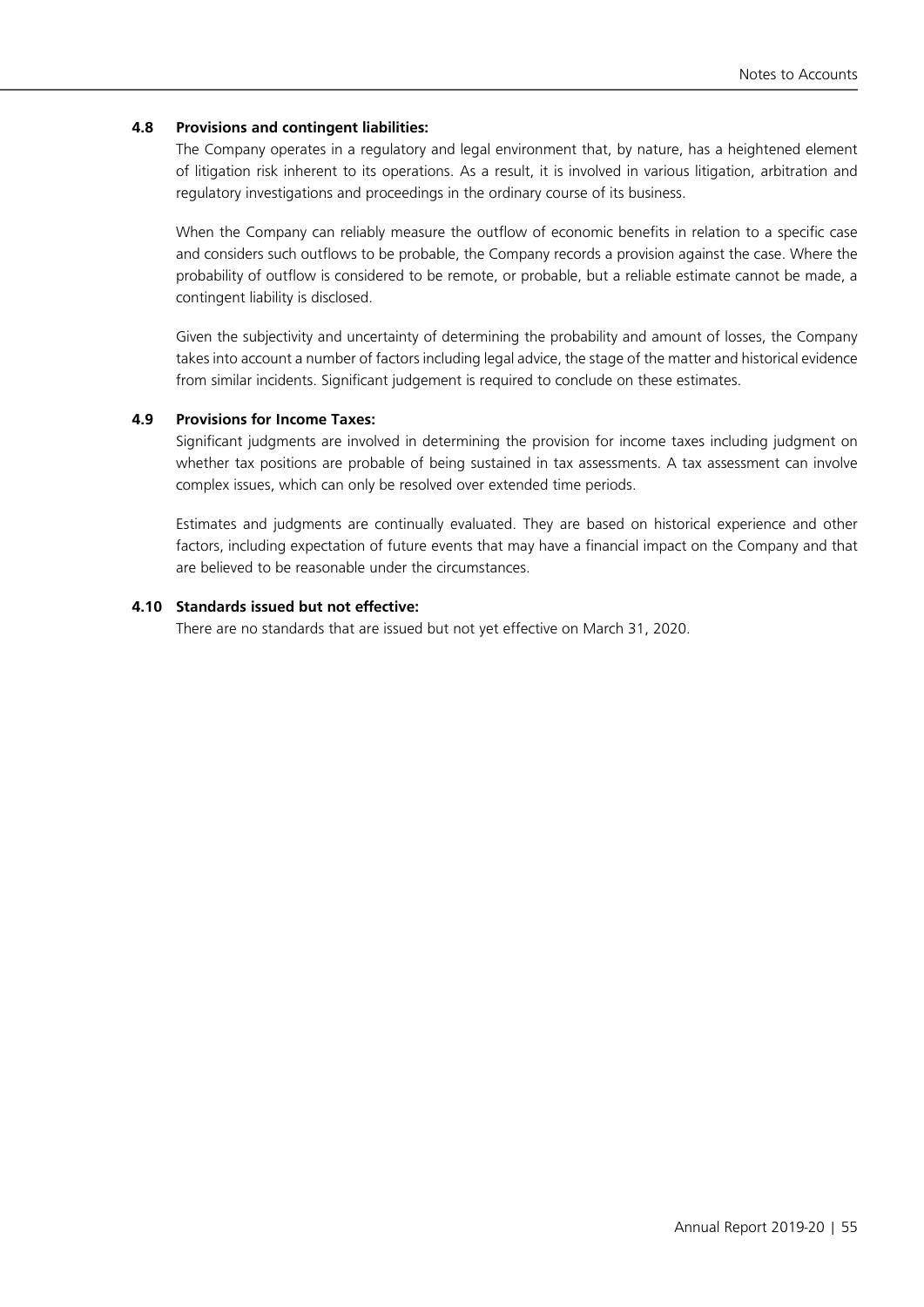### **4.8 Provisions and contingent liabilities:**

The Company operates in a regulatory and legal environment that, by nature, has a heightened element of litigation risk inherent to its operations. As a result, it is involved in various litigation, arbitration and regulatory investigations and proceedings in the ordinary course of its business.

When the Company can reliably measure the outflow of economic benefits in relation to a specific case and considers such outflows to be probable, the Company records a provision against the case. Where the probability of outflow is considered to be remote, or probable, but a reliable estimate cannot be made, a contingent liability is disclosed.

Given the subjectivity and uncertainty of determining the probability and amount of losses, the Company takes into account a number of factors including legal advice, the stage of the matter and historical evidence from similar incidents. Significant judgement is required to conclude on these estimates.

### **4.9 Provisions for Income Taxes:**

Significant judgments are involved in determining the provision for income taxes including judgment on whether tax positions are probable of being sustained in tax assessments. A tax assessment can involve complex issues, which can only be resolved over extended time periods.

Estimates and judgments are continually evaluated. They are based on historical experience and other factors, including expectation of future events that may have a financial impact on the Company and that are believed to be reasonable under the circumstances.

### **4.10 Standards issued but not effective:**

There are no standards that are issued but not yet effective on March 31, 2020.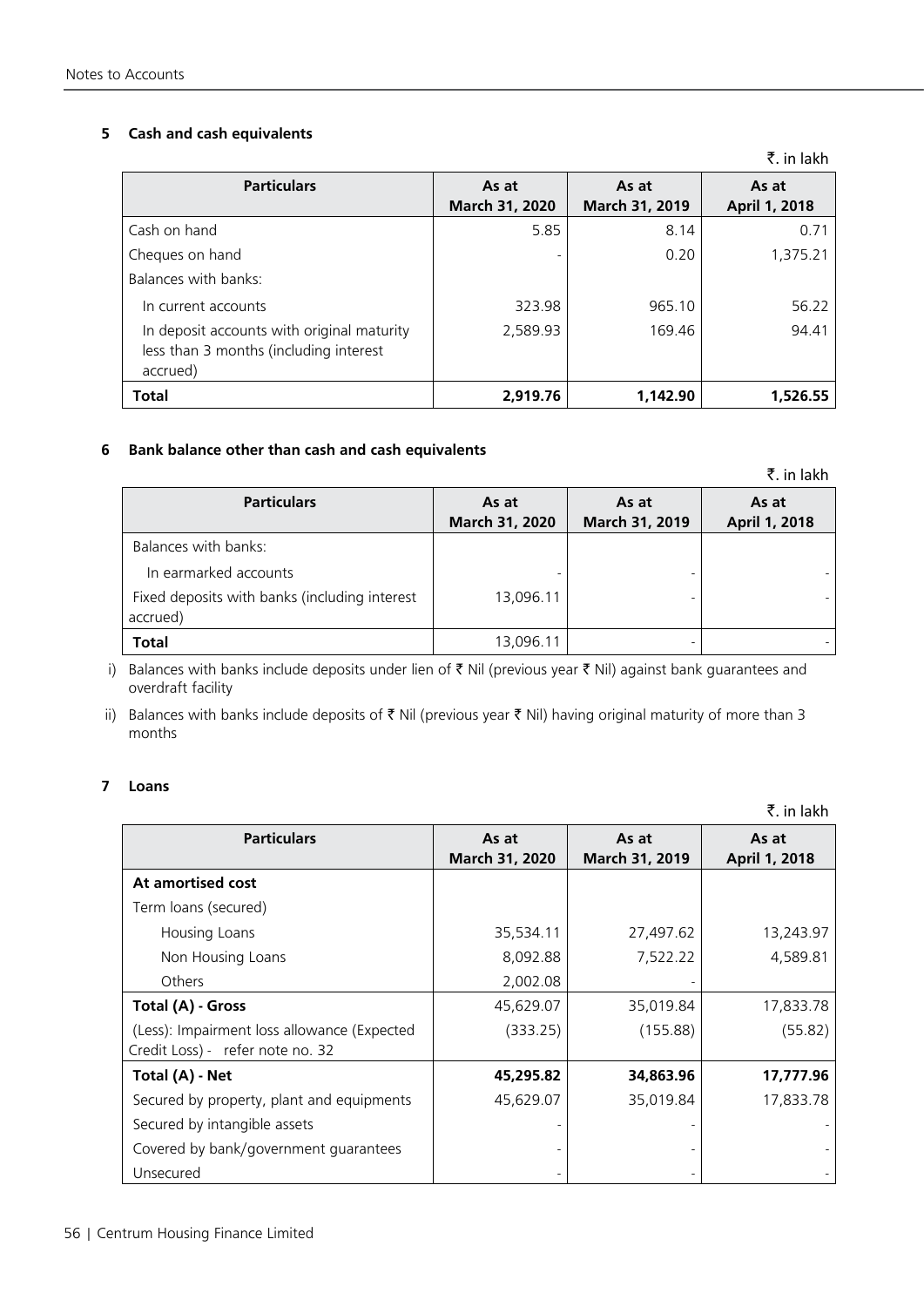### **5 Cash and cash equivalents**

|                                                                                                  |                         |                         | ₹. in lakh             |
|--------------------------------------------------------------------------------------------------|-------------------------|-------------------------|------------------------|
| <b>Particulars</b>                                                                               | As at<br>March 31, 2020 | As at<br>March 31, 2019 | As at<br>April 1, 2018 |
| Cash on hand                                                                                     | 5.85                    | 8.14                    | 0.71                   |
| Cheques on hand                                                                                  |                         | 0.20                    | 1,375.21               |
| Balances with banks:                                                                             |                         |                         |                        |
| In current accounts                                                                              | 323.98                  | 965.10                  | 56.22                  |
| In deposit accounts with original maturity<br>less than 3 months (including interest<br>accrued) | 2,589.93                | 169.46                  | 94.41                  |
| <b>Total</b>                                                                                     | 2.919.76                | 1.142.90                | 1,526.55               |

### **6 Bank balance other than cash and cash equivalents**

|                                               |                |                | 1. 111 IQNI 1 |
|-----------------------------------------------|----------------|----------------|---------------|
| <b>Particulars</b>                            | As at          | As at          | As at         |
|                                               | March 31, 2020 | March 31, 2019 | April 1, 2018 |
| Balances with banks:                          |                |                |               |
| In earmarked accounts                         |                |                |               |
| Fixed deposits with banks (including interest | 13,096.11      |                |               |
| accrued)                                      |                |                |               |
| <b>Total</b>                                  | 13,096.11      |                |               |

i) Balances with banks include deposits under lien of  $\bar{\tau}$  Nil (previous year  $\bar{\tau}$  Nil) against bank guarantees and overdraft facility

ii) Balances with banks include deposits of  $\bar{\tau}$  Nil (previous year  $\bar{\tau}$  Nil) having original maturity of more than 3 months

### **7 Loans**

|                                                                                 |                         |                         | ₹. in lakh             |
|---------------------------------------------------------------------------------|-------------------------|-------------------------|------------------------|
| <b>Particulars</b>                                                              | As at<br>March 31, 2020 | As at<br>March 31, 2019 | As at<br>April 1, 2018 |
| At amortised cost                                                               |                         |                         |                        |
| Term loans (secured)                                                            |                         |                         |                        |
| Housing Loans                                                                   | 35,534.11               | 27,497.62               | 13,243.97              |
| Non Housing Loans                                                               | 8,092.88                | 7,522.22                | 4,589.81               |
| Others                                                                          | 2,002.08                |                         |                        |
| Total (A) - Gross                                                               | 45,629.07               | 35,019.84               | 17,833.78              |
| (Less): Impairment loss allowance (Expected<br>Credit Loss) - refer note no. 32 | (333.25)                | (155.88)                | (55.82)                |
| Total (A) - Net                                                                 | 45,295.82               | 34,863.96               | 17,777.96              |
| Secured by property, plant and equipments                                       | 45,629.07               | 35,019.84               | 17,833.78              |
| Secured by intangible assets                                                    |                         |                         |                        |
| Covered by bank/government guarantees                                           |                         |                         |                        |
| Unsecured                                                                       |                         |                         |                        |

 $\bar{z}$  in lakh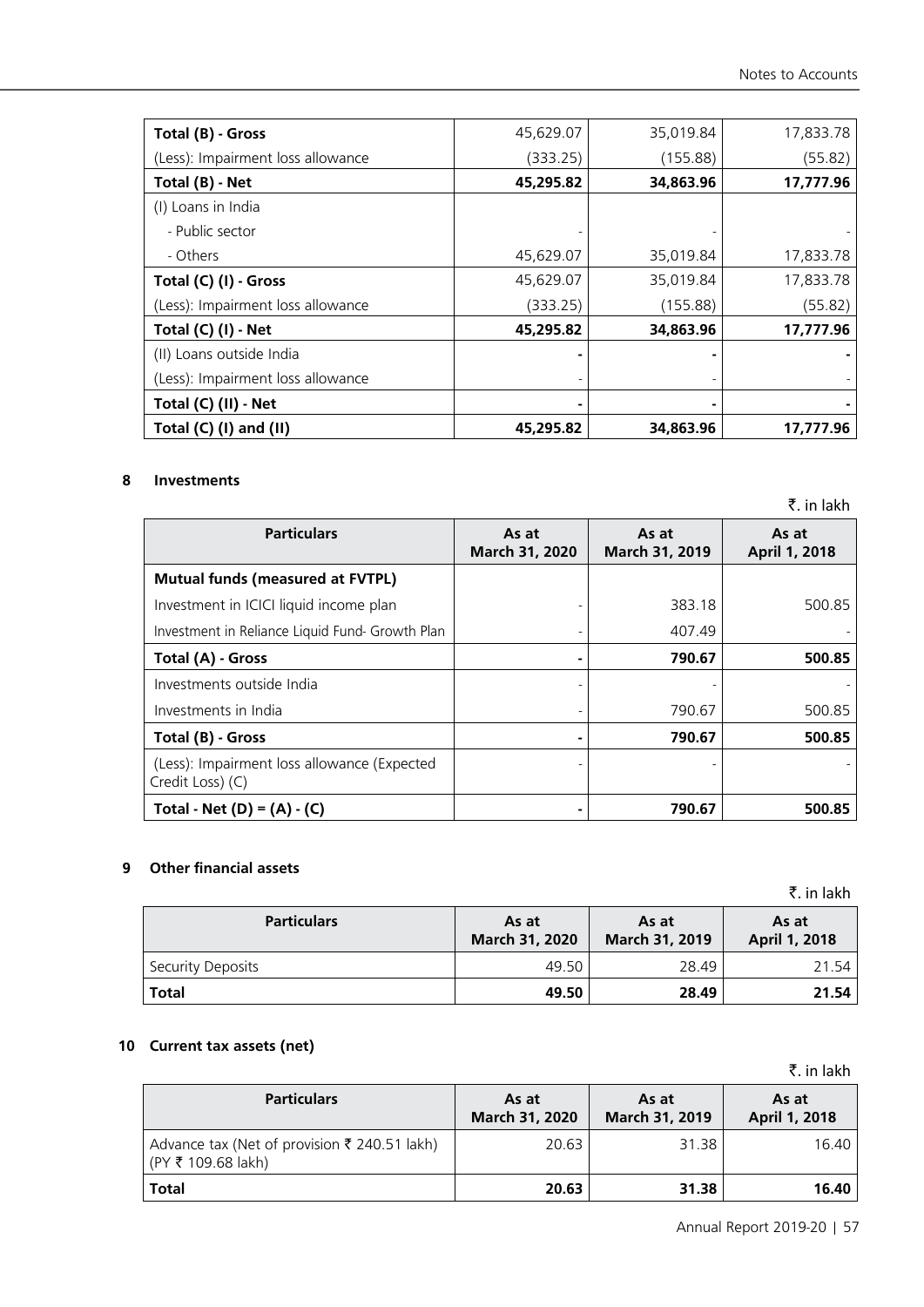| Total (B) - Gross                 | 45,629.07 | 35,019.84 | 17,833.78 |
|-----------------------------------|-----------|-----------|-----------|
| (Less): Impairment loss allowance | (333.25)  | (155.88)  | (55.82)   |
| Total (B) - Net                   | 45,295.82 | 34,863.96 | 17,777.96 |
| (I) Loans in India                |           |           |           |
| - Public sector                   |           |           |           |
| - Others                          | 45,629.07 | 35,019.84 | 17,833.78 |
| Total (C) (I) - Gross             | 45,629.07 | 35,019.84 | 17,833.78 |
| (Less): Impairment loss allowance | (333.25)  | (155.88)  | (55.82)   |
| Total (C) (I) - Net               | 45,295.82 | 34,863.96 | 17,777.96 |
| (II) Loans outside India          |           |           |           |
| (Less): Impairment loss allowance |           |           |           |
| Total (C) (II) - Net              |           |           |           |
| Total $(C)$ (I) and (II)          | 45,295.82 | 34,863.96 | 17,777.96 |

### **8 Investments**

|                                                                 |                         |                         | ₹. in lakh             |
|-----------------------------------------------------------------|-------------------------|-------------------------|------------------------|
| <b>Particulars</b>                                              | As at<br>March 31, 2020 | As at<br>March 31, 2019 | As at<br>April 1, 2018 |
| <b>Mutual funds (measured at FVTPL)</b>                         |                         |                         |                        |
| Investment in ICICI liquid income plan                          |                         | 383.18                  | 500.85                 |
| Investment in Reliance Liquid Fund- Growth Plan                 |                         | 407.49                  |                        |
| Total (A) - Gross                                               |                         | 790.67                  | 500.85                 |
| Investments outside India                                       |                         |                         |                        |
| Investments in India                                            |                         | 790.67                  | 500.85                 |
| Total (B) - Gross                                               |                         | 790.67                  | 500.85                 |
| (Less): Impairment loss allowance (Expected<br>Credit Loss) (C) |                         |                         |                        |
| Total - Net (D) = $(A) - (C)$                                   |                         | 790.67                  | 500.85                 |

### **9 Other financial assets**

₹. in lakh

| <b>Particulars</b> | As at<br>March 31, 2020 | As at<br>March 31, 2019 | As at<br>April 1, 2018 |
|--------------------|-------------------------|-------------------------|------------------------|
| Security Deposits  | 49.50                   | 28.49                   | 21.54                  |
| <b>Total</b>       | 49.50                   | 28.49                   | 21.54                  |

### **10 Current tax assets (net)**

|                                                                    |                         |                         | ₹. in lakh             |
|--------------------------------------------------------------------|-------------------------|-------------------------|------------------------|
| <b>Particulars</b>                                                 | As at<br>March 31, 2020 | As at<br>March 31, 2019 | As at<br>April 1, 2018 |
| Advance tax (Net of provision ₹ 240.51 lakh)<br>(PY ₹ 109.68 lakh) | 20.63                   | 31.38                   | 16.40                  |
| <b>Total</b>                                                       | 20.63                   | 31.38                   | 16.40                  |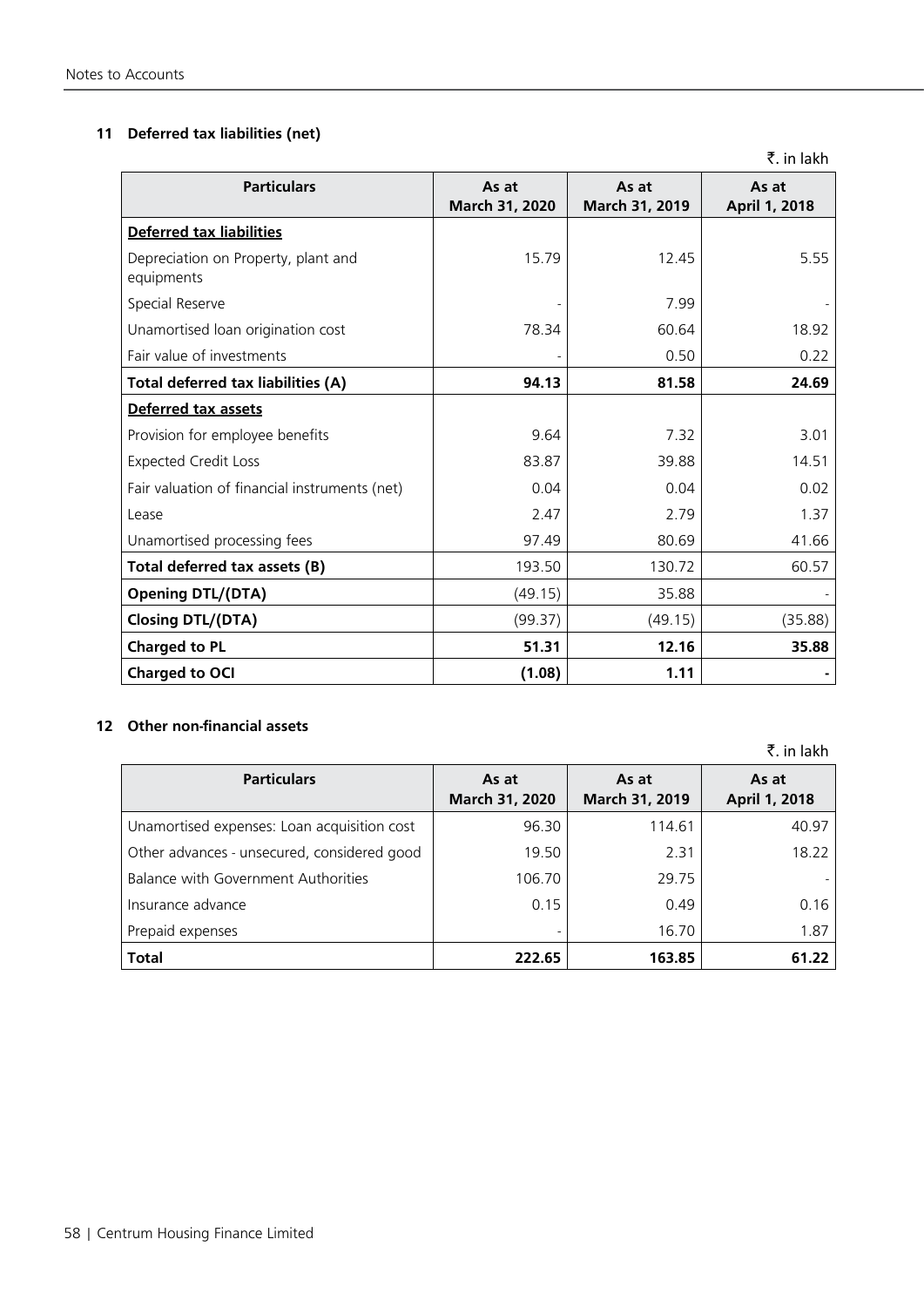### **11 Deferred tax liabilities (net)**

₹. in lakh

| <b>Particulars</b>                                | As at<br>March 31, 2020 | As at<br>March 31, 2019 | As at<br>April 1, 2018 |
|---------------------------------------------------|-------------------------|-------------------------|------------------------|
| <b>Deferred tax liabilities</b>                   |                         |                         |                        |
| Depreciation on Property, plant and<br>equipments | 15.79                   | 12.45                   | 5.55                   |
| Special Reserve                                   |                         | 7.99                    |                        |
| Unamortised loan origination cost                 | 78.34                   | 60.64                   | 18.92                  |
| Fair value of investments                         |                         | 0.50                    | 0.22                   |
| Total deferred tax liabilities (A)                | 94.13                   | 81.58                   | 24.69                  |
| Deferred tax assets                               |                         |                         |                        |
| Provision for employee benefits                   | 9.64                    | 7.32                    | 3.01                   |
| <b>Expected Credit Loss</b>                       | 83.87                   | 39.88                   | 14.51                  |
| Fair valuation of financial instruments (net)     | 0.04                    | 0.04                    | 0.02                   |
| Lease                                             | 2.47                    | 2.79                    | 1.37                   |
| Unamortised processing fees                       | 97.49                   | 80.69                   | 41.66                  |
| Total deferred tax assets (B)                     | 193.50                  | 130.72                  | 60.57                  |
| <b>Opening DTL/(DTA)</b>                          | (49.15)                 | 35.88                   |                        |
| <b>Closing DTL/(DTA)</b>                          | (99.37)                 | (49.15)                 | (35.88)                |
| <b>Charged to PL</b>                              | 51.31                   | 12.16                   | 35.88                  |
| Charged to OCI                                    | (1.08)                  | 1.11                    |                        |

### **12 Other non-financial assets**

₹. in lakh **Particulars As at March 31, 2020 As at March 31, 2019 As at April 1, 2018** Unamortised expenses: Loan acquisition cost | 114.61 114.61 40.97 Other advances - unsecured, considered good | 19.50 | 2.31 | 18.22 Balance with Government Authorities 106.70 | 29.75 Insurance advance 0.15 0.49 0.16 Prepaid expenses and the set of the set of the set of the set of the set of the set of the set of the set of the set of the set of the set of the set of the set of the set of the set of the set of the set of the set of the **Total 222.65 163.85 61.22**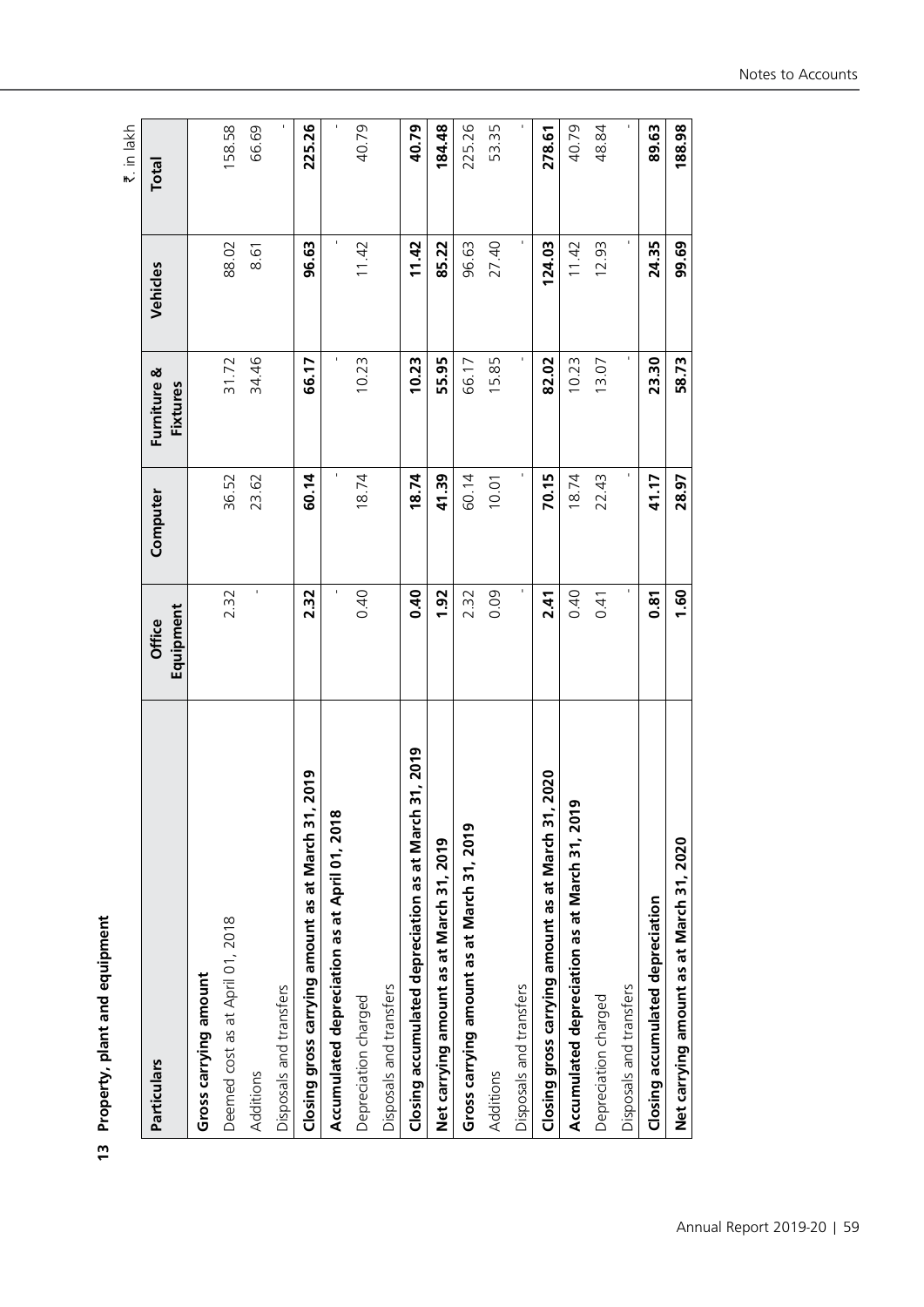| ì<br>ı<br>ı      |
|------------------|
| š<br><u>)</u>    |
| ١<br>j<br>J<br>z |
| י<br>י           |

|                                                          |                     |                |                         |                | ₹. in lakh   |
|----------------------------------------------------------|---------------------|----------------|-------------------------|----------------|--------------|
| Particulars                                              | Equipment<br>Office | Computer       | Furniture &<br>Fixtures | Vehicles       | <b>Total</b> |
| Gross carrying amount                                    |                     |                |                         |                |              |
| Deemed cost as at April 01, 2018                         | 2.32                | 36.52          | 31.72                   | 88.02          | 158.58       |
| Additions                                                |                     | 23.62          | 34.46                   | 8.61           | 66.69        |
| Disposals and transfers                                  |                     |                |                         |                |              |
| 2019<br>Closing gross carrying amount as at March 31,    | 2.32                | 60.14          | 66.17                   | 96.63          | 225.26       |
| Accumulated depreciation as at April 01, 2018            | $\blacksquare$      | $\blacksquare$ |                         | $\blacksquare$ |              |
| Depreciation charged                                     | 0.40                | 18.74          | 10.23                   | 11.42          | 40.79        |
| Disposals and transfers                                  |                     |                |                         |                |              |
| 31, 2019<br>Closing accumulated depreciation as at March | 0.40                | 18.74          | 10.23                   | 11.42          | 40.79        |
| Net carrying amount as at March 31, 2019                 | 1.92                | 41.39          | 55.95                   | 85.22          | 184.48       |
| Gross carrying amount as at March 31, 2019               | 2.32                | 60.14          | 66.17                   | 96.63          | 225.26       |
| Additions                                                | 0.09                | 10.01          | 15.85                   | 27.40          | 53.35        |
| Disposals and transfers                                  | $\blacksquare$      | ٠              |                         | $\blacksquare$ |              |
| 2020<br>Closing gross carrying amount as at March 31,    | 2.41                | 70.15          | 82.02                   | 124.03         | 278.61       |
| Accumulated depreciation as at March 31, 2019            | 0.40                | 18.74          | 10.23                   | 11.42          | 40.79        |
| Depreciation charged                                     | 0.41                | 22.43          | 13.07                   | 12.93          | 48.84        |
| Disposals and transfers                                  | f,                  | ×,             |                         | ı.             |              |
| Closing accumulated depreciation                         | 0.81                | 41.17          | 23.30                   | 24.35          | 89.63        |
| Net carrying amount as at March 31, 2020                 | 1.60                | 28.97          | 58.73                   | 99.69          | 188.98       |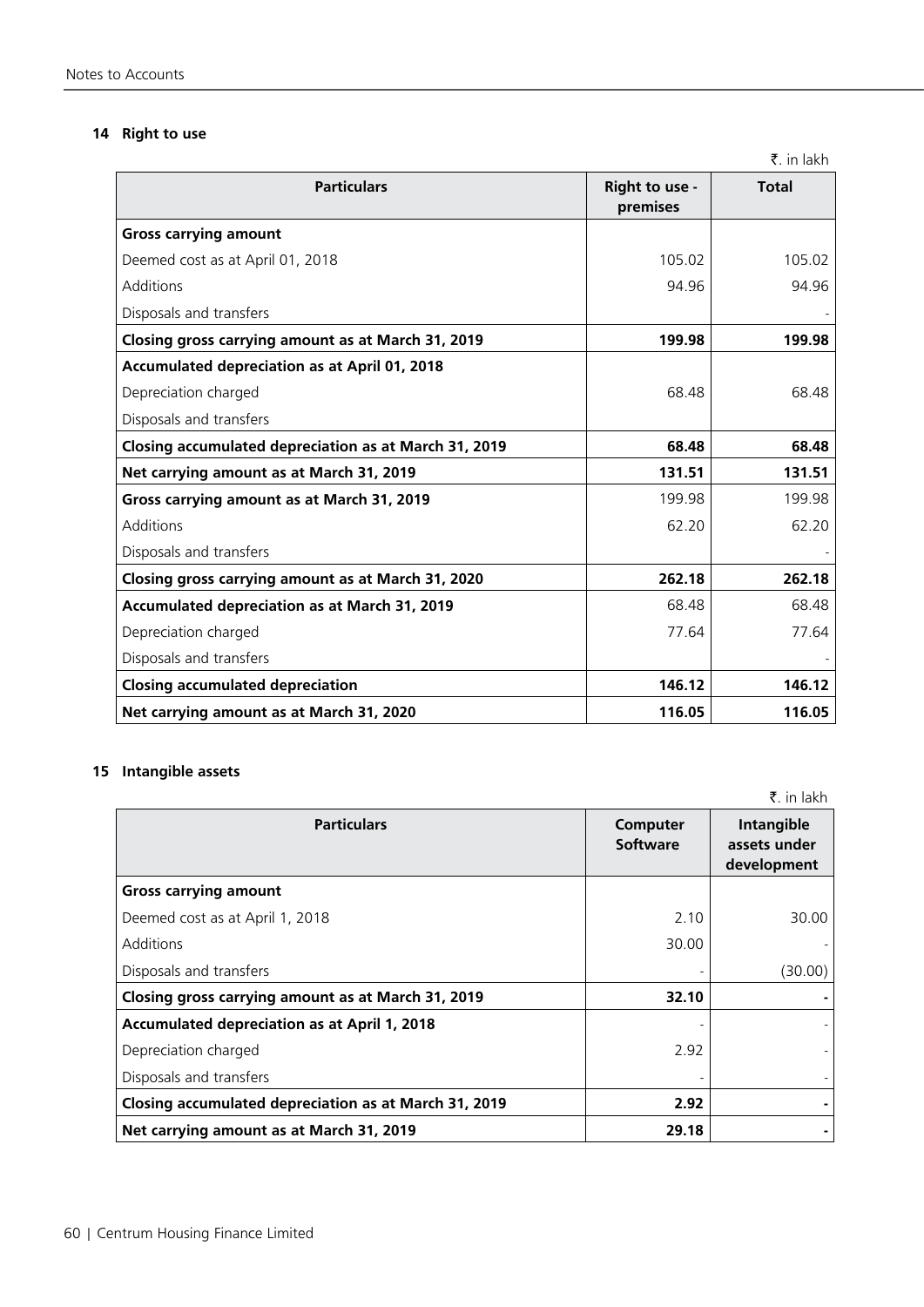### **14 Right to use**

| <b>Particulars</b>                                    | Right to use -<br>premises | <b>Total</b> |
|-------------------------------------------------------|----------------------------|--------------|
| <b>Gross carrying amount</b>                          |                            |              |
| Deemed cost as at April 01, 2018                      | 105.02                     | 105.02       |
| Additions                                             | 94.96                      | 94.96        |
| Disposals and transfers                               |                            |              |
| Closing gross carrying amount as at March 31, 2019    | 199.98                     | 199.98       |
| Accumulated depreciation as at April 01, 2018         |                            |              |
| Depreciation charged                                  | 68.48                      | 68.48        |
| Disposals and transfers                               |                            |              |
| Closing accumulated depreciation as at March 31, 2019 | 68.48                      | 68.48        |
| Net carrying amount as at March 31, 2019              | 131.51                     | 131.51       |
| Gross carrying amount as at March 31, 2019            | 199.98                     | 199.98       |
| Additions                                             | 62.20                      | 62.20        |
| Disposals and transfers                               |                            |              |
| Closing gross carrying amount as at March 31, 2020    | 262.18                     | 262.18       |
| <b>Accumulated depreciation as at March 31, 2019</b>  | 68.48                      | 68.48        |
| Depreciation charged                                  | 77.64                      | 77.64        |
| Disposals and transfers                               |                            |              |
| <b>Closing accumulated depreciation</b>               | 146.12                     | 146.12       |
| Net carrying amount as at March 31, 2020              | 116.05                     | 116.05       |

### **15 Intangible assets**

 $\bar{z}$ . in lakh Particulars **Computer 1999 Software Intangible assets under development Gross carrying amount** Deemed cost as at April 1, 2018 2.10 30.00 Additions 30.00 - Disposals and transfers and transfers and transfers and the control of the control of the control of the control of the control of the control of the control of the control of the control of the control of the control of t **Closing gross carrying amount as at March 31, 2019 32.10 - Accumulated depreciation as at April 1, 2018** Depreciation charged 2.92 Disposals and transfers **Closing accumulated depreciation as at March 31, 2019**  2.92 **Net carrying amount as at March 31, 2019** 29.18 29.18

₹. in lakh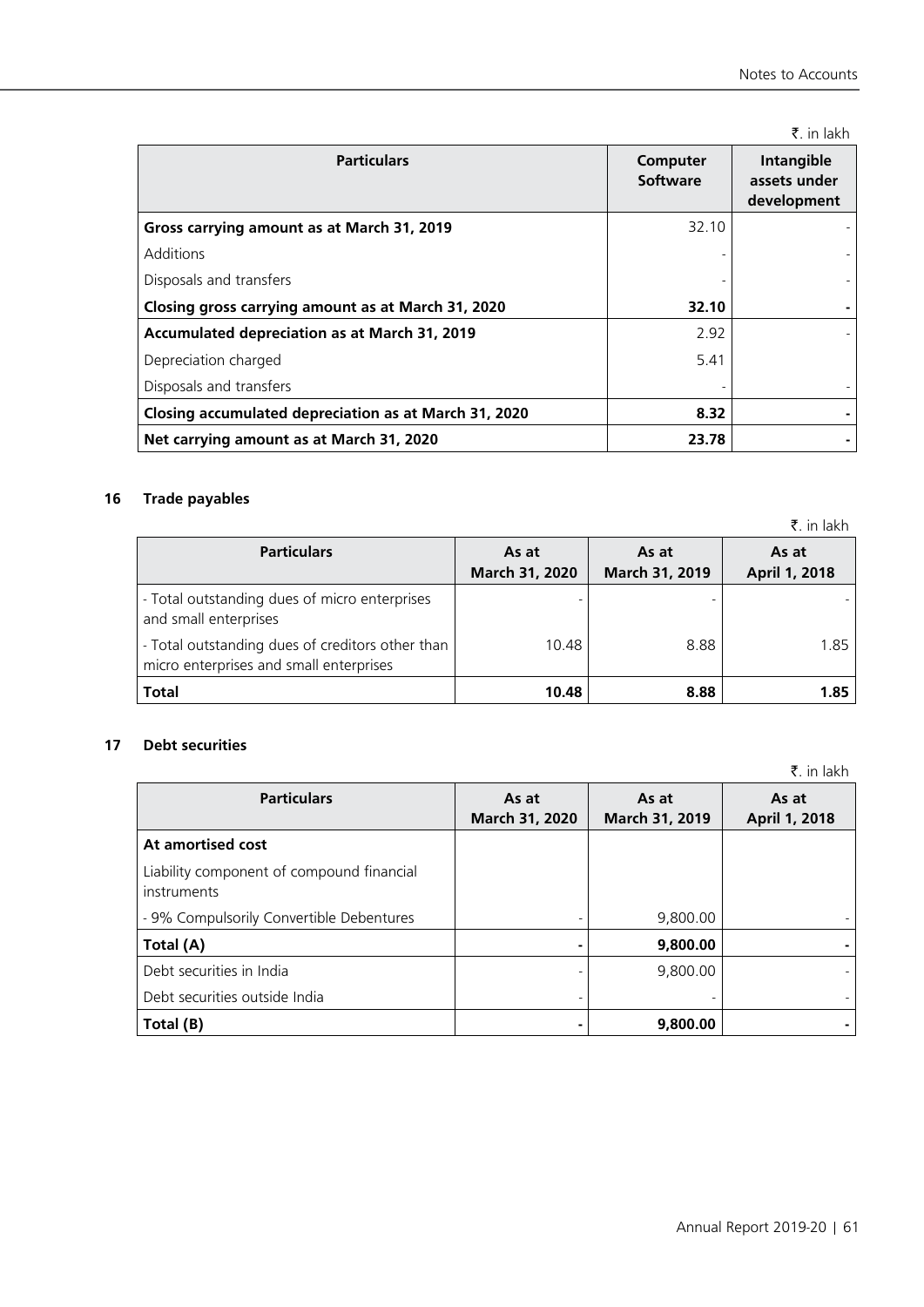₹. in lakh

| <b>Particulars</b>                                    | Computer<br>Software | Intangible<br>assets under<br>development |
|-------------------------------------------------------|----------------------|-------------------------------------------|
| Gross carrying amount as at March 31, 2019            | 32.10                |                                           |
| Additions                                             |                      |                                           |
| Disposals and transfers                               |                      |                                           |
| Closing gross carrying amount as at March 31, 2020    | 32.10                |                                           |
| Accumulated depreciation as at March 31, 2019         | 2.92                 |                                           |
| Depreciation charged                                  | 5.41                 |                                           |
| Disposals and transfers                               |                      |                                           |
| Closing accumulated depreciation as at March 31, 2020 | 8.32                 |                                           |
| Net carrying amount as at March 31, 2020              | 23.78                |                                           |

### **16 Trade payables**

|                                                                                             |                         |                         | ₹. in lakh             |
|---------------------------------------------------------------------------------------------|-------------------------|-------------------------|------------------------|
| <b>Particulars</b>                                                                          | As at<br>March 31, 2020 | As at<br>March 31, 2019 | As at<br>April 1, 2018 |
| - Total outstanding dues of micro enterprises<br>and small enterprises                      | -                       |                         |                        |
| - Total outstanding dues of creditors other than<br>micro enterprises and small enterprises | 10.48                   | 8.88                    | 1.85                   |
| <b>Total</b>                                                                                | 10.48                   | 8.88                    | 1.85                   |

### **17 Debt securities**

 $\Gamma$ 

 $\bar{z}$ . in lakh **As at**

| <b>Particulars</b>                                       | As at          | As at          | As at         |
|----------------------------------------------------------|----------------|----------------|---------------|
|                                                          | March 31, 2020 | March 31, 2019 | April 1, 2018 |
| At amortised cost                                        |                |                |               |
| Liability component of compound financial<br>instruments |                |                |               |
| - 9% Compulsorily Convertible Debentures                 |                | 9,800.00       |               |
| Total (A)                                                |                | 9,800.00       |               |
| Debt securities in India                                 |                | 9,800.00       |               |
| Debt securities outside India                            |                |                |               |
| Total (B)                                                |                | 9,800.00       |               |

T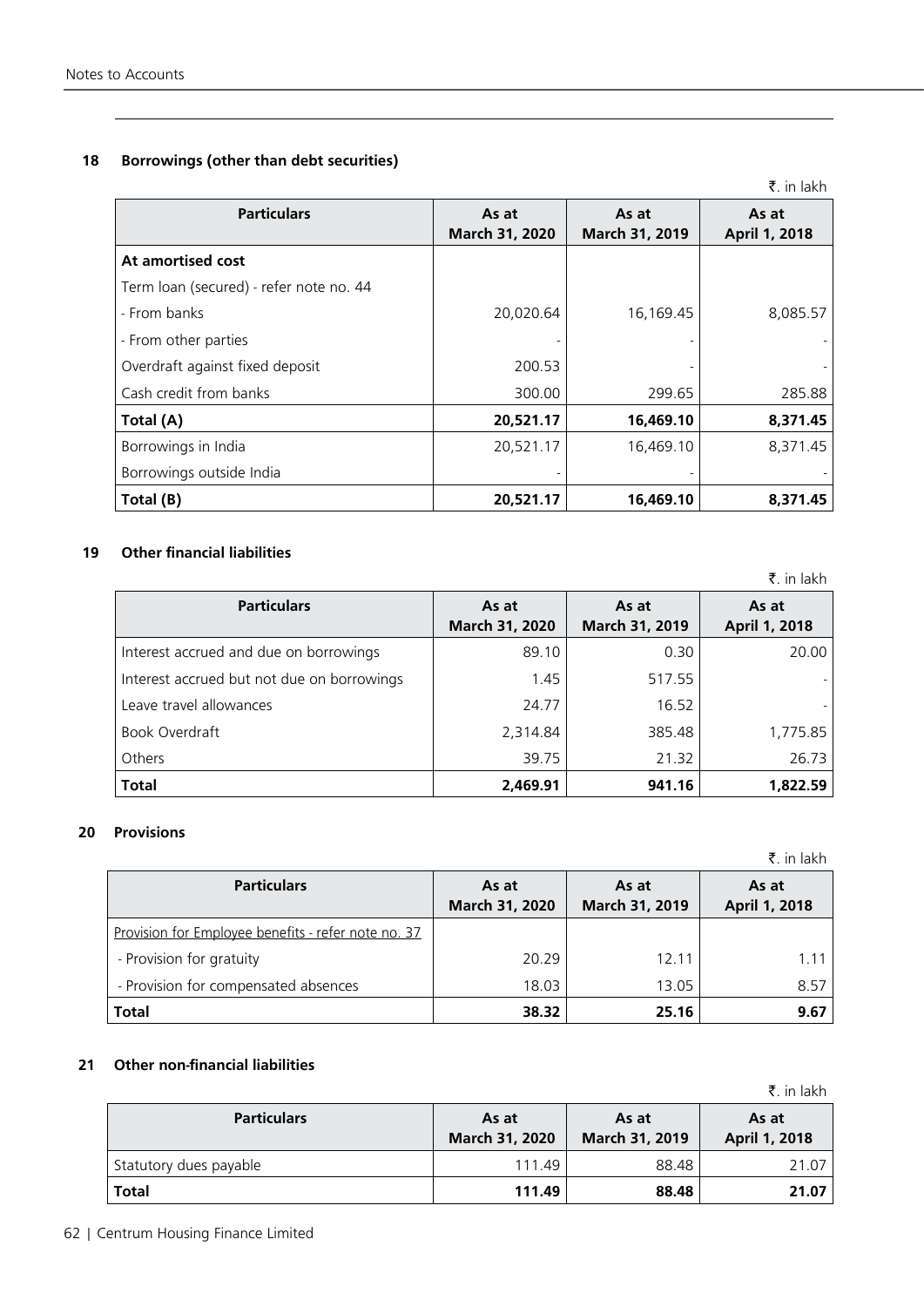## **18 Borrowings (other than debt securities)**

|                                         |                         |                         | ₹. in lakh             |
|-----------------------------------------|-------------------------|-------------------------|------------------------|
| <b>Particulars</b>                      | As at<br>March 31, 2020 | As at<br>March 31, 2019 | As at<br>April 1, 2018 |
| At amortised cost                       |                         |                         |                        |
| Term loan (secured) - refer note no. 44 |                         |                         |                        |
| - From banks                            | 20,020.64               | 16,169.45               | 8,085.57               |
| - From other parties                    |                         |                         |                        |
| Overdraft against fixed deposit         | 200.53                  |                         |                        |
| Cash credit from banks                  | 300.00                  | 299.65                  | 285.88                 |
| Total (A)                               | 20,521.17               | 16,469.10               | 8,371.45               |
| Borrowings in India                     | 20,521.17               | 16,469.10               | 8,371.45               |
| Borrowings outside India                |                         |                         |                        |
| Total (B)                               | 20,521.17               | 16,469.10               | 8,371.45               |

### **19 Other financial liabilities**

₹. in lakh

| <b>Particulars</b>                         | As at<br>March 31, 2020 | As at<br>March 31, 2019 | As at<br>April 1, 2018 |
|--------------------------------------------|-------------------------|-------------------------|------------------------|
| Interest accrued and due on borrowings     | 89.10                   | 0.30                    | 20.00                  |
| Interest accrued but not due on borrowings | 1.45                    | 517.55                  |                        |
| Leave travel allowances                    | 24.77                   | 16.52                   |                        |
| Book Overdraft                             | 2,314.84                | 385.48                  | 1,775.85               |
| Others                                     | 39.75                   | 21.32                   | 26.73                  |
| <b>Total</b>                               | 2,469.91                | 941.16                  | 1.822.59               |

### **20 Provisions**

|                                                     |                         |                         | ₹. in lakh             |
|-----------------------------------------------------|-------------------------|-------------------------|------------------------|
| <b>Particulars</b>                                  | As at<br>March 31, 2020 | As at<br>March 31, 2019 | As at<br>April 1, 2018 |
| Provision for Employee benefits - refer note no. 37 |                         |                         |                        |
| - Provision for gratuity                            | 20.29                   | 12.11                   | 1 1 1                  |
| - Provision for compensated absences                | 18.03                   | 13.05                   | 8.57                   |
| <b>Total</b>                                        | 38.32                   | 25.16                   | 9.67                   |

### **21 Other non-financial liabilities**

₹. in lakh

| <b>Particulars</b>     | As at<br><b>March 31, 2020</b> | As at<br>March 31, 2019 | As at<br>April 1, 2018 |
|------------------------|--------------------------------|-------------------------|------------------------|
| Statutory dues payable | 111.49                         | 88.48                   | 21.07                  |
| <b>Total</b>           | 111.49                         | 88.48                   | 21.07                  |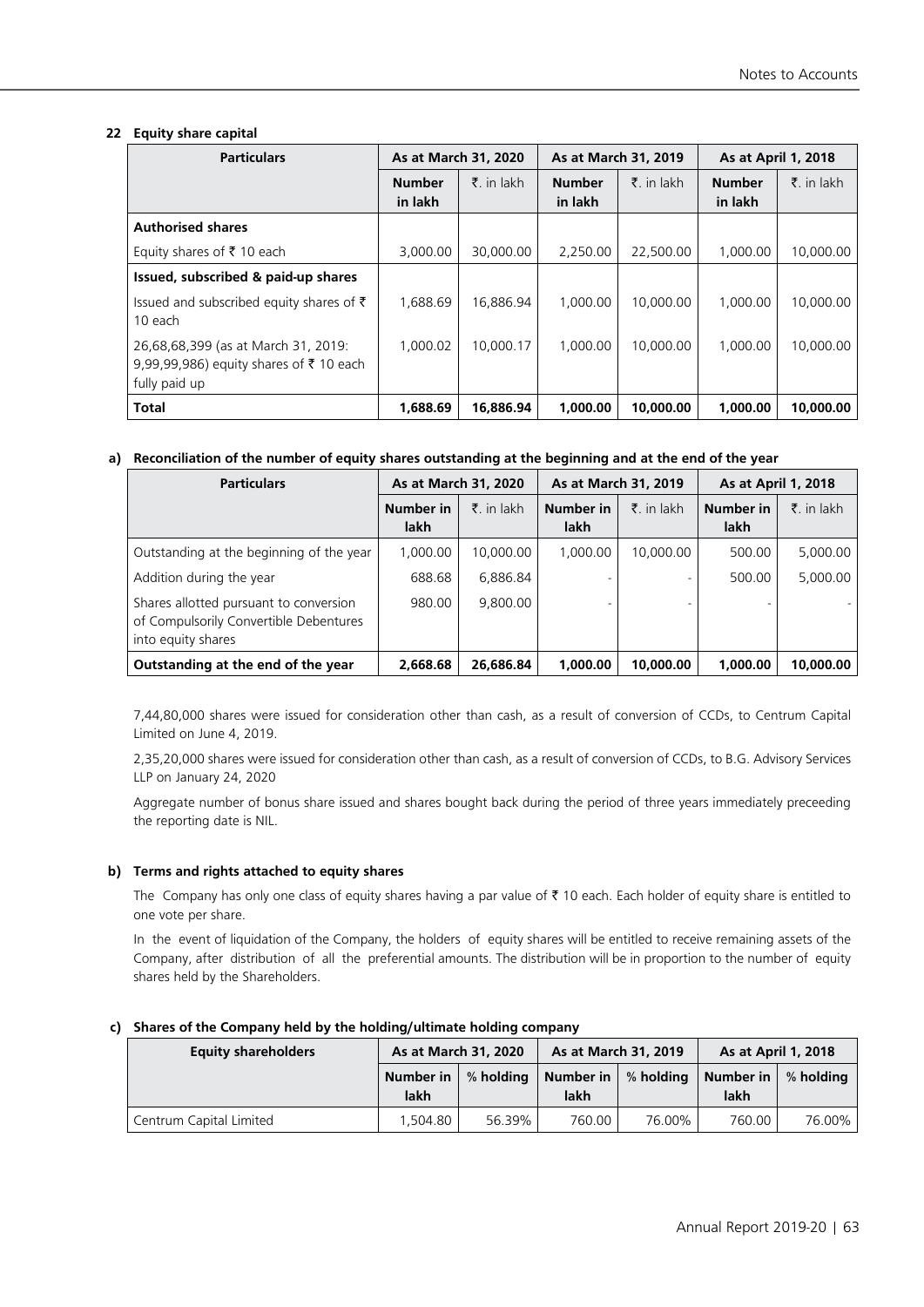### **22 Equity share capital**

| <b>Particulars</b>                                                                             | As at March 31, 2020     |                   | As at March 31, 2019     |                   | <b>As at April 1, 2018</b> |                     |
|------------------------------------------------------------------------------------------------|--------------------------|-------------------|--------------------------|-------------------|----------------------------|---------------------|
|                                                                                                | <b>Number</b><br>in lakh | $\bar{z}$ in lakh | <b>Number</b><br>in lakh | $\bar{z}$ in lakh | <b>Number</b><br>in lakh   | $\bar{z}$ , in lakh |
| <b>Authorised shares</b>                                                                       |                          |                   |                          |                   |                            |                     |
| Equity shares of ₹10 each                                                                      | 3,000.00                 | 30,000.00         | 2,250.00                 | 22,500.00         | 1,000.00                   | 10,000.00           |
| Issued, subscribed & paid-up shares                                                            |                          |                   |                          |                   |                            |                     |
| Issued and subscribed equity shares of $\bar{\tau}$<br>10 each                                 | 1.688.69                 | 16.886.94         | 1,000.00                 | 10,000.00         | 1,000.00                   | 10,000.00           |
| 26,68,68,399 (as at March 31, 2019:<br>9,99,99,986) equity shares of ₹10 each<br>fully paid up | 1.000.02                 | 10,000.17         | 1,000.00                 | 10,000.00         | 1,000.00                   | 10,000.00           |
| <b>Total</b>                                                                                   | 1,688.69                 | 16.886.94         | 1.000.00                 | 10,000.00         | 1.000.00                   | 10,000.00           |

### **a) Reconciliation of the number of equity shares outstanding at the beginning and at the end of the year**

| <b>Particulars</b>                                                                                     |           | As at March 31, 2020 |           | As at March 31, 2019 |           | As at April 1, 2018 |
|--------------------------------------------------------------------------------------------------------|-----------|----------------------|-----------|----------------------|-----------|---------------------|
|                                                                                                        | Number in | $\bar{z}$ in lakh    | Number in | $\bar{z}$ . in lakh  | Number in | $\bar{z}$ . in lakh |
|                                                                                                        | lakh      |                      | lakh      |                      | lakh      |                     |
| Outstanding at the beginning of the year                                                               | 1.000.00  | 10,000.00            | 1.000.00  | 10,000.00            | 500.00    | 5,000.00            |
| Addition during the year                                                                               | 688.68    | 6.886.84             |           |                      | 500.00    | 5,000.00            |
| Shares allotted pursuant to conversion<br>of Compulsorily Convertible Debentures<br>into equity shares | 980.00    | 9,800.00             |           |                      |           |                     |
| Outstanding at the end of the year                                                                     | 2,668.68  | 26,686.84            | 1,000.00  | 10,000.00            | 1,000.00  | 10,000.00           |

7,44,80,000 shares were issued for consideration other than cash, as a result of conversion of CCDs, to Centrum Capital Limited on June 4, 2019.

2,35,20,000 shares were issued for consideration other than cash, as a result of conversion of CCDs, to B.G. Advisory Services LLP on January 24, 2020

Aggregate number of bonus share issued and shares bought back during the period of three years immediately preceeding the reporting date is NIL.

### **b) Terms and rights attached to equity shares**

The Company has only one class of equity shares having a par value of  $\bar{\tau}$  10 each. Each holder of equity share is entitled to one vote per share.

In the event of liquidation of the Company, the holders of equity shares will be entitled to receive remaining assets of the Company, after distribution of all the preferential amounts. The distribution will be in proportion to the number of equity shares held by the Shareholders.

### **c) Shares of the Company held by the holding/ultimate holding company**

| <b>Equity shareholders</b> |                   | As at March 31, 2020 |                   | As at March 31, 2019 |                   | As at April 1, 2018 |
|----------------------------|-------------------|----------------------|-------------------|----------------------|-------------------|---------------------|
|                            | Number in<br>lakh | % holding            | Number in<br>lakh | % holding            | Number in<br>lakh | % holding           |
| Centrum Capital Limited    | .504.80           | 56.39%               | 760.00            | 76.00%               | 760.00            | 76.00%              |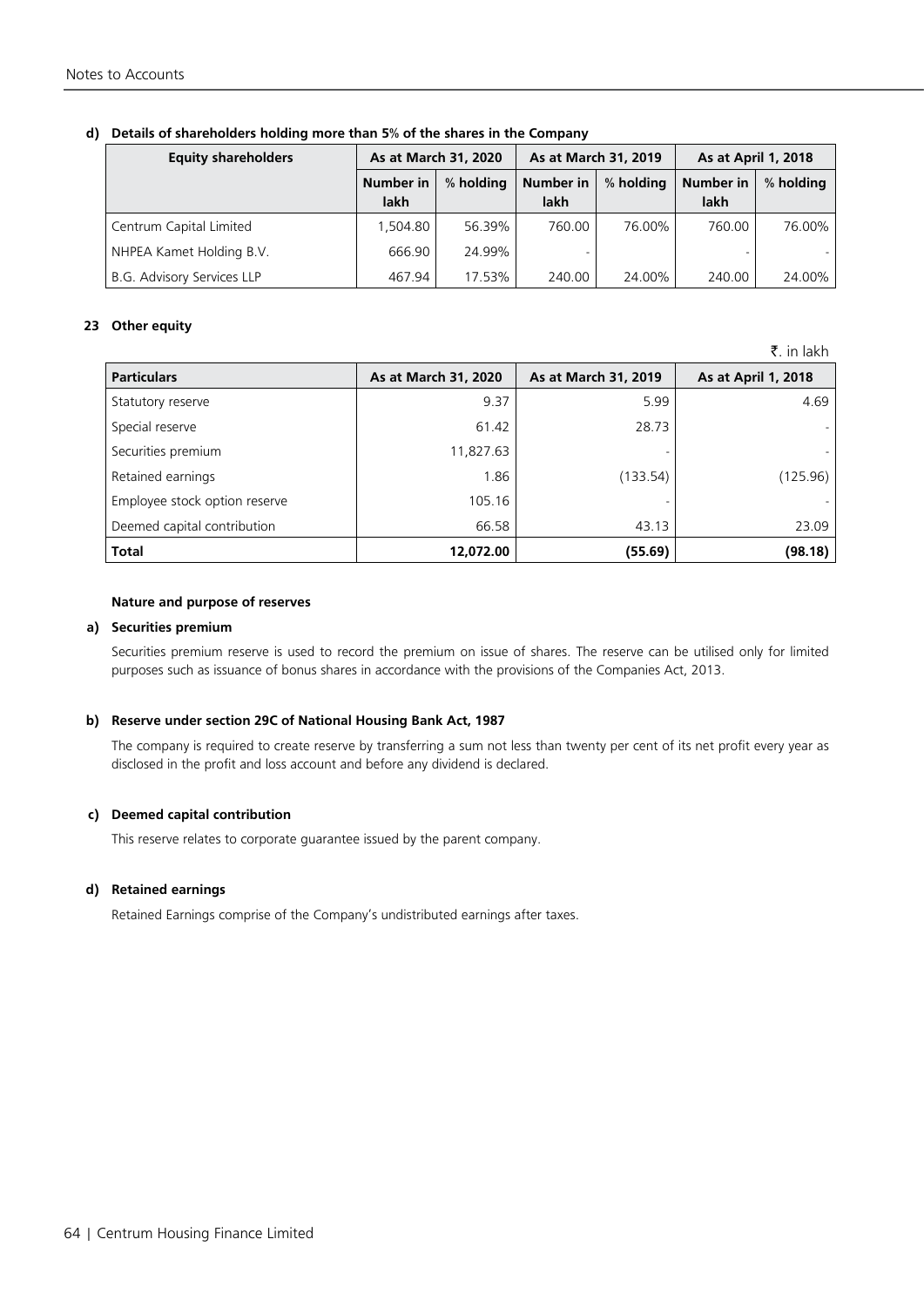| <b>Equity shareholders</b>        | As at March 31, 2020 |           | As at March 31, 2019 |           | As at April 1, 2018      |           |
|-----------------------------------|----------------------|-----------|----------------------|-----------|--------------------------|-----------|
|                                   | Number in<br>lakh    | % holding | Number in<br>lakh    | % holding | <b>Number in</b><br>lakh | % holding |
| Centrum Capital Limited           | 1.504.80             | 56.39%    | 760.00               | 76.00%    | 760.00                   | 76.00%    |
| NHPEA Kamet Holding B.V.          | 666.90               | 24.99%    |                      |           |                          |           |
| <b>B.G. Advisory Services LLP</b> | 467.94               | 17.53%    | 240.00               | 24.00%    | 240.00                   | 24.00%    |

### **d) Details of shareholders holding more than 5% of the shares in the Company**

### **23 Other equity**

 $\bar{z}$  in lakh

| <b>Particulars</b>            | As at March 31, 2020 | As at March 31, 2019 | As at April 1, 2018 |
|-------------------------------|----------------------|----------------------|---------------------|
| Statutory reserve             | 9.37                 | 5.99                 | 4.69                |
| Special reserve               | 61.42                | 28.73                |                     |
| Securities premium            | 11,827.63            |                      |                     |
| Retained earnings             | 1.86                 | (133.54)             | (125.96)            |
| Employee stock option reserve | 105.16               |                      |                     |
| Deemed capital contribution   | 66.58                | 43.13                | 23.09               |
| Total                         | 12,072.00            | (55.69)              | (98.18)             |

### **Nature and purpose of reserves**

### **a) Securities premium**

Securities premium reserve is used to record the premium on issue of shares. The reserve can be utilised only for limited purposes such as issuance of bonus shares in accordance with the provisions of the Companies Act, 2013.

### **b) Reserve under section 29C of National Housing Bank Act, 1987**

The company is required to create reserve by transferring a sum not less than twenty per cent of its net profit every year as disclosed in the profit and loss account and before any dividend is declared.

### **c) Deemed capital contribution**

This reserve relates to corporate guarantee issued by the parent company.

### **d) Retained earnings**

Retained Earnings comprise of the Company's undistributed earnings after taxes.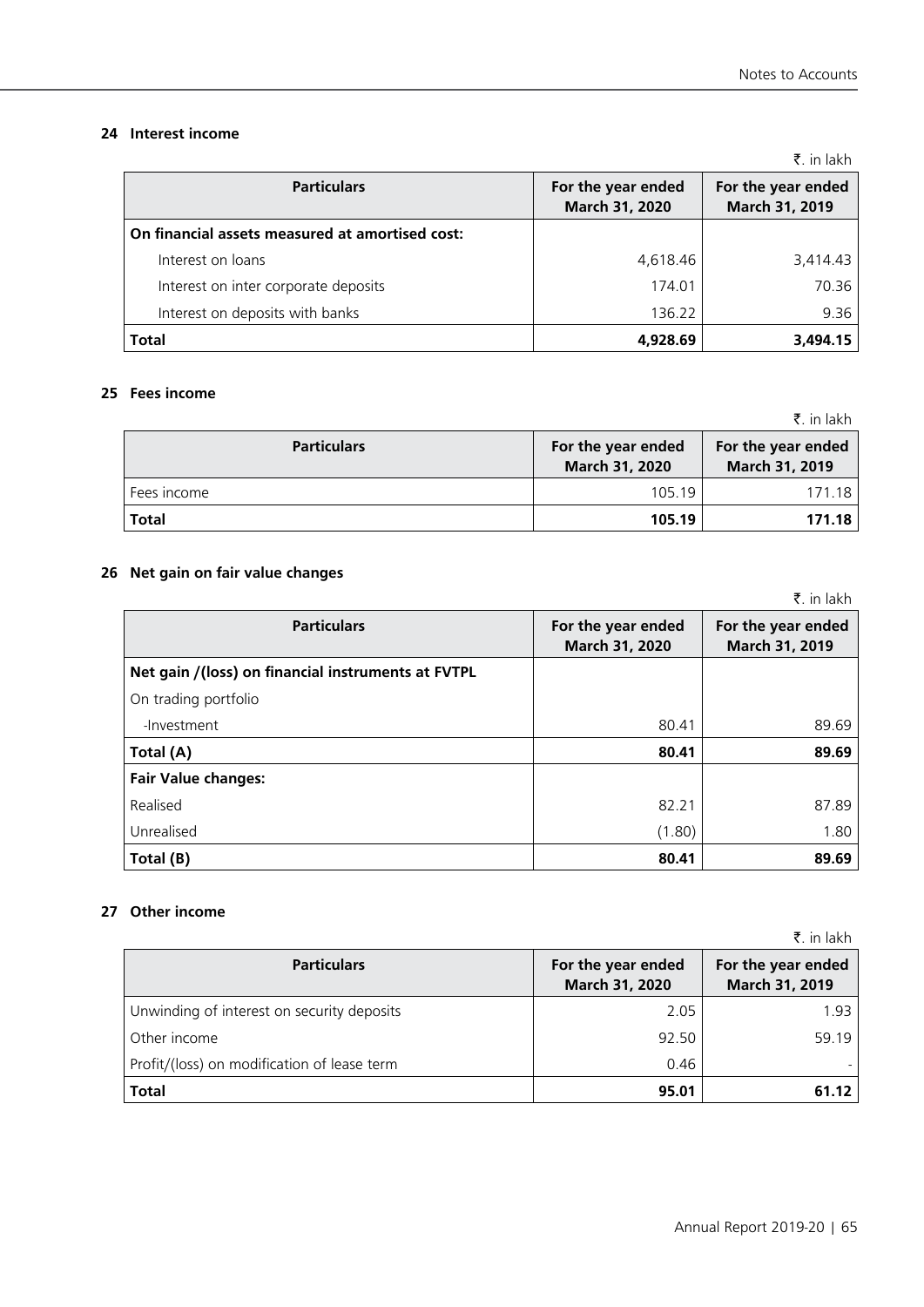### **24 Interest income**

|                                                 |                                      | $\bar{\mathbf{z}}$ , in lakh         |
|-------------------------------------------------|--------------------------------------|--------------------------------------|
| <b>Particulars</b>                              | For the year ended<br>March 31, 2020 | For the year ended<br>March 31, 2019 |
| On financial assets measured at amortised cost: |                                      |                                      |
| Interest on loans                               | 4,618.46                             | 3,414.43                             |
| Interest on inter corporate deposits            | 174.01                               | 70.36                                |
| Interest on deposits with banks                 | 136.22                               | 9.36                                 |
| <b>Total</b>                                    | 4,928.69                             | 3,494.15                             |

### **25 Fees income**

| <b>Particulars</b> | For the year ended<br>March 31, 2020 | For the year ended<br>March 31, 2019 |
|--------------------|--------------------------------------|--------------------------------------|
| Fees income        | 105.19                               | 171.18                               |
| <b>Total</b>       | 105.19                               | 171.18                               |

### **26 Net gain on fair value changes**

|                                                    |                                      | ₹. in lakh                           |
|----------------------------------------------------|--------------------------------------|--------------------------------------|
| <b>Particulars</b>                                 | For the year ended<br>March 31, 2020 | For the year ended<br>March 31, 2019 |
| Net gain /(loss) on financial instruments at FVTPL |                                      |                                      |
| On trading portfolio                               |                                      |                                      |
| -Investment                                        | 80.41                                | 89.69                                |
| Total (A)                                          | 80.41                                | 89.69                                |
| <b>Fair Value changes:</b>                         |                                      |                                      |
| Realised                                           | 82.21                                | 87.89                                |
| Unrealised                                         | (1.80)                               | 1.80                                 |
| Total (B)                                          | 80.41                                | 89.69                                |

### **27 Other income**

|                                             |                                      | ₹. in lakh                           |
|---------------------------------------------|--------------------------------------|--------------------------------------|
| <b>Particulars</b>                          | For the year ended<br>March 31, 2020 | For the year ended<br>March 31, 2019 |
| Unwinding of interest on security deposits  | 2.05                                 | 1.93                                 |
| Other income                                | 92.50                                | 59.19                                |
| Profit/(loss) on modification of lease term | 0.46                                 |                                      |
| <b>Total</b>                                | 95.01                                | 61.12                                |

₹. in lakh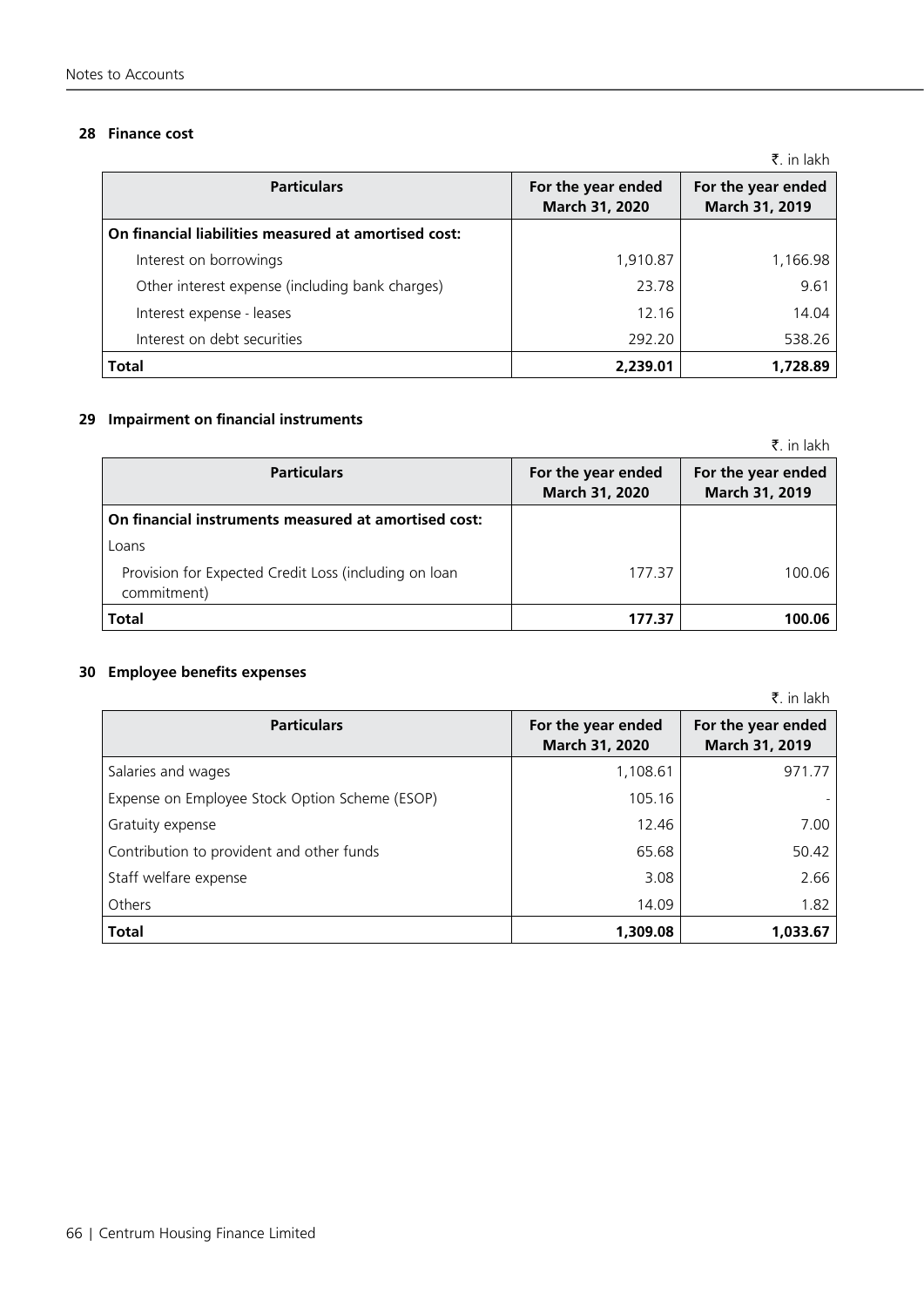### **28 Finance cost**

|                                                      |                                      | A. III IANII                         |
|------------------------------------------------------|--------------------------------------|--------------------------------------|
| <b>Particulars</b>                                   | For the year ended<br>March 31, 2020 | For the year ended<br>March 31, 2019 |
| On financial liabilities measured at amortised cost: |                                      |                                      |
| Interest on borrowings                               | 1,910.87                             | 1,166.98                             |
| Other interest expense (including bank charges)      | 23.78                                | 9.61                                 |
| Interest expense - leases                            | 12.16                                | 14.04                                |
| Interest on debt securities                          | 292.20                               | 538.26                               |
| <b>Total</b>                                         | 2,239.01                             | 1,728.89                             |

### **29 Impairment on financial instruments**

|                                                                      |                                      | ₹. in lakh                           |
|----------------------------------------------------------------------|--------------------------------------|--------------------------------------|
| <b>Particulars</b>                                                   | For the year ended<br>March 31, 2020 | For the year ended<br>March 31, 2019 |
| On financial instruments measured at amortised cost:                 |                                      |                                      |
| Loans                                                                |                                      |                                      |
| Provision for Expected Credit Loss (including on loan<br>commitment) | 177.37                               | 100.06                               |
| Total                                                                | 177.37                               | 100.06                               |

### **30 Employee benefits expenses**

|                                                |                                      | ₹. in lakh                           |
|------------------------------------------------|--------------------------------------|--------------------------------------|
| <b>Particulars</b>                             | For the year ended<br>March 31, 2020 | For the year ended<br>March 31, 2019 |
| Salaries and wages                             | 1,108.61                             | 971.77                               |
| Expense on Employee Stock Option Scheme (ESOP) | 105.16                               |                                      |
| Gratuity expense                               | 12.46                                | 7.00                                 |
| Contribution to provident and other funds      | 65.68                                | 50.42                                |
| Staff welfare expense                          | 3.08                                 | 2.66                                 |
| Others                                         | 14.09                                | 1.82                                 |
| <b>Total</b>                                   | 1.309.08                             | 1.033.67                             |

 $\bar{z}$  in lakh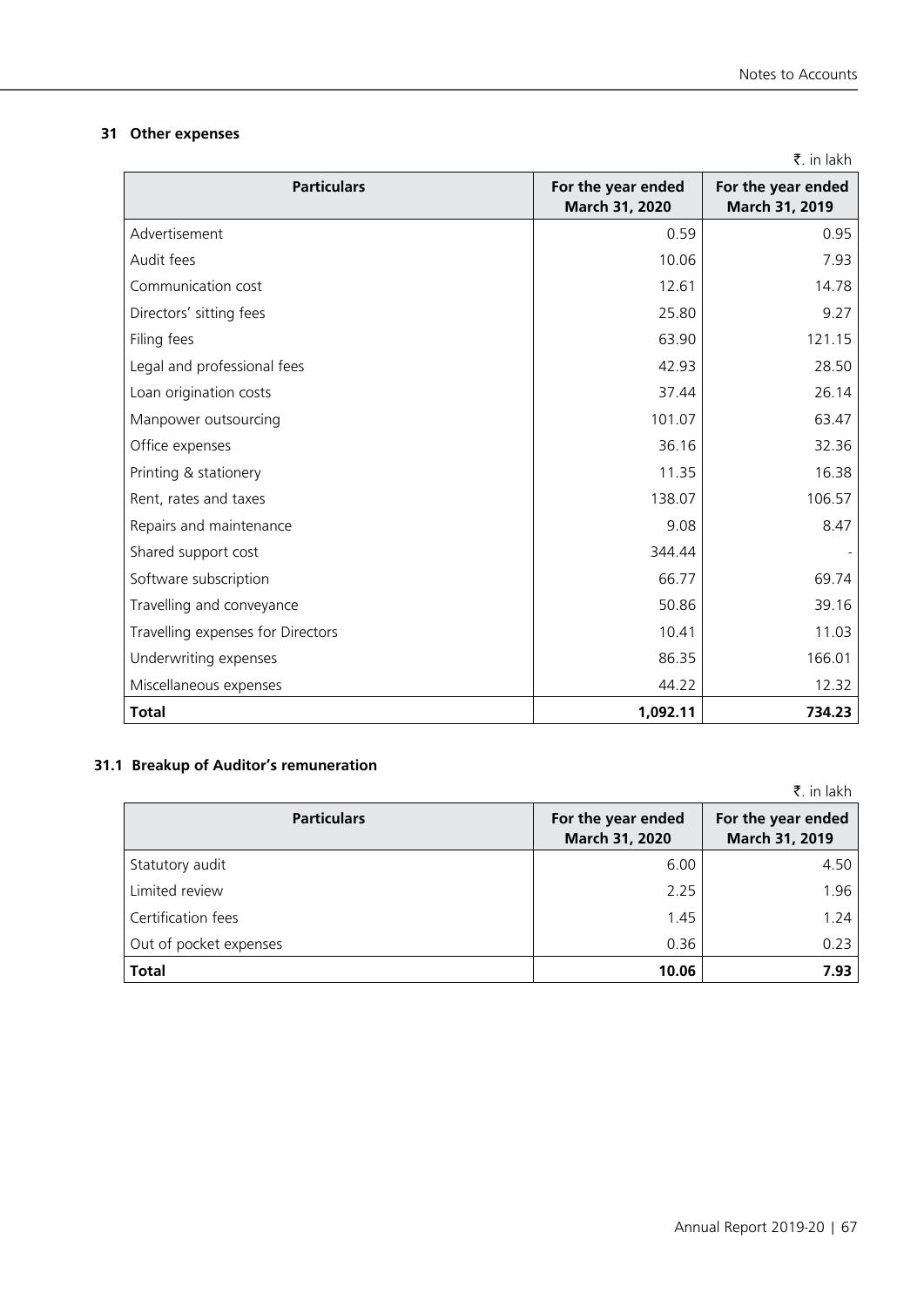Annual Report 2019-20 | 67

## **31 Other expenses**

| <b>Particulars</b>                | For the year ended<br>March 31, 2020 | For the year ended<br>March 31, 2019 |
|-----------------------------------|--------------------------------------|--------------------------------------|
| Advertisement                     | 0.59                                 | 0.95                                 |
| Audit fees                        | 10.06                                | 7.93                                 |
| Communication cost                | 12.61                                | 14.78                                |
| Directors' sitting fees           | 25.80                                | 9.27                                 |
| Filing fees                       | 63.90                                | 121.15                               |
| Legal and professional fees       | 42.93                                | 28.50                                |
| Loan origination costs            | 37.44                                | 26.14                                |
| Manpower outsourcing              | 101.07                               | 63.47                                |
| Office expenses                   | 36.16                                | 32.36                                |
| Printing & stationery             | 11.35                                | 16.38                                |
| Rent, rates and taxes             | 138.07                               | 106.57                               |
| Repairs and maintenance           | 9.08                                 | 8.47                                 |
| Shared support cost               | 344.44                               |                                      |
| Software subscription             | 66.77                                | 69.74                                |
| Travelling and conveyance         | 50.86                                | 39.16                                |
| Travelling expenses for Directors | 10.41                                | 11.03                                |
| Underwriting expenses             | 86.35                                | 166.01                               |
| Miscellaneous expenses            | 44.22                                | 12.32                                |
| <b>Total</b>                      | 1,092.11                             | 734.23                               |

### **31.1 Breakup of Auditor's remuneration**

|                        |                                      | ₹. in lakh                           |
|------------------------|--------------------------------------|--------------------------------------|
| <b>Particulars</b>     | For the year ended<br>March 31, 2020 | For the year ended<br>March 31, 2019 |
| Statutory audit        | 6.00                                 | 4.50                                 |
| Limited review         | 2.25                                 | 1.96                                 |
| Certification fees     | 1.45                                 | 1.24                                 |
| Out of pocket expenses | 0.36                                 | 0.23                                 |
| <b>Total</b>           | 10.06                                | 7.93                                 |

|  | in lakh |
|--|---------|
|  |         |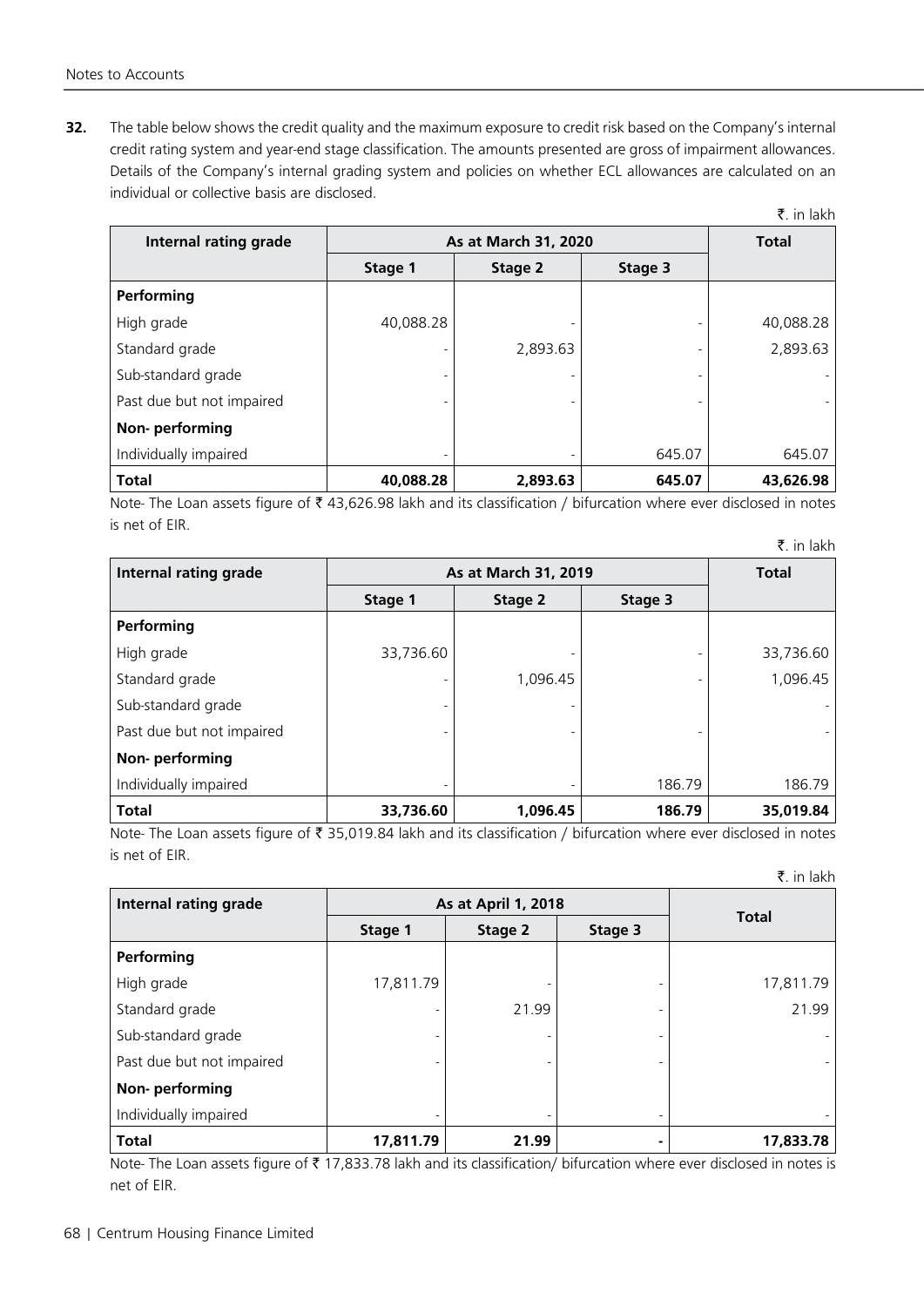**32.** The table below shows the credit quality and the maximum exposure to credit risk based on the Company's internal credit rating system and year-end stage classification. The amounts presented are gross of impairment allowances. Details of the Company's internal grading system and policies on whether ECL allowances are calculated on an individual or collective basis are disclosed.

| Internal rating grade     | As at March 31, 2020     | <b>Total</b> |         |           |
|---------------------------|--------------------------|--------------|---------|-----------|
|                           | Stage 1                  | Stage 2      | Stage 3 |           |
| Performing                |                          |              |         |           |
| High grade                | 40,088.28                |              |         | 40,088.28 |
| Standard grade            |                          | 2,893.63     |         | 2,893.63  |
| Sub-standard grade        |                          |              |         |           |
| Past due but not impaired | $\blacksquare$           |              |         |           |
| Non-performing            |                          |              |         |           |
| Individually impaired     | $\overline{\phantom{a}}$ |              | 645.07  | 645.07    |
| <b>Total</b>              | 40,088.28                | 2,893.63     | 645.07  | 43,626.98 |

Note- The Loan assets figure of  $\bar{t}$  43,626.98 lakh and its classification / bifurcation where ever disclosed in notes is net of EIR.

| <b>Internal rating grade</b> | As at March 31, 2019     | <b>Total</b> |         |           |
|------------------------------|--------------------------|--------------|---------|-----------|
|                              | Stage 1                  | Stage 2      | Stage 3 |           |
| Performing                   |                          |              |         |           |
| High grade                   | 33,736.60                |              |         | 33,736.60 |
| Standard grade               |                          | 1,096.45     |         | 1,096.45  |
| Sub-standard grade           |                          |              |         |           |
| Past due but not impaired    | $\overline{\phantom{a}}$ |              |         |           |
| Non-performing               |                          |              |         |           |
| Individually impaired        | $\overline{\phantom{a}}$ |              | 186.79  | 186.79    |
| <b>Total</b>                 | 33,736.60                | 1,096.45     | 186.79  | 35,019.84 |

Note- The Loan assets figure of ₹ 35,019.84 lakh and its classification / bifurcation where ever disclosed in notes is net of EIR.

 $\bar{z}$ . in lakh

 $\bar{z}$ . in lakh

| Internal rating grade     | As at April 1, 2018 |         |         |              |
|---------------------------|---------------------|---------|---------|--------------|
|                           | Stage 1             | Stage 2 | Stage 3 | <b>Total</b> |
| Performing                |                     |         |         |              |
| High grade                | 17,811.79           |         |         | 17,811.79    |
| Standard grade            |                     | 21.99   |         | 21.99        |
| Sub-standard grade        |                     |         |         |              |
| Past due but not impaired |                     |         |         |              |
| Non-performing            |                     |         |         |              |
| Individually impaired     |                     |         | -       |              |
| <b>Total</b>              | 17,811.79           | 21.99   |         | 17,833.78    |

Note- The Loan assets figure of  $\bar{z}$  17,833.78 lakh and its classification/ bifurcation where ever disclosed in notes is net of EIR.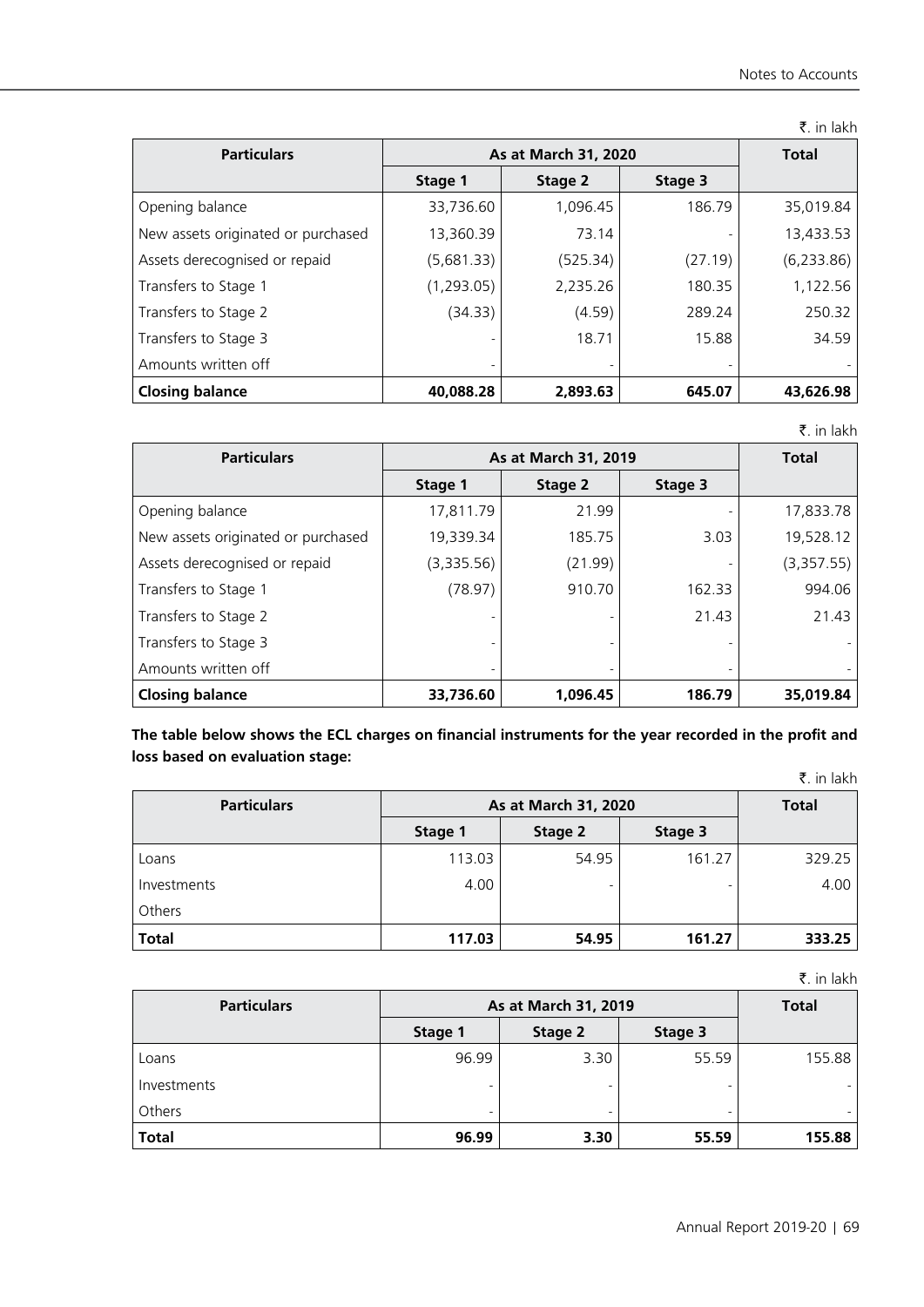|                                    |             |                      |         | ₹. in lakh   |
|------------------------------------|-------------|----------------------|---------|--------------|
| <b>Particulars</b>                 |             | As at March 31, 2020 |         | <b>Total</b> |
|                                    | Stage 1     | Stage 2              | Stage 3 |              |
| Opening balance                    | 33,736.60   | 1,096.45             | 186.79  | 35,019.84    |
| New assets originated or purchased | 13,360.39   | 73.14                |         | 13,433.53    |
| Assets derecognised or repaid      | (5,681.33)  | (525.34)             | (27.19) | (6, 233.86)  |
| Transfers to Stage 1               | (1, 293.05) | 2,235.26             | 180.35  | 1,122.56     |
| Transfers to Stage 2               | (34.33)     | (4.59)               | 289.24  | 250.32       |
| Transfers to Stage 3               |             | 18.71                | 15.88   | 34.59        |
| Amounts written off                | -           |                      |         |              |
| <b>Closing balance</b>             | 40,088.28   | 2,893.63             | 645.07  | 43,626.98    |

₹. in lakh

| <b>Particulars</b>                 | As at March 31, 2019 | <b>Total</b> |         |            |
|------------------------------------|----------------------|--------------|---------|------------|
|                                    | Stage 1              | Stage 2      | Stage 3 |            |
| Opening balance                    | 17,811.79            | 21.99        |         | 17,833.78  |
| New assets originated or purchased | 19,339.34            | 185.75       | 3.03    | 19,528.12  |
| Assets derecognised or repaid      | (3,335.56)           | (21.99)      |         | (3,357.55) |
| Transfers to Stage 1               | (78.97)              | 910.70       | 162.33  | 994.06     |
| Transfers to Stage 2               |                      |              | 21.43   | 21.43      |
| Transfers to Stage 3               |                      |              |         |            |
| Amounts written off                |                      | ۰            |         |            |
| <b>Closing balance</b>             | 33,736.60            | 1,096.45     | 186.79  | 35,019.84  |

**The table below shows the ECL charges on financial instruments for the year recorded in the profit and loss based on evaluation stage:**

|                    |         |                      |         | ₹. in lakh |  |
|--------------------|---------|----------------------|---------|------------|--|
| <b>Particulars</b> |         | As at March 31, 2020 |         |            |  |
|                    | Stage 1 | Stage 2              | Stage 3 |            |  |
| Loans              | 113.03  | 54.95                | 161.27  | 329.25     |  |
| Investments        | 4.00    |                      |         | 4.00       |  |
| Others             |         |                      |         |            |  |
| <b>Total</b>       | 117.03  | 54.95                | 161.27  | 333.25     |  |

₹. in lakh

| <b>Particulars</b> | As at March 31, 2019 | <b>Total</b>             |         |        |
|--------------------|----------------------|--------------------------|---------|--------|
|                    | Stage 1              | Stage 2                  | Stage 3 |        |
| Loans              | 96.99                | 3.30                     | 55.59   | 155.88 |
| Investments        |                      | -                        |         |        |
| Others             | ٠                    | $\overline{\phantom{a}}$ | -       |        |
| <b>Total</b>       | 96.99                | 3.30                     | 55.59   | 155.88 |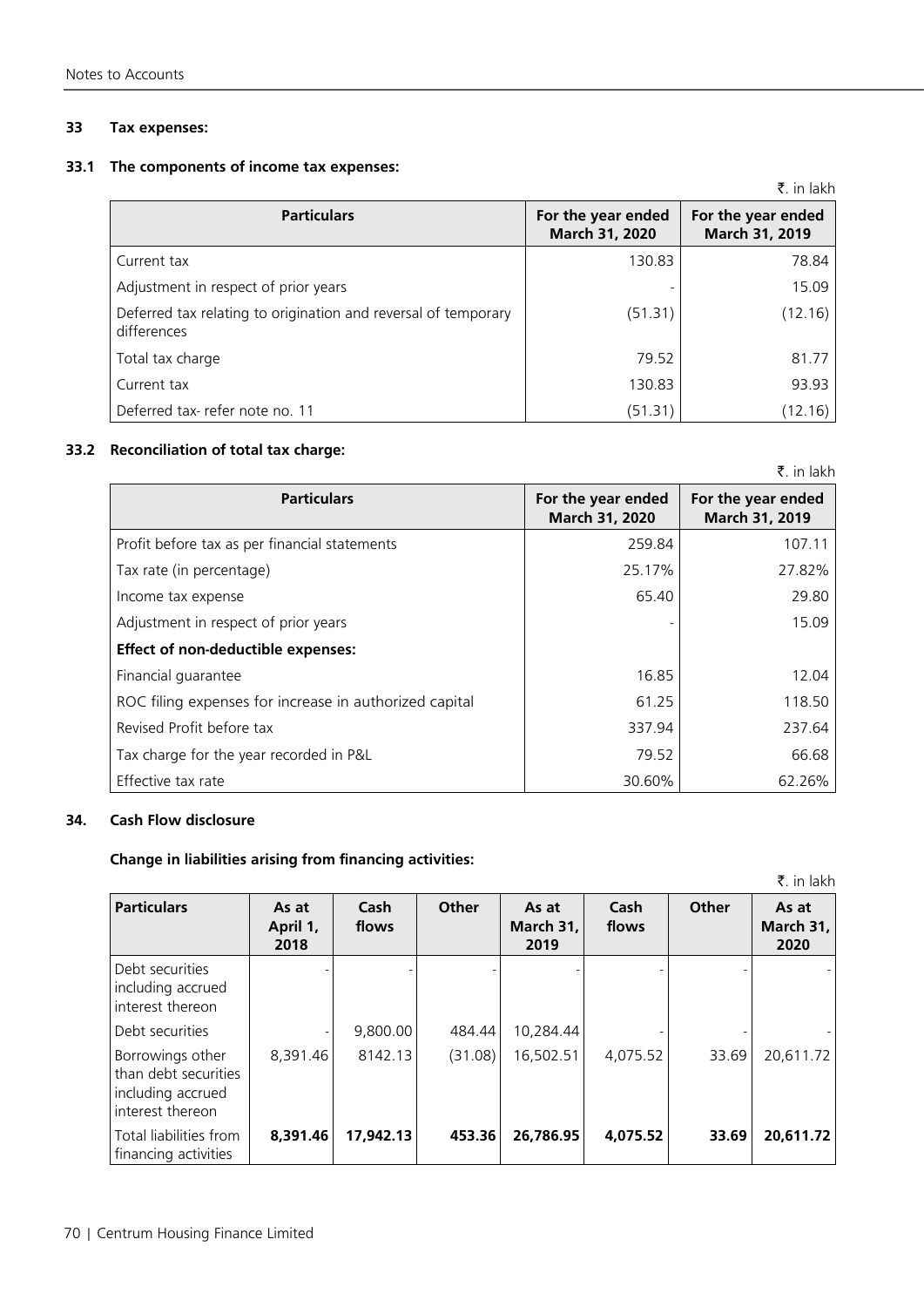### **33 Tax expenses:**

### **33.1 The components of income tax expenses:**

|                                                                               |                                      | ₹. in lakh                           |
|-------------------------------------------------------------------------------|--------------------------------------|--------------------------------------|
| <b>Particulars</b>                                                            | For the year ended<br>March 31, 2020 | For the year ended<br>March 31, 2019 |
| Current tax                                                                   | 130.83                               | 78.84                                |
| Adjustment in respect of prior years                                          |                                      | 15.09                                |
| Deferred tax relating to origination and reversal of temporary<br>differences | (51.31)                              | (12.16)                              |
| Total tax charge                                                              | 79.52                                | 81.77                                |
| Current tax                                                                   | 130.83                               | 93.93                                |
| Deferred tax-refer note no. 11                                                | (51.31)                              | (12.16)                              |

### **33.2 Reconciliation of total tax charge:**

|                                                        |                                      | ₹. in lakh                           |
|--------------------------------------------------------|--------------------------------------|--------------------------------------|
| <b>Particulars</b>                                     | For the year ended<br>March 31, 2020 | For the year ended<br>March 31, 2019 |
| Profit before tax as per financial statements          | 259.84                               | 107.11                               |
| Tax rate (in percentage)                               | 25.17%                               | 27.82%                               |
| Income tax expense                                     | 65.40                                | 29.80                                |
| Adjustment in respect of prior years                   |                                      | 15.09                                |
| Effect of non-deductible expenses:                     |                                      |                                      |
| Financial guarantee                                    | 16.85                                | 12.04                                |
| ROC filing expenses for increase in authorized capital | 61.25                                | 118.50                               |
| Revised Profit before tax                              | 337.94                               | 237.64                               |
| Tax charge for the year recorded in P&L                | 79.52                                | 66.68                                |
| Effective tax rate                                     | 30.60%                               | 62.26%                               |

### **34. Cash Flow disclosure**

### **Change in liabilities arising from financing activities:**

| ₹. in lakh                                                                          |                           |               |         |                            |               |       |                              |  |
|-------------------------------------------------------------------------------------|---------------------------|---------------|---------|----------------------------|---------------|-------|------------------------------|--|
| <b>Particulars</b>                                                                  | As at<br>April 1,<br>2018 | Cash<br>flows | Other   | As at<br>March 31,<br>2019 | Cash<br>flows | Other | As at<br>March $31,$<br>2020 |  |
| Debt securities<br>including accrued<br>l interest thereon                          |                           |               |         |                            |               |       |                              |  |
| Debt securities                                                                     |                           | 9,800.00      | 484.44  | 10,284.44                  |               |       |                              |  |
| Borrowings other<br>l than debt securities<br>including accrued<br>interest thereon | 8,391.46                  | 8142.13       | (31.08) | 16,502.51                  | 4,075.52      | 33.69 | 20,611.72                    |  |
| Total liabilities from<br>  financing activities                                    | 8,391.46                  | 17,942.13     | 453.36  | 26,786.95                  | 4,075.52      | 33.69 | 20,611.72                    |  |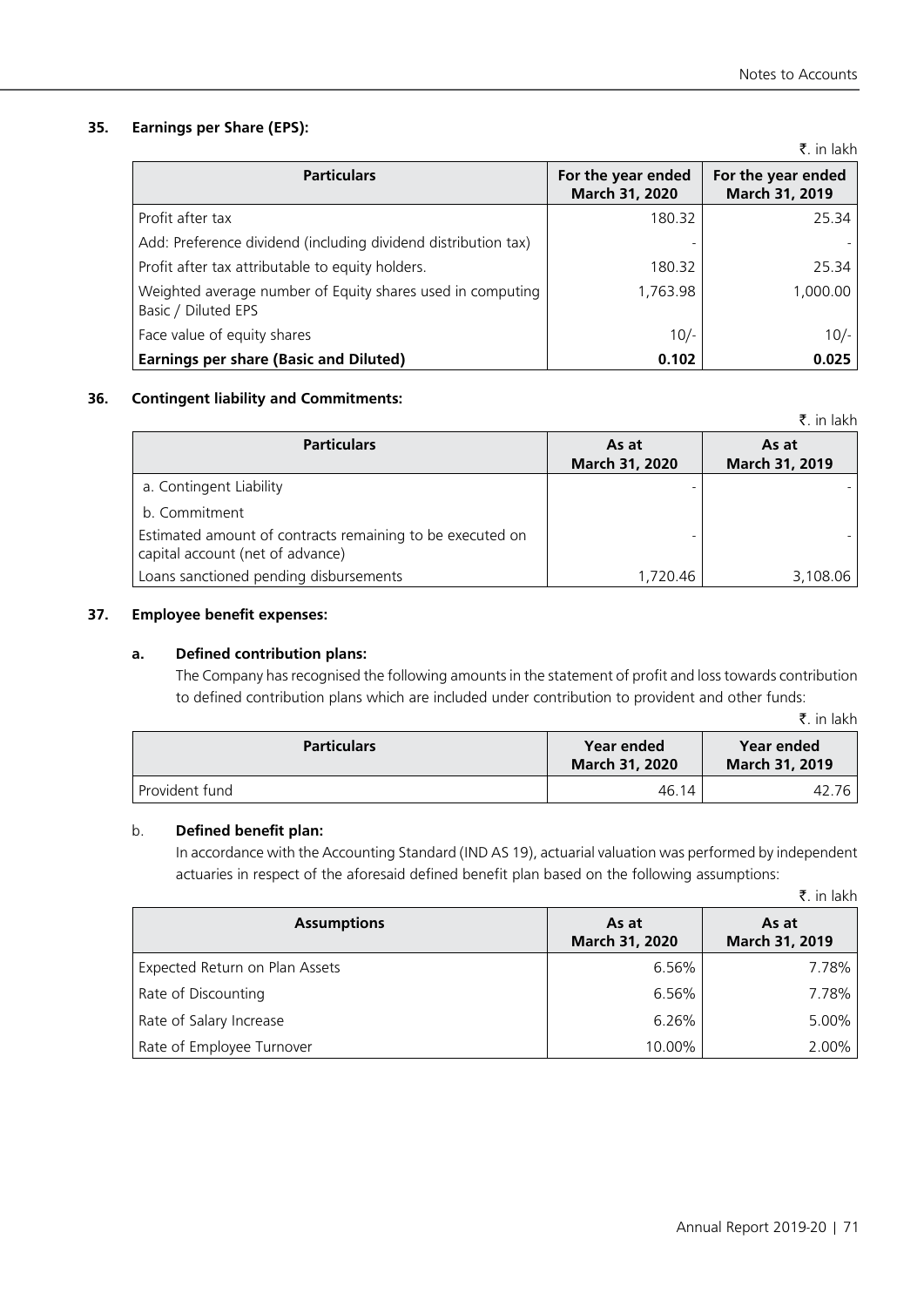# **35. Earnings per Share (EPS):**

|                                                                                   |                                      | ₹. in lakh                           |
|-----------------------------------------------------------------------------------|--------------------------------------|--------------------------------------|
| <b>Particulars</b>                                                                | For the year ended<br>March 31, 2020 | For the year ended<br>March 31, 2019 |
| Profit after tax                                                                  | 180.32                               | 25.34                                |
| Add: Preference dividend (including dividend distribution tax)                    |                                      |                                      |
| Profit after tax attributable to equity holders.                                  | 180.32                               | 25.34                                |
| Weighted average number of Equity shares used in computing<br>Basic / Diluted EPS | 1,763.98                             | 1,000.00                             |
| Face value of equity shares                                                       | $10/-$                               | $10/-$                               |
| <b>Earnings per share (Basic and Diluted)</b>                                     | 0.102                                | 0.025                                |

# **36. Contingent liability and Commitments:**

|                                                                                               |                         | .                              |
|-----------------------------------------------------------------------------------------------|-------------------------|--------------------------------|
| <b>Particulars</b>                                                                            | As at<br>March 31, 2020 | As at<br><b>March 31, 2019</b> |
| a. Contingent Liability                                                                       |                         |                                |
| b. Commitment                                                                                 |                         |                                |
| Estimated amount of contracts remaining to be executed on<br>capital account (net of advance) |                         |                                |
| Loans sanctioned pending disbursements                                                        | 1,720.46                | 3,108.06                       |

# **37. Employee benefit expenses:**

# **a. Defined contribution plans:**

The Company has recognised the following amounts in the statement of profit and loss towards contribution to defined contribution plans which are included under contribution to provident and other funds:

|  | in lakh |
|--|---------|
|  |         |

 $\bar{z}$  in lakh

| <b>Particulars</b> | Year ended<br><b>March 31, 2020</b> | Year ended<br><b>March 31, 2019</b> |
|--------------------|-------------------------------------|-------------------------------------|
| Provident fund     | 46.14                               | 76<br>42.,                          |

# b. **Defined benefit plan:**

In accordance with the Accounting Standard (IND AS 19), actuarial valuation was performed by independent actuaries in respect of the aforesaid defined benefit plan based on the following assumptions:

|  | ₹. in lakh |
|--|------------|
|  |            |

| <b>Assumptions</b>             | As at<br>March 31, 2020 | As at<br>March 31, 2019 |
|--------------------------------|-------------------------|-------------------------|
| Expected Return on Plan Assets | 6.56%                   | 7.78%                   |
| Rate of Discounting            | 6.56%                   | 7.78%                   |
| Rate of Salary Increase        | 6.26%                   | 5.00%                   |
| Rate of Employee Turnover      | 10.00%                  | 2.00%                   |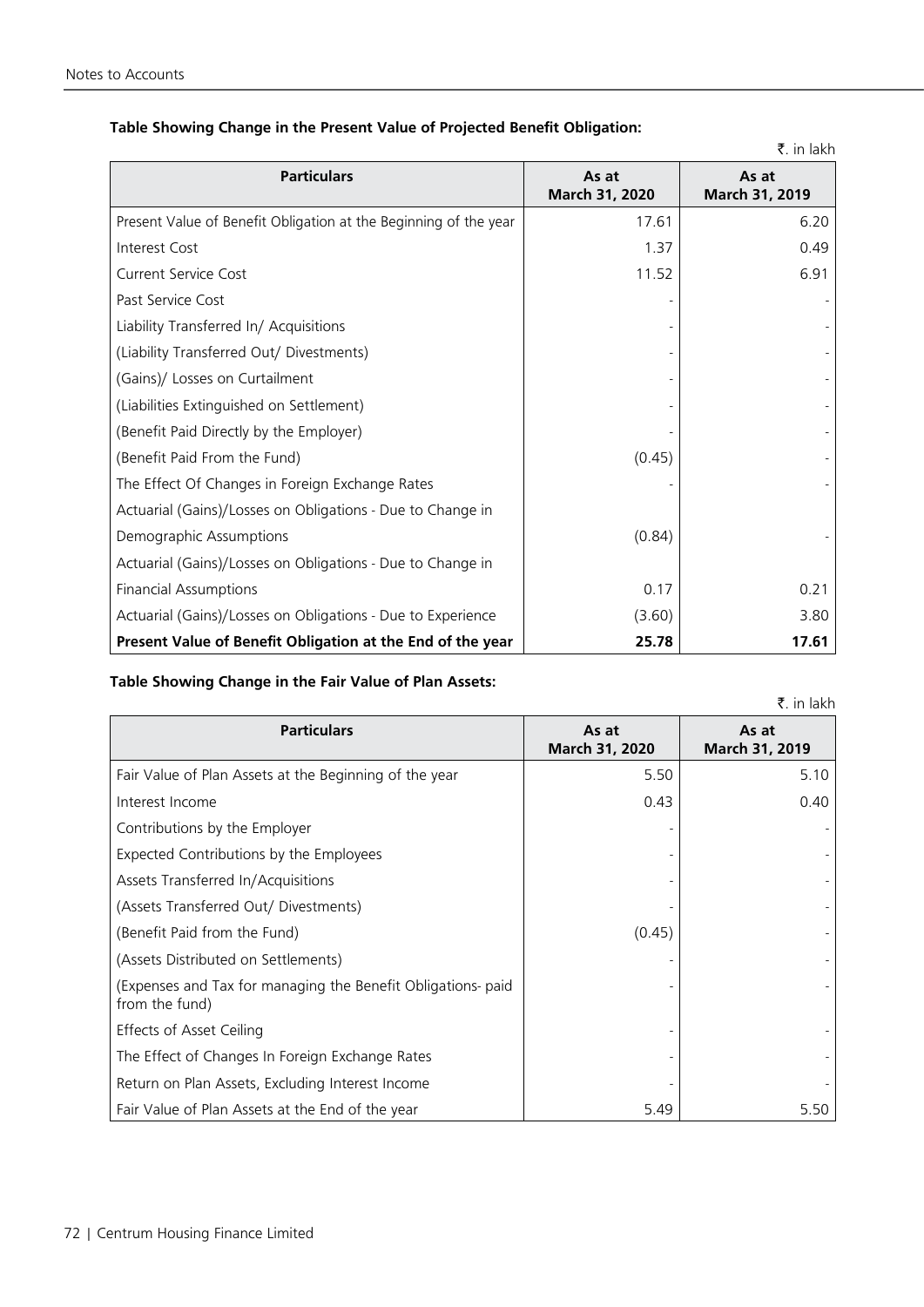|                                                                  |                         | ₹. in lakh              |
|------------------------------------------------------------------|-------------------------|-------------------------|
| <b>Particulars</b>                                               | As at<br>March 31, 2020 | As at<br>March 31, 2019 |
| Present Value of Benefit Obligation at the Beginning of the year | 17.61                   | 6.20                    |
| Interest Cost                                                    | 1.37                    | 0.49                    |
| <b>Current Service Cost</b>                                      | 11.52                   | 6.91                    |
| Past Service Cost                                                |                         |                         |
| Liability Transferred In/ Acquisitions                           |                         |                         |
| (Liability Transferred Out/ Divestments)                         |                         |                         |
| (Gains)/ Losses on Curtailment                                   |                         |                         |
| (Liabilities Extinguished on Settlement)                         |                         |                         |
| (Benefit Paid Directly by the Employer)                          |                         |                         |
| (Benefit Paid From the Fund)                                     | (0.45)                  |                         |
| The Effect Of Changes in Foreign Exchange Rates                  |                         |                         |
| Actuarial (Gains)/Losses on Obligations - Due to Change in       |                         |                         |
| Demographic Assumptions                                          | (0.84)                  |                         |
| Actuarial (Gains)/Losses on Obligations - Due to Change in       |                         |                         |
| <b>Financial Assumptions</b>                                     | 0.17                    | 0.21                    |
| Actuarial (Gains)/Losses on Obligations - Due to Experience      | (3.60)                  | 3.80                    |
| Present Value of Benefit Obligation at the End of the year       | 25.78                   | 17.61                   |

# **Table Showing Change in the Present Value of Projected Benefit Obligation:**

# **Table Showing Change in the Fair Value of Plan Assets:**

| <b>Particulars</b>                                                             | As at<br>March 31, 2020 | As at<br>March 31, 2019 |
|--------------------------------------------------------------------------------|-------------------------|-------------------------|
| Fair Value of Plan Assets at the Beginning of the year                         | 5.50                    | 5.10                    |
| Interest Income                                                                | 0.43                    | 0.40                    |
| Contributions by the Employer                                                  |                         |                         |
| Expected Contributions by the Employees                                        |                         |                         |
| Assets Transferred In/Acquisitions                                             |                         |                         |
| (Assets Transferred Out/ Divestments)                                          |                         |                         |
| (Benefit Paid from the Fund)                                                   | (0.45)                  |                         |
| (Assets Distributed on Settlements)                                            |                         |                         |
| (Expenses and Tax for managing the Benefit Obligations- paid<br>from the fund) |                         |                         |
| Effects of Asset Ceiling                                                       |                         |                         |
| The Effect of Changes In Foreign Exchange Rates                                |                         |                         |
| Return on Plan Assets, Excluding Interest Income                               |                         |                         |
| Fair Value of Plan Assets at the End of the year                               | 5.49                    | 5.50                    |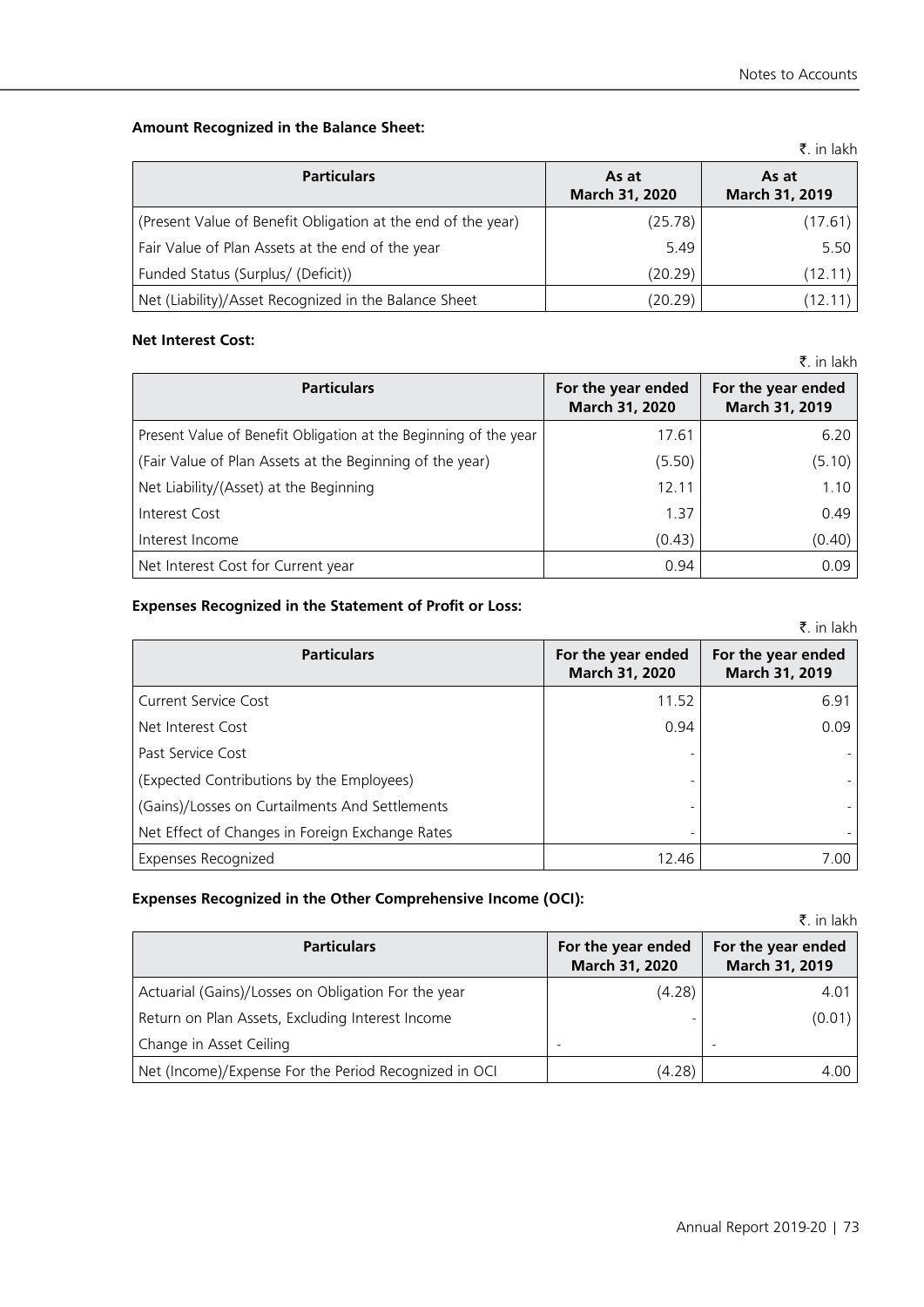# **Amount Recognized in the Balance Sheet:**

|                                                              |                         | N. III KINIT            |
|--------------------------------------------------------------|-------------------------|-------------------------|
| <b>Particulars</b>                                           | As at<br>March 31, 2020 | As at<br>March 31, 2019 |
| (Present Value of Benefit Obligation at the end of the year) | (25.78)                 | (17.61)                 |
| Fair Value of Plan Assets at the end of the year             | 5.49                    | 5.50                    |
| Funded Status (Surplus/ (Deficit))                           | (20.29)                 | (12.11)                 |
| Net (Liability)/Asset Recognized in the Balance Sheet        | (20.29)                 | (12.1)                  |

#### **Net Interest Cost:**

|                                                                  |                                      | $\bar{z}$ . in lakh                  |
|------------------------------------------------------------------|--------------------------------------|--------------------------------------|
| <b>Particulars</b>                                               | For the year ended<br>March 31, 2020 | For the year ended<br>March 31, 2019 |
| Present Value of Benefit Obligation at the Beginning of the year | 17.61                                | 6.20                                 |
| (Fair Value of Plan Assets at the Beginning of the year)         | (5.50)                               | (5.10)                               |
| Net Liability/(Asset) at the Beginning                           | 12.11                                | 1.10                                 |
| Interest Cost                                                    | 1.37                                 | 0.49                                 |
| Interest Income                                                  | (0.43)                               | (0.40)                               |
| Net Interest Cost for Current year                               | 0.94                                 | 0.09                                 |

# **Expenses Recognized in the Statement of Profit or Loss:**

|                                                 |                                      | ₹. in lakh                           |
|-------------------------------------------------|--------------------------------------|--------------------------------------|
| <b>Particulars</b>                              | For the year ended<br>March 31, 2020 | For the year ended<br>March 31, 2019 |
| <b>Current Service Cost</b>                     | 11.52                                | 6.91                                 |
| Net Interest Cost                               | 0.94                                 | 0.09                                 |
| Past Service Cost                               |                                      |                                      |
| (Expected Contributions by the Employees)       |                                      |                                      |
| (Gains)/Losses on Curtailments And Settlements  |                                      |                                      |
| Net Effect of Changes in Foreign Exchange Rates |                                      |                                      |
| Expenses Recognized                             | 12.46                                | 7.00                                 |

# **Expenses Recognized in the Other Comprehensive Income (OCI):**

|                                                       |                                      | ₹. in lakh                           |
|-------------------------------------------------------|--------------------------------------|--------------------------------------|
| <b>Particulars</b>                                    | For the year ended<br>March 31, 2020 | For the year ended<br>March 31, 2019 |
| Actuarial (Gains)/Losses on Obligation For the year   | (4.28)                               | 4.01                                 |
| Return on Plan Assets, Excluding Interest Income      |                                      | (0.01)                               |
| Change in Asset Ceiling                               |                                      |                                      |
| Net (Income)/Expense For the Period Recognized in OCI | (4.28)                               | 4.00                                 |

 $\bar{z}$  in lakh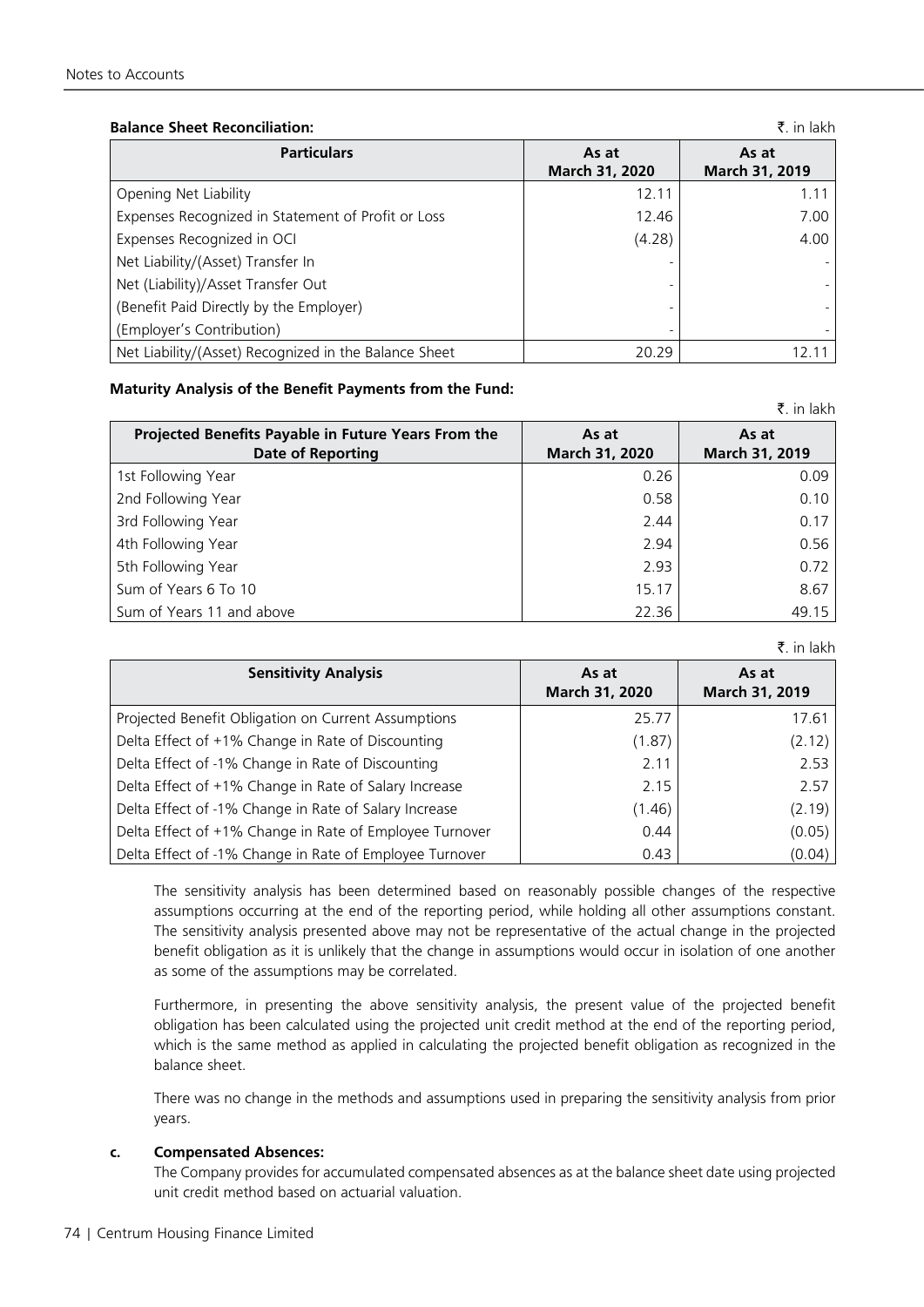# **Balance Sheet Reconciliation:** `. in lakh

| <b>Particulars</b>                                    | As at<br>March 31, 2020 | As at<br>March 31, 2019 |
|-------------------------------------------------------|-------------------------|-------------------------|
| Opening Net Liability                                 | 12.11                   | 1.11                    |
| Expenses Recognized in Statement of Profit or Loss    | 12.46                   | 7.00                    |
| Expenses Recognized in OCI                            | (4.28)                  | 4.00                    |
| Net Liability/(Asset) Transfer In                     |                         |                         |
| Net (Liability)/Asset Transfer Out                    |                         |                         |
| (Benefit Paid Directly by the Employer)               |                         |                         |
| (Employer's Contribution)                             |                         |                         |
| Net Liability/(Asset) Recognized in the Balance Sheet | 20.29                   |                         |

#### **Maturity Analysis of the Benefit Payments from the Fund:**

| Projected Benefits Payable in Future Years From the<br><b>Date of Reporting</b> | As at<br>March 31, 2020 | As at<br>March 31, 2019 |
|---------------------------------------------------------------------------------|-------------------------|-------------------------|
| 1st Following Year                                                              | 0.26                    | 0.09                    |
| 2nd Following Year                                                              | 0.58                    | 0.10                    |
| 3rd Following Year                                                              | 2.44                    | 0.17                    |
| 4th Following Year                                                              | 2.94                    | 0.56                    |
| 5th Following Year                                                              | 2.93                    | 0.72                    |
| Sum of Years 6 To 10                                                            | 15.17                   | 8.67                    |
| Sum of Years 11 and above                                                       | 22.36                   | 49.15                   |

|                                                         |                         | A. III IANII            |
|---------------------------------------------------------|-------------------------|-------------------------|
| <b>Sensitivity Analysis</b>                             | As at<br>March 31, 2020 | As at<br>March 31, 2019 |
| Projected Benefit Obligation on Current Assumptions     | 25.77                   | 17.61                   |
| Delta Effect of +1% Change in Rate of Discounting       | (1.87)                  | (2.12)                  |
| Delta Effect of -1% Change in Rate of Discounting       | 2.11                    | 2.53                    |
| Delta Effect of +1% Change in Rate of Salary Increase   | 2.15                    | 2.57                    |
| Delta Effect of -1% Change in Rate of Salary Increase   | (1.46)                  | (2.19)                  |
| Delta Effect of +1% Change in Rate of Employee Turnover | 0.44                    | (0.05)                  |
| Delta Effect of -1% Change in Rate of Employee Turnover | 0.43                    | (0.04)                  |

The sensitivity analysis has been determined based on reasonably possible changes of the respective assumptions occurring at the end of the reporting period, while holding all other assumptions constant. The sensitivity analysis presented above may not be representative of the actual change in the projected benefit obligation as it is unlikely that the change in assumptions would occur in isolation of one another as some of the assumptions may be correlated.

Furthermore, in presenting the above sensitivity analysis, the present value of the projected benefit obligation has been calculated using the projected unit credit method at the end of the reporting period, which is the same method as applied in calculating the projected benefit obligation as recognized in the balance sheet.

There was no change in the methods and assumptions used in preparing the sensitivity analysis from prior years.

# **c. Compensated Absences:**

The Company provides for accumulated compensated absences as at the balance sheet date using projected unit credit method based on actuarial valuation.

 $\bar{z}$  in lakh

 $\bar{z}$  in lakh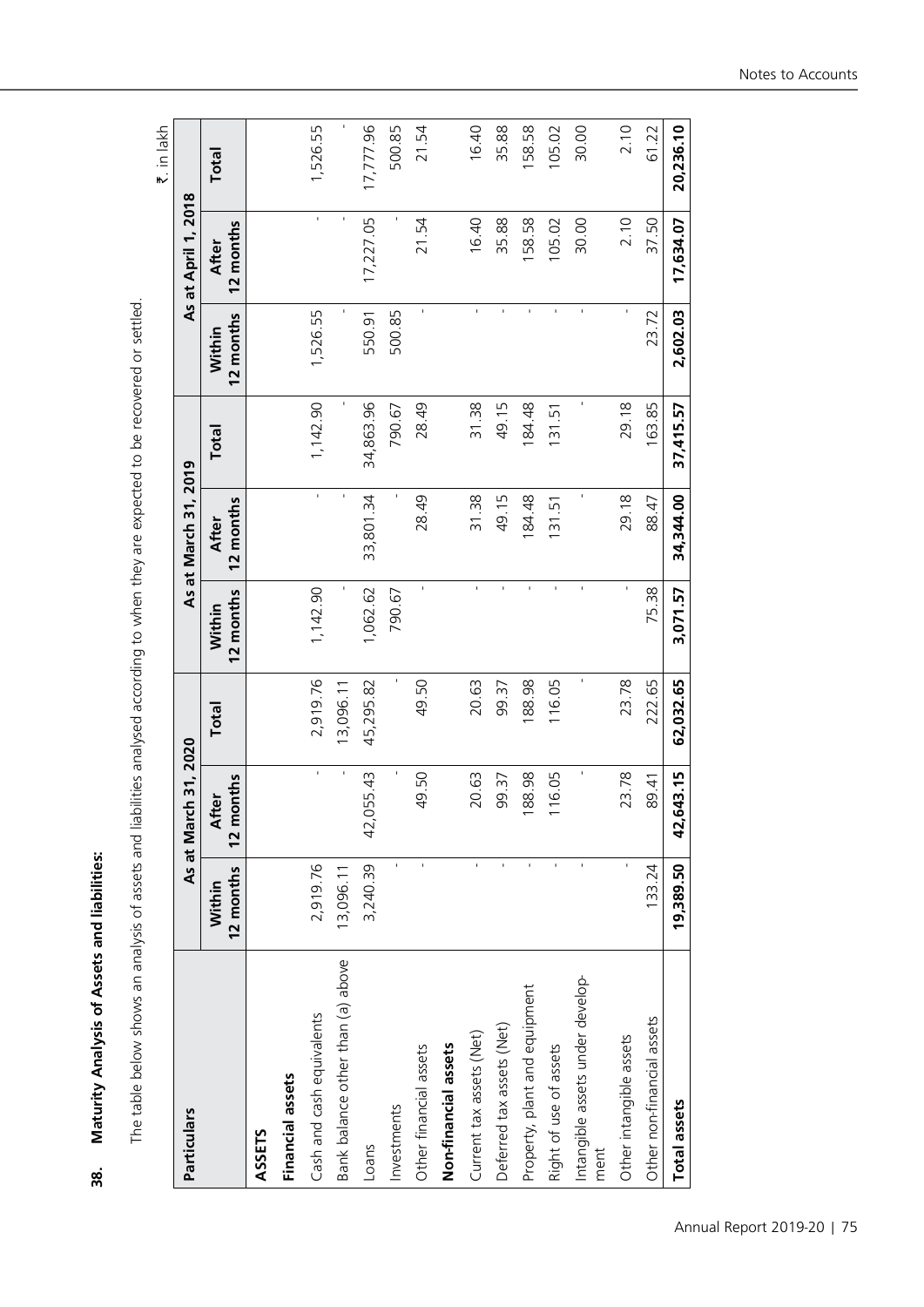| i                  |
|--------------------|
|                    |
|                    |
|                    |
| $\frac{\alpha}{2}$ |

The table below shows an analysis of assets and liabilities analysed according to when they are expected to be recovered or settled. The table below shows an analysis of assets and liabilities analysed according to when they are expected to be recovered or settled. `. in lakh

|                                          |                     |                           |           |                     |                           |           |                     |                     | ri III lakii |
|------------------------------------------|---------------------|---------------------------|-----------|---------------------|---------------------------|-----------|---------------------|---------------------|--------------|
| Particulars                              |                     | 31,2020<br>As at March    |           |                     | As at March 31, 2019      |           |                     | As at April 1, 2018 |              |
|                                          | 12 months<br>Within | 12 months<br><b>After</b> | Total     | 12 months<br>Within | 12 months<br><b>After</b> | Total     | 12 months<br>Within | 12 months<br>After  | Total        |
| <b>ASSETS</b>                            |                     |                           |           |                     |                           |           |                     |                     |              |
| Financial assets                         |                     |                           |           |                     |                           |           |                     |                     |              |
| Cash and cash equivalents                | 2,919.76            | $\mathbf{r}$              | 2,919.76  | 1,142.90            | $\mathbf{r}$              | 1,142.90  | 1,526.55            | $\mathbf{r}$        | 1,526.55     |
| Bank balance other than (a) above        | 13,096.11           | ı                         | 13,096.11 |                     | ı                         |           | ï                   | ı                   | ı            |
| Loans                                    | 3,240.39            | 5.43<br>42,05             | 45,295.82 | 1,062.62            | 33,801.34                 | 34,863.96 | 550.91              | 17,227.05           | 17,777.96    |
| Investments                              | $\mathbf{I}$        | ı                         | ٠         | 790.67              |                           | 790.67    | 500.85              |                     | 500.85       |
| Other financial assets                   |                     | 0.50<br>4                 | 49.50     |                     | 28.49                     | 28.49     | ï                   | 21.54               | 21.54        |
| Non-financial assets                     |                     |                           |           |                     |                           |           |                     |                     |              |
| Current tax assets (Net)                 | $\mathbf{r}$        | 0.63<br>$\sim$            | 20.63     | í,                  | 31.38                     | 31.38     | f,                  | 16.40               | 16.40        |
| Deferred tax assets (Net)                |                     | 9.37<br>თ                 | 99.37     |                     | 49.15                     | 49.15     |                     | 35.88               | 35.88        |
| Property, plant and equipment            | ï                   | 8.98<br>$\frac{8}{1}$     | 188.98    |                     | 184.48                    | 184.48    | ï                   | 58.58               | 158.58       |
| Right of use of assets                   | ï                   | 6.05                      | 116.05    |                     | 131.51                    | 131.51    | $\mathbf{I}$        | 105.02              | 105.02       |
| Intangible assets under develop-<br>ment |                     |                           |           |                     |                           | ı         | f,                  | 30.00               | 30.00        |
| Other intangible assets                  |                     | 3.78<br>$\sim$            | 23.78     |                     | 29.18                     | 29.18     |                     | 2.10                | 2.10         |
| Other non-financial assets               | 133.24              | 89.41                     | 222.65    | 75.38               | 88.47                     | 163.85    | 23.72               | 37.50               | 61.22        |
| Total assets                             | 19,389.50           | 3.15<br>42,64             | 62,032.65 | 3,071.57            | 34,344.00                 | 37,415.57 | 2,602.03            | 17,634.07           | 20,236.10    |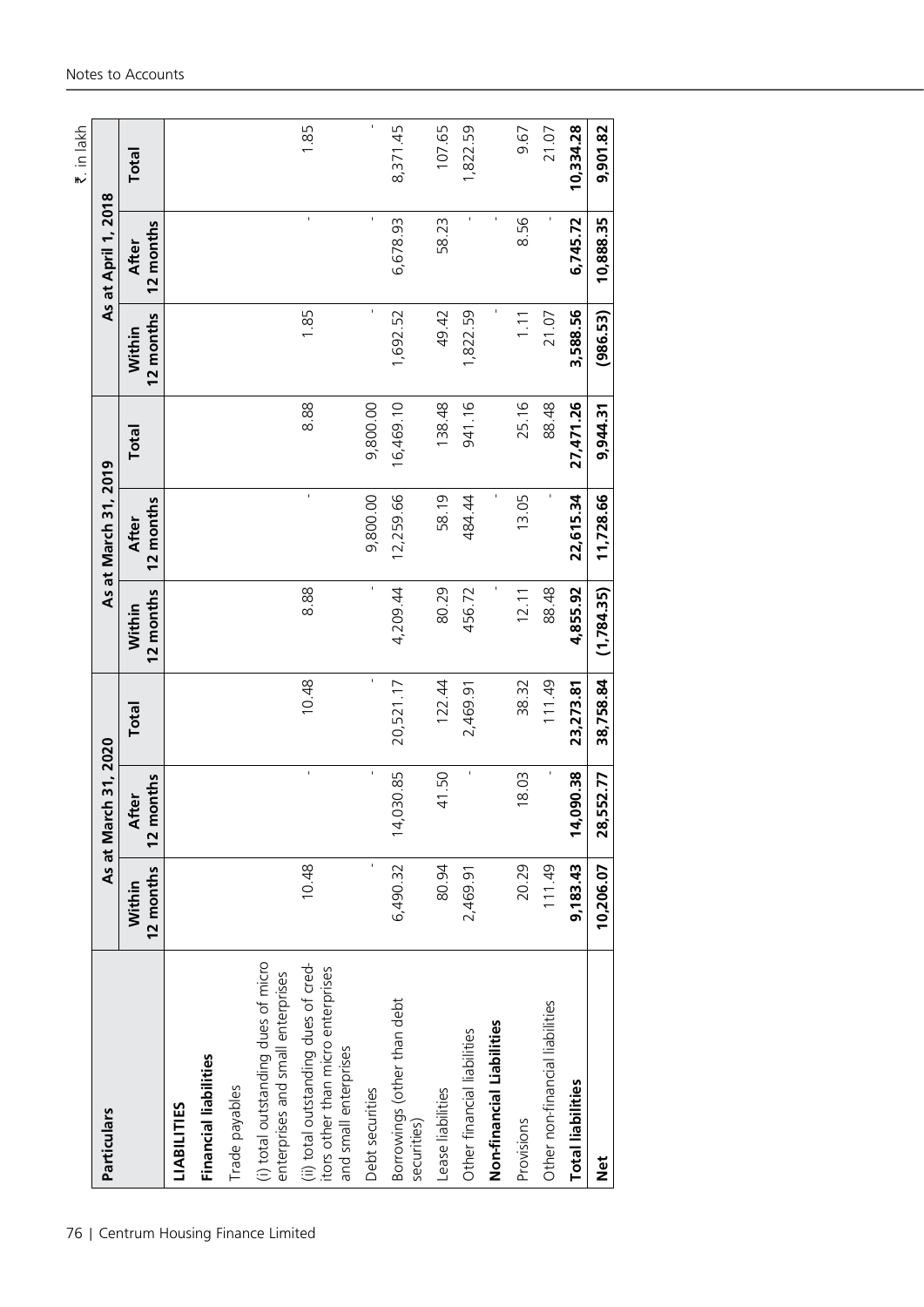| Particulars                                                                                         |                     | As at March 31, 2020      |             |                     | As at March 31, 2019      |           |                     | As at April 1, 2018 | ₹. in lakh |
|-----------------------------------------------------------------------------------------------------|---------------------|---------------------------|-------------|---------------------|---------------------------|-----------|---------------------|---------------------|------------|
|                                                                                                     | 12 months<br>Within | 12 months<br><b>After</b> | Total       | 12 months<br>Within | 12 months<br><b>After</b> | Total     | 12 months<br>Within | 12 months<br>After  | Total      |
| LIABILITIES                                                                                         |                     |                           |             |                     |                           |           |                     |                     |            |
| <b>Financial liabilities</b>                                                                        |                     |                           |             |                     |                           |           |                     |                     |            |
| Trade payables                                                                                      |                     |                           |             |                     |                           |           |                     |                     |            |
| (i) total outstanding dues of micro<br>enterprises and small enterprises                            |                     |                           |             |                     |                           |           |                     |                     |            |
| (ii) total outstanding dues of cred-<br>itors other than micro enterprises<br>and small enterprises | 10.48               | $\bar{\mathbf{r}}$        | 10.48       | 8.88                |                           | 8.88      | 1.85                | f,                  | 1.85       |
| Debt securities                                                                                     | $\mathbf{I}$        | $\mathbf{I}$              | $\mathbf i$ | $\mathbf{I}$        | 9,800.00                  | 9,800.00  | $\mathbf{I}$        | $\mathbf{I}$        | ï          |
| Borrowings (other than debt<br>securities)                                                          | 6,490.32            | 130.85<br>$\frac{14}{1}$  | 20,521.17   | 4,209.44            | 12,259.66                 | 16,469.10 | 1,692.52            | 6,678.93            | 8,371.45   |
| Lease liabilities                                                                                   | 80.94               | 41.50                     | 122.44      | 80.29               | 58.19                     | 138.48    | 49.42               | 58.23               | 107.65     |
| Other financial liabilities                                                                         | 2,469.91            | ×,                        | 2,469.91    | 456.72              | 484.44                    | 941.16    | 1,822.59            |                     | 1,822.59   |
| Non-financial Liabilities                                                                           |                     |                           |             |                     |                           |           |                     |                     |            |
| Provisions                                                                                          | 20.29               | 18.03                     | 38.32       | 12.11               | 13.05                     | 25.16     | 1.11                | 8.56                | 9.67       |
| Other non-financial liabilities                                                                     | 111.49              | $\mathbf{I}$              | 111.49      | 88.48               |                           | 88.48     | 21.07               |                     | 21.07      |
| <b>Total liabilities</b>                                                                            | 9,183.43            | 090.38<br>$\frac{1}{4}$   | 23, 273.81  | 4,855.92            | 22,615.34                 | 27,471.26 | 3,588.56            | 6,745.72            | 10,334.28  |
| $\frac{1}{2}$                                                                                       | 10,206.07           | 28,552.77                 | 38,758.84   | (1,784.35)          | 11,728.66                 | 9,944.31  | (986.53)            | 10,888.35           | 9,901.82   |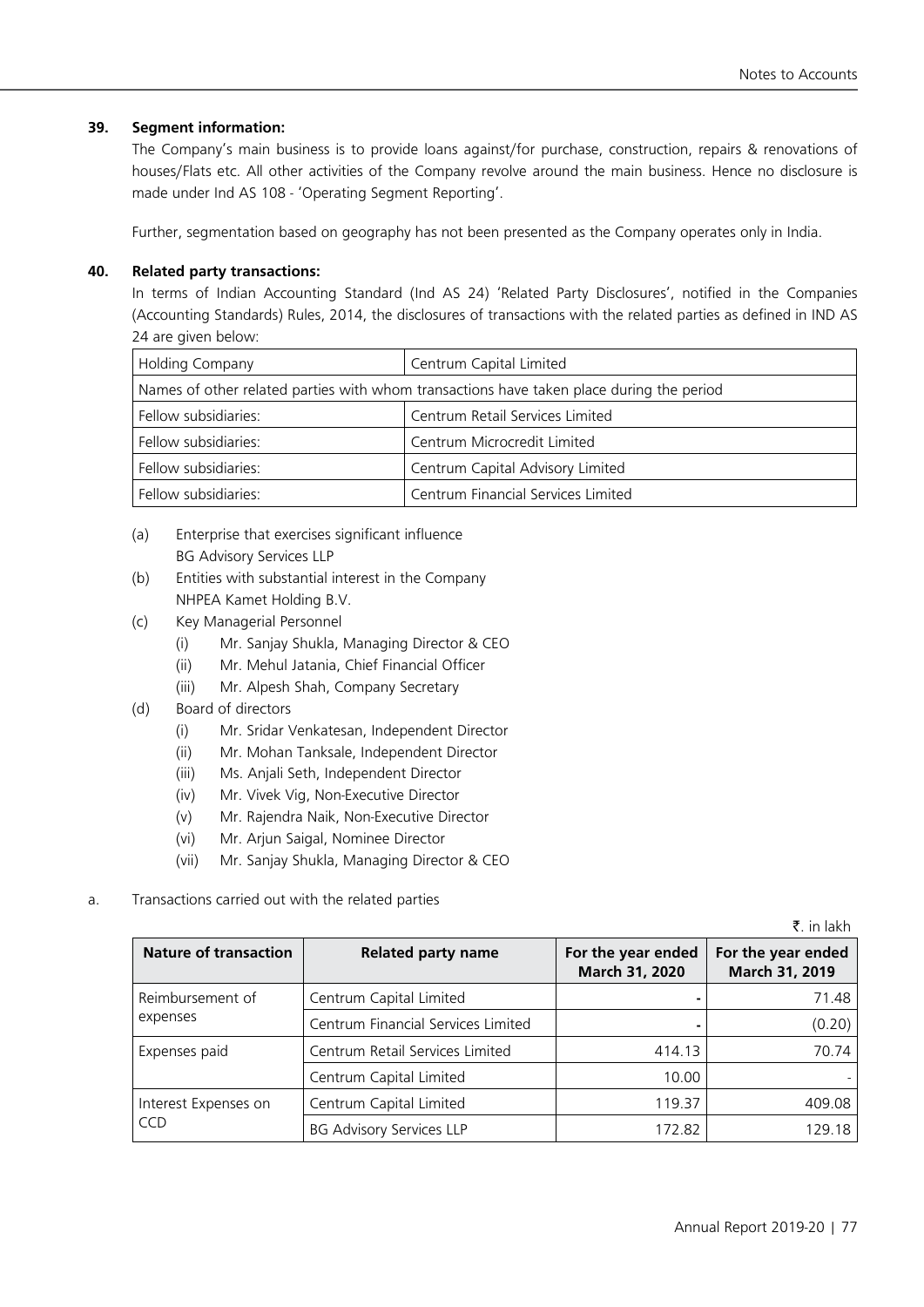## **39. Segment information:**

The Company's main business is to provide loans against/for purchase, construction, repairs & renovations of houses/Flats etc. All other activities of the Company revolve around the main business. Hence no disclosure is made under Ind AS 108 - 'Operating Segment Reporting'.

Further, segmentation based on geography has not been presented as the Company operates only in India.

## **40. Related party transactions:**

In terms of Indian Accounting Standard (Ind AS 24) 'Related Party Disclosures', notified in the Companies (Accounting Standards) Rules, 2014, the disclosures of transactions with the related parties as defined in IND AS 24 are given below:

| <b>Holding Company</b> | Centrum Capital Limited                                                                  |
|------------------------|------------------------------------------------------------------------------------------|
|                        | Names of other related parties with whom transactions have taken place during the period |
| Fellow subsidiaries:   | Centrum Retail Services Limited                                                          |
| Fellow subsidiaries:   | Centrum Microcredit Limited                                                              |
| Fellow subsidiaries:   | Centrum Capital Advisory Limited                                                         |
| Fellow subsidiaries:   | Centrum Financial Services Limited                                                       |

- (a) Enterprise that exercises significant influence BG Advisory Services LLP
- (b) Entities with substantial interest in the Company NHPEA Kamet Holding B.V.
- (c) Key Managerial Personnel
	- (i) Mr. Sanjay Shukla, Managing Director & CEO
	- (ii) Mr. Mehul Jatania, Chief Financial Officer
	- (iii) Mr. Alpesh Shah, Company Secretary
- (d) Board of directors
	- (i) Mr. Sridar Venkatesan, Independent Director
	- (ii) Mr. Mohan Tanksale, Independent Director
	- (iii) Ms. Anjali Seth, Independent Director
	- (iv) Mr. Vivek Vig, Non-Executive Director
	- (v) Mr. Rajendra Naik, Non-Executive Director
	- (vi) Mr. Arjun Saigal, Nominee Director
	- (vii) Mr. Sanjay Shukla, Managing Director & CEO
- a. Transactions carried out with the related parties

 $\bar{z}$  in lakh

| <b>Nature of transaction</b> | <b>Related party name</b>          | For the year ended<br>March 31, 2020 | For the year ended<br>March 31, 2019 |
|------------------------------|------------------------------------|--------------------------------------|--------------------------------------|
| Reimbursement of             | Centrum Capital Limited            |                                      | 71.48                                |
| expenses                     | Centrum Financial Services Limited |                                      | (0.20)                               |
| Expenses paid                | Centrum Retail Services Limited    | 414.13                               | 70.74                                |
|                              | Centrum Capital Limited            | 10.00                                |                                      |
| Interest Expenses on         | Centrum Capital Limited            | 119.37                               | 409.08                               |
| <b>CCD</b>                   | <b>BG Advisory Services LLP</b>    | 172.82                               | 129.18                               |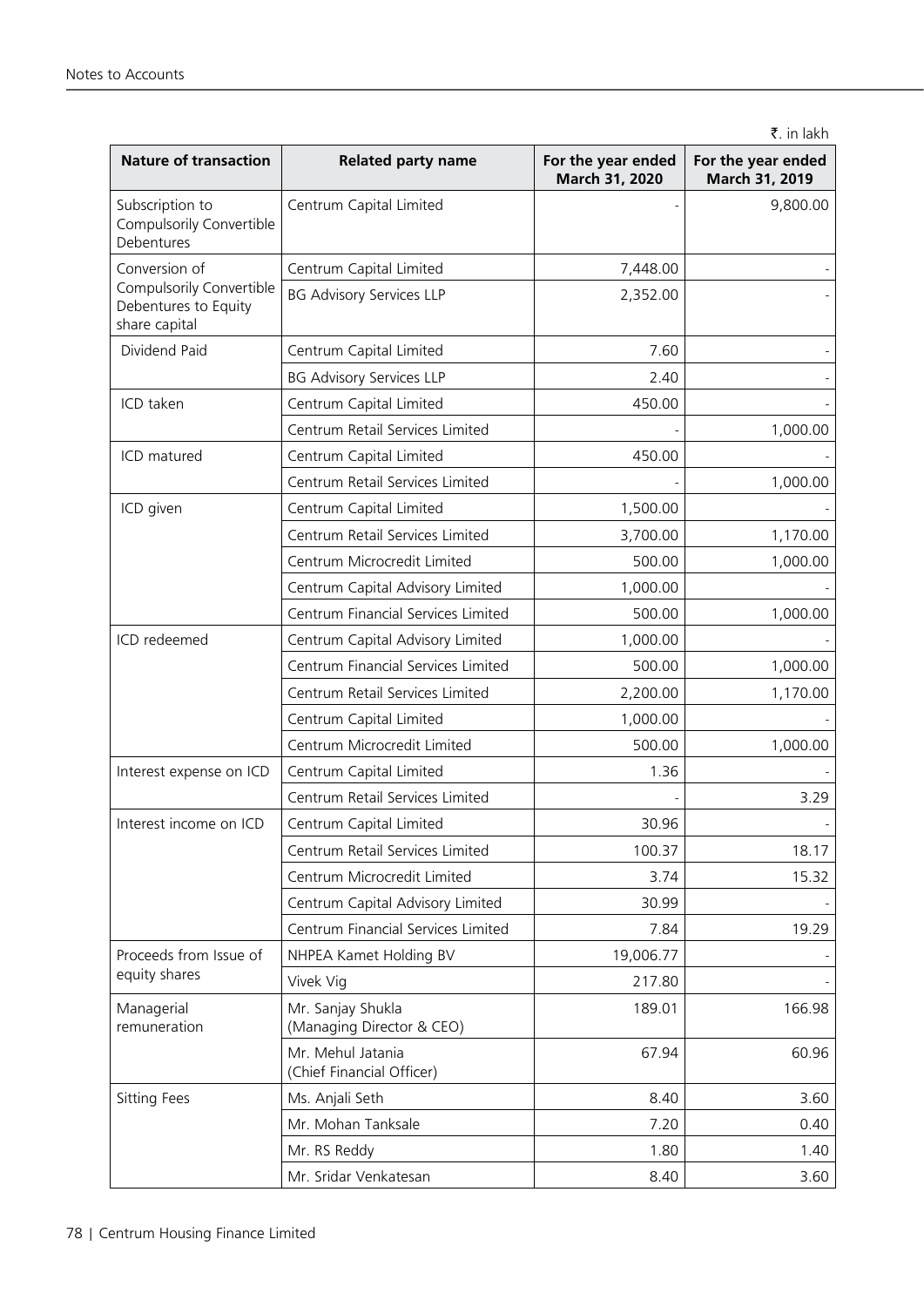```
₹. in lakh
```

| <b>Nature of transaction</b>                                      | <b>Related party name</b>                      | For the year ended<br>March 31, 2020 | For the year ended<br>March 31, 2019 |
|-------------------------------------------------------------------|------------------------------------------------|--------------------------------------|--------------------------------------|
| Subscription to<br>Compulsorily Convertible<br>Debentures         | Centrum Capital Limited                        |                                      | 9,800.00                             |
| Conversion of                                                     | Centrum Capital Limited                        | 7,448.00                             |                                      |
| Compulsorily Convertible<br>Debentures to Equity<br>share capital | <b>BG Advisory Services LLP</b>                | 2,352.00                             |                                      |
| Dividend Paid                                                     | Centrum Capital Limited                        | 7.60                                 |                                      |
|                                                                   | <b>BG Advisory Services LLP</b>                | 2.40                                 |                                      |
| ICD taken                                                         | Centrum Capital Limited                        | 450.00                               |                                      |
|                                                                   | Centrum Retail Services Limited                |                                      | 1,000.00                             |
| ICD matured                                                       | Centrum Capital Limited                        | 450.00                               |                                      |
|                                                                   | Centrum Retail Services Limited                |                                      | 1,000.00                             |
| ICD given                                                         | Centrum Capital Limited                        | 1,500.00                             |                                      |
|                                                                   | Centrum Retail Services Limited                | 3,700.00                             | 1,170.00                             |
|                                                                   | Centrum Microcredit Limited                    | 500.00                               | 1,000.00                             |
|                                                                   | Centrum Capital Advisory Limited               | 1,000.00                             |                                      |
|                                                                   | Centrum Financial Services Limited             | 500.00                               | 1,000.00                             |
| ICD redeemed                                                      | Centrum Capital Advisory Limited               | 1,000.00                             |                                      |
|                                                                   | Centrum Financial Services Limited             | 500.00                               | 1,000.00                             |
|                                                                   | Centrum Retail Services Limited                | 2,200.00                             | 1,170.00                             |
|                                                                   | Centrum Capital Limited                        | 1,000.00                             |                                      |
|                                                                   | Centrum Microcredit Limited                    | 500.00                               | 1,000.00                             |
| Interest expense on ICD                                           | Centrum Capital Limited                        | 1.36                                 |                                      |
|                                                                   | Centrum Retail Services Limited                |                                      | 3.29                                 |
| Interest income on ICD                                            | Centrum Capital Limited                        | 30.96                                |                                      |
|                                                                   | Centrum Retail Services Limited                | 100.37                               | 18.17                                |
|                                                                   | Centrum Microcredit Limited                    | 3.74                                 | 15.32                                |
|                                                                   | Centrum Capital Advisory Limited               | 30.99                                |                                      |
|                                                                   | Centrum Financial Services Limited             | 7.84                                 | 19.29                                |
| Proceeds from Issue of                                            | NHPEA Kamet Holding BV                         | 19,006.77                            |                                      |
| equity shares                                                     | Vivek Vig                                      | 217.80                               |                                      |
| Managerial<br>remuneration                                        | Mr. Sanjay Shukla<br>(Managing Director & CEO) | 189.01                               | 166.98                               |
|                                                                   | Mr. Mehul Jatania<br>(Chief Financial Officer) | 67.94                                | 60.96                                |
| Sitting Fees                                                      | Ms. Anjali Seth                                | 8.40                                 | 3.60                                 |
|                                                                   | Mr. Mohan Tanksale                             | 7.20                                 | 0.40                                 |
|                                                                   | Mr. RS Reddy                                   | 1.80                                 | 1.40                                 |
|                                                                   | Mr. Sridar Venkatesan                          | 8.40                                 | 3.60                                 |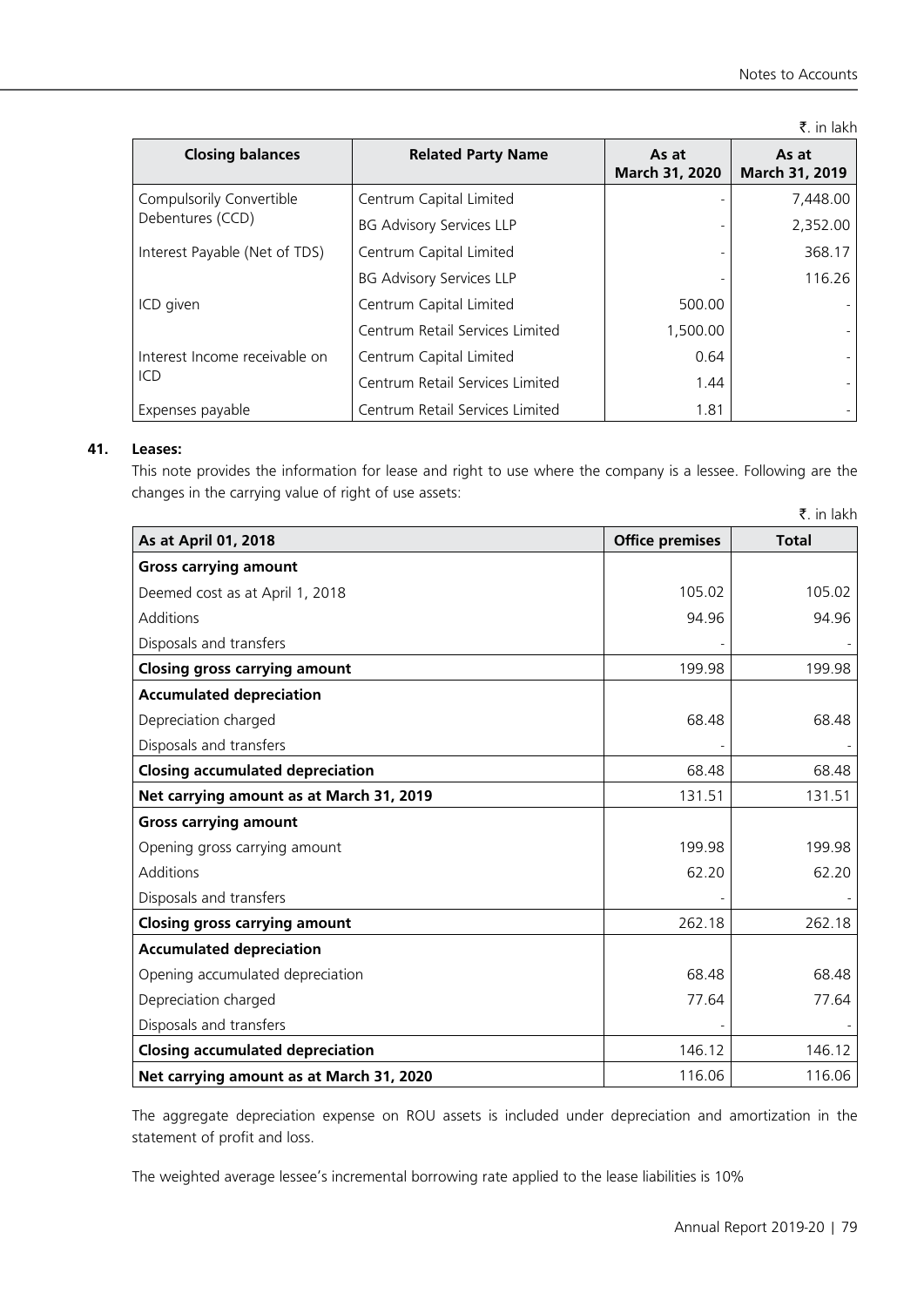|                               |                                 |                         | ₹. in lakh              |
|-------------------------------|---------------------------------|-------------------------|-------------------------|
| <b>Closing balances</b>       | <b>Related Party Name</b>       | As at<br>March 31, 2020 | As at<br>March 31, 2019 |
| Compulsorily Convertible      | Centrum Capital Limited         |                         | 7,448.00                |
| Debentures (CCD)              | <b>BG Advisory Services LLP</b> |                         | 2,352.00                |
| Interest Payable (Net of TDS) | Centrum Capital Limited         |                         | 368.17                  |
|                               | <b>BG Advisory Services LLP</b> |                         | 116.26                  |
| ICD given                     | Centrum Capital Limited         | 500.00                  |                         |
|                               | Centrum Retail Services Limited | 1,500.00                |                         |
| Interest Income receivable on | Centrum Capital Limited         | 0.64                    |                         |
| ICD                           | Centrum Retail Services Limited | 1.44                    |                         |
| Expenses payable              | Centrum Retail Services Limited | 1.81                    |                         |

# **41. Leases:**

This note provides the information for lease and right to use where the company is a lessee. Following are the changes in the carrying value of right of use assets:

|                                          |                        | $\bar{z}$ . in lakh |
|------------------------------------------|------------------------|---------------------|
| As at April 01, 2018                     | <b>Office premises</b> | <b>Total</b>        |
| <b>Gross carrying amount</b>             |                        |                     |
| Deemed cost as at April 1, 2018          | 105.02                 | 105.02              |
| Additions                                | 94.96                  | 94.96               |
| Disposals and transfers                  |                        |                     |
| <b>Closing gross carrying amount</b>     | 199.98                 | 199.98              |
| <b>Accumulated depreciation</b>          |                        |                     |
| Depreciation charged                     | 68.48                  | 68.48               |
| Disposals and transfers                  |                        |                     |
| <b>Closing accumulated depreciation</b>  | 68.48                  | 68.48               |
| Net carrying amount as at March 31, 2019 | 131.51                 | 131.51              |
| <b>Gross carrying amount</b>             |                        |                     |
| Opening gross carrying amount            | 199.98                 | 199.98              |
| Additions                                | 62.20                  | 62.20               |
| Disposals and transfers                  |                        |                     |
| <b>Closing gross carrying amount</b>     | 262.18                 | 262.18              |
| <b>Accumulated depreciation</b>          |                        |                     |
| Opening accumulated depreciation         | 68.48                  | 68.48               |
| Depreciation charged                     | 77.64                  | 77.64               |
| Disposals and transfers                  |                        |                     |
| <b>Closing accumulated depreciation</b>  | 146.12                 | 146.12              |
| Net carrying amount as at March 31, 2020 | 116.06                 | 116.06              |

The aggregate depreciation expense on ROU assets is included under depreciation and amortization in the statement of profit and loss.

The weighted average lessee's incremental borrowing rate applied to the lease liabilities is 10%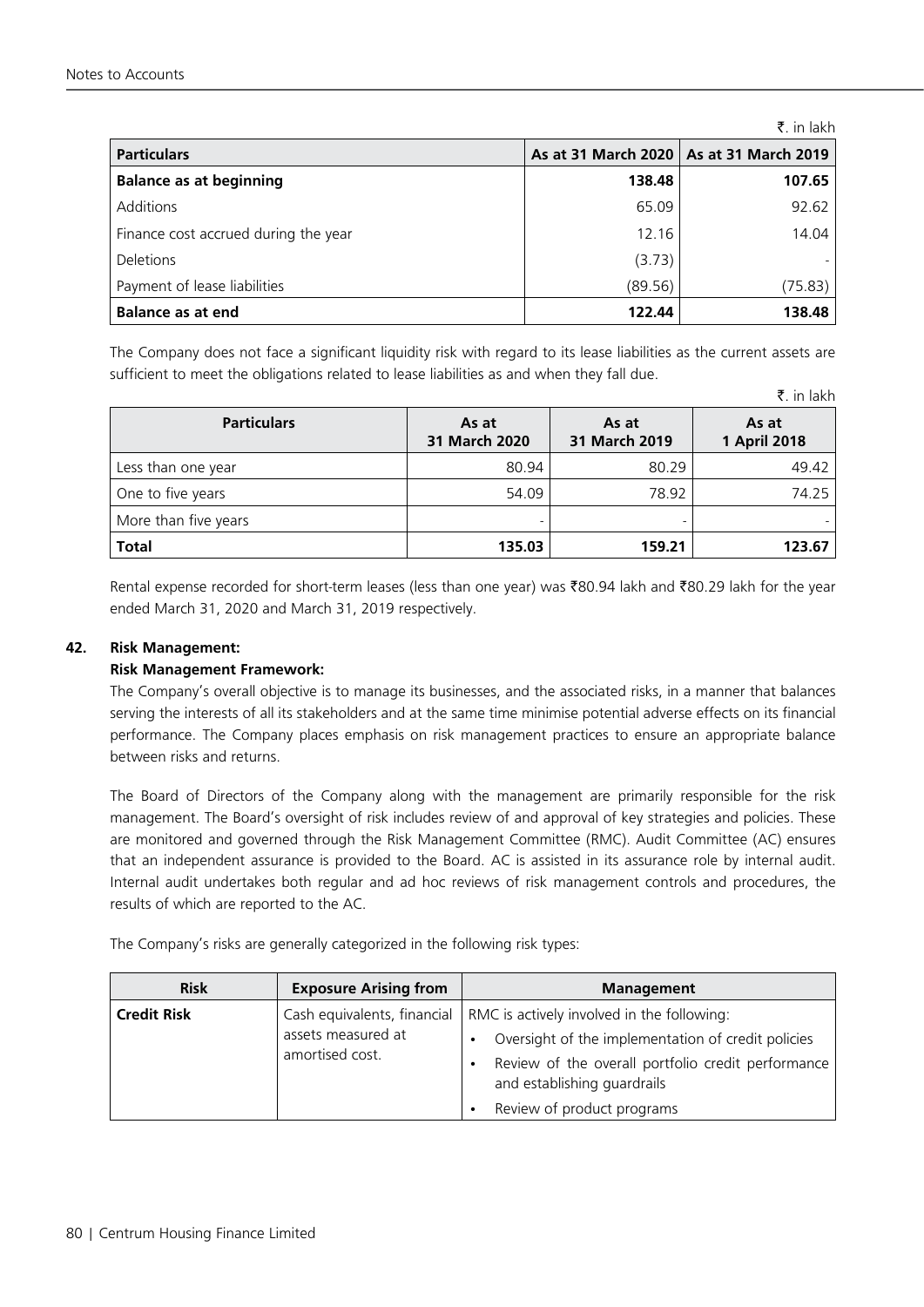|                                      |         | ₹. in lakh                                |
|--------------------------------------|---------|-------------------------------------------|
| <b>Particulars</b>                   |         | As at 31 March 2020   As at 31 March 2019 |
| <b>Balance as at beginning</b>       | 138.48  | 107.65                                    |
| Additions                            | 65.09   | 92.62                                     |
| Finance cost accrued during the year | 12.16   | 14.04                                     |
| <b>Deletions</b>                     | (3.73)  |                                           |
| Payment of lease liabilities         | (89.56) | (75.83)                                   |
| <b>Balance as at end</b>             | 122.44  | 138.48                                    |

The Company does not face a significant liquidity risk with regard to its lease liabilities as the current assets are sufficient to meet the obligations related to lease liabilities as and when they fall due.

|                      |                        |                        | ₹. in lakh            |
|----------------------|------------------------|------------------------|-----------------------|
| <b>Particulars</b>   | As at<br>31 March 2020 | As at<br>31 March 2019 | As at<br>1 April 2018 |
| Less than one year   | 80.94                  | 80.29                  | 49.42                 |
| One to five years    | 54.09                  | 78.92                  | 74.25                 |
| More than five years | -                      |                        |                       |
| <b>Total</b>         | 135.03                 | 159.21                 | 123.67                |

Rental expense recorded for short-term leases (less than one year) was ₹80.94 lakh and ₹80.29 lakh for the year ended March 31, 2020 and March 31, 2019 respectively.

# **42. Risk Management:**

#### **Risk Management Framework:**

The Company's overall objective is to manage its businesses, and the associated risks, in a manner that balances serving the interests of all its stakeholders and at the same time minimise potential adverse effects on its financial performance. The Company places emphasis on risk management practices to ensure an appropriate balance between risks and returns.

The Board of Directors of the Company along with the management are primarily responsible for the risk management. The Board's oversight of risk includes review of and approval of key strategies and policies. These are monitored and governed through the Risk Management Committee (RMC). Audit Committee (AC) ensures that an independent assurance is provided to the Board. AC is assisted in its assurance role by internal audit. Internal audit undertakes both regular and ad hoc reviews of risk management controls and procedures, the results of which are reported to the AC.

The Company's risks are generally categorized in the following risk types:

| <b>Risk</b>        | <b>Exposure Arising from</b>                                         | <b>Management</b>                                                                                                                                                                                                   |
|--------------------|----------------------------------------------------------------------|---------------------------------------------------------------------------------------------------------------------------------------------------------------------------------------------------------------------|
| <b>Credit Risk</b> | Cash equivalents, financial<br>assets measured at<br>amortised cost. | RMC is actively involved in the following:<br>Oversight of the implementation of credit policies<br>Review of the overall portfolio credit performance<br>and establishing guardrails<br>Review of product programs |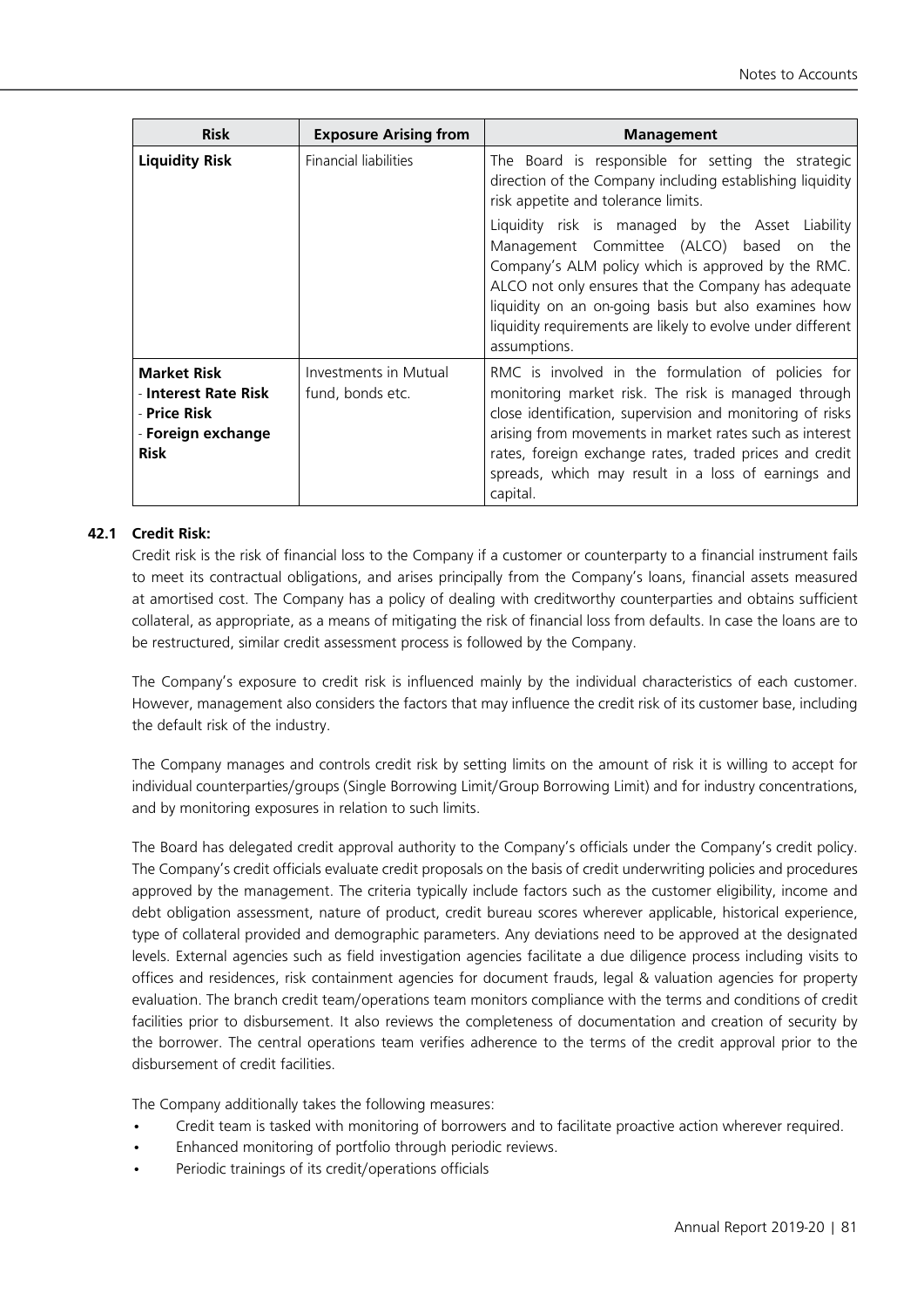| <b>Risk</b>                                                                                     | <b>Exposure Arising from</b>              | <b>Management</b>                                                                                                                                                                                                                                                                                                                                               |
|-------------------------------------------------------------------------------------------------|-------------------------------------------|-----------------------------------------------------------------------------------------------------------------------------------------------------------------------------------------------------------------------------------------------------------------------------------------------------------------------------------------------------------------|
| <b>Liquidity Risk</b>                                                                           | Financial liabilities                     | The Board is responsible for setting the strategic<br>direction of the Company including establishing liquidity<br>risk appetite and tolerance limits.                                                                                                                                                                                                          |
|                                                                                                 |                                           | Liquidity risk is managed by the Asset Liability<br>Management Committee (ALCO) based on the<br>Company's ALM policy which is approved by the RMC.<br>ALCO not only ensures that the Company has adequate<br>liquidity on an on-going basis but also examines how<br>liquidity requirements are likely to evolve under different<br>assumptions.                |
| <b>Market Risk</b><br>- Interest Rate Risk<br>- Price Risk<br>- Foreign exchange<br><b>Risk</b> | Investments in Mutual<br>fund, bonds etc. | RMC is involved in the formulation of policies for<br>monitoring market risk. The risk is managed through<br>close identification, supervision and monitoring of risks<br>arising from movements in market rates such as interest<br>rates, foreign exchange rates, traded prices and credit<br>spreads, which may result in a loss of earnings and<br>capital. |

# **42.1 Credit Risk:**

Credit risk is the risk of financial loss to the Company if a customer or counterparty to a financial instrument fails to meet its contractual obligations, and arises principally from the Company's loans, financial assets measured at amortised cost. The Company has a policy of dealing with creditworthy counterparties and obtains sufficient collateral, as appropriate, as a means of mitigating the risk of financial loss from defaults. In case the loans are to be restructured, similar credit assessment process is followed by the Company.

The Company's exposure to credit risk is influenced mainly by the individual characteristics of each customer. However, management also considers the factors that may influence the credit risk of its customer base, including the default risk of the industry.

The Company manages and controls credit risk by setting limits on the amount of risk it is willing to accept for individual counterparties/groups (Single Borrowing Limit/Group Borrowing Limit) and for industry concentrations, and by monitoring exposures in relation to such limits.

The Board has delegated credit approval authority to the Company's officials under the Company's credit policy. The Company's credit officials evaluate credit proposals on the basis of credit underwriting policies and procedures approved by the management. The criteria typically include factors such as the customer eligibility, income and debt obligation assessment, nature of product, credit bureau scores wherever applicable, historical experience, type of collateral provided and demographic parameters. Any deviations need to be approved at the designated levels. External agencies such as field investigation agencies facilitate a due diligence process including visits to offices and residences, risk containment agencies for document frauds, legal & valuation agencies for property evaluation. The branch credit team/operations team monitors compliance with the terms and conditions of credit facilities prior to disbursement. It also reviews the completeness of documentation and creation of security by the borrower. The central operations team verifies adherence to the terms of the credit approval prior to the disbursement of credit facilities.

The Company additionally takes the following measures:

- Credit team is tasked with monitoring of borrowers and to facilitate proactive action wherever required.
- Enhanced monitoring of portfolio through periodic reviews.
- Periodic trainings of its credit/operations officials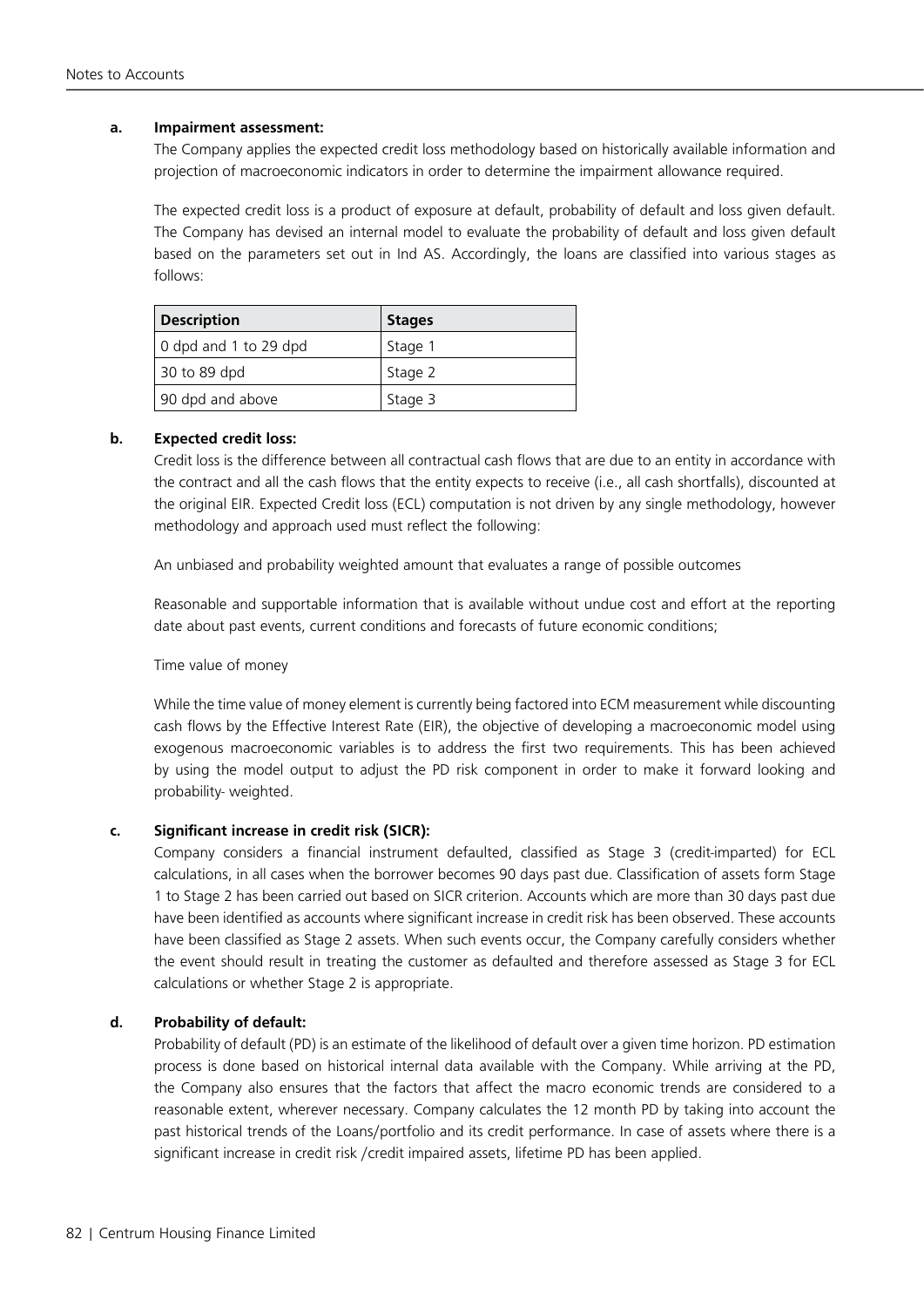# **a. Impairment assessment:**

The Company applies the expected credit loss methodology based on historically available information and projection of macroeconomic indicators in order to determine the impairment allowance required.

The expected credit loss is a product of exposure at default, probability of default and loss given default. The Company has devised an internal model to evaluate the probability of default and loss given default based on the parameters set out in Ind AS. Accordingly, the loans are classified into various stages as follows:

| <b>Description</b>    | <b>Stages</b> |
|-----------------------|---------------|
| 0 dpd and 1 to 29 dpd | Stage 1       |
| 30 to 89 dpd          | Stage 2       |
| 90 dpd and above      | Stage 3       |

# **b. Expected credit loss:**

Credit loss is the difference between all contractual cash flows that are due to an entity in accordance with the contract and all the cash flows that the entity expects to receive (i.e., all cash shortfalls), discounted at the original EIR. Expected Credit loss (ECL) computation is not driven by any single methodology, however methodology and approach used must reflect the following:

An unbiased and probability weighted amount that evaluates a range of possible outcomes

Reasonable and supportable information that is available without undue cost and effort at the reporting date about past events, current conditions and forecasts of future economic conditions;

#### Time value of money

While the time value of money element is currently being factored into ECM measurement while discounting cash flows by the Effective Interest Rate (EIR), the objective of developing a macroeconomic model using exogenous macroeconomic variables is to address the first two requirements. This has been achieved by using the model output to adjust the PD risk component in order to make it forward looking and probability- weighted.

# **c. Significant increase in credit risk (SICR):**

Company considers a financial instrument defaulted, classified as Stage 3 (credit-imparted) for ECL calculations, in all cases when the borrower becomes 90 days past due. Classification of assets form Stage 1 to Stage 2 has been carried out based on SICR criterion. Accounts which are more than 30 days past due have been identified as accounts where significant increase in credit risk has been observed. These accounts have been classified as Stage 2 assets. When such events occur, the Company carefully considers whether the event should result in treating the customer as defaulted and therefore assessed as Stage 3 for ECL calculations or whether Stage 2 is appropriate.

#### **d. Probability of default:**

Probability of default (PD) is an estimate of the likelihood of default over a given time horizon. PD estimation process is done based on historical internal data available with the Company. While arriving at the PD, the Company also ensures that the factors that affect the macro economic trends are considered to a reasonable extent, wherever necessary. Company calculates the 12 month PD by taking into account the past historical trends of the Loans/portfolio and its credit performance. In case of assets where there is a significant increase in credit risk /credit impaired assets, lifetime PD has been applied.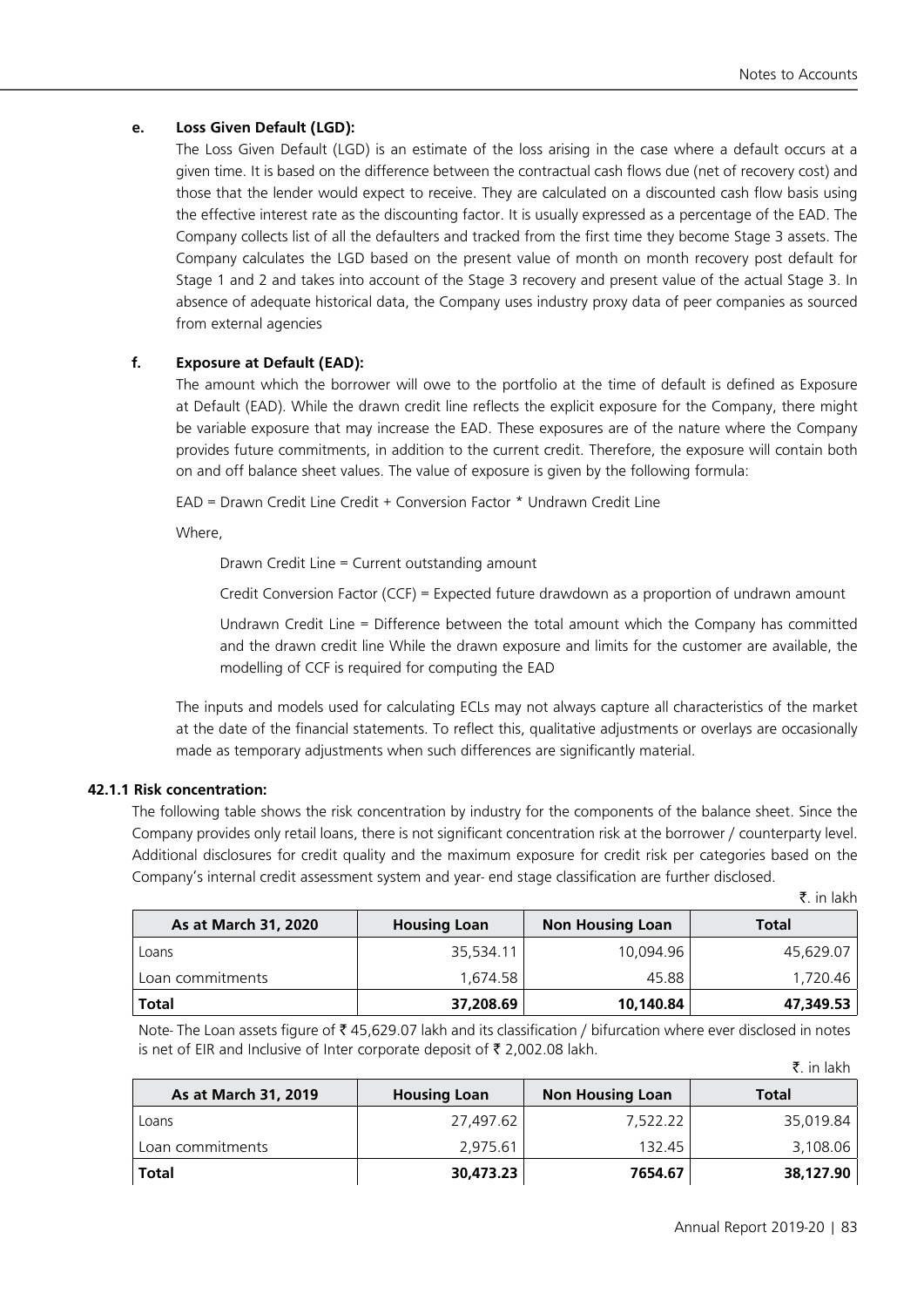# **e. Loss Given Default (LGD):**

The Loss Given Default (LGD) is an estimate of the loss arising in the case where a default occurs at a given time. It is based on the difference between the contractual cash flows due (net of recovery cost) and those that the lender would expect to receive. They are calculated on a discounted cash flow basis using the effective interest rate as the discounting factor. It is usually expressed as a percentage of the EAD. The Company collects list of all the defaulters and tracked from the first time they become Stage 3 assets. The Company calculates the LGD based on the present value of month on month recovery post default for Stage 1 and 2 and takes into account of the Stage 3 recovery and present value of the actual Stage 3. In absence of adequate historical data, the Company uses industry proxy data of peer companies as sourced from external agencies

# **f. Exposure at Default (EAD):**

The amount which the borrower will owe to the portfolio at the time of default is defined as Exposure at Default (EAD). While the drawn credit line reflects the explicit exposure for the Company, there might be variable exposure that may increase the EAD. These exposures are of the nature where the Company provides future commitments, in addition to the current credit. Therefore, the exposure will contain both on and off balance sheet values. The value of exposure is given by the following formula:

EAD = Drawn Credit Line Credit + Conversion Factor \* Undrawn Credit Line

Where,

Drawn Credit Line = Current outstanding amount

Credit Conversion Factor (CCF) = Expected future drawdown as a proportion of undrawn amount

Undrawn Credit Line = Difference between the total amount which the Company has committed and the drawn credit line While the drawn exposure and limits for the customer are available, the modelling of CCF is required for computing the EAD

The inputs and models used for calculating ECLs may not always capture all characteristics of the market at the date of the financial statements. To reflect this, qualitative adjustments or overlays are occasionally made as temporary adjustments when such differences are significantly material.

# **42.1.1 Risk concentration:**

The following table shows the risk concentration by industry for the components of the balance sheet. Since the Company provides only retail loans, there is not significant concentration risk at the borrower / counterparty level. Additional disclosures for credit quality and the maximum exposure for credit risk per categories based on the Company's internal credit assessment system and year- end stage classification are further disclosed.

|  | in lakh آ |
|--|-----------|
|  |           |

₹. in lakh

| As at March 31, 2020 | <b>Housing Loan</b> | <b>Non Housing Loan</b> | <b>Total</b> |
|----------------------|---------------------|-------------------------|--------------|
| Loans                | 35,534.11           | 10,094.96               | 45,629.07    |
| Loan commitments     | 1.674.58            | 45.88                   | 1,720.46     |
| Total                | 37,208.69           | 10,140.84               | 47,349.53    |

Note- The Loan assets figure of ₹45,629.07 lakh and its classification / bifurcation where ever disclosed in notes is net of EIR and Inclusive of Inter corporate deposit of  $\bar{\tau}$  2,002.08 lakh.

| As at March 31, 2019 | <b>Housing Loan</b> | <b>Non Housing Loan</b> | <b>Total</b> |
|----------------------|---------------------|-------------------------|--------------|
| Loans                | 27,497.62           | 7,522.22                | 35,019.84    |
| Loan commitments     | 2.975.61            | 132.45                  | 3,108.06     |
| <b>Total</b>         | 30,473.23           | 7654.67                 | 38,127.90    |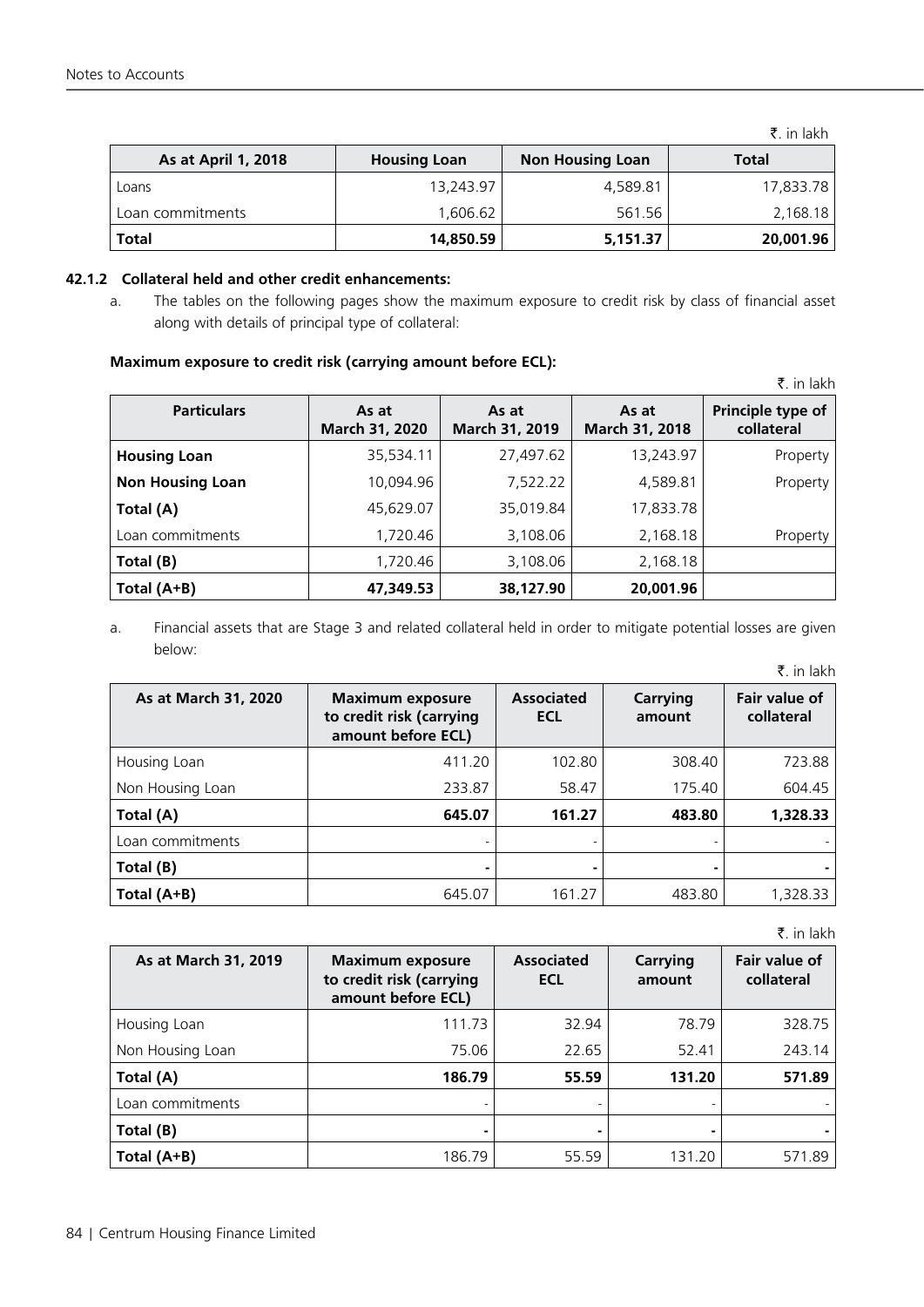|                     |                     |                         | $\bar{z}$ , in lakh |
|---------------------|---------------------|-------------------------|---------------------|
| As at April 1, 2018 | <b>Housing Loan</b> | <b>Non Housing Loan</b> | Total               |
| Loans               | 13,243.97           | 4,589.81                | 17,833.78           |
| Loan commitments    | 1.606.62            | 561.56                  | 2,168.18            |
| Total               | 14,850.59           | 5,151.37                | 20,001.96           |

## **42.1.2 Collateral held and other credit enhancements:**

a. The tables on the following pages show the maximum exposure to credit risk by class of financial asset along with details of principal type of collateral:

# **Maximum exposure to credit risk (carrying amount before ECL):**

|                         |                         |                         |                         | ₹. in lakh                      |
|-------------------------|-------------------------|-------------------------|-------------------------|---------------------------------|
| <b>Particulars</b>      | As at<br>March 31, 2020 | As at<br>March 31, 2019 | As at<br>March 31, 2018 | Principle type of<br>collateral |
| <b>Housing Loan</b>     | 35,534.11               | 27,497.62               | 13,243.97               | Property                        |
| <b>Non Housing Loan</b> | 10,094.96               | 7,522.22                | 4,589.81                | Property                        |
| Total (A)               | 45,629.07               | 35,019.84               | 17,833.78               |                                 |
| Loan commitments        | 1,720.46                | 3,108.06                | 2,168.18                | Property                        |
| Total (B)               | 1,720.46                | 3,108.06                | 2,168.18                |                                 |
| Total (A+B)             | 47,349.53               | 38,127.90               | 20,001.96               |                                 |

a. Financial assets that are Stage 3 and related collateral held in order to mitigate potential losses are given below:

|                      |                                                                           |                                 |                    | ₹. in lakh                  |
|----------------------|---------------------------------------------------------------------------|---------------------------------|--------------------|-----------------------------|
| As at March 31, 2020 | <b>Maximum exposure</b><br>to credit risk (carrying<br>amount before ECL) | <b>Associated</b><br><b>ECL</b> | Carrying<br>amount | Fair value of<br>collateral |
| Housing Loan         | 411.20                                                                    | 102.80                          | 308.40             | 723.88                      |
| Non Housing Loan     | 233.87                                                                    | 58.47                           | 175.40             | 604.45                      |
| Total (A)            | 645.07                                                                    | 161.27                          | 483.80             | 1,328.33                    |
| Loan commitments     |                                                                           |                                 |                    |                             |
| Total (B)            |                                                                           |                                 |                    |                             |
| Total (A+B)          | 645.07                                                                    | 161.27                          | 483.80             | 1,328.33                    |

 $\bar{z}$ . in lakh

| As at March 31, 2019 | <b>Maximum exposure</b><br>to credit risk (carrying<br>amount before ECL) | <b>Associated</b><br><b>ECL</b> | Carrying<br>amount | Fair value of<br>collateral |
|----------------------|---------------------------------------------------------------------------|---------------------------------|--------------------|-----------------------------|
| Housing Loan         | 111.73                                                                    | 32.94                           | 78.79              | 328.75                      |
| Non Housing Loan     | 75.06                                                                     | 22.65                           | 52.41              | 243.14                      |
| Total (A)            | 186.79                                                                    | 55.59                           | 131.20             | 571.89                      |
| Loan commitments     |                                                                           |                                 |                    |                             |
| Total (B)            |                                                                           | ۰                               |                    |                             |
| Total (A+B)          | 186.79                                                                    | 55.59                           | 131.20             | 571.89                      |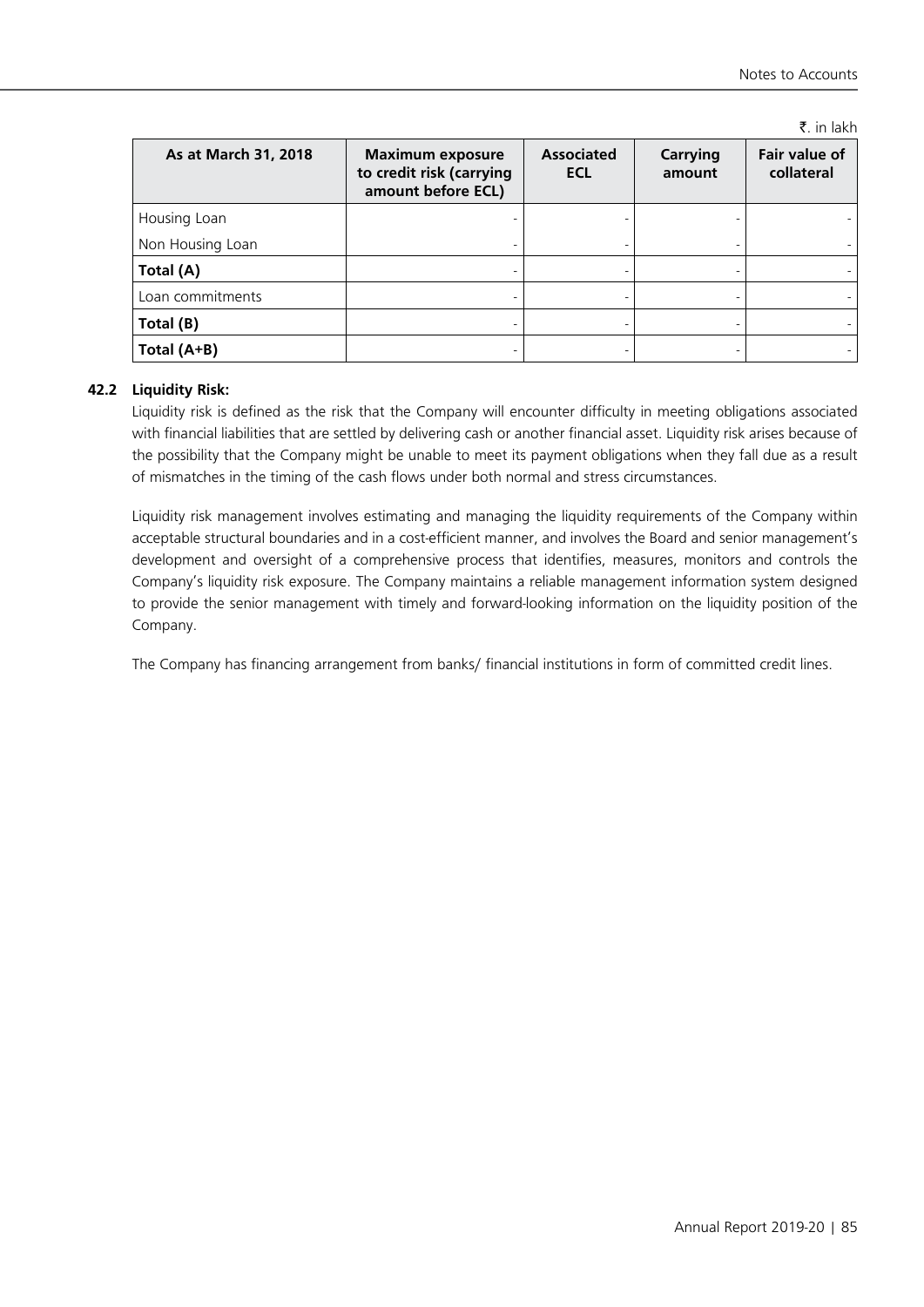₹. in lakh

| As at March 31, 2018 | <b>Maximum exposure</b><br>to credit risk (carrying<br>amount before ECL) | <b>Associated</b><br><b>ECL</b> | <b>Carrying</b><br>amount | Fair value of<br>collateral |
|----------------------|---------------------------------------------------------------------------|---------------------------------|---------------------------|-----------------------------|
| Housing Loan         |                                                                           |                                 |                           |                             |
| Non Housing Loan     |                                                                           |                                 |                           |                             |
| Total (A)            |                                                                           |                                 |                           |                             |
| Loan commitments     |                                                                           |                                 |                           |                             |
| Total (B)            |                                                                           |                                 |                           |                             |
| Total (A+B)          |                                                                           |                                 |                           |                             |

# **42.2 Liquidity Risk:**

Liquidity risk is defined as the risk that the Company will encounter difficulty in meeting obligations associated with financial liabilities that are settled by delivering cash or another financial asset. Liquidity risk arises because of the possibility that the Company might be unable to meet its payment obligations when they fall due as a result of mismatches in the timing of the cash flows under both normal and stress circumstances.

Liquidity risk management involves estimating and managing the liquidity requirements of the Company within acceptable structural boundaries and in a cost-efficient manner, and involves the Board and senior management's development and oversight of a comprehensive process that identifies, measures, monitors and controls the Company's liquidity risk exposure. The Company maintains a reliable management information system designed to provide the senior management with timely and forward-looking information on the liquidity position of the Company.

The Company has financing arrangement from banks/ financial institutions in form of committed credit lines.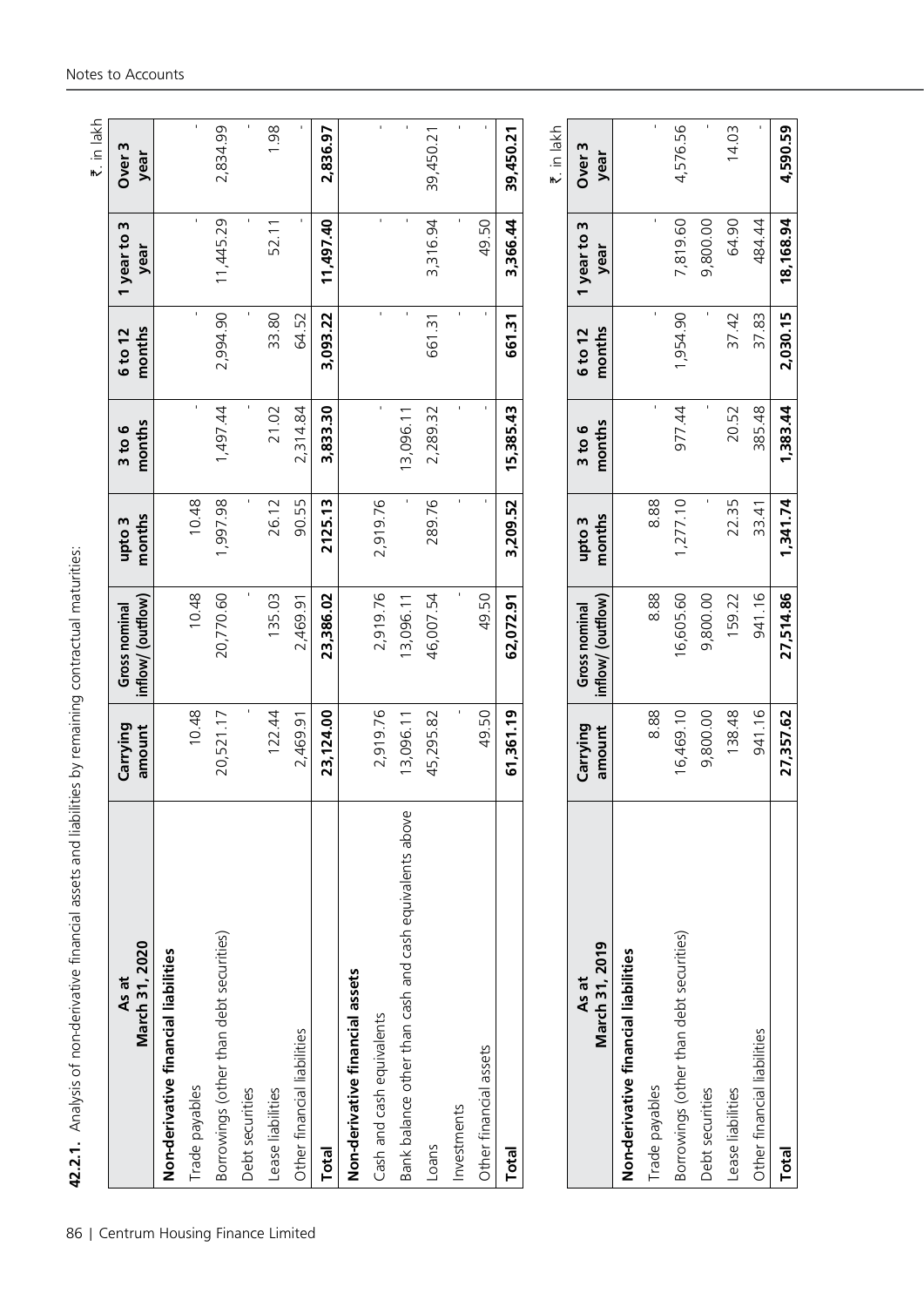|        | itizi itid Salid Tellit Catalog To Salid Telli                                                                 |
|--------|----------------------------------------------------------------------------------------------------------------|
|        |                                                                                                                |
|        |                                                                                                                |
|        |                                                                                                                |
|        |                                                                                                                |
|        |                                                                                                                |
|        |                                                                                                                |
|        |                                                                                                                |
|        |                                                                                                                |
|        |                                                                                                                |
|        |                                                                                                                |
|        |                                                                                                                |
|        |                                                                                                                |
|        |                                                                                                                |
|        | 1                                                                                                              |
|        |                                                                                                                |
|        |                                                                                                                |
|        |                                                                                                                |
|        |                                                                                                                |
|        |                                                                                                                |
|        |                                                                                                                |
|        |                                                                                                                |
|        | $\frac{1}{2}$<br>$5 - 6$                                                                                       |
|        |                                                                                                                |
|        | المستخدم المستخدم المستخدم المستخدم المستخدم المستخدم المستخدم المستخدم المستخدم المستخدم المستخدم المستخدم ال |
|        |                                                                                                                |
|        |                                                                                                                |
|        |                                                                                                                |
|        |                                                                                                                |
|        |                                                                                                                |
|        |                                                                                                                |
|        |                                                                                                                |
|        |                                                                                                                |
|        |                                                                                                                |
|        |                                                                                                                |
|        |                                                                                                                |
|        |                                                                                                                |
|        |                                                                                                                |
|        |                                                                                                                |
|        |                                                                                                                |
|        |                                                                                                                |
|        |                                                                                                                |
|        |                                                                                                                |
|        |                                                                                                                |
|        |                                                                                                                |
|        |                                                                                                                |
|        | <b>1975 - 1975 - 1975</b>                                                                                      |
|        |                                                                                                                |
|        |                                                                                                                |
|        | Din コンソフトコンコンコニュニ                                                                                              |
|        |                                                                                                                |
|        |                                                                                                                |
|        |                                                                                                                |
|        | :<br>:                                                                                                         |
|        |                                                                                                                |
|        |                                                                                                                |
|        |                                                                                                                |
|        |                                                                                                                |
|        |                                                                                                                |
|        |                                                                                                                |
|        |                                                                                                                |
|        |                                                                                                                |
|        |                                                                                                                |
|        |                                                                                                                |
|        |                                                                                                                |
|        |                                                                                                                |
|        |                                                                                                                |
|        |                                                                                                                |
|        |                                                                                                                |
|        |                                                                                                                |
|        |                                                                                                                |
|        | L                                                                                                              |
|        |                                                                                                                |
|        |                                                                                                                |
|        |                                                                                                                |
| 1      |                                                                                                                |
| ი<br>ი | :<br>:<br>:<br>:<br>:                                                                                          |

| As at                                                   | Carrying           | Gross nominal                      | upto 3           | 3 to 6               | 6 to 12           | m<br>1 year to         | Over <sub>3</sub>         |
|---------------------------------------------------------|--------------------|------------------------------------|------------------|----------------------|-------------------|------------------------|---------------------------|
| .2020<br>March 31,                                      | amount             | inflow/ (outflow)                  | months           | months               | months            | year                   | year                      |
| Non-derivative financial liabilities                    |                    |                                    |                  |                      |                   |                        |                           |
| Trade payables                                          | 10.48              | 10.48                              | 10.48            | r.                   | ŧ.                | ı.                     | $\blacksquare$            |
| Borrowings (other than debt securities)                 | 20,521.17          | 20,770.60                          | 1,997.98         | 1,497.44             | 2,994.90          | 11,445.29              | 2,834.99                  |
| Debt securities                                         |                    |                                    |                  |                      |                   |                        |                           |
| Lease liabilities                                       | 122.44             | 135.03                             | 26.12            | 21.02                | 33.80             | 52.11                  | 1.98                      |
| Other financial liabilities                             | 2,469.91           | 2,469.91                           | 90.55            | 2,314.84             | 64.52             |                        |                           |
| Total                                                   | 23,124.00          | 23,386.02                          | 2125.13          | 3,833.30             | 3,093.22          | 11,497.40              | 2,836.97                  |
| Non-derivative financial assets                         |                    |                                    |                  |                      |                   |                        |                           |
| Cash and cash equivalents                               | 2,919.76           | 2,919.76                           | 2,919.76         | $\blacksquare$       | $\blacksquare$    | $\mathbf{r}$           | $\blacksquare$            |
| Bank balance other than cash and cash equivalents above | 13,096.11          | 13,096.11                          |                  | 13,096.11            |                   |                        |                           |
| Loans                                                   | 45,295.82          | 46,007.54                          | 289.76           | 2,289.32             | 661.31            | 3,316.94               | 39,450.21                 |
| Investments                                             |                    |                                    | f,               | f,                   | f,                |                        | f,                        |
| Other financial assets                                  | 49.50              | 49.50                              | $\blacksquare$   | $\mathbf{r}$         | $\mathbf{r}$      | 49.50                  | $\mathbf{I}$              |
| <b>Total</b>                                            | 61,361.19          | 62,072.91                          | 3,209.52         | 5,385.43             | 661.31            | 3,366.44               | 39,450.21                 |
|                                                         |                    |                                    |                  |                      |                   |                        | ₹. in lakh                |
| March 31, 2019<br>As at                                 | Carrying<br>amount | inflow/ (outflow)<br>Gross nominal | months<br>upto 3 | months<br>$3$ to $6$ | months<br>6 to 12 | m<br>1 year to<br>year | Over <sub>3</sub><br>year |
| Non-derivative financial liabilities                    |                    |                                    |                  |                      |                   |                        |                           |
| Trade payables                                          | 8.88               | 888                                | 8.88             | ı.                   | r.                | r.                     | ı.                        |
| Borrowings (other than debt securities)                 | 16,469.10          | 16,605.60                          | 1,277.10         | 977.44               | 1,954.90          | 7,819.60               | 4,576.56                  |
| Debt securities                                         | 9,800.00           | 9,800.00                           |                  |                      |                   | 9,800.00               |                           |

Lease liabilities 138.48 159.22 22.35 20.52 37.42 64.90 14.03 Other financial liabilities 1.0 1.16 941.16 941.16 33.41 385.48 37.83 383.48 484.44 - 37.83 484.44 - 37.83 484.44 -**Total 27,357.62 27,514.86 1,341.74 1,383.44 2,030.15 18,168.94 4,590.59**

 $14.03$ 

64.90

37.83 37.42

20.52

 $22.35$ <br> $33.41$ 

159.22

138.48

Other financial liabilities

Total

Lease liabilities

4,590.59

18,168.94

2,030.15

1,383.44

1,341.74

27,514.86

27,357.62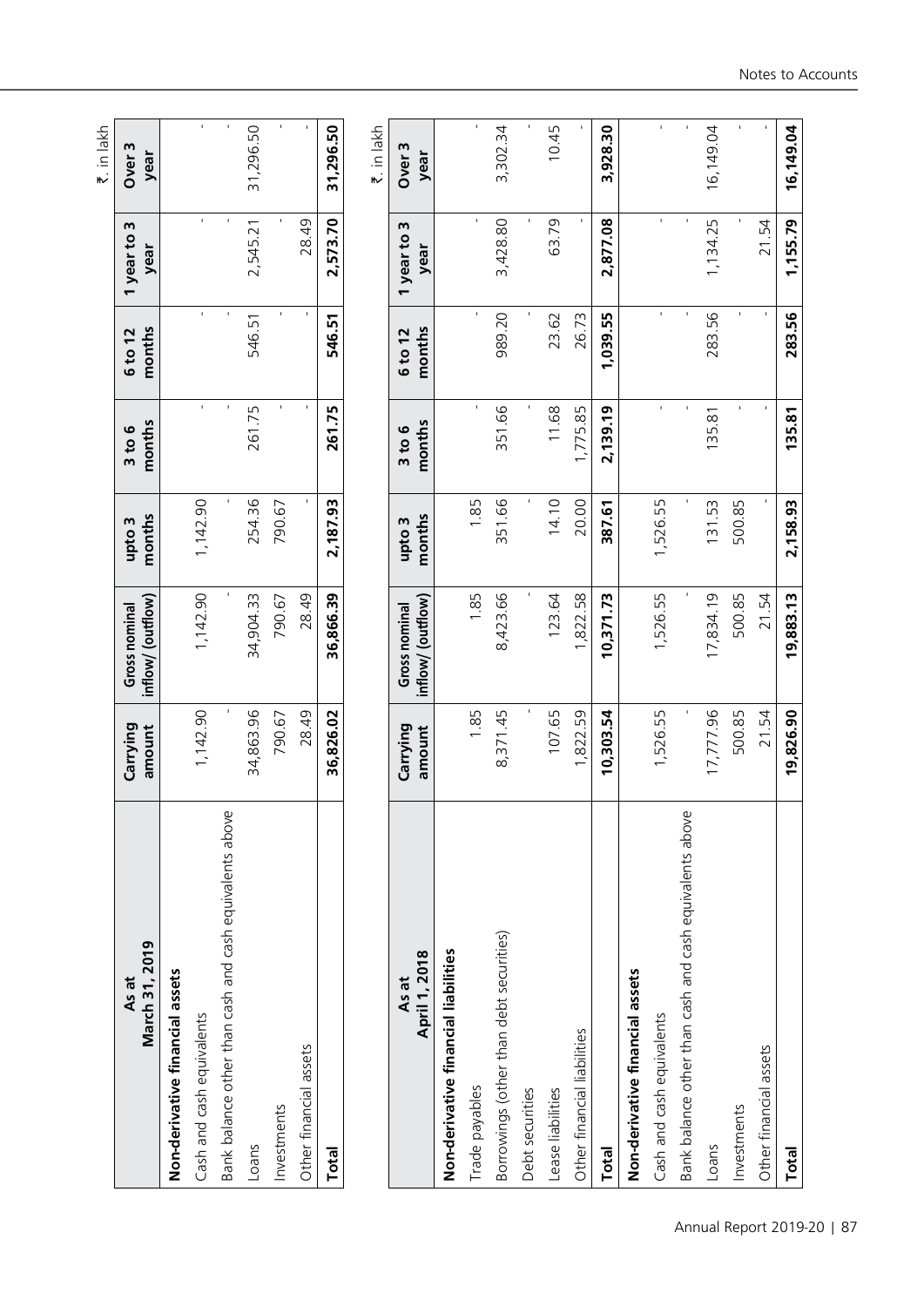|                                                         |                    |                                    |                  |                      |                   |                        | ₹. in lakh                |
|---------------------------------------------------------|--------------------|------------------------------------|------------------|----------------------|-------------------|------------------------|---------------------------|
| March 31, 2019<br>As at                                 | Carrying<br>amount | inflow/ (outflow)<br>Gross nominal | months<br>upto 3 | months<br>3 to 6     | months<br>6 to 12 | m<br>1 year to<br>year | Over <sub>3</sub><br>year |
| Non-derivative financial assets                         |                    |                                    |                  |                      |                   |                        |                           |
| Cash and cash equivalents                               | 1,142.90           | 1,142.90                           | 1,142.90         | $\blacksquare$       | $\mathbf{r}$      | $\mathbf{r}$           | $\mathbf{I}$              |
| Bank balance other than cash and cash equivalents above |                    |                                    |                  | ٠                    | $\mathbf{I}$      | $\mathbf{I}$           | $\mathbf{I}$              |
| Loans                                                   | 34,863.96          | 34,904.33                          | 254.36           | 261.75               | 546.51            | 2,545.21               | 31,296.50                 |
| Investments                                             | 790.67             | 790.67                             | 790.67           | f,                   |                   |                        | ï                         |
| Other financial assets                                  | 28.49              | 28.49                              |                  | $\mathbf{I}$         | $\mathbf{r}$      | 28.49                  |                           |
| Total                                                   | 36,826.02          | 36,866.39                          | 2,187.93         | 261.75               | 546.51            | 2,573.70               | 31,296.50                 |
|                                                         |                    |                                    |                  |                      |                   |                        | ₹. in lakh                |
| April 1, 2018<br>As at                                  | Carrying<br>amount | inflow/ (outflow)<br>Gross nominal | months<br>upto 3 | months<br>$3$ to $6$ | months<br>6 to 12 | m<br>1 year to<br>year | Over <sub>3</sub><br>year |
| Non-derivative financial liabilities                    |                    |                                    |                  |                      |                   |                        |                           |
| Trade payables                                          | 1.85               | 1.85                               | 1.85             | $\blacksquare$       | $\blacksquare$    | $\mathbf{r}$           | $\mathbf{I}$              |
| Borrowings (other than debt securities)                 | 8,371.45           | 8,423.66                           | 351.66           | 351.66               | 989.20            | 3,428.80               | 3,302.34                  |
| Debt securities                                         |                    |                                    |                  |                      |                   |                        |                           |
| Lease liabilities                                       | 107.65             | 123.64                             | 14.10            | 11.68                | 23.62             | 63.79                  | 10.45                     |
| Other financial liabilities                             | 1,822.59           | 1,822.58                           | 20.00            | 1,775.85             | 26.73             |                        |                           |
| <b>Total</b>                                            | 10,303.54          | 10,371.73                          | 387.61           | 2,139.19             | 1,039.55          | 2,877.08               | 3,928.30                  |
| Non-derivative financial assets                         |                    |                                    |                  |                      |                   |                        |                           |
| Cash and cash equivalents                               | 1,526.55           | 1,526.55                           | 1,526.55         | ŧ.                   | $\blacksquare$    | $\blacksquare$         | $\blacksquare$            |
| Bank balance other than cash and cash equivalents above |                    |                                    |                  |                      | $\mathbf{I}$      | $\mathbf{I}$           |                           |
| Loans                                                   | 17,777.96          | 17,834.19                          | 131.53           | 135.81               | 283.56            | 1,134.25               | 16,149.04                 |
| Investments                                             | 500.85             | 500.85                             | 500.85           |                      | $\mathbf{r}$      |                        |                           |
| Other financial assets                                  | 21.54              | 21.54                              |                  |                      | $\mathbf{r}$      | 21.54                  |                           |

16,149.04

1,155.79

283.56

 $135.81$ 

2,158.93

**Total 19,826.90 19,883.13 2,158.93 135.81 283.56 1,155.79 16,149.04**

19,826.90

19,883.13

Total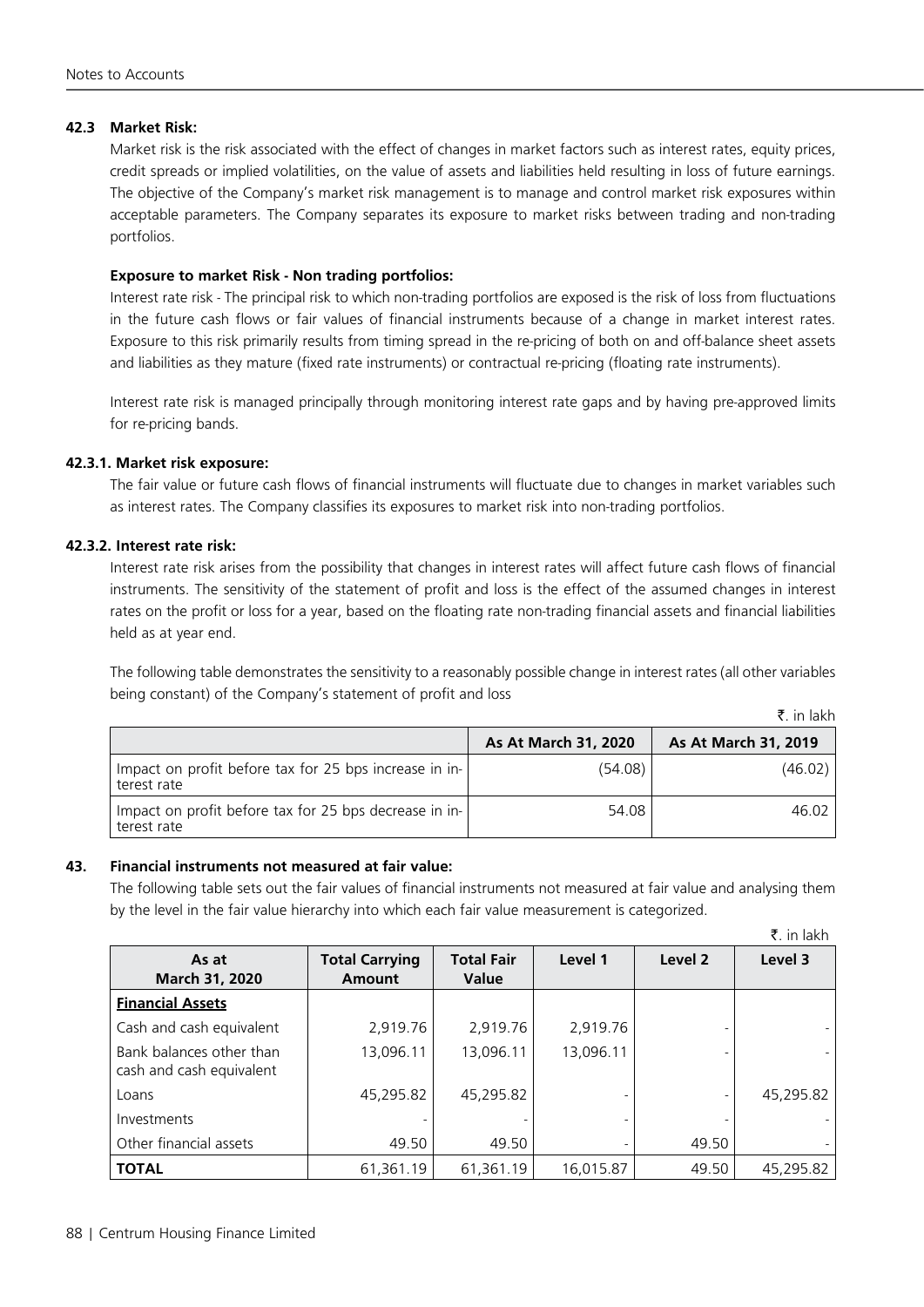# **42.3 Market Risk:**

Market risk is the risk associated with the effect of changes in market factors such as interest rates, equity prices, credit spreads or implied volatilities, on the value of assets and liabilities held resulting in loss of future earnings. The objective of the Company's market risk management is to manage and control market risk exposures within acceptable parameters. The Company separates its exposure to market risks between trading and non-trading portfolios.

# **Exposure to market Risk - Non trading portfolios:**

Interest rate risk - The principal risk to which non-trading portfolios are exposed is the risk of loss from fluctuations in the future cash flows or fair values of financial instruments because of a change in market interest rates. Exposure to this risk primarily results from timing spread in the re-pricing of both on and off-balance sheet assets and liabilities as they mature (fixed rate instruments) or contractual re-pricing (floating rate instruments).

Interest rate risk is managed principally through monitoring interest rate gaps and by having pre-approved limits for re-pricing bands.

# **42.3.1. Market risk exposure:**

The fair value or future cash flows of financial instruments will fluctuate due to changes in market variables such as interest rates. The Company classifies its exposures to market risk into non-trading portfolios.

# **42.3.2. Interest rate risk:**

Interest rate risk arises from the possibility that changes in interest rates will affect future cash flows of financial instruments. The sensitivity of the statement of profit and loss is the effect of the assumed changes in interest rates on the profit or loss for a year, based on the floating rate non-trading financial assets and financial liabilities held as at year end.

The following table demonstrates the sensitivity to a reasonably possible change in interest rates (all other variables being constant) of the Company's statement of profit and loss

|  | in lakh |
|--|---------|

|                                                                       | As At March 31, 2020 | As At March 31, 2019 |
|-----------------------------------------------------------------------|----------------------|----------------------|
| Impact on profit before tax for 25 bps increase in in-<br>terest rate | (54.08)              | (46.02)              |
| Impact on profit before tax for 25 bps decrease in in-<br>terest rate | 54.08                | 46.02                |

#### **43. Financial instruments not measured at fair value:**

The following table sets out the fair values of financial instruments not measured at fair value and analysing them by the level in the fair value hierarchy into which each fair value measurement is categorized.

|                                                      |                                 |                                   |           |                    | ₹. in lakh |
|------------------------------------------------------|---------------------------------|-----------------------------------|-----------|--------------------|------------|
| As at<br>March 31, 2020                              | <b>Total Carrying</b><br>Amount | <b>Total Fair</b><br><b>Value</b> | Level 1   | Level <sub>2</sub> | Level 3    |
| <b>Financial Assets</b>                              |                                 |                                   |           |                    |            |
| Cash and cash equivalent                             | 2,919.76                        | 2,919.76                          | 2,919.76  |                    |            |
| Bank balances other than<br>cash and cash equivalent | 13,096.11                       | 13,096.11                         | 13,096.11 |                    |            |
| Loans                                                | 45,295.82                       | 45,295.82                         |           |                    | 45,295.82  |
| Investments                                          |                                 |                                   |           |                    |            |
| Other financial assets                               | 49.50                           | 49.50                             |           | 49.50              |            |
| <b>TOTAL</b>                                         | 61.361.19                       | 61,361.19                         | 16.015.87 | 49.50              | 45,295.82  |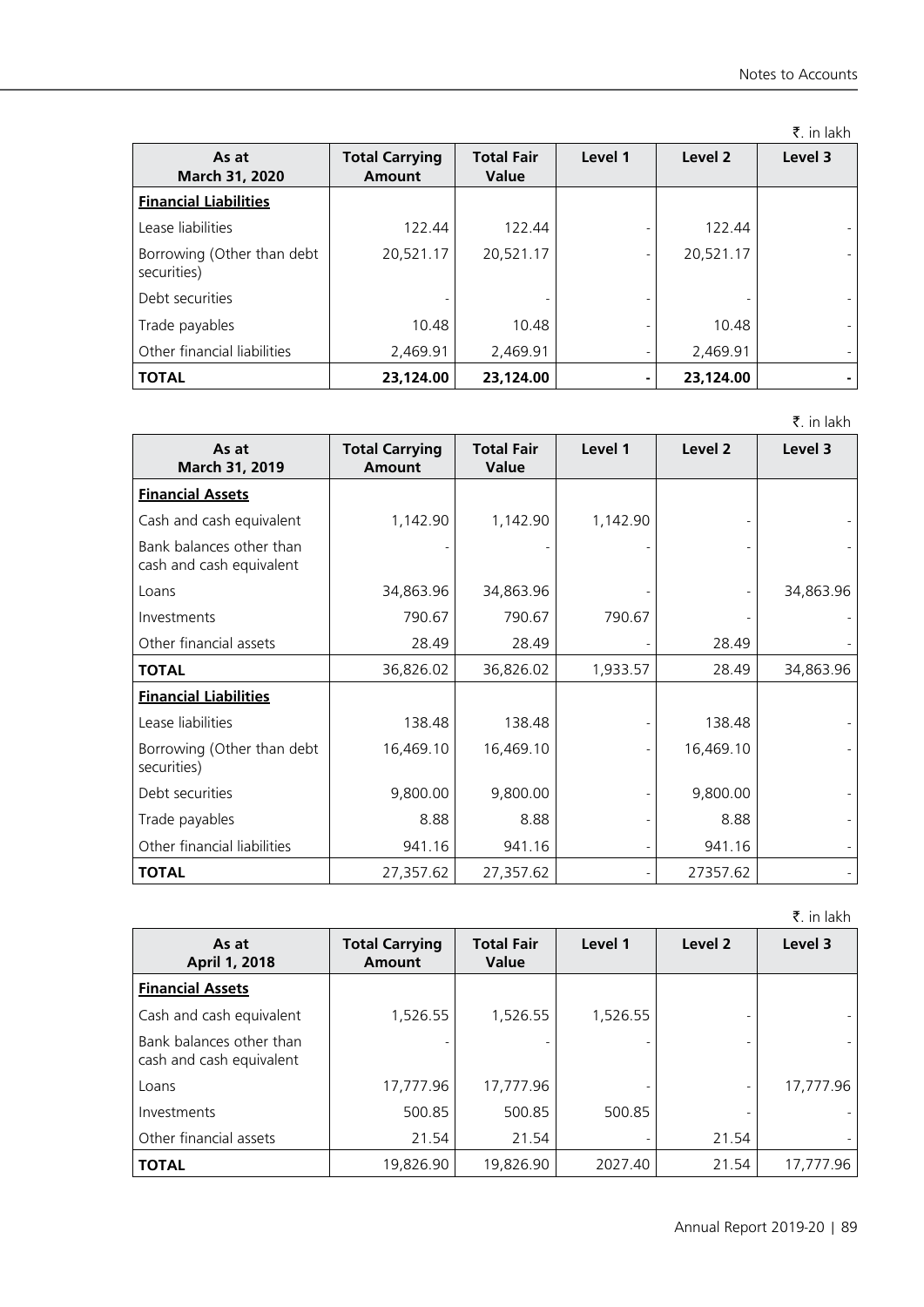|                                           |                                 |                                   |                |                    | ₹. in lakh |
|-------------------------------------------|---------------------------------|-----------------------------------|----------------|--------------------|------------|
| As at<br>March 31, 2020                   | <b>Total Carrying</b><br>Amount | <b>Total Fair</b><br><b>Value</b> | Level 1        | Level <sub>2</sub> | Level 3    |
| <b>Financial Liabilities</b>              |                                 |                                   |                |                    |            |
| Lease liabilities                         | 122.44                          | 122.44                            |                | 122.44             |            |
| Borrowing (Other than debt<br>securities) | 20,521.17                       | 20,521.17                         |                | 20,521.17          |            |
| Debt securities                           |                                 |                                   |                |                    |            |
| Trade payables                            | 10.48                           | 10.48                             |                | 10.48              |            |
| Other financial liabilities               | 2,469.91                        | 2,469.91                          |                | 2,469.91           |            |
| <b>TOTAL</b>                              | 23,124.00                       | 23,124.00                         | $\blacksquare$ | 23,124.00          |            |

₹. in lakh

| As at<br>March 31, 2019                              | <b>Total Carrying</b><br><b>Amount</b> | <b>Total Fair</b><br><b>Value</b> | Level 1  | Level 2   | Level 3   |
|------------------------------------------------------|----------------------------------------|-----------------------------------|----------|-----------|-----------|
| <b>Financial Assets</b>                              |                                        |                                   |          |           |           |
| Cash and cash equivalent                             | 1,142.90                               | 1,142.90                          | 1,142.90 |           |           |
| Bank balances other than<br>cash and cash equivalent |                                        |                                   |          |           |           |
| Loans                                                | 34,863.96                              | 34,863.96                         |          |           | 34,863.96 |
| Investments                                          | 790.67                                 | 790.67                            | 790.67   |           |           |
| Other financial assets                               | 28.49                                  | 28.49                             |          | 28.49     |           |
| <b>TOTAL</b>                                         | 36,826.02                              | 36,826.02                         | 1,933.57 | 28.49     | 34,863.96 |
| <b>Financial Liabilities</b>                         |                                        |                                   |          |           |           |
| Lease liabilities                                    | 138.48                                 | 138.48                            |          | 138.48    |           |
| Borrowing (Other than debt<br>securities)            | 16,469.10                              | 16,469.10                         |          | 16,469.10 |           |
| Debt securities                                      | 9,800.00                               | 9,800.00                          |          | 9,800.00  |           |
| Trade payables                                       | 8.88                                   | 8.88                              |          | 8.88      |           |
| Other financial liabilities                          | 941.16                                 | 941.16                            |          | 941.16    |           |
| <b>TOTAL</b>                                         | 27,357.62                              | 27,357.62                         |          | 27357.62  |           |

₹. in lakh

| As at<br>April 1, 2018                               | <b>Total Carrying</b><br>Amount | <b>Total Fair</b><br><b>Value</b> | Level 1  | Level 2 | Level 3   |
|------------------------------------------------------|---------------------------------|-----------------------------------|----------|---------|-----------|
| <b>Financial Assets</b>                              |                                 |                                   |          |         |           |
| Cash and cash equivalent                             | 1,526.55                        | 1,526.55                          | 1,526.55 |         |           |
| Bank balances other than<br>cash and cash equivalent |                                 |                                   |          |         |           |
| Loans                                                | 17,777.96                       | 17,777.96                         |          |         | 17,777.96 |
| Investments                                          | 500.85                          | 500.85                            | 500.85   |         |           |
| Other financial assets                               | 21.54                           | 21.54                             |          | 21.54   |           |
| <b>TOTAL</b>                                         | 19,826.90                       | 19,826.90                         | 2027.40  | 21.54   | 17,777.96 |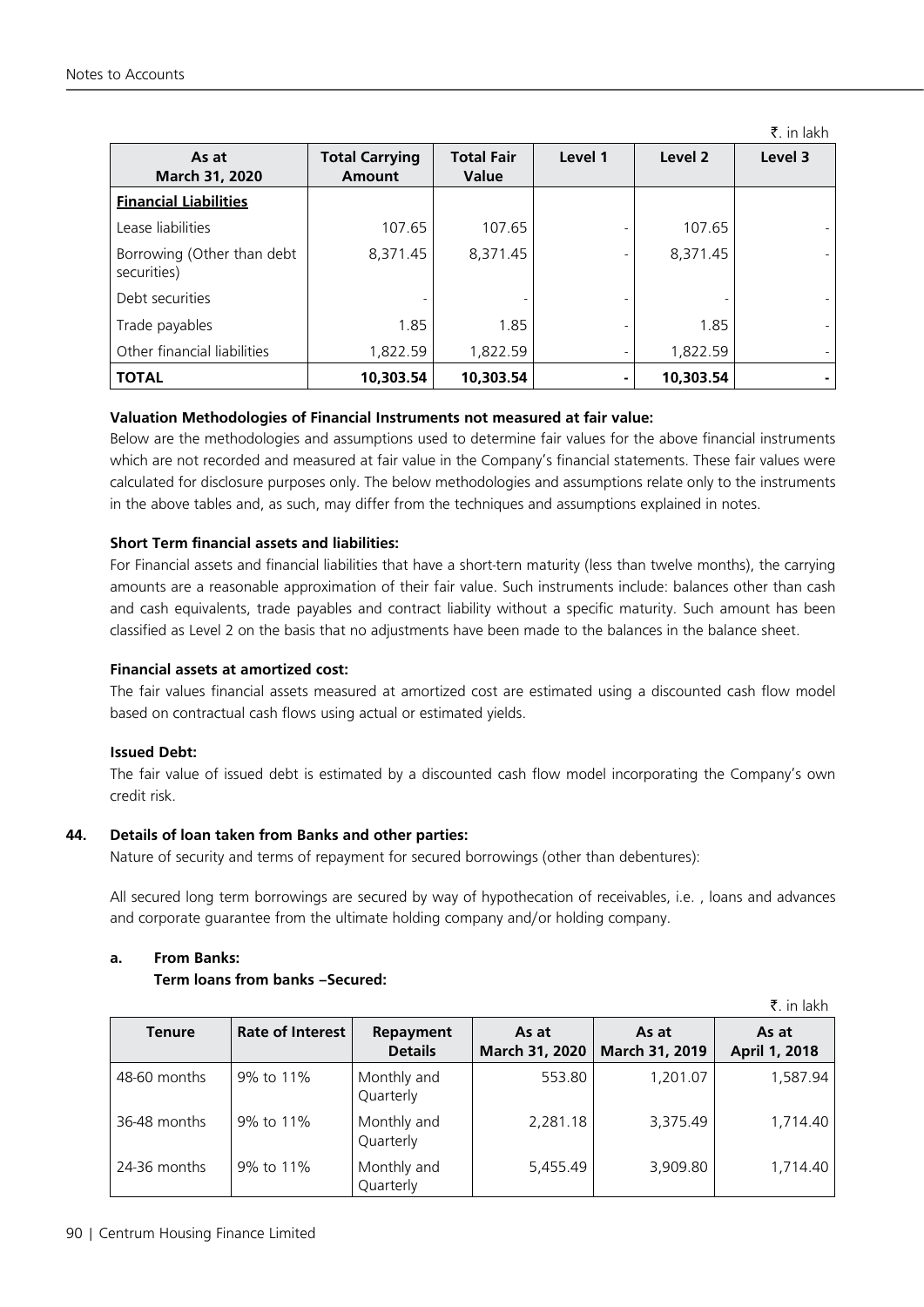|                                           |                                        |                                   |         |           | ₹. in lakh |
|-------------------------------------------|----------------------------------------|-----------------------------------|---------|-----------|------------|
| As at<br>March 31, 2020                   | <b>Total Carrying</b><br><b>Amount</b> | <b>Total Fair</b><br><b>Value</b> | Level 1 | Level 2   | Level 3    |
| <b>Financial Liabilities</b>              |                                        |                                   |         |           |            |
| Lease liabilities                         | 107.65                                 | 107.65                            |         | 107.65    |            |
| Borrowing (Other than debt<br>securities) | 8,371.45                               | 8,371.45                          |         | 8,371.45  |            |
| Debt securities                           |                                        |                                   |         |           |            |
| Trade payables                            | 1.85                                   | 1.85                              |         | 1.85      |            |
| Other financial liabilities               | 1,822.59                               | 1,822.59                          |         | 1,822.59  |            |
| <b>TOTAL</b>                              | 10,303.54                              | 10,303.54                         |         | 10,303.54 |            |

#### **Valuation Methodologies of Financial Instruments not measured at fair value:**

Below are the methodologies and assumptions used to determine fair values for the above financial instruments which are not recorded and measured at fair value in the Company's financial statements. These fair values were calculated for disclosure purposes only. The below methodologies and assumptions relate only to the instruments in the above tables and, as such, may differ from the techniques and assumptions explained in notes.

#### **Short Term financial assets and liabilities:**

For Financial assets and financial liabilities that have a short-tern maturity (less than twelve months), the carrying amounts are a reasonable approximation of their fair value. Such instruments include: balances other than cash and cash equivalents, trade payables and contract liability without a specific maturity. Such amount has been classified as Level 2 on the basis that no adjustments have been made to the balances in the balance sheet.

#### **Financial assets at amortized cost:**

The fair values financial assets measured at amortized cost are estimated using a discounted cash flow model based on contractual cash flows using actual or estimated yields.

#### **Issued Debt:**

The fair value of issued debt is estimated by a discounted cash flow model incorporating the Company's own credit risk.

#### **44. Details of loan taken from Banks and other parties:**

Nature of security and terms of repayment for secured borrowings (other than debentures):

All secured long term borrowings are secured by way of hypothecation of receivables, i.e. , loans and advances and corporate guarantee from the ultimate holding company and/or holding company.

## **a. From Banks:**

## **Term loans from banks –Secured:**

|               |                         |                             |                         |                         | ₹. in lakh             |
|---------------|-------------------------|-----------------------------|-------------------------|-------------------------|------------------------|
| <b>Tenure</b> | <b>Rate of Interest</b> | Repayment<br><b>Details</b> | As at<br>March 31, 2020 | As at<br>March 31, 2019 | As at<br>April 1, 2018 |
| 48-60 months  | 9% to 11%               | Monthly and<br>Quarterly    | 553.80                  | 1,201.07                | 1,587.94               |
| 36-48 months  | 9% to 11%               | Monthly and<br>Quarterly    | 2,281.18                | 3,375.49                | 1,714.40               |
| 24-36 months  | 9% to 11%               | Monthly and<br>Quarterly    | 5,455.49                | 3,909.80                | 1,714.40               |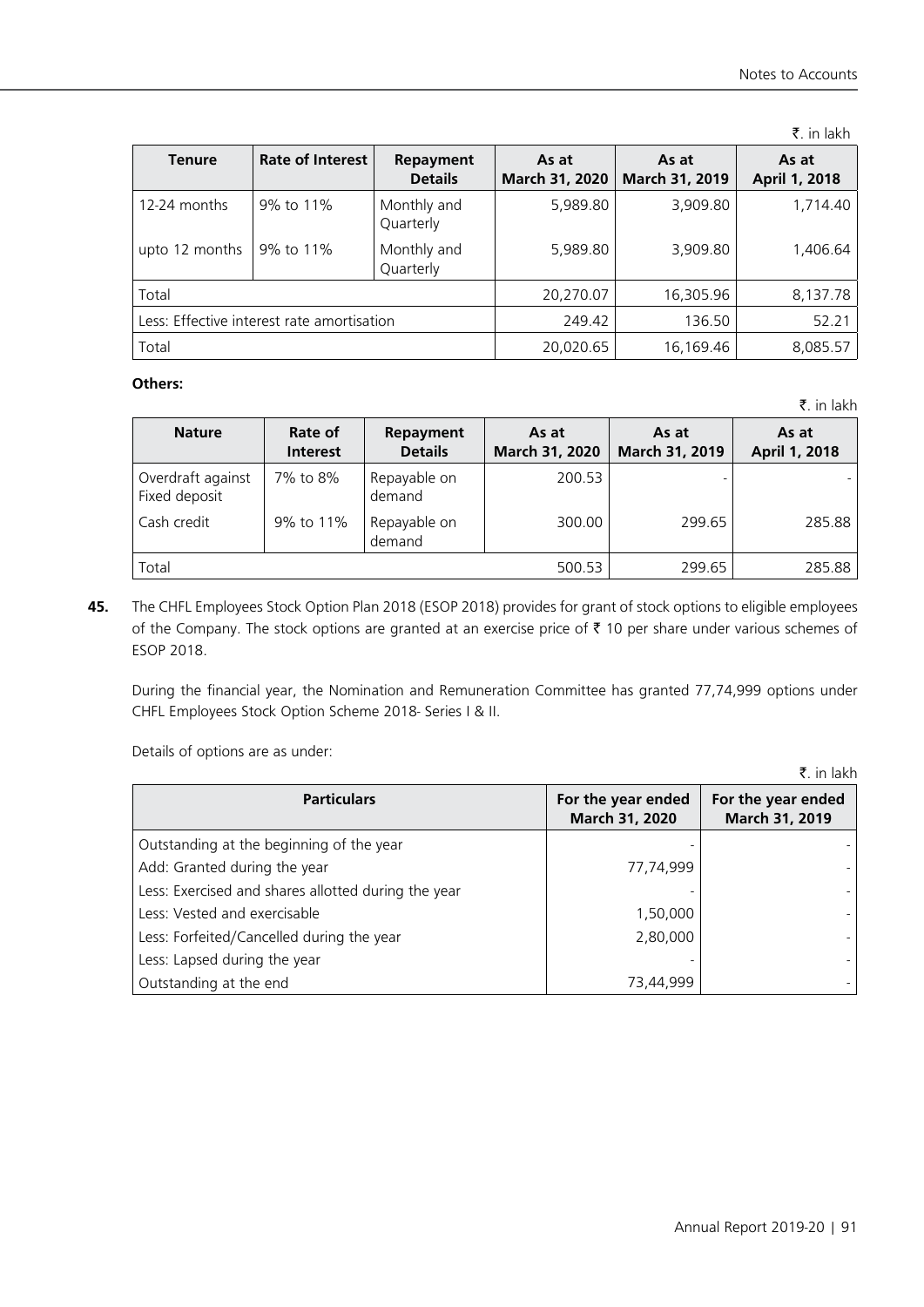$\bar{z}$  in lakh

 $\bar{z}$  in lakh

| <b>Tenure</b>  | <b>Rate of Interest</b>                    | Repayment<br><b>Details</b> | As at<br>March 31, 2020 | As at<br>March 31, 2019 | As at<br>April 1, 2018 |
|----------------|--------------------------------------------|-----------------------------|-------------------------|-------------------------|------------------------|
| 12-24 months   | 9% to 11%                                  | Monthly and<br>Quarterly    | 5,989.80                | 3,909.80                | 1,714.40               |
| upto 12 months | 9% to 11%                                  | Monthly and<br>Quarterly    | 5,989.80                | 3,909.80                | 1,406.64               |
| Total          |                                            |                             | 20,270.07               | 16,305.96               | 8,137.78               |
|                | Less: Effective interest rate amortisation |                             | 249.42                  | 136.50                  | 52.21                  |
| Total          |                                            |                             | 20,020.65               | 16,169.46               | 8,085.57               |

# **Others:**

**Nature Rate of Interest Repayment Details As at March 31, 2020 As at March 31, 2019 As at April 1, 2018** Overdraft against Fixed deposit 7% to 8% Repayable on demand 200.53 Cash credit | 9% to 11% | Repayable on demand 300.00 299.65 285.88 Total 500.53 299.65 285.88

**45.** The CHFL Employees Stock Option Plan 2018 (ESOP 2018) provides for grant of stock options to eligible employees of the Company. The stock options are granted at an exercise price of  $\bar{\tau}$  10 per share under various schemes of ESOP 2018.

During the financial year, the Nomination and Remuneration Committee has granted 77,74,999 options under CHFL Employees Stock Option Scheme 2018- Series I & II.

Details of options are as under:

₹. in lakh **Particulars For the year ended March 31, 2020 For the year ended March 31, 2019** Outstanding at the beginning of the year Add: Granted during the year Less: Exercised and shares allotted during the year Less: Vested and exercisable Less: Forfeited/Cancelled during the year Less: Lapsed during the year Outstanding at the end - 77,74,999 - 1,50,000 2,80,000 - 73,44,999 - - - - - - -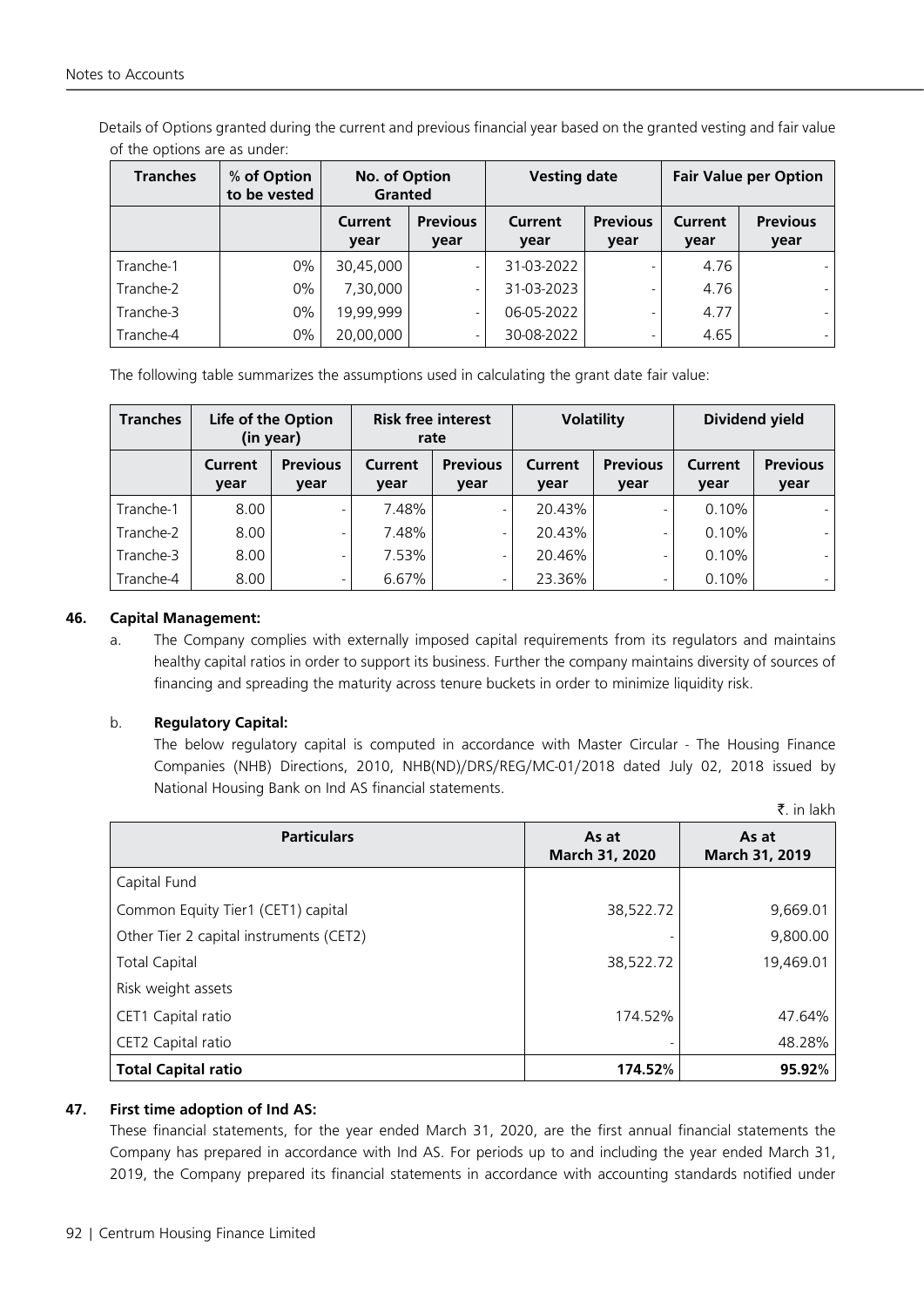Details of Options granted during the current and previous financial year based on the granted vesting and fair value of the options are as under:

| <b>Tranches</b> | % of Option<br>to be vested | No. of Option<br>Granted |                          | <b>Vesting date</b>    |                         | <b>Fair Value per Option</b> |                          |
|-----------------|-----------------------------|--------------------------|--------------------------|------------------------|-------------------------|------------------------------|--------------------------|
|                 |                             | Current<br>year          | <b>Previous</b><br>year  | <b>Current</b><br>year | <b>Previous</b><br>year | Current<br>year              | <b>Previous</b><br>year  |
| Tranche-1       | 0%                          | 30,45,000                |                          | 31-03-2022             |                         | 4.76                         |                          |
| Tranche-2       | 0%                          | 7,30,000                 | $\overline{\phantom{0}}$ | 31-03-2023             |                         | 4.76                         | ٠                        |
| Tranche-3       | 0%                          | 19,99,999                |                          | 06-05-2022             | $\overline{a}$          | 4.77                         | $\overline{\phantom{0}}$ |
| Tranche-4       | $0\%$                       | 20,00,000                |                          | 30-08-2022             |                         | 4.65                         |                          |

The following table summarizes the assumptions used in calculating the grant date fair value:

| <b>Tranches</b> | Life of the Option<br>(in year) |                         | <b>Risk free interest</b><br>rate |                          | <b>Volatility</b>      |                          | <b>Dividend yield</b> |                         |
|-----------------|---------------------------------|-------------------------|-----------------------------------|--------------------------|------------------------|--------------------------|-----------------------|-------------------------|
|                 | Current<br>vear                 | <b>Previous</b><br>year | Current<br>year                   | <b>Previous</b><br>year  | <b>Current</b><br>year | <b>Previous</b><br>year  | Current<br>year       | <b>Previous</b><br>year |
| Tranche-1       | 8.00                            | -                       | 7.48%                             | $\overline{\phantom{a}}$ | 20.43%                 | -                        | 0.10%                 |                         |
| Tranche-2       | 8.00                            | -                       | 7.48%                             | $\overline{\phantom{a}}$ | 20.43%                 | -                        | 0.10%                 |                         |
| Tranche-3       | 8.00                            | -                       | 7.53%                             | $\overline{\phantom{a}}$ | 20.46%                 | $\overline{\phantom{0}}$ | 0.10%                 |                         |
| Tranche-4       | 8.00                            | ٠                       | 6.67%                             | $\overline{\phantom{a}}$ | 23.36%                 | -                        | 0.10%                 |                         |

# **46. Capital Management:**

a. The Company complies with externally imposed capital requirements from its regulators and maintains healthy capital ratios in order to support its business. Further the company maintains diversity of sources of financing and spreading the maturity across tenure buckets in order to minimize liquidity risk.

# b. **Regulatory Capital:**

The below regulatory capital is computed in accordance with Master Circular - The Housing Finance Companies (NHB) Directions, 2010, NHB(ND)/DRS/REG/MC-01/2018 dated July 02, 2018 issued by National Housing Bank on Ind AS financial statements.

 $\bar{z}$  in lakh

| <b>Particulars</b>                      | As at<br>March 31, 2020 | As at<br>March 31, 2019 |
|-----------------------------------------|-------------------------|-------------------------|
| Capital Fund                            |                         |                         |
| Common Equity Tier1 (CET1) capital      | 38,522.72               | 9,669.01                |
| Other Tier 2 capital instruments (CET2) |                         | 9,800.00                |
| <b>Total Capital</b>                    | 38,522.72               | 19,469.01               |
| Risk weight assets                      |                         |                         |
| CET1 Capital ratio                      | 174.52%                 | 47.64%                  |
| CET2 Capital ratio                      |                         | 48.28%                  |
| <b>Total Capital ratio</b>              | 174.52%                 | 95.92%                  |

#### **47. First time adoption of Ind AS:**

These financial statements, for the year ended March 31, 2020, are the first annual financial statements the Company has prepared in accordance with Ind AS. For periods up to and including the year ended March 31, 2019, the Company prepared its financial statements in accordance with accounting standards notified under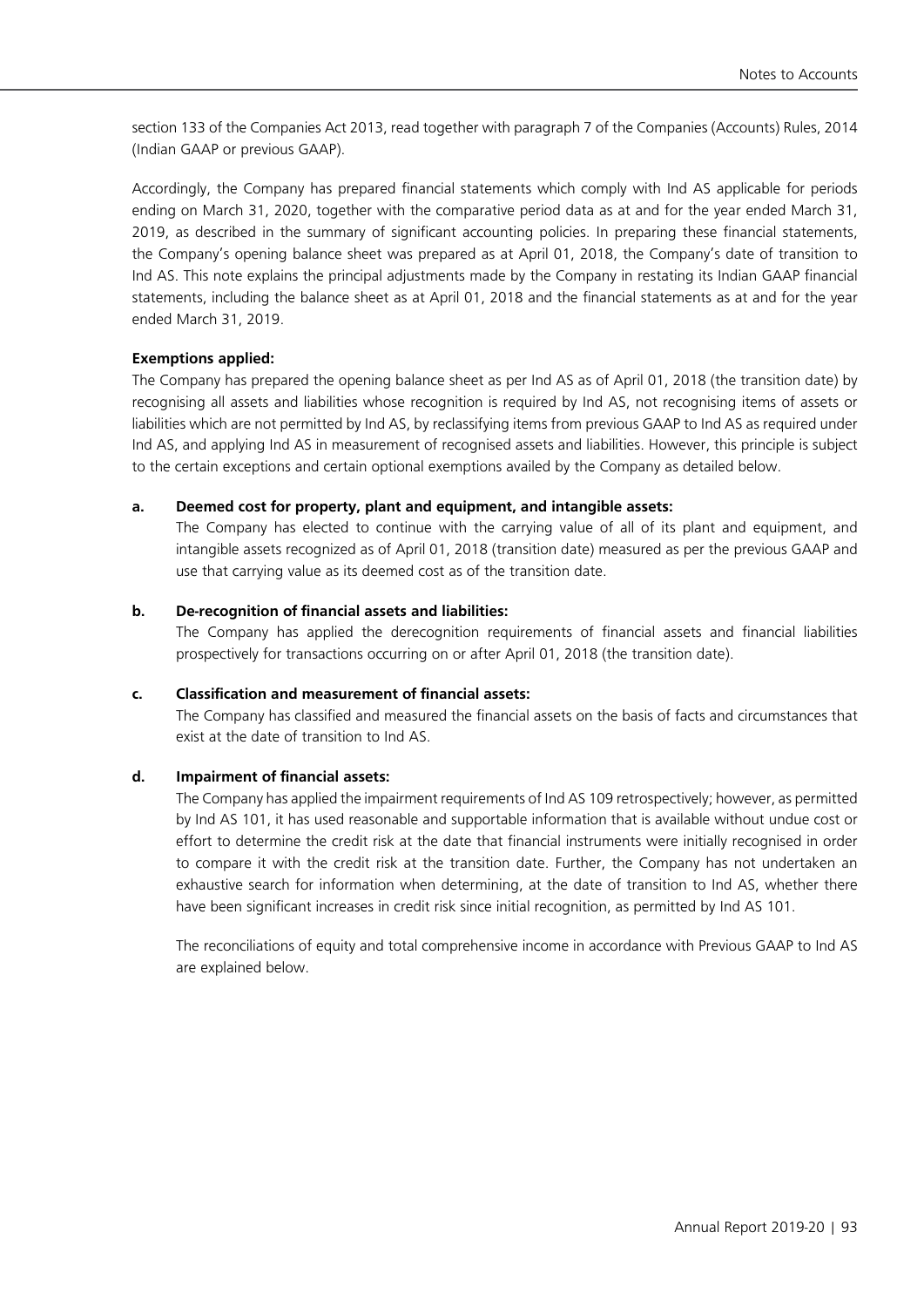section 133 of the Companies Act 2013, read together with paragraph 7 of the Companies (Accounts) Rules, 2014 (Indian GAAP or previous GAAP).

Accordingly, the Company has prepared financial statements which comply with Ind AS applicable for periods ending on March 31, 2020, together with the comparative period data as at and for the year ended March 31, 2019, as described in the summary of significant accounting policies. In preparing these financial statements, the Company's opening balance sheet was prepared as at April 01, 2018, the Company's date of transition to Ind AS. This note explains the principal adjustments made by the Company in restating its Indian GAAP financial statements, including the balance sheet as at April 01, 2018 and the financial statements as at and for the year ended March 31, 2019.

# **Exemptions applied:**

The Company has prepared the opening balance sheet as per Ind AS as of April 01, 2018 (the transition date) by recognising all assets and liabilities whose recognition is required by Ind AS, not recognising items of assets or liabilities which are not permitted by Ind AS, by reclassifying items from previous GAAP to Ind AS as required under Ind AS, and applying Ind AS in measurement of recognised assets and liabilities. However, this principle is subject to the certain exceptions and certain optional exemptions availed by the Company as detailed below.

#### **a. Deemed cost for property, plant and equipment, and intangible assets:**

 The Company has elected to continue with the carrying value of all of its plant and equipment, and intangible assets recognized as of April 01, 2018 (transition date) measured as per the previous GAAP and use that carrying value as its deemed cost as of the transition date.

# **b. De-recognition of financial assets and liabilities:**

The Company has applied the derecognition requirements of financial assets and financial liabilities prospectively for transactions occurring on or after April 01, 2018 (the transition date).

#### **c. Classification and measurement of financial assets:**

The Company has classified and measured the financial assets on the basis of facts and circumstances that exist at the date of transition to Ind AS.

# **d. Impairment of financial assets:**

The Company has applied the impairment requirements of Ind AS 109 retrospectively; however, as permitted by Ind AS 101, it has used reasonable and supportable information that is available without undue cost or effort to determine the credit risk at the date that financial instruments were initially recognised in order to compare it with the credit risk at the transition date. Further, the Company has not undertaken an exhaustive search for information when determining, at the date of transition to Ind AS, whether there have been significant increases in credit risk since initial recognition, as permitted by Ind AS 101.

The reconciliations of equity and total comprehensive income in accordance with Previous GAAP to Ind AS are explained below.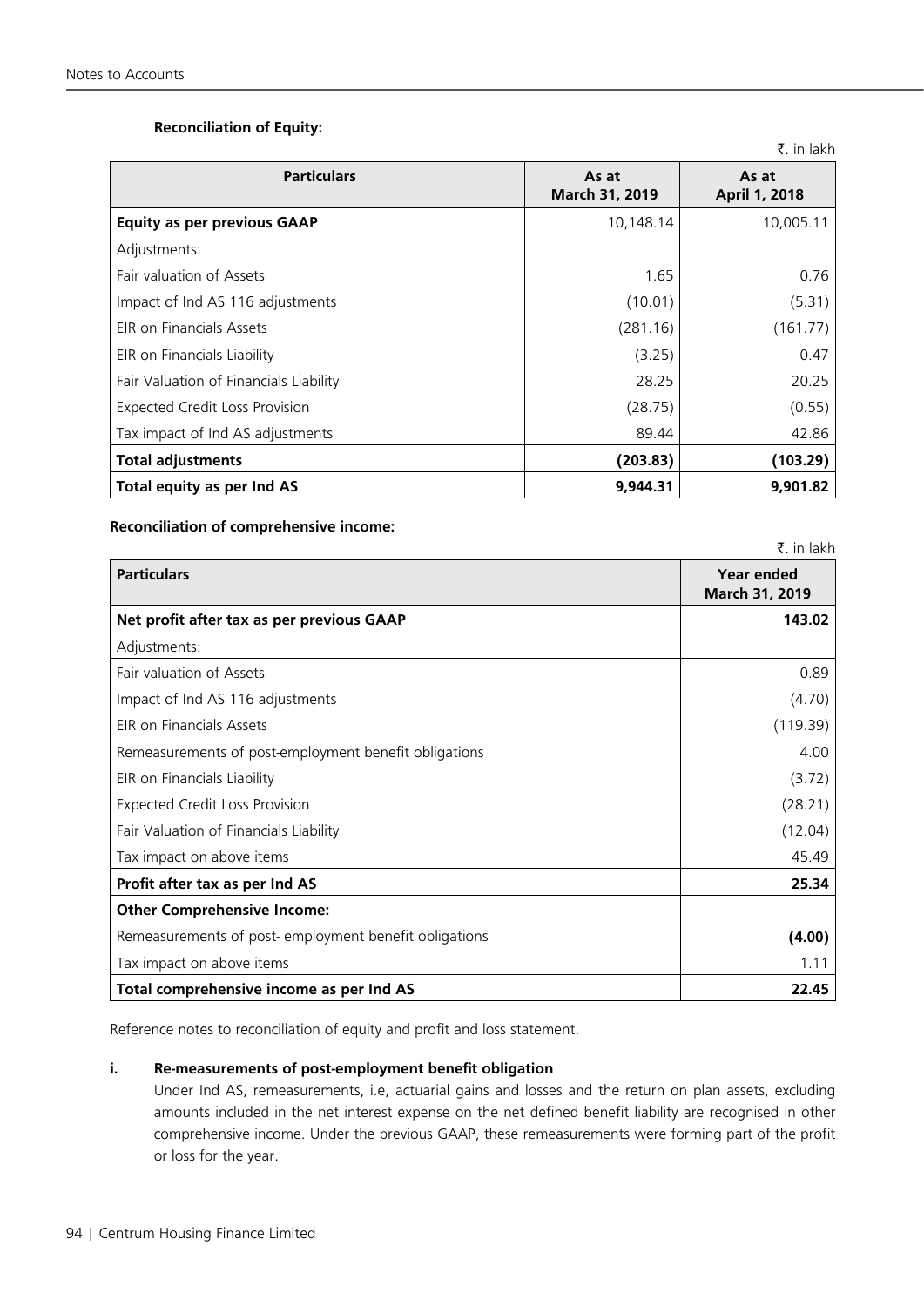# **Reconciliation of Equity:**

|                                        |                         | ₹. in lakh             |
|----------------------------------------|-------------------------|------------------------|
| <b>Particulars</b>                     | As at<br>March 31, 2019 | As at<br>April 1, 2018 |
| <b>Equity as per previous GAAP</b>     | 10,148.14               | 10,005.11              |
| Adjustments:                           |                         |                        |
| Fair valuation of Assets               | 1.65                    | 0.76                   |
| Impact of Ind AS 116 adjustments       | (10.01)                 | (5.31)                 |
| EIR on Financials Assets               | (281.16)                | (161.77)               |
| EIR on Financials Liability            | (3.25)                  | 0.47                   |
| Fair Valuation of Financials Liability | 28.25                   | 20.25                  |
| <b>Expected Credit Loss Provision</b>  | (28.75)                 | (0.55)                 |
| Tax impact of Ind AS adjustments       | 89.44                   | 42.86                  |
| <b>Total adjustments</b>               | (203.83)                | (103.29)               |
| Total equity as per Ind AS             | 9.944.31                | 9,901.82               |

#### **Reconciliation of comprehensive income:**

|                                                       | $\bar{\mathbf{z}}$ . in lakh |
|-------------------------------------------------------|------------------------------|
| <b>Particulars</b>                                    | Year ended<br>March 31, 2019 |
| Net profit after tax as per previous GAAP             | 143.02                       |
| Adjustments:                                          |                              |
| Fair valuation of Assets                              | 0.89                         |
| Impact of Ind AS 116 adjustments                      | (4.70)                       |
| <b>FIR on Financials Assets</b>                       | (119.39)                     |
| Remeasurements of post-employment benefit obligations | 4.00                         |
| EIR on Financials Liability                           | (3.72)                       |
| <b>Expected Credit Loss Provision</b>                 | (28.21)                      |
| Fair Valuation of Financials Liability                | (12.04)                      |
| Tax impact on above items                             | 45.49                        |
| Profit after tax as per Ind AS                        | 25.34                        |
| <b>Other Comprehensive Income:</b>                    |                              |
| Remeasurements of post-employment benefit obligations | (4.00)                       |
| Tax impact on above items                             | 1.11                         |
| Total comprehensive income as per Ind AS              | 22.45                        |

Reference notes to reconciliation of equity and profit and loss statement.

# **i. Re-measurements of post-employment benefit obligation**

Under Ind AS, remeasurements, i.e, actuarial gains and losses and the return on plan assets, excluding amounts included in the net interest expense on the net defined benefit liability are recognised in other comprehensive income. Under the previous GAAP, these remeasurements were forming part of the profit or loss for the year.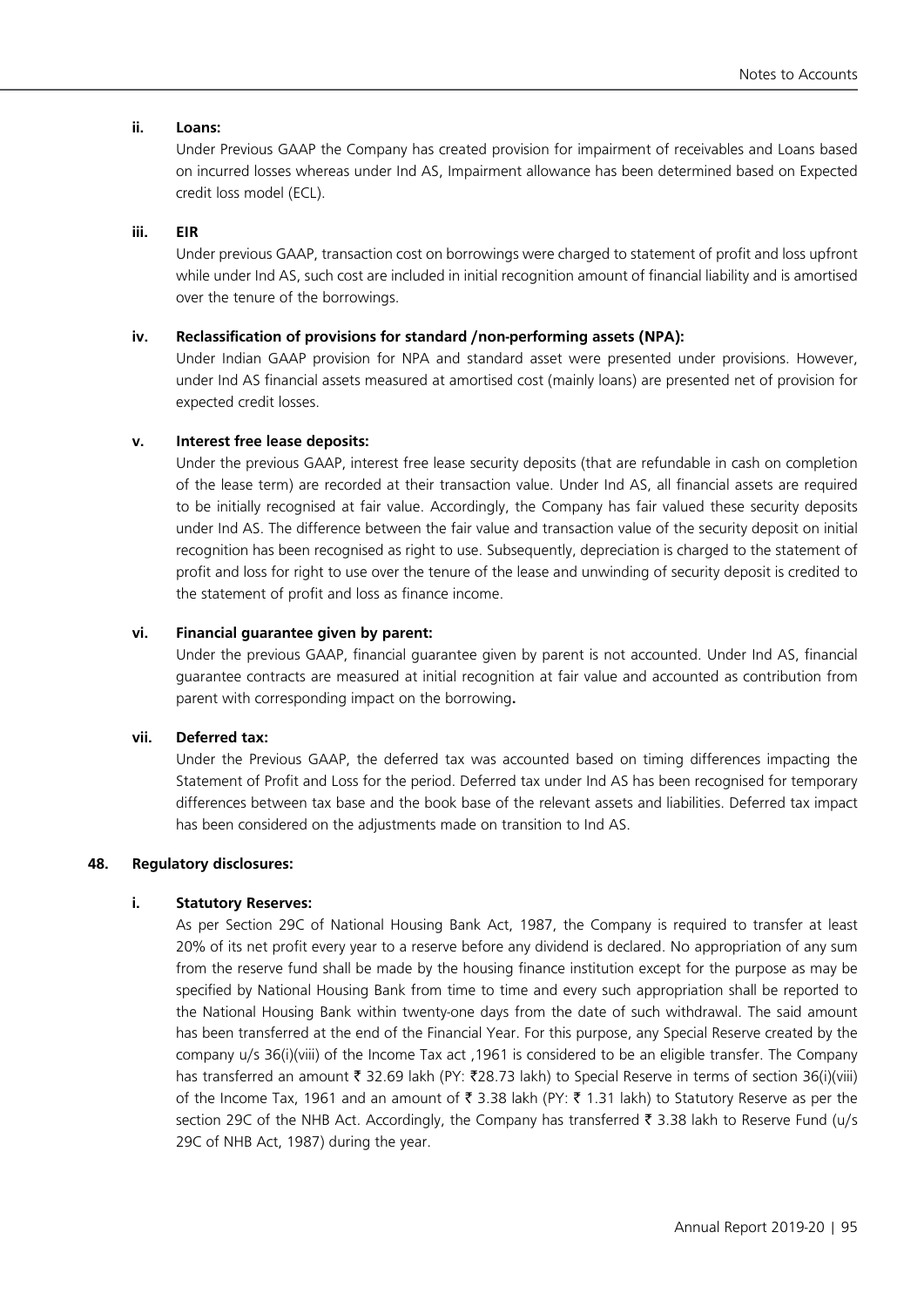#### **ii. Loans:**

Under Previous GAAP the Company has created provision for impairment of receivables and Loans based on incurred losses whereas under Ind AS, Impairment allowance has been determined based on Expected credit loss model (ECL).

#### **iii. EIR**

Under previous GAAP, transaction cost on borrowings were charged to statement of profit and loss upfront while under Ind AS, such cost are included in initial recognition amount of financial liability and is amortised over the tenure of the borrowings.

## **iv. Reclassification of provisions for standard /non-performing assets (NPA):**

Under Indian GAAP provision for NPA and standard asset were presented under provisions. However, under Ind AS financial assets measured at amortised cost (mainly loans) are presented net of provision for expected credit losses.

#### **v. Interest free lease deposits:**

Under the previous GAAP, interest free lease security deposits (that are refundable in cash on completion of the lease term) are recorded at their transaction value. Under Ind AS, all financial assets are required to be initially recognised at fair value. Accordingly, the Company has fair valued these security deposits under Ind AS. The difference between the fair value and transaction value of the security deposit on initial recognition has been recognised as right to use. Subsequently, depreciation is charged to the statement of profit and loss for right to use over the tenure of the lease and unwinding of security deposit is credited to the statement of profit and loss as finance income.

#### **vi. Financial guarantee given by parent:**

Under the previous GAAP, financial guarantee given by parent is not accounted. Under Ind AS, financial guarantee contracts are measured at initial recognition at fair value and accounted as contribution from parent with corresponding impact on the borrowing**.**

#### **vii. Deferred tax:**

Under the Previous GAAP, the deferred tax was accounted based on timing differences impacting the Statement of Profit and Loss for the period. Deferred tax under Ind AS has been recognised for temporary differences between tax base and the book base of the relevant assets and liabilities. Deferred tax impact has been considered on the adjustments made on transition to Ind AS.

#### **48. Regulatory disclosures:**

#### **i. Statutory Reserves:**

As per Section 29C of National Housing Bank Act, 1987, the Company is required to transfer at least 20% of its net profit every year to a reserve before any dividend is declared. No appropriation of any sum from the reserve fund shall be made by the housing finance institution except for the purpose as may be specified by National Housing Bank from time to time and every such appropriation shall be reported to the National Housing Bank within twenty-one days from the date of such withdrawal. The said amount has been transferred at the end of the Financial Year. For this purpose, any Special Reserve created by the company u/s 36(i)(viii) of the Income Tax act ,1961 is considered to be an eligible transfer. The Company has transferred an amount ₹ 32.69 lakh (PY: ₹28.73 lakh) to Special Reserve in terms of section 36(i)(viii) of the Income Tax, 1961 and an amount of  $\bar{\tau}$  3.38 lakh (PY:  $\bar{\tau}$  1.31 lakh) to Statutory Reserve as per the section 29C of the NHB Act. Accordingly, the Company has transferred ₹ 3.38 lakh to Reserve Fund (u/s 29C of NHB Act, 1987) during the year.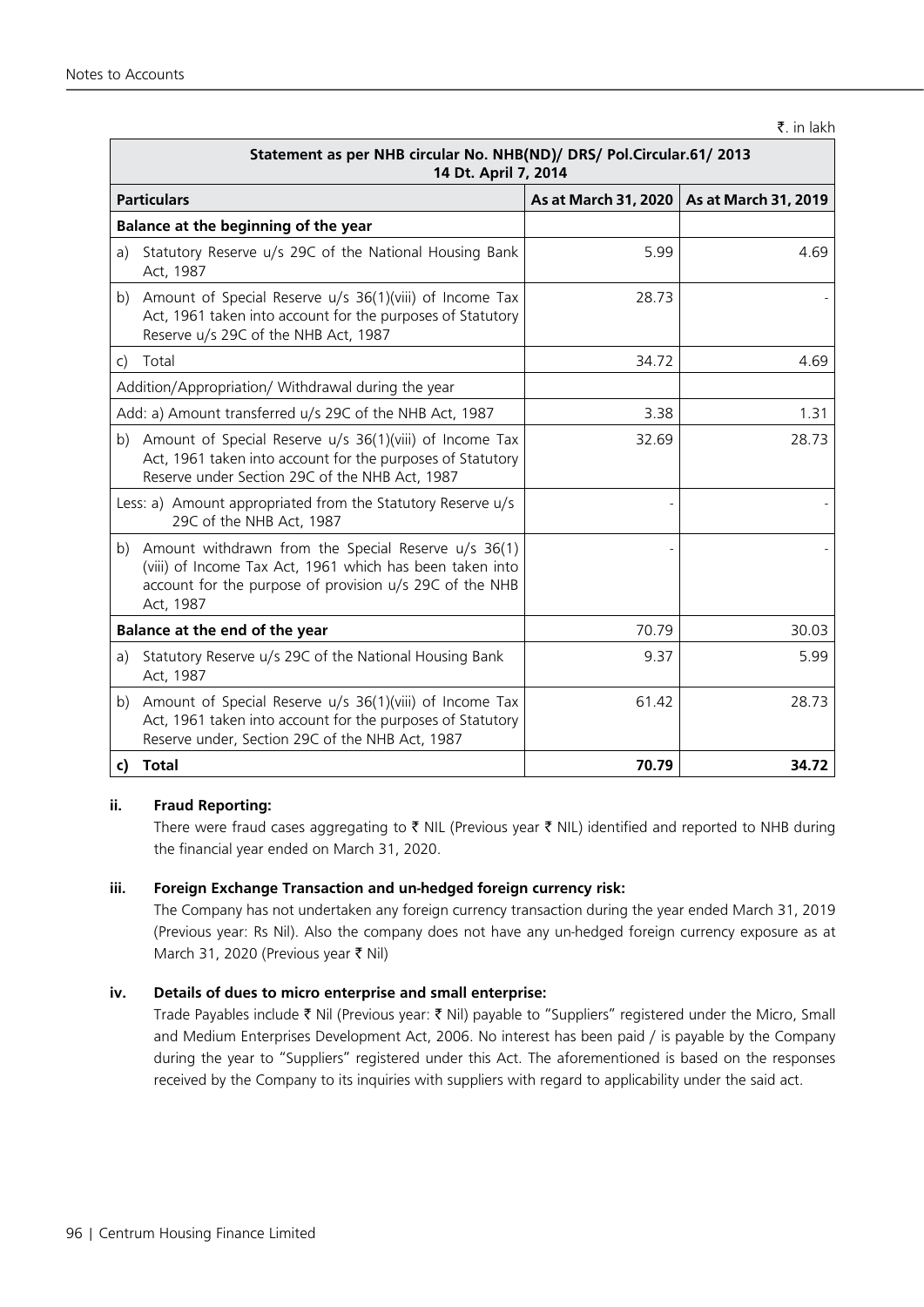#### $\bar{z}$ . in lakh

|              | Statement as per NHB circular No. NHB(ND)/ DRS/ Pol.Circular.61/ 2013<br>14 Dt. April 7, 2014                                                                                                |       |                                             |  |
|--------------|----------------------------------------------------------------------------------------------------------------------------------------------------------------------------------------------|-------|---------------------------------------------|--|
|              | <b>Particulars</b>                                                                                                                                                                           |       | As at March 31, 2020   As at March 31, 2019 |  |
|              | Balance at the beginning of the year                                                                                                                                                         |       |                                             |  |
| a)           | Statutory Reserve u/s 29C of the National Housing Bank<br>Act, 1987                                                                                                                          | 5.99  | 4.69                                        |  |
|              | b) Amount of Special Reserve u/s 36(1)(viii) of Income Tax<br>Act, 1961 taken into account for the purposes of Statutory<br>Reserve u/s 29C of the NHB Act, 1987                             | 28.73 |                                             |  |
| $\mathsf{C}$ | Total                                                                                                                                                                                        | 34.72 | 4.69                                        |  |
|              | Addition/Appropriation/ Withdrawal during the year                                                                                                                                           |       |                                             |  |
|              | Add: a) Amount transferred u/s 29C of the NHB Act, 1987                                                                                                                                      | 3.38  | 1.31                                        |  |
|              | b) Amount of Special Reserve u/s 36(1)(viii) of Income Tax<br>Act, 1961 taken into account for the purposes of Statutory<br>Reserve under Section 29C of the NHB Act, 1987                   | 32.69 | 28.73                                       |  |
|              | Less: a) Amount appropriated from the Statutory Reserve u/s<br>29C of the NHB Act, 1987                                                                                                      |       |                                             |  |
|              | b) Amount withdrawn from the Special Reserve $u/s$ 36(1)<br>(viii) of Income Tax Act, 1961 which has been taken into<br>account for the purpose of provision u/s 29C of the NHB<br>Act, 1987 |       |                                             |  |
|              | Balance at the end of the year                                                                                                                                                               | 70.79 | 30.03                                       |  |
| a)           | Statutory Reserve u/s 29C of the National Housing Bank<br>Act, 1987                                                                                                                          | 9.37  | 5.99                                        |  |
|              | b) Amount of Special Reserve u/s 36(1)(viii) of Income Tax<br>Act, 1961 taken into account for the purposes of Statutory<br>Reserve under, Section 29C of the NHB Act, 1987                  | 61.42 | 28.73                                       |  |
|              | c) Total                                                                                                                                                                                     | 70.79 | 34.72                                       |  |

# **ii. Fraud Reporting:**

There were fraud cases aggregating to  $\bar{\tau}$  NIL (Previous year  $\bar{\tau}$  NIL) identified and reported to NHB during the financial year ended on March 31, 2020.

#### **iii. Foreign Exchange Transaction and un-hedged foreign currency risk:**

 The Company has not undertaken any foreign currency transaction during the year ended March 31, 2019 (Previous year: Rs Nil). Also the company does not have any un-hedged foreign currency exposure as at March 31, 2020 (Previous year ` Nil)

#### **iv. Details of dues to micro enterprise and small enterprise:**

Trade Payables include ₹ Nil (Previous year: ₹ Nil) payable to "Suppliers" registered under the Micro, Small and Medium Enterprises Development Act, 2006. No interest has been paid / is payable by the Company during the year to "Suppliers" registered under this Act. The aforementioned is based on the responses received by the Company to its inquiries with suppliers with regard to applicability under the said act.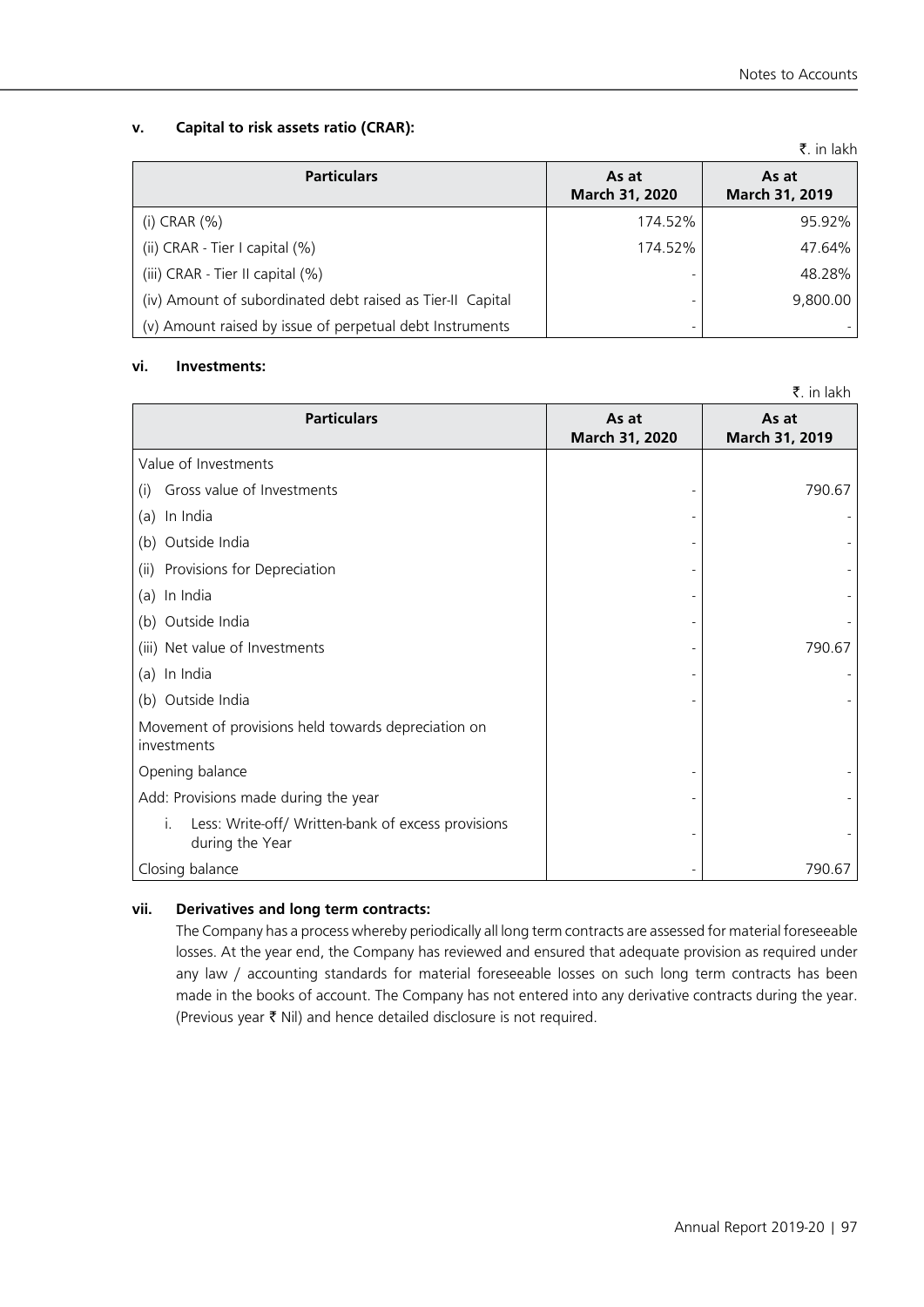# **v. Capital to risk assets ratio (CRAR):**

|                                                            |                         | $\lambda$ . $\lambda$ . $\lambda$ |
|------------------------------------------------------------|-------------------------|-----------------------------------|
| <b>Particulars</b>                                         | As at<br>March 31, 2020 | As at<br>March 31, 2019           |
| (i) CRAR $(\% )$                                           | 174.52%                 | 95.92%                            |
| (ii) CRAR - Tier I capital (%)                             | 174.52%                 | 47.64%                            |
| (iii) CRAR - Tier II capital (%)                           |                         | 48.28%                            |
| (iv) Amount of subordinated debt raised as Tier-II Capital |                         | 9,800.00                          |
| (v) Amount raised by issue of perpetual debt Instruments   |                         |                                   |

## **vi. Investments:**

|                                                                             |                         | ₹. in lakh              |
|-----------------------------------------------------------------------------|-------------------------|-------------------------|
| <b>Particulars</b>                                                          | As at<br>March 31, 2020 | As at<br>March 31, 2019 |
| Value of Investments                                                        |                         |                         |
| Gross value of Investments<br>(i)                                           |                         | 790.67                  |
| In India<br>(a)                                                             |                         |                         |
| Outside India<br>(b)                                                        |                         |                         |
| Provisions for Depreciation<br>(ii)                                         |                         |                         |
| In India<br>(a)                                                             |                         |                         |
| (b) Outside India                                                           |                         |                         |
| (iii) Net value of Investments                                              |                         | 790.67                  |
| (a) In India                                                                |                         |                         |
| (b) Outside India                                                           |                         |                         |
| Movement of provisions held towards depreciation on<br>investments          |                         |                         |
| Opening balance                                                             |                         |                         |
| Add: Provisions made during the year                                        |                         |                         |
| Less: Write-off/ Written-bank of excess provisions<br>İ.<br>during the Year |                         |                         |
| Closing balance                                                             |                         | 790.67                  |

# **vii. Derivatives and long term contracts:**

The Company has a process whereby periodically all long term contracts are assessed for material foreseeable losses. At the year end, the Company has reviewed and ensured that adequate provision as required under any law / accounting standards for material foreseeable losses on such long term contracts has been made in the books of account. The Company has not entered into any derivative contracts during the year. (Previous year  $\bar{\tau}$  Nil) and hence detailed disclosure is not required.

 $\bar{z}$  in lakh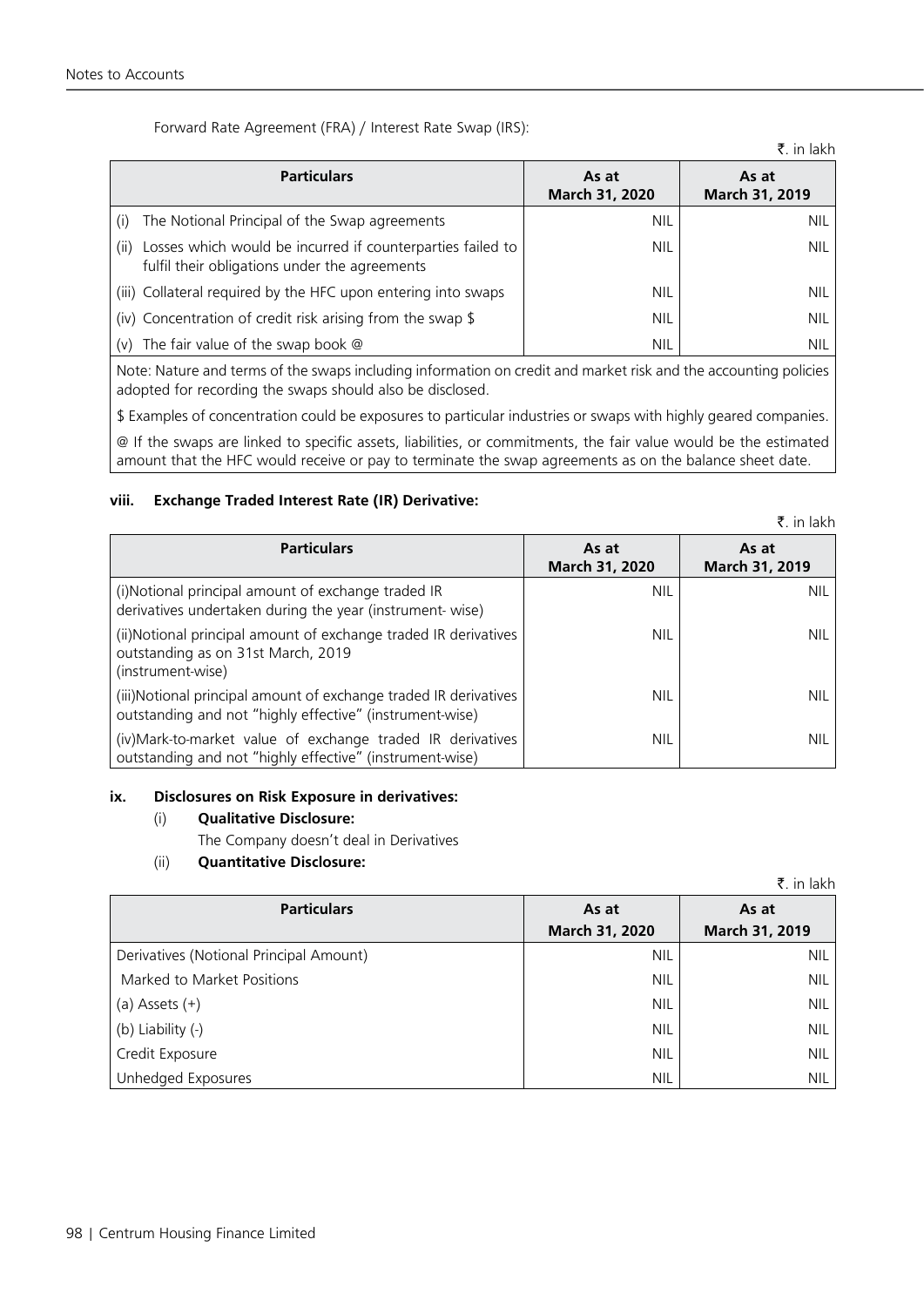| Forward Rate Agreement (FRA) / Interest Rate Swap (IRS): |  |  |  |
|----------------------------------------------------------|--|--|--|
|----------------------------------------------------------|--|--|--|

|                                                                                                                     |                         | ₹. in lakh              |
|---------------------------------------------------------------------------------------------------------------------|-------------------------|-------------------------|
| <b>Particulars</b>                                                                                                  | As at<br>March 31, 2020 | As at<br>March 31, 2019 |
| The Notional Principal of the Swap agreements<br>(i)                                                                | <b>NIL</b>              | NIL.                    |
| Losses which would be incurred if counterparties failed to<br>(ii)<br>fulfil their obligations under the agreements | <b>NIL</b>              | NIL.                    |
| (iii) Collateral required by the HFC upon entering into swaps                                                       | NIL                     | NIL.                    |
| (iv) Concentration of credit risk arising from the swap \$                                                          | <b>NIL</b>              | NIL.                    |
| The fair value of the swap book $@$<br>(v)                                                                          | <b>NIL</b>              | <b>NIL</b>              |

Note: Nature and terms of the swaps including information on credit and market risk and the accounting policies adopted for recording the swaps should also be disclosed.

\$ Examples of concentration could be exposures to particular industries or swaps with highly geared companies.

@ If the swaps are linked to specific assets, liabilities, or commitments, the fair value would be the estimated amount that the HFC would receive or pay to terminate the swap agreements as on the balance sheet date.

# **viii. Exchange Traded Interest Rate (IR) Derivative:**

|                                                                                                                              |                         | k. in lakh              |
|------------------------------------------------------------------------------------------------------------------------------|-------------------------|-------------------------|
| <b>Particulars</b>                                                                                                           | As at<br>March 31, 2020 | As at<br>March 31, 2019 |
| (i)Notional principal amount of exchange traded IR<br>derivatives undertaken during the year (instrument-wise)               | <b>NIL</b>              | <b>NIL</b>              |
| (ii)Notional principal amount of exchange traded IR derivatives<br>outstanding as on 31st March, 2019<br>(instrument-wise)   | <b>NIL</b>              | NIL.                    |
| (iii)Notional principal amount of exchange traded IR derivatives<br>outstanding and not "highly effective" (instrument-wise) | NIL                     | NIL.                    |
| (iv)Mark-to-market value of exchange traded IR derivatives<br>outstanding and not "highly effective" (instrument-wise)       | NIL                     | NIL.                    |

#### **ix. Disclosures on Risk Exposure in derivatives:**

- (i) **Qualitative Disclosure:**
	- The Company doesn't deal in Derivatives

# (ii) **Quantitative Disclosure:**

|                                         |                | K. In iakn     |
|-----------------------------------------|----------------|----------------|
| <b>Particulars</b>                      | As at          | As at          |
|                                         | March 31, 2020 | March 31, 2019 |
| Derivatives (Notional Principal Amount) | <b>NIL</b>     | <b>NIL</b>     |
| Marked to Market Positions              | <b>NIL</b>     | <b>NIL</b>     |
| (a) Assets $(+)$                        | <b>NIL</b>     | <b>NIL</b>     |
| (b) Liability (-)                       | <b>NIL</b>     | <b>NIL</b>     |
| Credit Exposure                         | <b>NIL</b>     | <b>NIL</b>     |
| Unhedged Exposures                      | <b>NIL</b>     | <b>NIL</b>     |

 $\overline{z}$  in lakh

 $\pm$  in late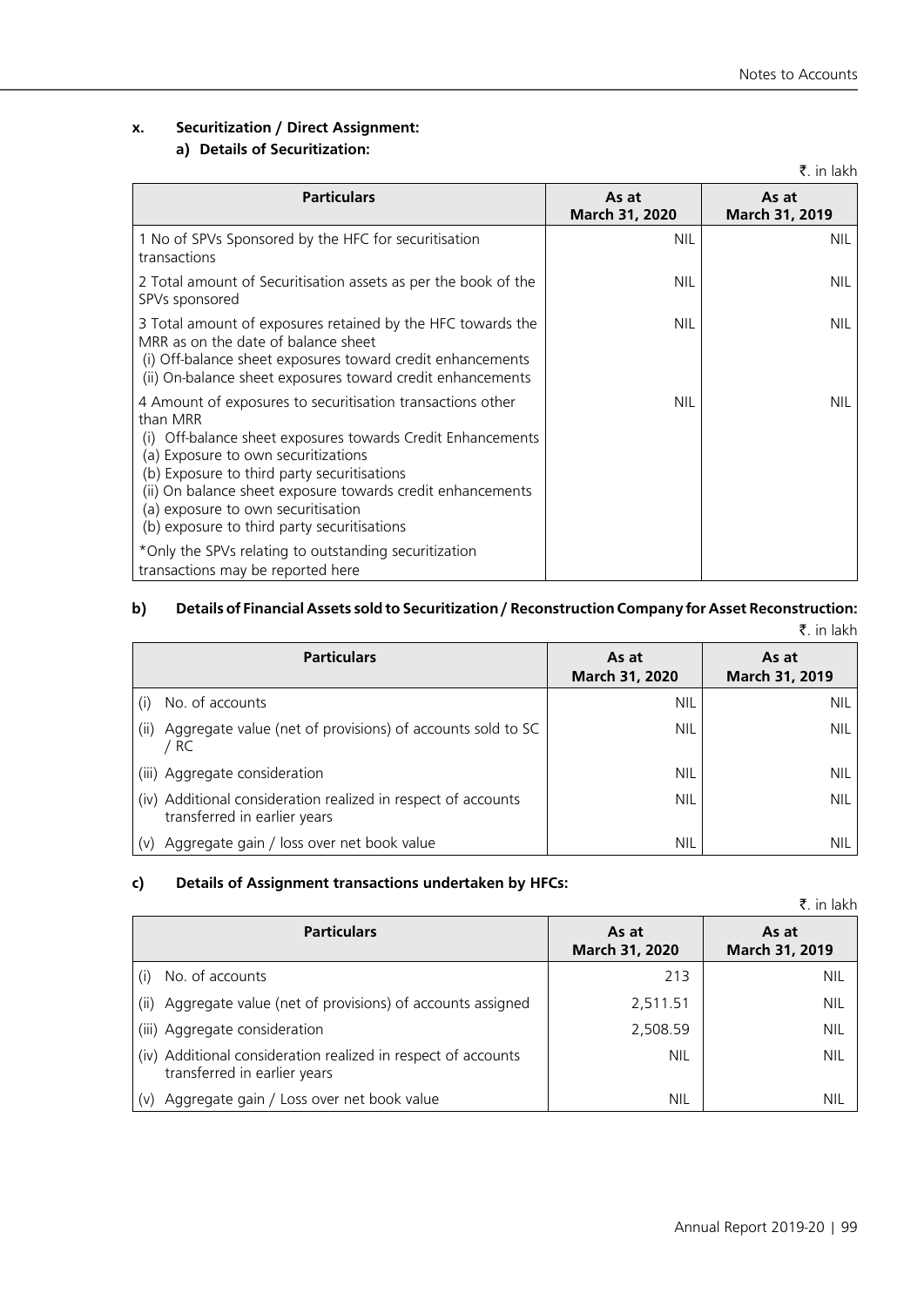# **x. Securitization / Direct Assignment:**

# **a) Details of Securitization:**

|                                                                                                                                                                                                                                                                                                                                                                                   |                         | V. III IANII                   |
|-----------------------------------------------------------------------------------------------------------------------------------------------------------------------------------------------------------------------------------------------------------------------------------------------------------------------------------------------------------------------------------|-------------------------|--------------------------------|
| <b>Particulars</b>                                                                                                                                                                                                                                                                                                                                                                | As at<br>March 31, 2020 | As at<br><b>March 31, 2019</b> |
| 1 No of SPVs Sponsored by the HFC for securitisation<br>transactions                                                                                                                                                                                                                                                                                                              | <b>NIL</b>              | <b>NIL</b>                     |
| 2 Total amount of Securitisation assets as per the book of the<br>SPVs sponsored                                                                                                                                                                                                                                                                                                  | <b>NIL</b>              | NIL                            |
| 3 Total amount of exposures retained by the HFC towards the<br>MRR as on the date of balance sheet<br>(i) Off-balance sheet exposures toward credit enhancements<br>(ii) On-balance sheet exposures toward credit enhancements                                                                                                                                                    | NIL                     | <b>NIL</b>                     |
| 4 Amount of exposures to securitisation transactions other<br>than MRR<br>Off-balance sheet exposures towards Credit Enhancements<br>(1)<br>(a) Exposure to own securitizations<br>(b) Exposure to third party securitisations<br>(ii) On balance sheet exposure towards credit enhancements<br>(a) exposure to own securitisation<br>(b) exposure to third party securitisations | <b>NIL</b>              | <b>NIL</b>                     |
| *Only the SPVs relating to outstanding securitization<br>transactions may be reported here                                                                                                                                                                                                                                                                                        |                         |                                |

#### **b) Details of Financial Assets sold to Securitization / Reconstruction Company for Asset Reconstruction:**  $\bar{z}$  in lakh

|                                                                                               |                         | $\frac{1}{2}$ . $\frac{1}{2}$ . |
|-----------------------------------------------------------------------------------------------|-------------------------|---------------------------------|
| <b>Particulars</b>                                                                            | As at<br>March 31, 2020 | As at<br>March 31, 2019         |
| No. of accounts<br>(i)                                                                        | <b>NIL</b>              | NIL.                            |
| Aggregate value (net of provisions) of accounts sold to SC<br>(ii)<br>/ RC                    | NIL.                    | NIL.                            |
| (iii) Aggregate consideration                                                                 | <b>NIL</b>              | <b>NIL</b>                      |
| (iv) Additional consideration realized in respect of accounts<br>transferred in earlier years | <b>NIL</b>              | <b>NIL</b>                      |
| Aggregate gain / loss over net book value<br>(v)                                              | NIL.                    | NIL.                            |

# **c) Details of Assignment transactions undertaken by HFCs:**

|       |  | ₹. in lakh |
|-------|--|------------|
| As at |  |            |

| <b>Particulars</b>                                                                            | As at<br>March 31, 2020 | As at<br>March 31, 2019 |
|-----------------------------------------------------------------------------------------------|-------------------------|-------------------------|
| No. of accounts<br>(i)                                                                        | 213                     | NIL                     |
| Aggregate value (net of provisions) of accounts assigned<br>(ii)                              | 2,511.51                | NIL                     |
| (iii) Aggregate consideration                                                                 | 2,508.59                | NIL                     |
| (iv) Additional consideration realized in respect of accounts<br>transferred in earlier years | NIL                     | NIL                     |
| Aggregate gain / Loss over net book value<br>(v)                                              | NIL                     | NIL                     |

 $\bar{z}$  in lakh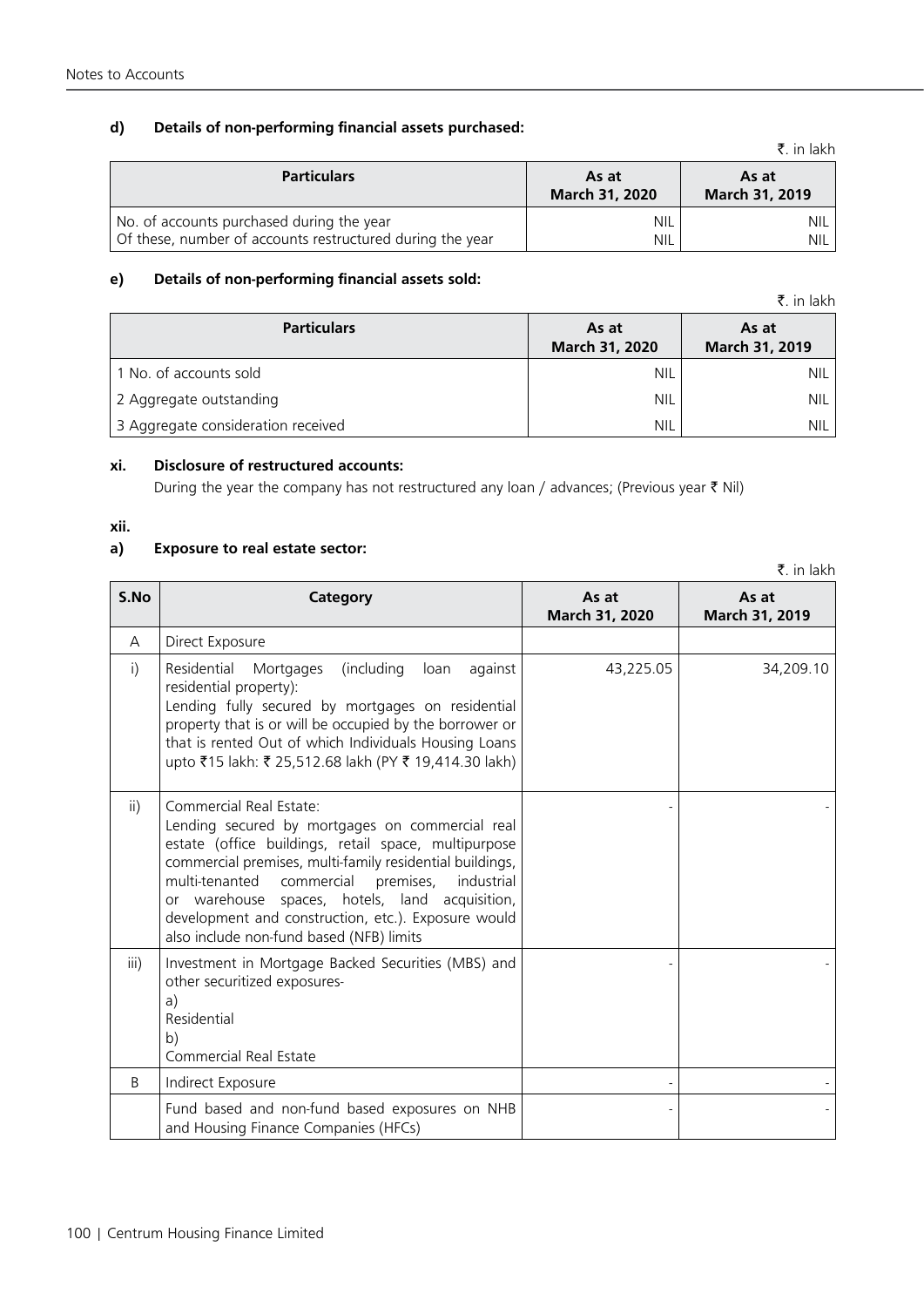# **d) Details of non-performing financial assets purchased:**

|                                                                                                        |                          | K. III IdKII            |
|--------------------------------------------------------------------------------------------------------|--------------------------|-------------------------|
| <b>Particulars</b>                                                                                     | As at<br>March 31, 2020  | As at<br>March 31, 2019 |
| No. of accounts purchased during the year<br>Of these, number of accounts restructured during the year | <b>NIL</b><br><b>NIL</b> | <b>NIL</b><br>NIL.      |

## **e) Details of non-performing financial assets sold:**

|                                    |                         | ₹. in lakh              |
|------------------------------------|-------------------------|-------------------------|
| <b>Particulars</b>                 | As at<br>March 31, 2020 | As at<br>March 31, 2019 |
| 1 No. of accounts sold             | <b>NIL</b>              | NIL.                    |
| 2 Aggregate outstanding            | <b>NIL</b>              | NIL.                    |
| 3 Aggregate consideration received | <b>NIL</b>              | <b>NIL</b>              |

#### **xi. Disclosure of restructured accounts:**

During the year the company has not restructured any loan / advances; (Previous year  $\bar{\tau}$  Nil)

#### **xii.**

# **a) Exposure to real estate sector:**

₹. in lakh **S.No Category Category As at March 31, 2020 As at March 31, 2019** A | Direct Exposure i) Residential Mortgages (including loan against residential property): Lending fully secured by mortgages on residential property that is or will be occupied by the borrower or that is rented Out of which Individuals Housing Loans upto ₹15 lakh: ₹ 25,512.68 lakh (PY ₹ 19,414.30 lakh) 43,225.05 34,209.10 ii) Commercial Real Estate: Lending secured by mortgages on commercial real estate (office buildings, retail space, multipurpose commercial premises, multi-family residential buildings, multi-tenanted commercial premises, industrial or warehouse spaces, hotels, land acquisition, development and construction, etc.). Exposure would also include non-fund based (NFB) limits - iii) | Investment in Mortgage Backed Securities (MBS) and other securitized exposuresa) Residential b) Commercial Real Estate - - B | Indirect Exposure Fund based and non-fund based exposures on NHB and Housing Finance Companies (HFCs) - -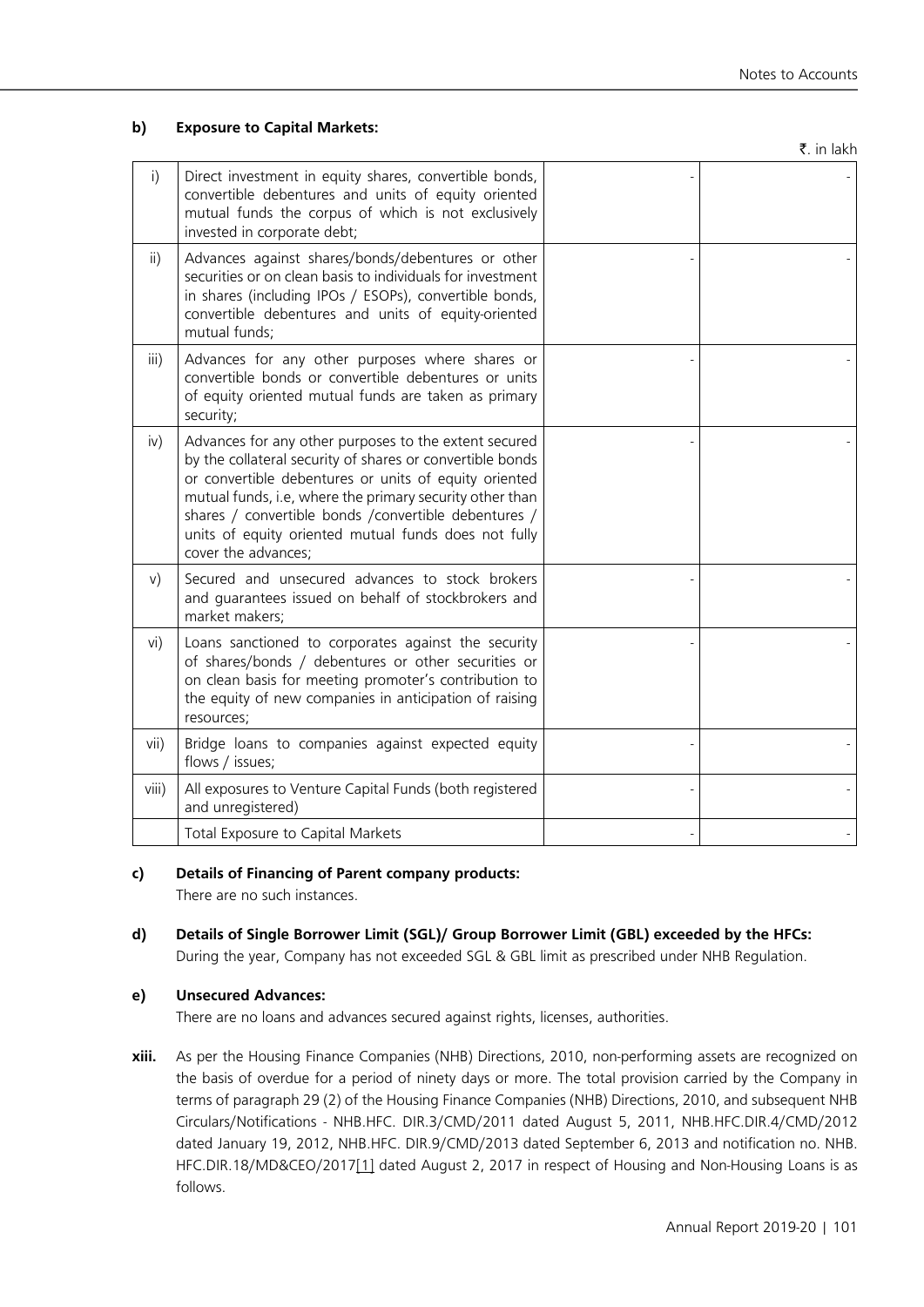# **b) Exposure to Capital Markets:**

 $\bar{z}$  in lakh

| $\mathsf{i}$    | Direct investment in equity shares, convertible bonds,<br>convertible debentures and units of equity oriented<br>mutual funds the corpus of which is not exclusively<br>invested in corporate debt;                                                                                                                                                                             |  |
|-----------------|---------------------------------------------------------------------------------------------------------------------------------------------------------------------------------------------------------------------------------------------------------------------------------------------------------------------------------------------------------------------------------|--|
| $\overline{ii}$ | Advances against shares/bonds/debentures or other<br>securities or on clean basis to individuals for investment<br>in shares (including IPOs / ESOPs), convertible bonds,<br>convertible debentures and units of equity-oriented<br>mutual funds;                                                                                                                               |  |
| iii)            | Advances for any other purposes where shares or<br>convertible bonds or convertible debentures or units<br>of equity oriented mutual funds are taken as primary<br>security;                                                                                                                                                                                                    |  |
| iv)             | Advances for any other purposes to the extent secured<br>by the collateral security of shares or convertible bonds<br>or convertible debentures or units of equity oriented<br>mutual funds, i.e, where the primary security other than<br>shares / convertible bonds / convertible debentures /<br>units of equity oriented mutual funds does not fully<br>cover the advances; |  |
| V)              | Secured and unsecured advances to stock brokers<br>and guarantees issued on behalf of stockbrokers and<br>market makers;                                                                                                                                                                                                                                                        |  |
| vi)             | Loans sanctioned to corporates against the security<br>of shares/bonds / debentures or other securities or<br>on clean basis for meeting promoter's contribution to<br>the equity of new companies in anticipation of raising<br>resources;                                                                                                                                     |  |
| vii)            | Bridge loans to companies against expected equity<br>flows / issues;                                                                                                                                                                                                                                                                                                            |  |
| viii)           | All exposures to Venture Capital Funds (both registered<br>and unregistered)                                                                                                                                                                                                                                                                                                    |  |
|                 | Total Exposure to Capital Markets                                                                                                                                                                                                                                                                                                                                               |  |

# **c) Details of Financing of Parent company products:**

There are no such instances.

**d) Details of Single Borrower Limit (SGL)/ Group Borrower Limit (GBL) exceeded by the HFCs:** During the year, Company has not exceeded SGL & GBL limit as prescribed under NHB Regulation.

# **e) Unsecured Advances:**

There are no loans and advances secured against rights, licenses, authorities.

**xiii.** As per the Housing Finance Companies (NHB) Directions, 2010, non-performing assets are recognized on the basis of overdue for a period of ninety days or more. The total provision carried by the Company in terms of paragraph 29 (2) of the Housing Finance Companies (NHB) Directions, 2010, and subsequent NHB Circulars/Notifications - NHB.HFC. DIR.3/CMD/2011 dated August 5, 2011, NHB.HFC.DIR.4/CMD/2012 dated January 19, 2012, NHB.HFC. DIR.9/CMD/2013 dated September 6, 2013 and notification no. NHB. HFC.DIR.18/MD&CEO/2017[1] dated August 2, 2017 in respect of Housing and Non-Housing Loans is as follows.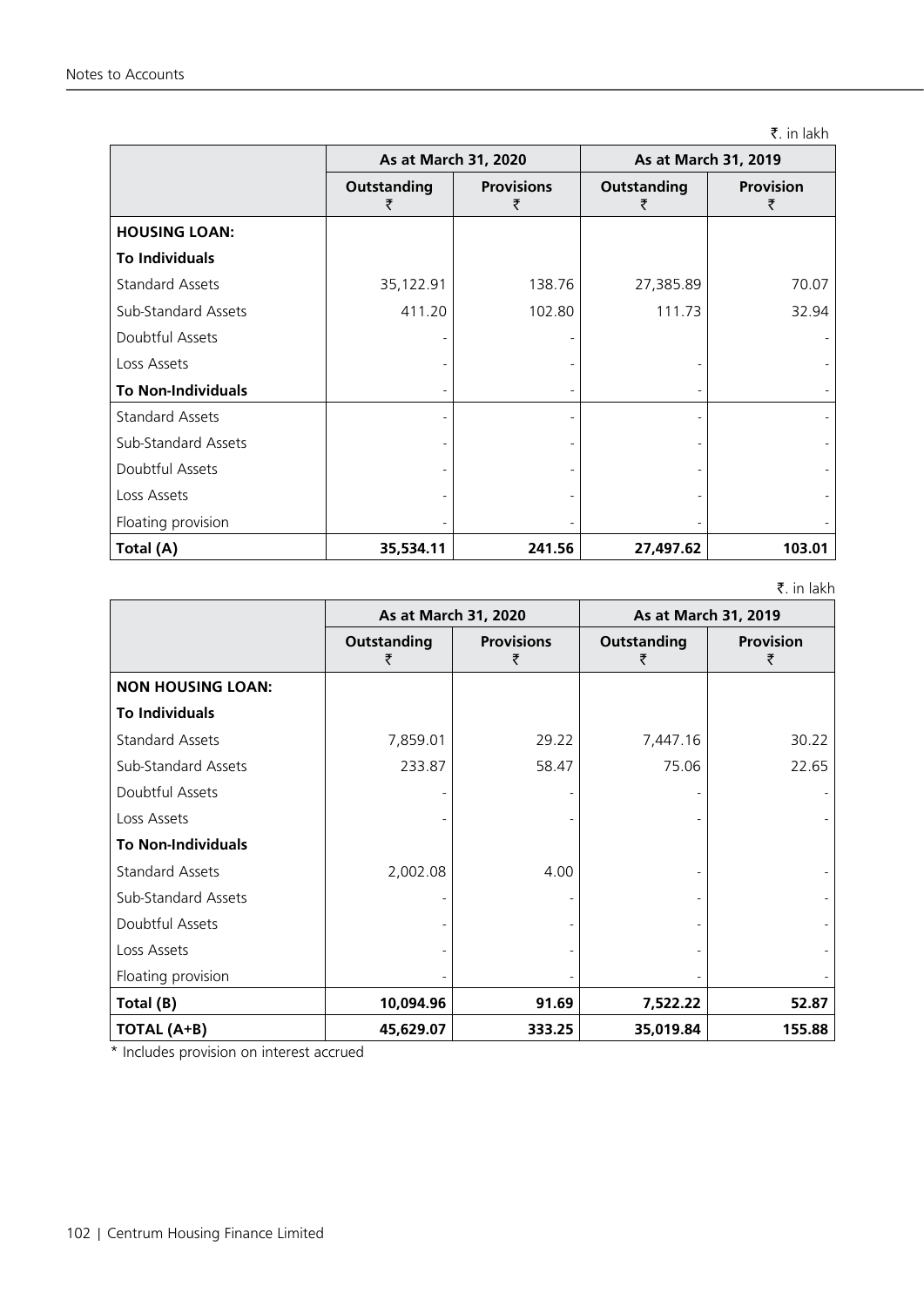₹. in lakh

|                           | As at March 31, 2020 |                        | As at March 31, 2019 |                       |
|---------------------------|----------------------|------------------------|----------------------|-----------------------|
|                           | <b>Outstanding</b>   | <b>Provisions</b><br>₹ | Outstanding          | <b>Provision</b><br>₹ |
| <b>HOUSING LOAN:</b>      |                      |                        |                      |                       |
| <b>To Individuals</b>     |                      |                        |                      |                       |
| <b>Standard Assets</b>    | 35,122.91            | 138.76                 | 27,385.89            | 70.07                 |
| Sub-Standard Assets       | 411.20               | 102.80                 | 111.73               | 32.94                 |
| Doubtful Assets           |                      |                        |                      |                       |
| Loss Assets               |                      |                        |                      |                       |
| <b>To Non-Individuals</b> |                      |                        |                      |                       |
| <b>Standard Assets</b>    |                      |                        |                      |                       |
| Sub-Standard Assets       |                      |                        |                      |                       |
| Doubtful Assets           |                      |                        |                      |                       |
| Loss Assets               |                      |                        |                      |                       |
| Floating provision        |                      |                        |                      |                       |
| Total (A)                 | 35,534.11            | 241.56                 | 27,497.62            | 103.01                |

₹. in lakh

|                            | As at March 31, 2020    |                        | As at March 31, 2019    |                       |
|----------------------------|-------------------------|------------------------|-------------------------|-----------------------|
|                            | <b>Outstanding</b><br>₹ | <b>Provisions</b><br>₹ | <b>Outstanding</b><br>₹ | <b>Provision</b><br>₹ |
| <b>NON HOUSING LOAN:</b>   |                         |                        |                         |                       |
| <b>To Individuals</b>      |                         |                        |                         |                       |
| <b>Standard Assets</b>     | 7,859.01                | 29.22                  | 7,447.16                | 30.22                 |
| <b>Sub-Standard Assets</b> | 233.87                  | 58.47                  | 75.06                   | 22.65                 |
| Doubtful Assets            |                         |                        |                         |                       |
| Loss Assets                |                         |                        |                         |                       |
| <b>To Non-Individuals</b>  |                         |                        |                         |                       |
| <b>Standard Assets</b>     | 2,002.08                | 4.00                   |                         |                       |
| <b>Sub-Standard Assets</b> |                         |                        |                         |                       |
| Doubtful Assets            |                         |                        |                         |                       |
| Loss Assets                |                         |                        |                         |                       |
| Floating provision         |                         |                        |                         |                       |
| Total (B)                  | 10,094.96               | 91.69                  | 7,522.22                | 52.87                 |
| <b>TOTAL (A+B)</b>         | 45,629.07               | 333.25                 | 35,019.84               | 155.88                |

\* Includes provision on interest accrued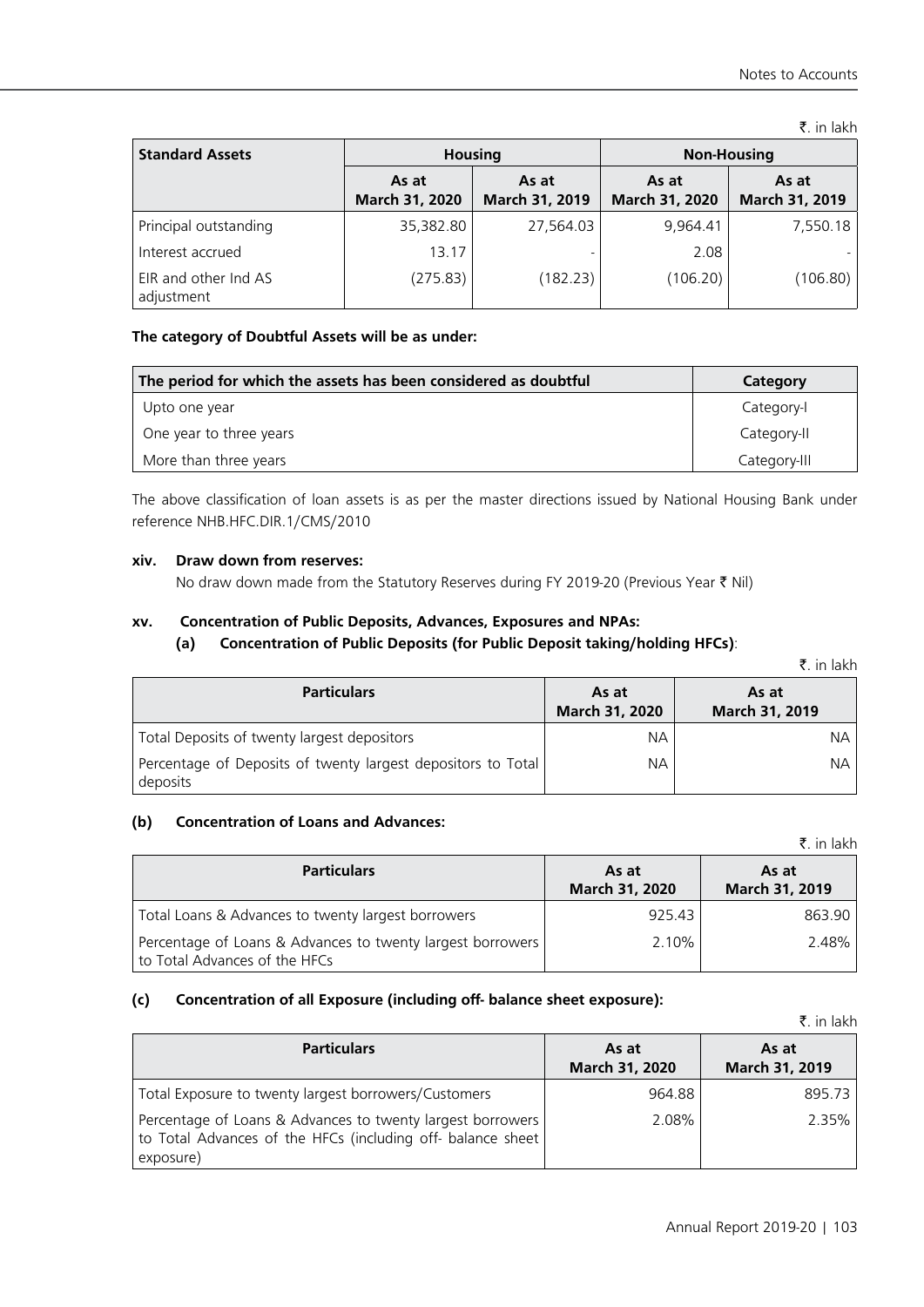₹. in lakh

| <b>Standard Assets</b>             | <b>Housing</b>          |                         | <b>Non-Housing</b>      |                         |
|------------------------------------|-------------------------|-------------------------|-------------------------|-------------------------|
|                                    | As at<br>March 31, 2020 | As at<br>March 31, 2019 | As at<br>March 31, 2020 | As at<br>March 31, 2019 |
| Principal outstanding              | 35,382.80               | 27,564.03               | 9.964.41                | 7,550.18                |
| Interest accrued                   | 13.17                   |                         | 2.08                    |                         |
| EIR and other Ind AS<br>adjustment | (275.83)                | (182.23)                | (106.20)                | (106.80)                |

# **The category of Doubtful Assets will be as under:**

| The period for which the assets has been considered as doubtful | Category     |
|-----------------------------------------------------------------|--------------|
| Upto one year                                                   | Category-I   |
| One year to three years                                         | Category-II  |
| More than three years                                           | Category-III |

The above classification of loan assets is as per the master directions issued by National Housing Bank under reference NHB.HFC.DIR.1/CMS/2010

#### **xiv. Draw down from reserves:**

No draw down made from the Statutory Reserves during FY 2019-20 (Previous Year  $\bar{\tau}$  Nil)

# **xv. Concentration of Public Deposits, Advances, Exposures and NPAs:**

#### **(a) Concentration of Public Deposits (for Public Deposit taking/holding HFCs)**:

|  | t. in lakh |
|--|------------|
|  |            |

| <b>Particulars</b>                                                       | As at<br>March 31, 2020 | As at<br>March 31, 2019 |
|--------------------------------------------------------------------------|-------------------------|-------------------------|
| Total Deposits of twenty largest depositors                              | NА                      | NА                      |
| Percentage of Deposits of twenty largest depositors to Total<br>deposits | NА                      | NА                      |

### **(b) Concentration of Loans and Advances:**

|                                                                                             |                         | $\bar{z}$ in lakh       |
|---------------------------------------------------------------------------------------------|-------------------------|-------------------------|
| <b>Particulars</b>                                                                          | As at<br>March 31, 2020 | As at<br>March 31, 2019 |
| Total Loans & Advances to twenty largest borrowers                                          | 925.43                  | 863.90                  |
| Percentage of Loans & Advances to twenty largest borrowers<br>to Total Advances of the HFCs | 2.10%                   | 2.48%                   |

# **(c) Concentration of all Exposure (including off- balance sheet exposure):**

|                                                                                                                                        |                         | ₹. in lakh              |
|----------------------------------------------------------------------------------------------------------------------------------------|-------------------------|-------------------------|
| <b>Particulars</b>                                                                                                                     | As at<br>March 31, 2020 | As at<br>March 31, 2019 |
| Total Exposure to twenty largest borrowers/Customers                                                                                   | 964.88                  | 895.73                  |
| Percentage of Loans & Advances to twenty largest borrowers<br>to Total Advances of the HFCs (including off- balance sheet<br>exposure) | 2.08%                   | 2.35%                   |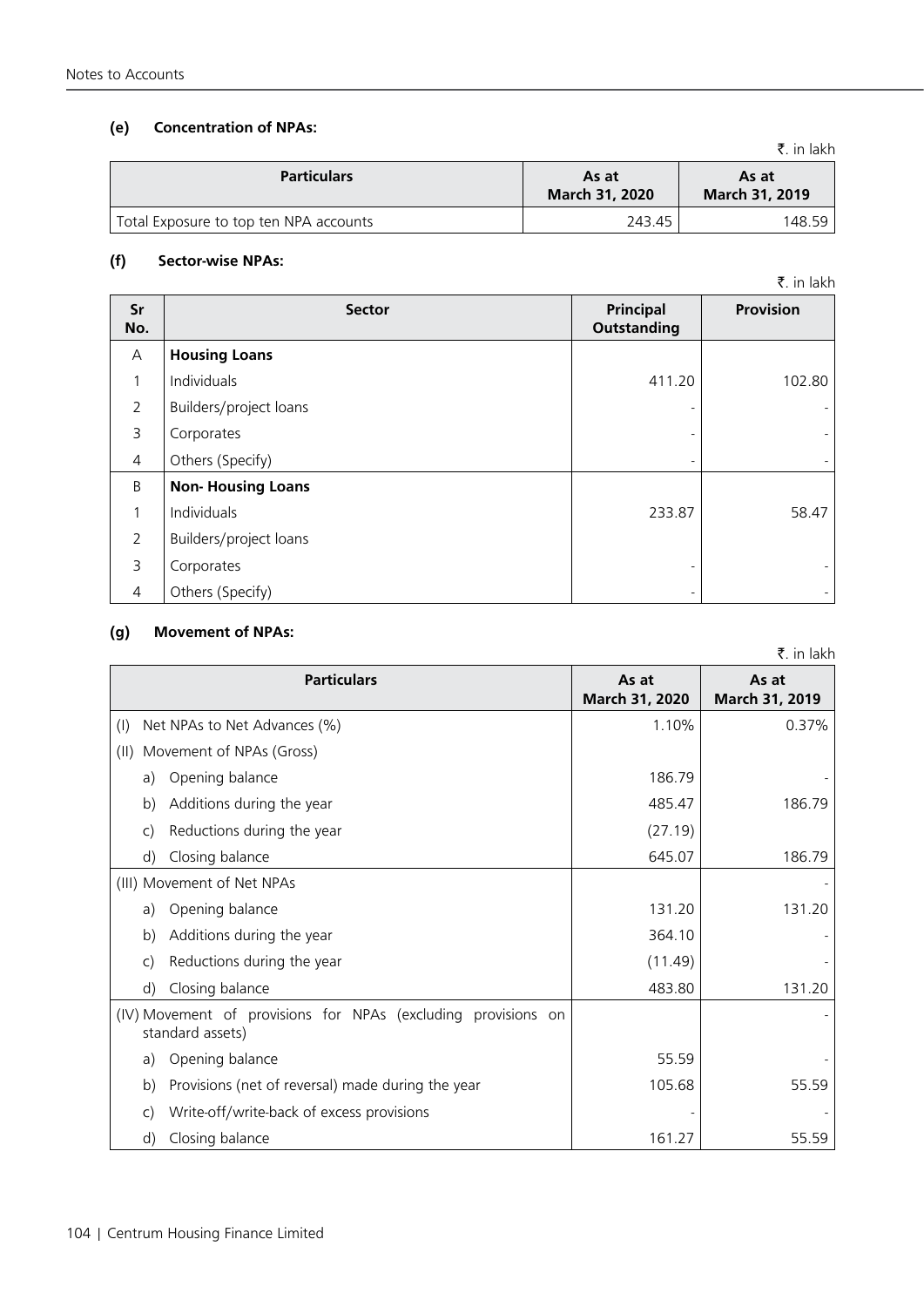#### **(f) Sector-wise NPAs:**

| Sr<br>No.      | <b>Sector</b>            | Principal<br><b>Outstanding</b> | Provision                |
|----------------|--------------------------|---------------------------------|--------------------------|
| A              | <b>Housing Loans</b>     |                                 |                          |
| 1              | Individuals              | 411.20                          | 102.80                   |
| $\overline{2}$ | Builders/project loans   |                                 |                          |
| 3              | Corporates               |                                 |                          |
| $\overline{4}$ | Others (Specify)         | -                               |                          |
| B              | <b>Non-Housing Loans</b> |                                 |                          |
| 1              | Individuals              | 233.87                          | 58.47                    |
| $\overline{2}$ | Builders/project loans   |                                 |                          |
| 3              | Corporates               | $\overline{\phantom{a}}$        |                          |
| $\overline{4}$ | Others (Specify)         | -                               | $\overline{\phantom{a}}$ |

#### **(g) Movement of NPAs:**

**Particulars As at March 31, 2020 As at March 31, 2019** (I) Net NPAs to Net Advances  $\left(\% \right)$  (1.10% 0.37% 0.37%) (II) Movement of NPAs (Gross) a) Opening balance 186.79 b) Additions during the year  $\vert$  485.47 | 485.47 186.79 c) Reductions during the year (27.19) d) Closing balance 186.79 186.79 (III) Movement of Net NPAs a) Opening balance 131.20 131.20 131.20 b) Additions during the year 364.10 c) Reductions during the year (11.49) d) Closing balance 131.20 (IV) Movement of provisions for NPAs (excluding provisions on standard assets) a) Opening balance 55.59 b) Provisions (net of reversal) made during the year 105.68 105.68 55.59 c) Write-off/write-back of excess provisions d) Closing balance 55.59

**(e) Concentration of NPAs:**

| <b>Particulars</b>                     | As at<br><b>March 31, 2020</b> | As at<br><b>March 31, 2019</b> |
|----------------------------------------|--------------------------------|--------------------------------|
| Total Exposure to top ten NPA accounts | 243.45                         | 148.59                         |

 $\bar{z}$  in lakh

 $\bar{z}$  in lakh

₹. in lakh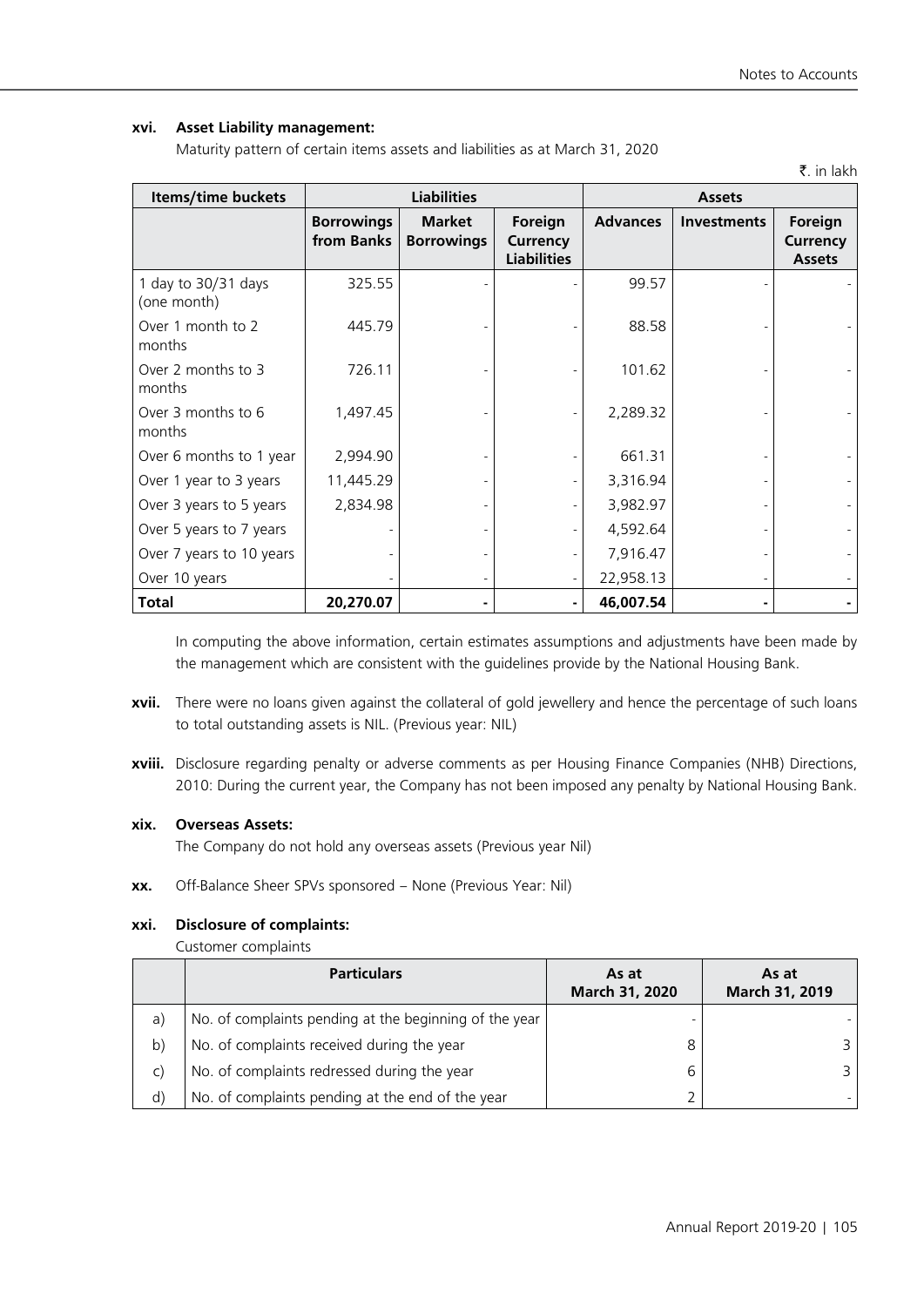# **xvi. Asset Liability management:**

Maturity pattern of certain items assets and liabilities as at March 31, 2020

|                                    |                                 |                                    |                                           |                 |             | ₹. in lakh                                  |
|------------------------------------|---------------------------------|------------------------------------|-------------------------------------------|-----------------|-------------|---------------------------------------------|
| Items/time buckets                 | <b>Liabilities</b>              |                                    |                                           | <b>Assets</b>   |             |                                             |
|                                    | <b>Borrowings</b><br>from Banks | <b>Market</b><br><b>Borrowings</b> | Foreign<br>Currency<br><b>Liabilities</b> | <b>Advances</b> | Investments | Foreign<br><b>Currency</b><br><b>Assets</b> |
| 1 day to 30/31 days<br>(one month) | 325.55                          |                                    |                                           | 99.57           |             |                                             |
| Over 1 month to 2<br>months        | 445.79                          |                                    |                                           | 88.58           |             |                                             |
| Over 2 months to 3<br>months       | 726.11                          |                                    |                                           | 101.62          |             |                                             |
| Over 3 months to 6<br>months       | 1,497.45                        |                                    |                                           | 2,289.32        |             |                                             |
| Over 6 months to 1 year            | 2,994.90                        |                                    |                                           | 661.31          |             |                                             |
| Over 1 year to 3 years             | 11,445.29                       |                                    |                                           | 3,316.94        |             |                                             |
| Over 3 years to 5 years            | 2,834.98                        |                                    |                                           | 3,982.97        |             |                                             |
| Over 5 years to 7 years            |                                 |                                    |                                           | 4,592.64        |             |                                             |
| Over 7 years to 10 years           |                                 |                                    |                                           | 7,916.47        |             |                                             |
| Over 10 years                      |                                 | $\overline{\phantom{a}}$           |                                           | 22,958.13       |             |                                             |
| <b>Total</b>                       | 20,270.07                       |                                    |                                           | 46,007.54       |             |                                             |

In computing the above information, certain estimates assumptions and adjustments have been made by the management which are consistent with the guidelines provide by the National Housing Bank.

- **xvii.** There were no loans given against the collateral of gold jewellery and hence the percentage of such loans to total outstanding assets is NIL. (Previous year: NIL)
- **xviii.** Disclosure regarding penalty or adverse comments as per Housing Finance Companies (NHB) Directions, 2010: During the current year, the Company has not been imposed any penalty by National Housing Bank.

#### **xix. Overseas Assets:**

The Company do not hold any overseas assets (Previous year Nil)

**xx.** Off-Balance Sheer SPVs sponsored – None (Previous Year: Nil)

## **xxi. Disclosure of complaints:**

Customer complaints

|              | <b>Particulars</b>                                     | As at<br>March 31, 2020 | As at<br>March 31, 2019 |
|--------------|--------------------------------------------------------|-------------------------|-------------------------|
| a)           | No. of complaints pending at the beginning of the year |                         |                         |
| b)           | No. of complaints received during the year             |                         | 3.                      |
| $\mathsf{C}$ | No. of complaints redressed during the year            |                         |                         |
| $\mathsf{d}$ | No. of complaints pending at the end of the year       |                         |                         |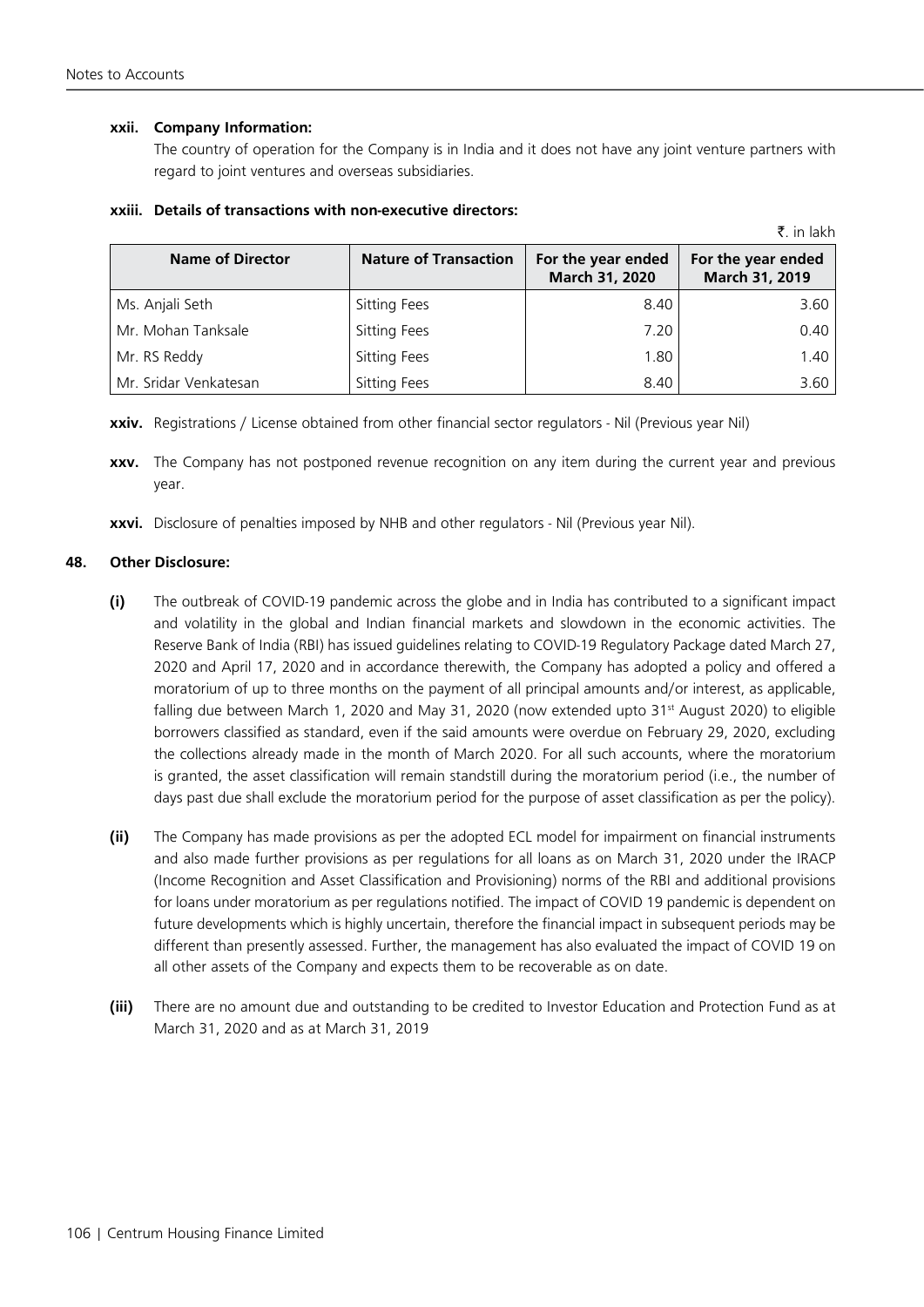#### **xxii. Company Information:**

The country of operation for the Company is in India and it does not have any joint venture partners with regard to joint ventures and overseas subsidiaries.

|                         |                              |                                      | ₹. in lakh                           |
|-------------------------|------------------------------|--------------------------------------|--------------------------------------|
| <b>Name of Director</b> | <b>Nature of Transaction</b> | For the year ended<br>March 31, 2020 | For the year ended<br>March 31, 2019 |
| Ms. Anjali Seth         | <b>Sitting Fees</b>          | 8.40                                 | 3.60                                 |
| Mr. Mohan Tanksale      | <b>Sitting Fees</b>          | 7.20                                 | 0.40                                 |
| Mr. RS Reddy            | <b>Sitting Fees</b>          | 1.80                                 | 1.40                                 |
| Mr. Sridar Venkatesan   | <b>Sitting Fees</b>          | 8.40                                 | 3.60                                 |

#### **xxiii. Details of transactions with non-executive directors:**

**xxiv.** Registrations / License obtained from other financial sector regulators - Nil (Previous year Nil)

**xxv.** The Company has not postponed revenue recognition on any item during the current year and previous year.

**xxvi.** Disclosure of penalties imposed by NHB and other regulators - Nil (Previous year Nil).

#### **48. Other Disclosure:**

- **(i)** The outbreak of COVID-19 pandemic across the globe and in India has contributed to a significant impact and volatility in the global and Indian financial markets and slowdown in the economic activities. The Reserve Bank of India (RBI) has issued guidelines relating to COVID-19 Regulatory Package dated March 27, 2020 and April 17, 2020 and in accordance therewith, the Company has adopted a policy and offered a moratorium of up to three months on the payment of all principal amounts and/or interest, as applicable, falling due between March 1, 2020 and May 31, 2020 (now extended upto 31<sup>st</sup> August 2020) to eligible borrowers classified as standard, even if the said amounts were overdue on February 29, 2020, excluding the collections already made in the month of March 2020. For all such accounts, where the moratorium is granted, the asset classification will remain standstill during the moratorium period (i.e., the number of days past due shall exclude the moratorium period for the purpose of asset classification as per the policy).
- **(ii)** The Company has made provisions as per the adopted ECL model for impairment on financial instruments and also made further provisions as per regulations for all loans as on March 31, 2020 under the IRACP (Income Recognition and Asset Classification and Provisioning) norms of the RBI and additional provisions for loans under moratorium as per regulations notified. The impact of COVID 19 pandemic is dependent on future developments which is highly uncertain, therefore the financial impact in subsequent periods may be different than presently assessed. Further, the management has also evaluated the impact of COVID 19 on all other assets of the Company and expects them to be recoverable as on date.
- **(iii)** There are no amount due and outstanding to be credited to Investor Education and Protection Fund as at March 31, 2020 and as at March 31, 2019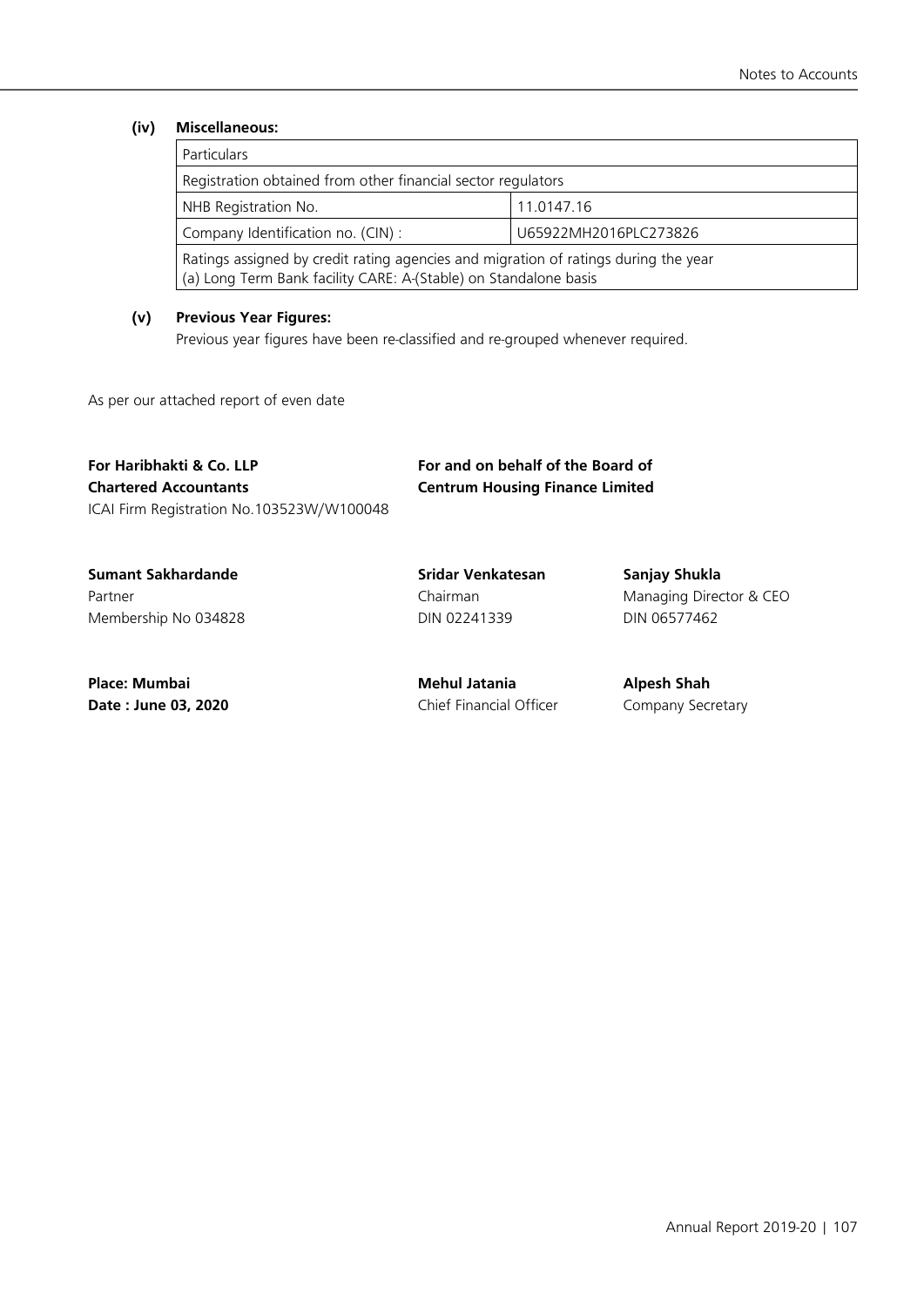#### **(iv) Miscellaneous:**

| <b>Particulars</b>                                                                                                                                      |                       |  |
|---------------------------------------------------------------------------------------------------------------------------------------------------------|-----------------------|--|
| Registration obtained from other financial sector regulators                                                                                            |                       |  |
| NHB Registration No.                                                                                                                                    | 11.0147.16            |  |
| Company Identification no. (CIN):                                                                                                                       | U65922MH2016PLC273826 |  |
| Ratings assigned by credit rating agencies and migration of ratings during the year<br>(a) Long Term Bank facility CARE: A-(Stable) on Standalone basis |                       |  |

#### **(v) Previous Year Figures:**

Previous year figures have been re-classified and re-grouped whenever required.

As per our attached report of even date

### **For Haribhakti & Co. LLP For and on behalf of the Board of Chartered Accountants Centrum Housing Finance Limited** ICAI Firm Registration No.103523W/W100048

**Sumant Sakhardande Sridar Venkatesan Sanjay Shukla** Membership No 034828 DIN 02241339 DIN 06577462

Partner **Managing Director & CEO** Chairman Chairman Managing Director & CEO

**Place: Mumbai Mehul Jatania Alpesh Shah** 

**Date : June 03, 2020** Chief Financial Officer Company Secretary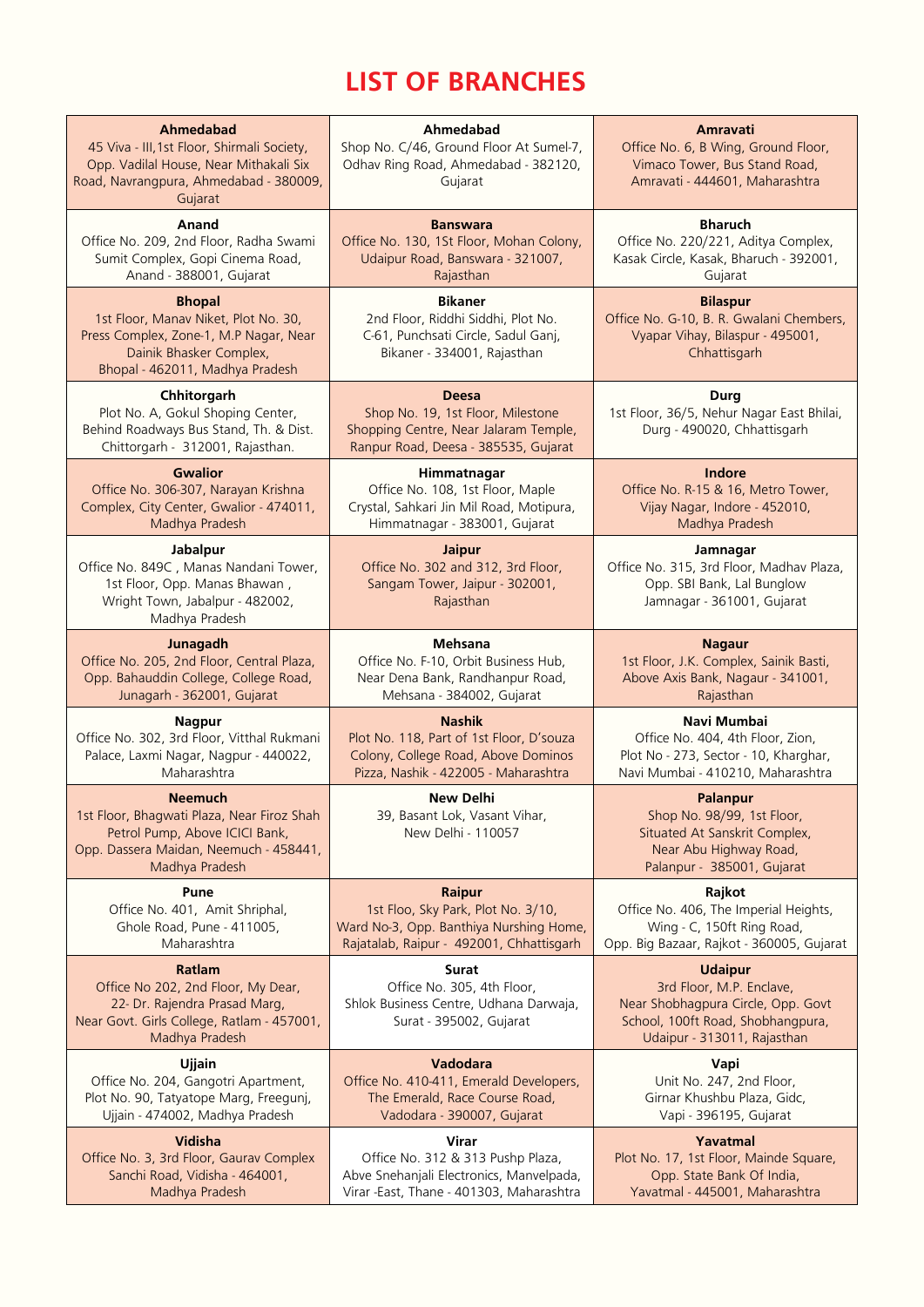# **List of branches**

| Ahmedabad<br>45 Viva - III, 1st Floor, Shirmali Society,<br>Opp. Vadilal House, Near Mithakali Six<br>Road, Navrangpura, Ahmedabad - 380009,<br>Gujarat       | Ahmedabad<br>Shop No. C/46, Ground Floor At Sumel-7,<br>Odhav Ring Road, Ahmedabad - 382120,<br>Gujarat                            | Amravati<br>Office No. 6, B Wing, Ground Floor,<br>Vimaco Tower, Bus Stand Road,<br>Amravati - 444601, Maharashtra                                   |
|---------------------------------------------------------------------------------------------------------------------------------------------------------------|------------------------------------------------------------------------------------------------------------------------------------|------------------------------------------------------------------------------------------------------------------------------------------------------|
| Anand                                                                                                                                                         | <b>Banswara</b>                                                                                                                    | <b>Bharuch</b>                                                                                                                                       |
| Office No. 209, 2nd Floor, Radha Swami                                                                                                                        | Office No. 130, 1St Floor, Mohan Colony,                                                                                           | Office No. 220/221, Aditya Complex,                                                                                                                  |
| Sumit Complex, Gopi Cinema Road,                                                                                                                              | Udaipur Road, Banswara - 321007,                                                                                                   | Kasak Circle, Kasak, Bharuch - 392001,                                                                                                               |
| Anand - 388001, Gujarat                                                                                                                                       | Rajasthan                                                                                                                          | Gujarat                                                                                                                                              |
| <b>Bhopal</b><br>1st Floor, Manav Niket, Plot No. 30,<br>Press Complex, Zone-1, M.P Nagar, Near<br>Dainik Bhasker Complex,<br>Bhopal - 462011, Madhya Pradesh | <b>Bikaner</b><br>2nd Floor, Riddhi Siddhi, Plot No.<br>C-61, Punchsati Circle, Sadul Ganj,<br>Bikaner - 334001, Rajasthan         | <b>Bilaspur</b><br>Office No. G-10, B. R. Gwalani Chembers,<br>Vyapar Vihay, Bilaspur - 495001,<br>Chhattisgarh                                      |
| Chhitorgarh<br>Plot No. A, Gokul Shoping Center,<br>Behind Roadways Bus Stand, Th. & Dist.<br>Chittorgarh - 312001, Rajasthan.                                | <b>Deesa</b><br>Shop No. 19, 1st Floor, Milestone<br>Shopping Centre, Near Jalaram Temple,<br>Ranpur Road, Deesa - 385535, Gujarat | <b>Durg</b><br>1st Floor, 36/5, Nehur Nagar East Bhilai,<br>Durg - 490020, Chhattisgarh                                                              |
| <b>Gwalior</b>                                                                                                                                                | Himmatnagar                                                                                                                        | Indore                                                                                                                                               |
| Office No. 306-307, Narayan Krishna                                                                                                                           | Office No. 108, 1st Floor, Maple                                                                                                   | Office No. R-15 & 16, Metro Tower,                                                                                                                   |
| Complex, City Center, Gwalior - 474011,                                                                                                                       | Crystal, Sahkari Jin Mil Road, Motipura,                                                                                           | Vijay Nagar, Indore - 452010,                                                                                                                        |
| Madhya Pradesh                                                                                                                                                | Himmatnagar - 383001, Gujarat                                                                                                      | Madhya Pradesh                                                                                                                                       |
| Jabalpur<br>Office No. 849C, Manas Nandani Tower,<br>1st Floor, Opp. Manas Bhawan,<br>Wright Town, Jabalpur - 482002,<br>Madhya Pradesh                       | <b>Jaipur</b><br>Office No. 302 and 312, 3rd Floor,<br>Sangam Tower, Jaipur - 302001,<br>Rajasthan                                 | Jamnagar<br>Office No. 315, 3rd Floor, Madhav Plaza,<br>Opp. SBI Bank, Lal Bunglow<br>Jamnagar - 361001, Gujarat                                     |
| Junagadh                                                                                                                                                      | Mehsana                                                                                                                            | <b>Nagaur</b>                                                                                                                                        |
| Office No. 205, 2nd Floor, Central Plaza,                                                                                                                     | Office No. F-10, Orbit Business Hub,                                                                                               | 1st Floor, J.K. Complex, Sainik Basti,                                                                                                               |
| Opp. Bahauddin College, College Road,                                                                                                                         | Near Dena Bank, Randhanpur Road,                                                                                                   | Above Axis Bank, Nagaur - 341001,                                                                                                                    |
| Junagarh - 362001, Gujarat                                                                                                                                    | Mehsana - 384002, Gujarat                                                                                                          | Rajasthan                                                                                                                                            |
| <b>Nagpur</b>                                                                                                                                                 | <b>Nashik</b>                                                                                                                      | Navi Mumbai                                                                                                                                          |
| Office No. 302, 3rd Floor, Vitthal Rukmani                                                                                                                    | Plot No. 118, Part of 1st Floor, D'souza                                                                                           | Office No. 404, 4th Floor, Zion,                                                                                                                     |
| Palace, Laxmi Nagar, Nagpur - 440022,                                                                                                                         | Colony, College Road, Above Dominos                                                                                                | Plot No - 273, Sector - 10, Kharghar,                                                                                                                |
| Maharashtra                                                                                                                                                   | Pizza, Nashik - 422005 - Maharashtra                                                                                               | Navi Mumbai - 410210, Maharashtra                                                                                                                    |
| <b>Neemuch</b><br>1st Floor, Bhagwati Plaza, Near Firoz Shah<br>Petrol Pump, Above ICICI Bank,<br>Opp. Dassera Maidan, Neemuch - 458441,<br>Madhya Pradesh    | New Delhi<br>39, Basant Lok, Vasant Vihar,<br>New Delhi - 110057                                                                   | <b>Palanpur</b><br>Shop No. 98/99, 1st Floor,<br>Situated At Sanskrit Complex,<br>Near Abu Highway Road,<br>Palanpur - 385001, Gujarat               |
| Pune                                                                                                                                                          | <b>Raipur</b>                                                                                                                      | Rajkot                                                                                                                                               |
| Office No. 401, Amit Shriphal,                                                                                                                                | 1st Floo, Sky Park, Plot No. 3/10,                                                                                                 | Office No. 406, The Imperial Heights,                                                                                                                |
| Ghole Road, Pune - 411005,                                                                                                                                    | Ward No-3, Opp. Banthiya Nurshing Home,                                                                                            | Wing - C, 150ft Ring Road,                                                                                                                           |
| Maharashtra                                                                                                                                                   | Rajatalab, Raipur - 492001, Chhattisgarh                                                                                           | Opp. Big Bazaar, Rajkot - 360005, Gujarat                                                                                                            |
| Ratlam<br>Office No 202, 2nd Floor, My Dear,<br>22- Dr. Rajendra Prasad Marg,<br>Near Govt. Girls College, Ratlam - 457001,<br>Madhya Pradesh                 | Surat<br>Office No. 305, 4th Floor,<br>Shlok Business Centre, Udhana Darwaja,<br>Surat - 395002, Gujarat                           | <b>Udaipur</b><br>3rd Floor, M.P. Enclave,<br>Near Shobhagpura Circle, Opp. Govt<br>School, 100ft Road, Shobhangpura,<br>Udaipur - 313011, Rajasthan |
| <b>Ujjain</b>                                                                                                                                                 | Vadodara                                                                                                                           | Vapi                                                                                                                                                 |
| Office No. 204, Gangotri Apartment,                                                                                                                           | Office No. 410-411, Emerald Developers,                                                                                            | Unit No. 247, 2nd Floor,                                                                                                                             |
| Plot No. 90, Tatyatope Marg, Freegunj,                                                                                                                        | The Emerald, Race Course Road,                                                                                                     | Girnar Khushbu Plaza, Gidc,                                                                                                                          |
| Ujjain - 474002, Madhya Pradesh                                                                                                                               | Vadodara - 390007, Gujarat                                                                                                         | Vapi - 396195, Gujarat                                                                                                                               |
| Vidisha                                                                                                                                                       | <b>Virar</b>                                                                                                                       | Yavatmal                                                                                                                                             |
| Office No. 3, 3rd Floor, Gaurav Complex                                                                                                                       | Office No. 312 & 313 Pushp Plaza,                                                                                                  | Plot No. 17, 1st Floor, Mainde Square,                                                                                                               |
| Sanchi Road, Vidisha - 464001,                                                                                                                                | Abve Snehanjali Electronics, Manvelpada,                                                                                           | Opp. State Bank Of India,                                                                                                                            |
| Madhya Pradesh                                                                                                                                                | Virar -East, Thane - 401303, Maharashtra                                                                                           | Yavatmal - 445001, Maharashtra                                                                                                                       |